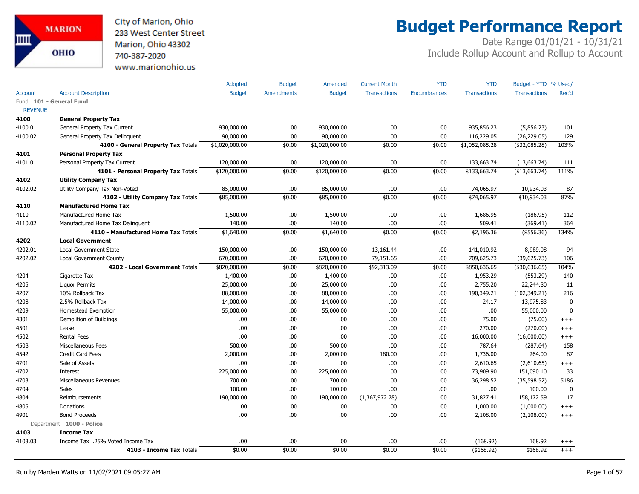City of Marion, Ohio 233 West Center Street Marion, Ohio 43302 740-387-2020 www.marionohio.us

# **Budget Performance Report**

|                |                                     | Adopted        | <b>Budget</b>     | Amended        | <b>Current Month</b> | <b>YTD</b>          | <b>YTD</b>          | Budget - YTD % Used/ |              |
|----------------|-------------------------------------|----------------|-------------------|----------------|----------------------|---------------------|---------------------|----------------------|--------------|
| Account        | <b>Account Description</b>          | <b>Budget</b>  | <b>Amendments</b> | <b>Budget</b>  | <b>Transactions</b>  | <b>Encumbrances</b> | <b>Transactions</b> | <b>Transactions</b>  | Rec'd        |
|                | Fund 101 - General Fund             |                |                   |                |                      |                     |                     |                      |              |
| <b>REVENUE</b> |                                     |                |                   |                |                      |                     |                     |                      |              |
| 4100           | <b>General Property Tax</b>         |                |                   |                |                      |                     |                     |                      |              |
| 4100.01        | General Property Tax Current        | 930,000.00     | .00.              | 930,000.00     | .00.                 | .00                 | 935,856.23          | (5,856.23)           | 101          |
| 4100.02        | General Property Tax Delinquent     | 90,000.00      | .00.              | 90,000.00      | .00.                 | .00                 | 116,229.05          | (26, 229.05)         | 129          |
|                | 4100 - General Property Tax Totals  | \$1,020,000.00 | \$0.00            | \$1,020,000.00 | \$0.00               | \$0.00              | \$1,052,085.28      | (\$32,085.28)        | 103%         |
| 4101           | <b>Personal Property Tax</b>        |                |                   |                |                      |                     |                     |                      |              |
| 4101.01        | Personal Property Tax Current       | 120,000.00     | .00.              | 120,000.00     | .00.                 | .00                 | 133,663.74          | (13,663.74)          | 111          |
|                | 4101 - Personal Property Tax Totals | \$120,000.00   | \$0.00            | \$120,000.00   | \$0.00               | \$0.00              | \$133,663.74        | (\$13,663.74)        | 111%         |
| 4102           | <b>Utility Company Tax</b>          |                |                   |                |                      |                     |                     |                      |              |
| 4102.02        | Utility Company Tax Non-Voted       | 85,000.00      | .00.              | 85,000.00      | .00                  | .00                 | 74,065.97           | 10,934.03            | 87           |
|                | 4102 - Utility Company Tax Totals   | \$85,000.00    | \$0.00            | \$85,000.00    | \$0.00               | \$0.00              | \$74,065.97         | \$10,934.03          | 87%          |
| 4110           | <b>Manufactured Home Tax</b>        |                |                   |                |                      |                     |                     |                      |              |
| 4110           | Manufactured Home Tax               | 1,500.00       | .00.              | 1,500.00       | .00.                 | .00                 | 1,686.95            | (186.95)             | 112          |
| 4110.02        | Manufactured Home Tax Delinguent    | 140.00         | .00.              | 140.00         | .00.                 | .00                 | 509.41              | (369.41)             | 364          |
|                | 4110 - Manufactured Home Tax Totals | \$1,640.00     | \$0.00            | \$1,640.00     | \$0.00               | \$0.00              | \$2,196.36          | $($ \$556.36)        | 134%         |
| 4202           | <b>Local Government</b>             |                |                   |                |                      |                     |                     |                      |              |
| 4202.01        | <b>Local Government State</b>       | 150,000.00     | .00.              | 150,000.00     | 13,161.44            | .00                 | 141,010.92          | 8,989.08             | 94           |
| 4202.02        | Local Government County             | 670,000.00     | .00               | 670,000.00     | 79,151.65            | .00                 | 709,625.73          | (39,625.73)          | 106          |
|                | 4202 - Local Government Totals      | \$820,000.00   | \$0.00            | \$820,000.00   | \$92,313.09          | \$0.00              | \$850,636.65        | (430, 636.65)        | 104%         |
| 4204           | Cigarette Tax                       | 1,400.00       | .00               | 1,400.00       | .00.                 | .00                 | 1,953.29            | (553.29)             | 140          |
| 4205           | <b>Liquor Permits</b>               | 25,000.00      | .00               | 25,000.00      | .00.                 | .00                 | 2,755.20            | 22,244.80            | 11           |
| 4207           | 10% Rollback Tax                    | 88,000.00      | .00               | 88,000.00      | .00.                 | .00                 | 190,349.21          | (102, 349.21)        | 216          |
| 4208           | 2.5% Rollback Tax                   | 14,000.00      | .00               | 14,000.00      | .00.                 | .00                 | 24.17               | 13,975.83            | $\mathbf 0$  |
| 4209           | Homestead Exemption                 | 55,000.00      | .00               | 55,000.00      | .00.                 | .00                 | .00.                | 55,000.00            | $\mathbf{0}$ |
| 4301           | Demolition of Buildings             | .00            | .00.              | .00            | .00.                 | .00                 | 75.00               | (75.00)              | $+++$        |
| 4501           | Lease                               | .00            | .00.              | .00            | .00.                 | .00                 | 270.00              | (270.00)             | $^{+++}$     |
| 4502           | <b>Rental Fees</b>                  | .00            | .00.              | .00            | .00.                 | .00                 | 16,000.00           | (16,000.00)          | $^{+++}$     |
| 4508           | Miscellaneous Fees                  | 500.00         | .00.              | 500.00         | .00.                 | .00                 | 787.64              | (287.64)             | 158          |
| 4542           | <b>Credit Card Fees</b>             | 2,000.00       | .00.              | 2,000.00       | 180.00               | .00                 | 1,736.00            | 264.00               | 87           |
| 4701           | Sale of Assets                      | .00            | .00.              | .00.           | .00.                 | .00                 | 2,610.65            | (2,610.65)           | $^{+++}$     |
| 4702           | Interest                            | 225,000.00     | .00.              | 225,000.00     | .00.                 | .00                 | 73,909.90           | 151,090.10           | 33           |
| 4703           | Miscellaneous Revenues              | 700.00         | .00.              | 700.00         | .00.                 | .00                 | 36,298.52           | (35, 598.52)         | 5186         |
| 4704           | <b>Sales</b>                        | 100.00         | .00.              | 100.00         | .00.                 | .00                 | .00.                | 100.00               | $\mathbf 0$  |
| 4804           | Reimbursements                      | 190,000.00     | .00.              | 190,000.00     | (1,367,972.78)       | .00                 | 31,827.41           | 158,172.59           | 17           |
| 4805           | Donations                           | .00            | .00.              | .00            | .00.                 | .00                 | 1,000.00            | (1,000.00)           | $^{+++}$     |
| 4901           | <b>Bond Proceeds</b>                | .00            | .00.              | .00            | .00.                 | .00                 | 2,108.00            | (2,108.00)           | $+++$        |
|                | Department 1000 - Police            |                |                   |                |                      |                     |                     |                      |              |
| 4103           | <b>Income Tax</b>                   |                |                   |                |                      |                     |                     |                      |              |
| 4103.03        | Income Tax .25% Voted Income Tax    | .00            | .00.              | .00            | .00.                 | .00                 | (168.92)            | 168.92               | $^{+++}$     |
|                | 4103 - Income Tax Totals            | \$0.00         | \$0.00            | \$0.00         | \$0.00               | \$0.00              | ( \$168.92)         | \$168.92             | $+++$        |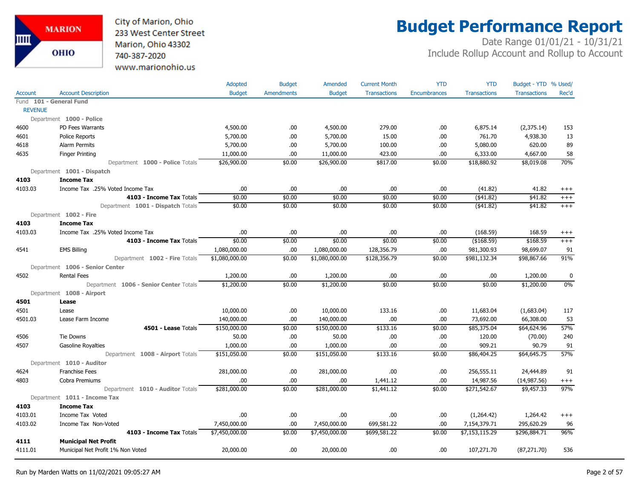

# **Budget Performance Report**

|                |                                        | <b>Adopted</b> | <b>Budget</b>     | Amended        | <b>Current Month</b> | <b>YTD</b>          | <b>YTD</b>          | Budget - YTD % Used/ |                  |
|----------------|----------------------------------------|----------------|-------------------|----------------|----------------------|---------------------|---------------------|----------------------|------------------|
| Account        | <b>Account Description</b>             | <b>Budget</b>  | <b>Amendments</b> | <b>Budget</b>  | <b>Transactions</b>  | <b>Encumbrances</b> | <b>Transactions</b> | <b>Transactions</b>  | Rec'd            |
|                | Fund 101 - General Fund                |                |                   |                |                      |                     |                     |                      |                  |
| <b>REVENUE</b> |                                        |                |                   |                |                      |                     |                     |                      |                  |
|                | Department 1000 - Police               |                |                   |                |                      |                     |                     |                      |                  |
| 4600           | PD Fees Warrants                       | 4,500.00       | .00.              | 4,500.00       | 279.00               | .00                 | 6,875.14            | (2,375.14)           | 153              |
| 4601           | <b>Police Reports</b>                  | 5,700.00       | .00.              | 5,700.00       | 15.00                | .00                 | 761.70              | 4,938.30             | 13               |
| 4618           | <b>Alarm Permits</b>                   | 5,700.00       | .00.              | 5,700.00       | 100.00               | .00                 | 5,080.00            | 620.00               | 89               |
| 4635           | <b>Finger Printing</b>                 | 11,000.00      | .00               | 11,000.00      | 423.00               | .00                 | 6,333.00            | 4,667.00             | 58               |
|                | Department 1000 - Police Totals        | \$26,900.00    | \$0.00            | \$26,900.00    | \$817.00             | \$0.00              | \$18,880.92         | \$8,019.08           | 70%              |
|                | Department 1001 - Dispatch             |                |                   |                |                      |                     |                     |                      |                  |
| 4103           | <b>Income Tax</b>                      |                |                   |                |                      |                     |                     |                      |                  |
| 4103.03        | Income Tax .25% Voted Income Tax       | .00.           | .00.              | .00.           | .00                  | .00                 | (41.82)             | 41.82                | $^{+++}$         |
|                | 4103 - Income Tax Totals               | \$0.00         | \$0.00            | \$0.00         | \$0.00               | \$0.00              | $($ \$41.82)        | \$41.82              | $^{+++}$         |
|                | Department 1001 - Dispatch Totals      | \$0.00         | \$0.00            | \$0.00         | \$0.00               | \$0.00              | ( \$41.82)          | \$41.82              | $+++$            |
|                | Department 1002 - Fire                 |                |                   |                |                      |                     |                     |                      |                  |
| 4103           | <b>Income Tax</b>                      |                |                   |                |                      |                     |                     |                      |                  |
| 4103.03        | Income Tax .25% Voted Income Tax       | .00            | .00.              | .00            | .00.                 | .00                 | (168.59)            | 168.59               | $^{+++}$         |
|                | 4103 - Income Tax Totals               | \$0.00         | \$0.00            | \$0.00         | \$0.00               | \$0.00              | (\$168.59)          | \$168.59             | $+++$            |
| 4541           | <b>EMS Billing</b>                     | 1,080,000.00   | .00.              | 1,080,000.00   | 128,356.79           | .00                 | 981,300.93          | 98,699.07            | 91               |
|                | Department 1002 - Fire Totals          | \$1,080,000.00 | \$0.00            | \$1,080,000.00 | \$128,356.79         | \$0.00              | \$981,132.34        | \$98,867.66          | 91%              |
|                | Department 1006 - Senior Center        |                |                   |                |                      |                     |                     |                      |                  |
| 4502           | <b>Rental Fees</b>                     | 1,200.00       | .00.              | 1,200.00       | .00                  | .00                 | .00                 | 1,200.00             | $\boldsymbol{0}$ |
|                | Department 1006 - Senior Center Totals | \$1,200.00     | \$0.00            | \$1,200.00     | \$0.00               | \$0.00              | \$0.00              | \$1,200.00           | 0%               |
|                | Department 1008 - Airport              |                |                   |                |                      |                     |                     |                      |                  |
| 4501           | Lease                                  |                |                   |                |                      |                     |                     |                      |                  |
| 4501           | Lease                                  | 10,000.00      | .00.              | 10,000.00      | 133.16               | .00                 | 11,683.04           | (1,683.04)           | 117              |
| 4501.03        | Lease Farm Income                      | 140,000.00     | .00               | 140,000.00     | .00.                 | .00                 | 73,692.00           | 66,308.00            | 53               |
|                | 4501 - Lease Totals                    | \$150,000.00   | \$0.00            | \$150,000.00   | \$133.16             | \$0.00              | \$85,375.04         | \$64,624.96          | 57%              |
| 4506           | <b>Tie Downs</b>                       | 50.00          | .00.              | 50.00          | .00.                 | .00                 | 120.00              | (70.00)              | 240              |
| 4507           | Gasoline Royalties                     | 1,000.00       | .00.              | 1,000.00       | .00                  | .00                 | 909.21              | 90.79                | 91               |
|                | Department 1008 - Airport Totals       | \$151,050.00   | \$0.00            | \$151,050.00   | \$133.16             | \$0.00              | \$86,404.25         | \$64,645.75          | 57%              |
|                | Department 1010 - Auditor              |                |                   |                |                      |                     |                     |                      |                  |
| 4624           | <b>Franchise Fees</b>                  | 281,000.00     | .00               | 281,000.00     | .00.                 | .00                 | 256,555.11          | 24,444.89            | 91               |
| 4803           | Cobra Premiums                         | .00            | .00               | .00.           | 1,441.12             | .00                 | 14,987.56           | (14, 987.56)         | $^{+++}$         |
|                | Department 1010 - Auditor Totals       | \$281,000.00   | \$0.00            | \$281,000.00   | \$1,441.12           | \$0.00              | \$271,542.67        | \$9,457.33           | 97%              |
|                | Department 1011 - Income Tax           |                |                   |                |                      |                     |                     |                      |                  |
| 4103           | <b>Income Tax</b>                      |                |                   |                |                      |                     |                     |                      |                  |
| 4103.01        | Income Tax Voted                       | .00            | .00.              | .00            | .00                  | .00                 | (1,264.42)          | 1,264.42             | $^{+++}$         |
| 4103.02        | Income Tax Non-Voted                   | 7,450,000.00   | .00.              | 7,450,000.00   | 699,581.22           | .00                 | 7,154,379.71        | 295,620.29           | 96               |
|                | 4103 - Income Tax Totals               | \$7,450,000.00 | \$0.00            | \$7,450,000.00 | \$699,581.22         | \$0.00              | \$7,153,115.29      | \$296,884.71         | 96%              |
| 4111           | <b>Municipal Net Profit</b>            |                |                   |                |                      |                     |                     |                      |                  |
| 4111.01        | Municipal Net Profit 1% Non Voted      | 20,000.00      | .00.              | 20,000.00      | .00.                 | .00                 | 107,271.70          | (87, 271.70)         | 536              |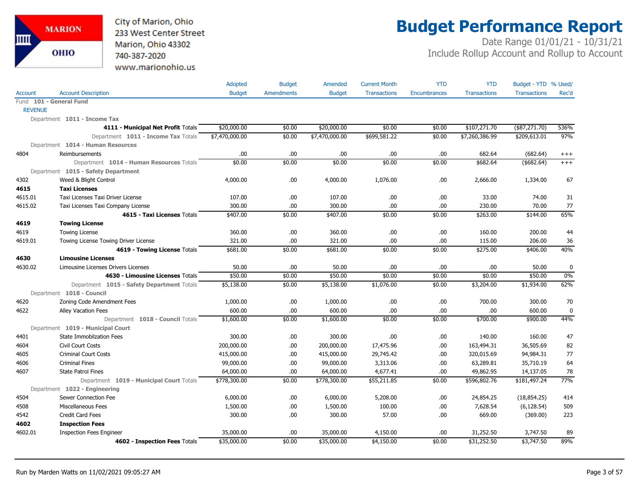City of Marion, Ohio 233 West Center Street Marion, Ohio 43302 740-387-2020 www.marionohio.us

# **Budget Performance Report**

|                |                                                                           | Adopted        | <b>Budget</b>     | Amended        | <b>Current Month</b> | <b>YTD</b>          | <b>YTD</b>          | Budget - YTD % Used/ |             |
|----------------|---------------------------------------------------------------------------|----------------|-------------------|----------------|----------------------|---------------------|---------------------|----------------------|-------------|
| Account        | <b>Account Description</b>                                                | <b>Budget</b>  | <b>Amendments</b> | <b>Budget</b>  | <b>Transactions</b>  | <b>Encumbrances</b> | <b>Transactions</b> | <b>Transactions</b>  | Rec'd       |
|                | Fund 101 - General Fund                                                   |                |                   |                |                      |                     |                     |                      |             |
| <b>REVENUE</b> |                                                                           |                |                   |                |                      |                     |                     |                      |             |
|                | Department 1011 - Income Tax                                              |                |                   |                |                      |                     |                     |                      |             |
|                | 4111 - Municipal Net Profit Totals                                        | \$20,000.00    | \$0.00            | \$20,000.00    | \$0.00               | \$0.00              | \$107,271.70        | $(*87,271.70)$       | 536%        |
|                | Department 1011 - Income Tax Totals                                       | \$7,470,000.00 | \$0.00            | \$7,470,000.00 | \$699,581.22         | \$0.00              | \$7,260,386.99      | \$209,613.01         | 97%         |
|                | Department 1014 - Human Resources                                         |                |                   |                |                      |                     |                     |                      |             |
| 4804           | Reimbursements                                                            | .00            | .00               | .00            | .00                  | .00                 | 682.64              | (682.64)             | $^{+++}$    |
|                | Department 1014 - Human Resources Totals                                  | \$0.00         | \$0.00            | \$0.00         | \$0.00               | \$0.00              | \$682.64            | ( \$682.64)          | $+++$       |
|                | Department 1015 - Safety Department                                       |                |                   |                |                      |                     |                     |                      |             |
| 4302           | Weed & Blight Control                                                     | 4,000.00       | .00.              | 4,000.00       | 1,076.00             | .00                 | 2,666.00            | 1,334.00             | 67          |
| 4615           | <b>Taxi Licenses</b>                                                      |                |                   |                |                      |                     |                     |                      |             |
| 4615.01        | Taxi Licenses Taxi Driver License                                         | 107.00         | .00.              | 107.00         | .00                  | .00                 | 33.00               | 74.00                | 31          |
| 4615.02        | Taxi Licenses Taxi Company License                                        | 300.00         | .00               | 300.00         | .00                  | .00                 | 230.00              | 70.00                | 77          |
|                | 4615 - Taxi Licenses Totals                                               | \$407.00       | \$0.00            | \$407.00       | \$0.00               | \$0.00              | \$263.00            | \$144.00             | 65%         |
| 4619           | <b>Towing License</b>                                                     |                |                   |                |                      |                     |                     |                      |             |
| 4619           | <b>Towing License</b>                                                     | 360.00         | .00               | 360.00         | .00                  | .00                 | 160.00              | 200.00               | 44          |
| 4619.01        | Towing License Towing Driver License                                      | 321.00         | .00               | 321.00         | .00                  | .00                 | 115.00              | 206.00               | 36          |
|                | 4619 - Towing License Totals                                              | \$681.00       | \$0.00            | \$681.00       | \$0.00               | \$0.00              | \$275.00            | \$406.00             | 40%         |
| 4630           | <b>Limousine Licenses</b>                                                 |                |                   |                |                      |                     |                     |                      |             |
| 4630.02        | Limousine Licenses Drivers Licenses                                       | 50.00          | .00               | 50.00          | .00                  | .00.                | .00                 | 50.00                | $\mathbf 0$ |
|                | 4630 - Limousine Licenses Totals                                          | \$50.00        | \$0.00            | \$50.00        | \$0.00               | \$0.00              | \$0.00              | \$50.00              | 0%          |
|                | Department 1015 - Safety Department Totals                                | \$5,138.00     | \$0.00            | \$5,138.00     | \$1,076.00           | \$0.00              | \$3,204.00          | \$1,934.00           | 62%         |
|                | Department 1018 - Council                                                 |                |                   |                |                      |                     |                     |                      |             |
| 4620           | Zoning Code Amendment Fees                                                | 1,000.00       | .00.              | 1,000.00       | .00                  | .00                 | 700.00              | 300.00               | 70          |
| 4622           | <b>Alley Vacation Fees</b>                                                | 600.00         | .00               | 600.00         | .00                  | .00                 | .00                 | 600.00               | $\mathbf 0$ |
|                | Department 1018 - Council Totals                                          | \$1,600.00     | \$0.00            | \$1,600.00     | \$0.00               | \$0.00              | \$700.00            | \$900.00             | 44%         |
|                | Department 1019 - Municipal Court                                         |                |                   |                |                      |                     |                     |                      |             |
| 4401           | <b>State Immobilzation Fees</b>                                           | 300.00         | .00               | 300.00         | .00                  | .00                 | 140.00              | 160.00               | 47          |
| 4604           | Civil Court Costs                                                         | 200,000.00     | .00               | 200,000.00     | 17,475.96            | .00                 | 163,494.31          | 36,505.69            | 82          |
| 4605           | <b>Criminal Court Costs</b>                                               | 415,000.00     | .00               | 415,000.00     | 29,745.42            | .00                 | 320,015.69          | 94,984.31            | 77          |
| 4606           | <b>Criminal Fines</b>                                                     | 99,000.00      | .00               | 99,000.00      | 3,313.06             | .00                 | 63,289.81           | 35,710.19            | 64          |
| 4607           | <b>State Patrol Fines</b>                                                 | 64,000.00      | .00               | 64,000.00      | 4,677.41             | .00                 | 49,862.95           | 14,137.05            | 78          |
|                | Department 1019 - Municipal Court Totals<br>Department 1022 - Engineering | \$778,300.00   | \$0.00            | \$778,300.00   | \$55,211.85          | \$0.00              | \$596,802.76        | \$181,497.24         | 77%         |
| 4504           | Sewer Connection Fee                                                      | 6,000.00       | .00.              | 6,000.00       | 5,208.00             | .00                 | 24,854.25           | (18, 854.25)         | 414         |
| 4508           | Miscellaneous Fees                                                        | 1,500.00       | .00               | 1,500.00       | 100.00               | .00                 | 7,628.54            | (6, 128.54)          | 509         |
| 4542           | <b>Credit Card Fees</b>                                                   | 300.00         | .00               | 300.00         | 57.00                | .00                 | 669.00              | (369.00)             | 223         |
| 4602           | <b>Inspection Fees</b>                                                    |                |                   |                |                      |                     |                     |                      |             |
| 4602.01        | <b>Inspection Fees Engineer</b>                                           | 35,000.00      | .00               | 35,000.00      | 4,150.00             | .00                 | 31,252.50           | 3,747.50             | 89          |
|                | 4602 - Inspection Fees Totals                                             | \$35,000.00    | \$0.00            | \$35,000.00    | \$4,150.00           | \$0.00              | \$31,252.50         | \$3,747.50           | 89%         |
|                |                                                                           |                |                   |                |                      |                     |                     |                      |             |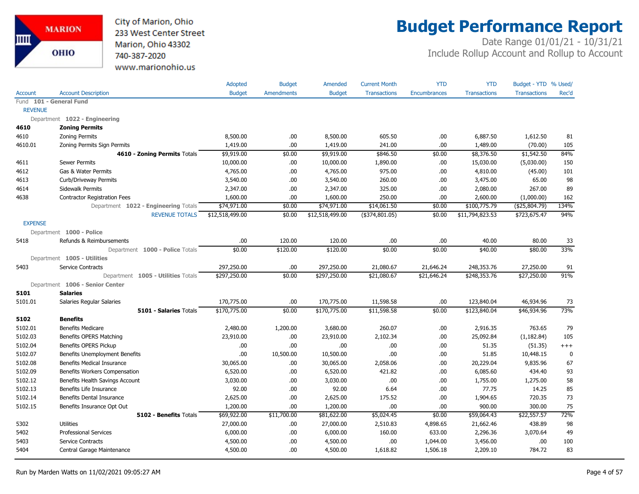

# **Budget Performance Report**

|                |                                       | Adopted         | <b>Budget</b>     | Amended         | <b>Current Month</b> | <b>YTD</b>          | <b>YTD</b>          | Budget - YTD % Used/ |          |
|----------------|---------------------------------------|-----------------|-------------------|-----------------|----------------------|---------------------|---------------------|----------------------|----------|
| <b>Account</b> | <b>Account Description</b>            | <b>Budget</b>   | <b>Amendments</b> | <b>Budget</b>   | <b>Transactions</b>  | <b>Encumbrances</b> | <b>Transactions</b> | <b>Transactions</b>  | Rec'd    |
|                | Fund 101 - General Fund               |                 |                   |                 |                      |                     |                     |                      |          |
| <b>REVENUE</b> |                                       |                 |                   |                 |                      |                     |                     |                      |          |
|                | Department 1022 - Engineering         |                 |                   |                 |                      |                     |                     |                      |          |
| 4610           | <b>Zoning Permits</b>                 |                 |                   |                 |                      |                     |                     |                      |          |
| 4610           | <b>Zoning Permits</b>                 | 8,500.00        | .00.              | 8,500.00        | 605.50               | .00                 | 6,887.50            | 1,612.50             | 81       |
| 4610.01        | Zoning Permits Sign Permits           | 1,419.00        | .00               | 1,419.00        | 241.00               | .00                 | 1,489.00            | (70.00)              | 105      |
|                | 4610 - Zoning Permits Totals          | \$9,919.00      | \$0.00            | \$9,919.00      | \$846.50             | \$0.00              | \$8,376.50          | \$1,542.50           | 84%      |
| 4611           | <b>Sewer Permits</b>                  | 10,000.00       | .00.              | 10,000.00       | 1,890.00             | .00                 | 15,030.00           | (5,030.00)           | 150      |
| 4612           | Gas & Water Permits                   | 4,765.00        | .00.              | 4,765.00        | 975.00               | .00                 | 4,810.00            | (45.00)              | 101      |
| 4613           | Curb/Driveway Permits                 | 3,540.00        | .00.              | 3,540.00        | 260.00               | .00                 | 3,475.00            | 65.00                | 98       |
| 4614           | Sidewalk Permits                      | 2,347.00        | .00.              | 2,347.00        | 325.00               | .00                 | 2,080.00            | 267.00               | 89       |
| 4638           | <b>Contractor Registration Fees</b>   | 1,600.00        | .00               | 1,600.00        | 250.00               | .00                 | 2,600.00            | (1,000.00)           | 162      |
|                | Department 1022 - Engineering Totals  | \$74,971.00     | \$0.00            | \$74,971.00     | \$14,061.50          | \$0.00              | \$100,775.79        | ( \$25,804.79)       | 134%     |
|                | <b>REVENUE TOTALS</b>                 | \$12,518,499.00 | \$0.00            | \$12,518,499.00 | (\$374,801.05)       | \$0.00              | \$11,794,823.53     | \$723,675.47         | 94%      |
| <b>EXPENSE</b> |                                       |                 |                   |                 |                      |                     |                     |                      |          |
|                | Department 1000 - Police              |                 |                   |                 |                      |                     |                     |                      |          |
| 5418           | Refunds & Reimbursements              | .00             | 120.00            | 120.00          | .00.                 | .00                 | 40.00               | 80.00                | 33       |
|                | Department 1000 - Police Totals       | \$0.00          | \$120.00          | \$120.00        | \$0.00               | \$0.00              | \$40.00             | \$80.00              | 33%      |
|                | Department 1005 - Utilities           |                 |                   |                 |                      |                     |                     |                      |          |
| 5403           | Service Contracts                     | 297,250.00      | .00               | 297,250.00      | 21,080.67            | 21,646.24           | 248,353.76          | 27,250.00            | 91       |
|                | Department 1005 - Utilities Totals    | \$297,250.00    | \$0.00            | \$297,250.00    | \$21,080.67          | \$21,646.24         | \$248,353.76        | \$27,250.00          | 91%      |
|                | Department 1006 - Senior Center       |                 |                   |                 |                      |                     |                     |                      |          |
| 5101           | <b>Salaries</b>                       |                 |                   |                 |                      |                     |                     |                      |          |
| 5101.01        | Salaries Regular Salaries             | 170,775.00      | .00               | 170,775.00      | 11,598.58            | .00                 | 123,840.04          | 46,934.96            | 73       |
|                | 5101 - Salaries Totals                | \$170,775.00    | \$0.00            | \$170,775.00    | \$11,598.58          | \$0.00              | \$123,840.04        | \$46,934.96          | 73%      |
| 5102           | <b>Benefits</b>                       |                 |                   |                 |                      |                     |                     |                      |          |
| 5102.01        | <b>Benefits Medicare</b>              | 2,480.00        | 1,200.00          | 3,680.00        | 260.07               | .00                 | 2,916.35            | 763.65               | 79       |
| 5102.03        | Benefits OPERS Matching               | 23,910.00       | .00.              | 23,910.00       | 2,102.34             | .00                 | 25,092.84           | (1, 182.84)          | 105      |
| 5102.04        | Benefits OPERS Pickup                 | .00             | .00.              | .00             | .00.                 | .00                 | 51.35               | (51.35)              | $^{+++}$ |
| 5102.07        | <b>Benefits Unemployment Benefits</b> | .00             | 10,500.00         | 10,500.00       | .00                  | .00                 | 51.85               | 10,448.15            | 0        |
| 5102.08        | <b>Benefits Medical Insurance</b>     | 30,065.00       | .00.              | 30,065.00       | 2,058.06             | .00                 | 20,229.04           | 9,835.96             | 67       |
| 5102.09        | Benefits Workers Compensation         | 6,520.00        | .00.              | 6,520.00        | 421.82               | .00                 | 6,085.60            | 434.40               | 93       |
| 5102.12        | Benefits Health Savings Account       | 3,030.00        | .00.              | 3,030.00        | .00.                 | .00                 | 1,755.00            | 1,275.00             | 58       |
| 5102.13        | Benefits Life Insurance               | 92.00           | .00.              | 92.00           | 6.64                 | .00                 | 77.75               | 14.25                | 85       |
| 5102.14        | Benefits Dental Insurance             | 2,625.00        | .00.              | 2,625.00        | 175.52               | .00                 | 1,904.65            | 720.35               | 73       |
| 5102.15        | Benefits Insurance Opt Out            | 1,200.00        | .00.              | 1,200.00        | .00.                 | .00                 | 900.00              | 300.00               | 75       |
|                | 5102 - Benefits Totals                | \$69,922.00     | \$11,700.00       | \$81,622.00     | \$5,024.45           | \$0.00              | \$59,064.43         | \$22,557.57          | 72%      |
| 5302           | <b>Utilities</b>                      | 27,000.00       | .00               | 27,000.00       | 2,510.83             | 4,898.65            | 21,662.46           | 438.89               | 98       |
| 5402           | <b>Professional Services</b>          | 6,000.00        | .00.              | 6,000.00        | 160.00               | 633.00              | 2,296.36            | 3,070.64             | 49       |
| 5403           | Service Contracts                     | 4,500.00        | .00               | 4,500.00        | .00.                 | 1,044.00            | 3,456.00            | .00                  | 100      |
| 5404           | Central Garage Maintenance            | 4,500.00        | .00               | 4,500.00        | 1,618.82             | 1,506.18            | 2,209.10            | 784.72               | 83       |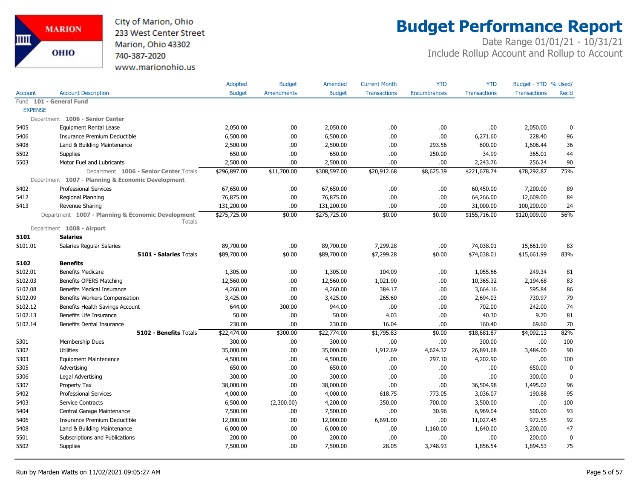

# **Budget Performance Report**

|                |                                                             | Adopted       | <b>Budget</b>     | Amended       | <b>Current Month</b> | <b>YTD</b>          | <b>YTD</b>          | Budget - YTD % Used/ |             |
|----------------|-------------------------------------------------------------|---------------|-------------------|---------------|----------------------|---------------------|---------------------|----------------------|-------------|
| <b>Account</b> | <b>Account Description</b>                                  | <b>Budget</b> | <b>Amendments</b> | <b>Budget</b> | <b>Transactions</b>  | <b>Encumbrances</b> | <b>Transactions</b> | <b>Transactions</b>  | Rec'd       |
|                | Fund 101 - General Fund                                     |               |                   |               |                      |                     |                     |                      |             |
| <b>EXPENSE</b> |                                                             |               |                   |               |                      |                     |                     |                      |             |
|                | Department 1006 - Senior Center                             |               |                   |               |                      |                     |                     |                      |             |
| 5405           | <b>Equipment Rental Lease</b>                               | 2,050.00      | .00               | 2,050.00      | .00                  | .00.                | .00                 | 2,050.00             | 0           |
| 5406           | Insurance Premium Deductible                                | 6,500.00      | .00               | 6,500.00      | .00                  | .00.                | 6,271.60            | 228.40               | 96          |
| 5408           | Land & Building Maintenance                                 | 2,500.00      | .00               | 2,500.00      | .00                  | 293.56              | 600.00              | 1,606.44             | 36          |
| 5502           | <b>Supplies</b>                                             | 650.00        | .00               | 650.00        | .00                  | 250.00              | 34.99               | 365.01               | 44          |
| 5503           | Motor Fuel and Lubricants                                   | 2,500.00      | .00               | 2,500.00      | .00                  | .00.                | 2,243.76            | 256.24               | 90          |
|                | Department 1006 - Senior Center Totals                      | \$296,897.00  | \$11,700.00       | \$308,597.00  | \$20,912.68          | \$8,625.39          | \$221,678.74        | \$78,292.87          | 75%         |
|                | Department 1007 - Planning & Economic Development           |               |                   |               |                      |                     |                     |                      |             |
| 5402           | <b>Professional Services</b>                                | 67,650.00     | .00               | 67,650.00     | .00.                 | .00.                | 60,450.00           | 7,200.00             | 89          |
| 5412           | Regional Planning                                           | 76,875.00     | .00               | 76,875.00     | .00                  | .00.                | 64,266.00           | 12,609.00            | 84          |
| 5413           | Revenue Sharing                                             | 131,200.00    | .00               | 131,200.00    | .00                  | .00                 | 31,000.00           | 100,200.00           | 24          |
|                | Department 1007 - Planning & Economic Development<br>Totals | \$275,725.00  | \$0.00            | \$275,725.00  | \$0.00               | \$0.00              | \$155,716.00        | \$120,009.00         | 56%         |
|                | Department 1008 - Airport                                   |               |                   |               |                      |                     |                     |                      |             |
| 5101           | <b>Salaries</b>                                             |               |                   |               |                      |                     |                     |                      |             |
| 5101.01        | Salaries Regular Salaries                                   | 89,700.00     | .00               | 89,700.00     | 7,299.28             | .00.                | 74,038.01           | 15,661.99            | 83          |
|                | 5101 - Salaries Totals                                      | \$89,700.00   | \$0.00            | \$89,700.00   | \$7,299.28           | \$0.00              | \$74,038.01         | \$15,661.99          | 83%         |
| 5102           | <b>Benefits</b>                                             |               |                   |               |                      |                     |                     |                      |             |
| 5102.01        | <b>Benefits Medicare</b>                                    | 1,305.00      | .00.              | 1,305.00      | 104.09               | .00                 | 1,055.66            | 249.34               | 81          |
| 5102.03        | Benefits OPERS Matching                                     | 12,560.00     | .00.              | 12,560.00     | 1,021.90             | .00                 | 10,365.32           | 2,194.68             | 83          |
| 5102.08        | Benefits Medical Insurance                                  | 4,260.00      | .00.              | 4,260.00      | 384.17               | .00.                | 3,664.16            | 595.84               | 86          |
| 5102.09        | Benefits Workers Compensation                               | 3,425.00      | .00               | 3,425.00      | 265.60               | .00.                | 2,694.03            | 730.97               | 79          |
| 5102.12        | Benefits Health Savings Account                             | 644.00        | 300.00            | 944.00        | .00                  | .00.                | 702.00              | 242.00               | 74          |
| 5102.13        | Benefits Life Insurance                                     | 50.00         | .00.              | 50.00         | 4.03                 | .00.                | 40.30               | 9.70                 | 81          |
| 5102.14        | Benefits Dental Insurance                                   | 230.00        | .00               | 230.00        | 16.04                | .00.                | 160.40              | 69.60                | 70          |
|                | 5102 - Benefits Totals                                      | \$22,474.00   | \$300.00          | \$22,774.00   | \$1,795.83           | \$0.00              | \$18,681.87         | \$4,092.13           | 82%         |
| 5301           | Membership Dues                                             | 300.00        | .00.              | 300.00        | .00                  | .00.                | 300.00              | .00                  | 100         |
| 5302           | <b>Utilities</b>                                            | 35,000.00     | .00.              | 35,000.00     | 1,912.69             | 4,624.32            | 26,891.68           | 3,484.00             | 90          |
| 5303           | <b>Equipment Maintenance</b>                                | 4,500.00      | .00.              | 4,500.00      | .00.                 | 297.10              | 4,202.90            | .00.                 | 100         |
| 5305           | Advertising                                                 | 650.00        | .00               | 650.00        | .00                  | .00.                | .00                 | 650.00               | $\mathbf 0$ |
| 5306           | Legal Advertising                                           | 300.00        | .00.              | 300.00        | .00                  | .00.                | .00                 | 300.00               | $\mathbf 0$ |
| 5307           | Property Tax                                                | 38,000.00     | .00.              | 38,000.00     | .00                  | .00.                | 36,504.98           | 1,495.02             | 96          |
| 5402           | <b>Professional Services</b>                                | 4,000.00      | .00               | 4,000.00      | 618.75               | 773.05              | 3,036.07            | 190.88               | 95          |
| 5403           | Service Contracts                                           | 6,500.00      | (2,300.00)        | 4,200.00      | 350.00               | 700.00              | 3,500.00            | .00.                 | 100         |
| 5404           | Central Garage Maintenance                                  | 7,500.00      | .00.              | 7,500.00      | .00                  | 30.96               | 6,969.04            | 500.00               | 93          |
| 5406           | Insurance Premium Deductible                                | 12,000.00     | .00.              | 12,000.00     | 6,691.00             | .00.                | 11,027.45           | 972.55               | 92          |
| 5408           | Land & Building Maintenance                                 | 6,000.00      | .00.              | 6,000.00      | .00                  | 1,160.00            | 1,640.00            | 3,200.00             | 47          |
| 5501           | Subscriptions and Publications                              | 200.00        | .00               | 200.00        | .00                  | .00                 | .00                 | 200.00               | $\mathbf 0$ |
| 5502           | Supplies                                                    | 7,500.00      | .00               | 7,500.00      | 28.05                | 3,748.93            | 1,856.54            | 1,894.53             | 75          |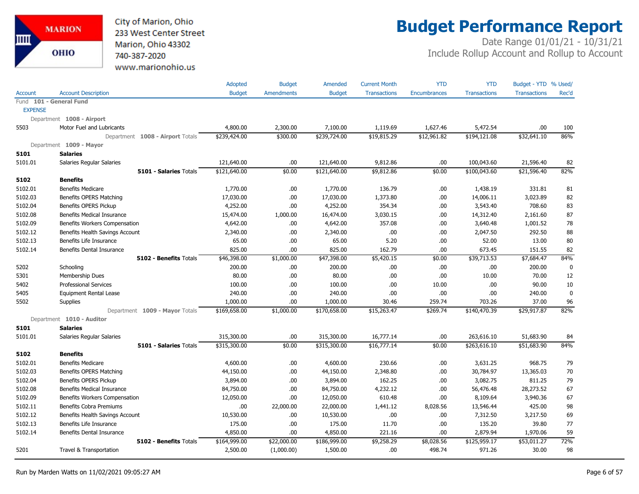City of Marion, Ohio 233 West Center Street Marion, Ohio 43302 740-387-2020 www.marionohio.us

# **Budget Performance Report**

|                |                                  | Adopted       | <b>Budget</b>     | Amended       | <b>Current Month</b> | <b>YTD</b>   | <b>YTD</b>          | Budget - YTD % Used/ |             |
|----------------|----------------------------------|---------------|-------------------|---------------|----------------------|--------------|---------------------|----------------------|-------------|
| <b>Account</b> | <b>Account Description</b>       | <b>Budget</b> | <b>Amendments</b> | <b>Budget</b> | <b>Transactions</b>  | Encumbrances | <b>Transactions</b> | <b>Transactions</b>  | Rec'd       |
|                | Fund 101 - General Fund          |               |                   |               |                      |              |                     |                      |             |
| <b>EXPENSE</b> |                                  |               |                   |               |                      |              |                     |                      |             |
|                | Department 1008 - Airport        |               |                   |               |                      |              |                     |                      |             |
| 5503           | Motor Fuel and Lubricants        | 4,800.00      | 2,300.00          | 7,100.00      | 1,119.69             | 1,627.46     | 5,472.54            | .00                  | 100         |
|                | Department 1008 - Airport Totals | \$239,424.00  | \$300.00          | \$239,724.00  | \$19,815.29          | \$12,961.82  | \$194,121.08        | \$32,641.10          | 86%         |
|                | Department 1009 - Mayor          |               |                   |               |                      |              |                     |                      |             |
| 5101           | <b>Salaries</b>                  |               |                   |               |                      |              |                     |                      |             |
| 5101.01        | Salaries Regular Salaries        | 121,640.00    | .00               | 121,640.00    | 9,812.86             | .00          | 100,043.60          | 21,596.40            | 82          |
|                | 5101 - Salaries Totals           | \$121,640.00  | \$0.00            | \$121,640.00  | \$9,812.86           | \$0.00       | \$100,043.60        | \$21,596.40          | 82%         |
| 5102           | <b>Benefits</b>                  |               |                   |               |                      |              |                     |                      |             |
| 5102.01        | <b>Benefits Medicare</b>         | 1,770.00      | .00               | 1,770.00      | 136.79               | .00          | 1,438.19            | 331.81               | 81          |
| 5102.03        | Benefits OPERS Matching          | 17,030.00     | .00               | 17,030.00     | 1,373.80             | .00          | 14,006.11           | 3,023.89             | 82          |
| 5102.04        | Benefits OPERS Pickup            | 4,252.00      | .00               | 4,252.00      | 354.34               | .00          | 3,543.40            | 708.60               | 83          |
| 5102.08        | Benefits Medical Insurance       | 15,474.00     | 1,000.00          | 16,474.00     | 3,030.15             | .00          | 14,312.40           | 2,161.60             | 87          |
| 5102.09        | Benefits Workers Compensation    | 4,642.00      | .00               | 4,642.00      | 357.08               | .00          | 3,640.48            | 1,001.52             | 78          |
| 5102.12        | Benefits Health Savings Account  | 2,340.00      | .00               | 2,340.00      | .00                  | .00          | 2,047.50            | 292.50               | 88          |
| 5102.13        | Benefits Life Insurance          | 65.00         | .00               | 65.00         | 5.20                 | .00          | 52.00               | 13.00                | 80          |
| 5102.14        | <b>Benefits Dental Insurance</b> | 825.00        | .00               | 825.00        | 162.79               | .00          | 673.45              | 151.55               | 82          |
|                | 5102 - Benefits Totals           | \$46,398.00   | \$1,000.00        | \$47,398.00   | \$5,420.15           | \$0.00       | \$39,713.53         | \$7,684.47           | 84%         |
| 5202           | Schooling                        | 200.00        | .00               | 200.00        | .00.                 | .00          | .00                 | 200.00               | $\mathbf 0$ |
| 5301           | Membership Dues                  | 80.00         | .00.              | 80.00         | .00.                 | .00          | 10.00               | 70.00                | 12          |
| 5402           | <b>Professional Services</b>     | 100.00        | .00               | 100.00        | .00.                 | 10.00        | .00                 | 90.00                | 10          |
| 5405           | <b>Equipment Rental Lease</b>    | 240.00        | .00               | 240.00        | .00                  | .00          | .00                 | 240.00               | $\mathbf 0$ |
| 5502           | Supplies                         | 1,000.00      | .00               | 1,000.00      | 30.46                | 259.74       | 703.26              | 37.00                | 96          |
|                | Department 1009 - Mayor Totals   | \$169,658.00  | \$1,000.00        | \$170,658.00  | \$15,263.47          | \$269.74     | \$140,470.39        | \$29,917.87          | 82%         |
|                | Department 1010 - Auditor        |               |                   |               |                      |              |                     |                      |             |
| 5101           | <b>Salaries</b>                  |               |                   |               |                      |              |                     |                      |             |
| 5101.01        | Salaries Regular Salaries        | 315,300.00    | .00               | 315,300.00    | 16,777.14            | .00          | 263,616.10          | 51,683.90            | 84          |
|                | <b>5101 - Salaries Totals</b>    | \$315,300.00  | \$0.00            | \$315,300.00  | \$16,777.14          | \$0.00       | \$263,616.10        | \$51,683.90          | 84%         |
| 5102           | <b>Benefits</b>                  |               |                   |               |                      |              |                     |                      |             |
| 5102.01        | <b>Benefits Medicare</b>         | 4,600.00      | .00               | 4,600.00      | 230.66               | .00          | 3,631.25            | 968.75               | 79          |
| 5102.03        | Benefits OPERS Matching          | 44,150.00     | .00               | 44,150.00     | 2,348.80             | .00          | 30,784.97           | 13,365.03            | 70          |
| 5102.04        | Benefits OPERS Pickup            | 3,894.00      | .00               | 3,894.00      | 162.25               | .00          | 3,082.75            | 811.25               | 79          |
| 5102.08        | Benefits Medical Insurance       | 84,750.00     | .00               | 84,750.00     | 4,232.12             | .00          | 56,476.48           | 28,273.52            | 67          |
| 5102.09        | Benefits Workers Compensation    | 12,050.00     | .00               | 12,050.00     | 610.48               | .00          | 8,109.64            | 3,940.36             | 67          |
| 5102.11        | Benefits Cobra Premiums          | .00           | 22,000.00         | 22,000.00     | 1,441.12             | 8,028.56     | 13,546.44           | 425.00               | 98          |
| 5102.12        | Benefits Health Savings Account  | 10,530.00     | .00               | 10,530.00     | .00.                 | .00          | 7,312.50            | 3,217.50             | 69          |
| 5102.13        | Benefits Life Insurance          | 175.00        | .00               | 175.00        | 11.70                | .00          | 135.20              | 39.80                | 77          |
| 5102.14        | Benefits Dental Insurance        | 4,850.00      | .00               | 4,850.00      | 221.16               | .00          | 2,879.94            | 1,970.06             | 59          |
|                | 5102 - Benefits Totals           | \$164,999.00  | \$22,000.00       | \$186,999.00  | \$9,258.29           | \$8,028.56   | \$125,959.17        | \$53,011.27          | 72%         |
| 5201           | Travel & Transportation          | 2,500.00      | (1,000.00)        | 1,500.00      | .00.                 | 498.74       | 971.26              | 30.00                | 98          |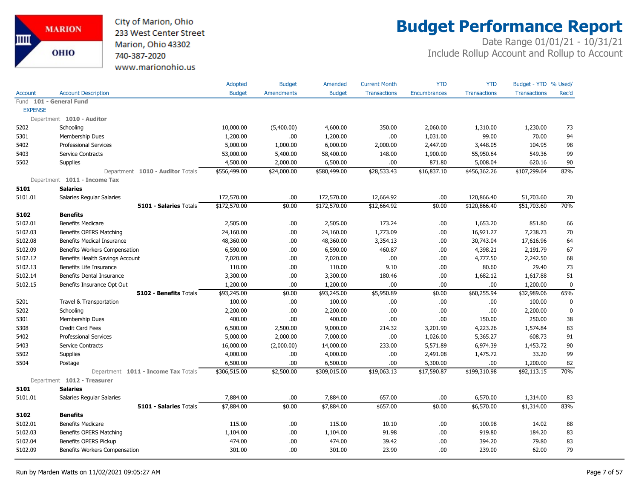City of Marion, Ohio 233 West Center Street Marion, Ohio 43302 740-387-2020 www.marionohio.us

# **Budget Performance Report**

|                |                                     | Adopted       | <b>Budget</b> | Amended       | <b>Current Month</b> | <b>YTD</b>          | <b>YTD</b>          | Budget - YTD % Used/ |             |
|----------------|-------------------------------------|---------------|---------------|---------------|----------------------|---------------------|---------------------|----------------------|-------------|
| <b>Account</b> | <b>Account Description</b>          | <b>Budget</b> | Amendments    | <b>Budget</b> | <b>Transactions</b>  | <b>Encumbrances</b> | <b>Transactions</b> | <b>Transactions</b>  | Rec'd       |
|                | Fund 101 - General Fund             |               |               |               |                      |                     |                     |                      |             |
| <b>EXPENSE</b> |                                     |               |               |               |                      |                     |                     |                      |             |
|                | Department 1010 - Auditor           |               |               |               |                      |                     |                     |                      |             |
| 5202           | Schooling                           | 10,000.00     | (5,400.00)    | 4,600.00      | 350.00               | 2,060.00            | 1,310.00            | 1,230.00             | 73          |
| 5301           | Membership Dues                     | 1,200.00      | .00.          | 1,200.00      | .00                  | 1,031.00            | 99.00               | 70.00                | 94          |
| 5402           | <b>Professional Services</b>        | 5,000.00      | 1,000.00      | 6,000.00      | 2,000.00             | 2,447.00            | 3,448.05            | 104.95               | 98          |
| 5403           | Service Contracts                   | 53,000.00     | 5,400.00      | 58,400.00     | 148.00               | 1,900.00            | 55,950.64           | 549.36               | 99          |
| 5502           | <b>Supplies</b>                     | 4,500.00      | 2,000.00      | 6,500.00      | .00.                 | 871.80              | 5,008.04            | 620.16               | $90\,$      |
|                | Department 1010 - Auditor Totals    | \$556,499.00  | \$24,000.00   | \$580,499.00  | \$28,533.43          | \$16,837.10         | \$456,362.26        | \$107,299.64         | 82%         |
|                | Department 1011 - Income Tax        |               |               |               |                      |                     |                     |                      |             |
| 5101           | <b>Salaries</b>                     |               |               |               |                      |                     |                     |                      |             |
| 5101.01        | Salaries Regular Salaries           | 172,570.00    | .00.          | 172,570.00    | 12,664.92            | .00                 | 120,866.40          | 51,703.60            | 70          |
|                | 5101 - Salaries Totals              | \$172,570.00  | \$0.00        | \$172,570.00  | \$12,664.92          | \$0.00              | \$120,866.40        | \$51,703.60          | 70%         |
| 5102           | <b>Benefits</b>                     |               |               |               |                      |                     |                     |                      |             |
| 5102.01        | <b>Benefits Medicare</b>            | 2,505.00      | .00.          | 2,505.00      | 173.24               | .00                 | 1,653.20            | 851.80               | 66          |
| 5102.03        | Benefits OPERS Matching             | 24,160.00     | .00           | 24,160.00     | 1,773.09             | .00                 | 16,921.27           | 7,238.73             | 70          |
| 5102.08        | Benefits Medical Insurance          | 48,360.00     | .00.          | 48,360.00     | 3,354.13             | .00                 | 30,743.04           | 17,616.96            | 64          |
| 5102.09        | Benefits Workers Compensation       | 6,590.00      | .00.          | 6,590.00      | 460.87               | .00                 | 4,398.21            | 2,191.79             | 67          |
| 5102.12        | Benefits Health Savings Account     | 7,020.00      | .00.          | 7,020.00      | .00.                 | .00                 | 4,777.50            | 2,242.50             | 68          |
| 5102.13        | Benefits Life Insurance             | 110.00        | .00           | 110.00        | 9.10                 | .00                 | 80.60               | 29.40                | 73          |
| 5102.14        | <b>Benefits Dental Insurance</b>    | 3,300.00      | .00.          | 3,300.00      | 180.46               | .00                 | 1,682.12            | 1,617.88             | 51          |
| 5102.15        | Benefits Insurance Opt Out          | 1,200.00      | .00.          | 1,200.00      | .00.                 | .00                 | .00                 | 1,200.00             | 0           |
|                | 5102 - Benefits Totals              | \$93,245.00   | \$0.00        | \$93,245.00   | \$5,950.89           | \$0.00              | \$60,255.94         | \$32,989.06          | 65%         |
| 5201           | Travel & Transportation             | 100.00        | .00.          | 100.00        | .00                  | .00                 | .00                 | 100.00               | $\mathbf 0$ |
| 5202           | Schooling                           | 2,200.00      | .00           | 2,200.00      | .00.                 | .00                 | .00                 | 2,200.00             | $\pmb{0}$   |
| 5301           | Membership Dues                     | 400.00        | .00.          | 400.00        | .00                  | .00                 | 150.00              | 250.00               | 38          |
| 5308           | <b>Credit Card Fees</b>             | 6,500.00      | 2,500.00      | 9,000.00      | 214.32               | 3,201.90            | 4,223.26            | 1,574.84             | 83          |
| 5402           | <b>Professional Services</b>        | 5,000.00      | 2,000.00      | 7,000.00      | .00.                 | 1,026.00            | 5,365.27            | 608.73               | 91          |
| 5403           | <b>Service Contracts</b>            | 16,000.00     | (2,000.00)    | 14,000.00     | 233.00               | 5,571.89            | 6,974.39            | 1,453.72             | $90\,$      |
| 5502           | Supplies                            | 4,000.00      | .00.          | 4,000.00      | .00.                 | 2,491.08            | 1,475.72            | 33.20                | 99          |
| 5504           | Postage                             | 6,500.00      | .00.          | 6,500.00      | .00                  | 5,300.00            | .00                 | 1,200.00             | 82          |
|                | Department 1011 - Income Tax Totals | \$306,515.00  | \$2,500.00    | \$309,015.00  | \$19,063.13          | \$17,590.87         | \$199,310.98        | \$92,113.15          | 70%         |
|                | Department 1012 - Treasurer         |               |               |               |                      |                     |                     |                      |             |
| 5101           | <b>Salaries</b>                     |               |               |               |                      |                     |                     |                      |             |
| 5101.01        | Salaries Regular Salaries           | 7,884.00      | .00.          | 7,884.00      | 657.00               | .00                 | 6,570.00            | 1,314.00             | 83          |
|                | 5101 - Salaries Totals              | \$7,884.00    | \$0.00        | \$7,884.00    | \$657.00             | \$0.00              | \$6,570.00          | \$1,314.00           | 83%         |
| 5102           | <b>Benefits</b>                     |               |               |               |                      |                     |                     |                      |             |
| 5102.01        | <b>Benefits Medicare</b>            | 115.00        | .00.          | 115.00        | 10.10                | .00                 | 100.98              | 14.02                | 88          |
| 5102.03        | Benefits OPERS Matching             | 1,104.00      | .00.          | 1,104.00      | 91.98                | .00                 | 919.80              | 184.20               | 83          |
| 5102.04        | Benefits OPERS Pickup               | 474.00        | .00.          | 474.00        | 39.42                | .00                 | 394.20              | 79.80                | 83          |
| 5102.09        | Benefits Workers Compensation       | 301.00        | .00           | 301.00        | 23.90                | .00                 | 239.00              | 62.00                | 79          |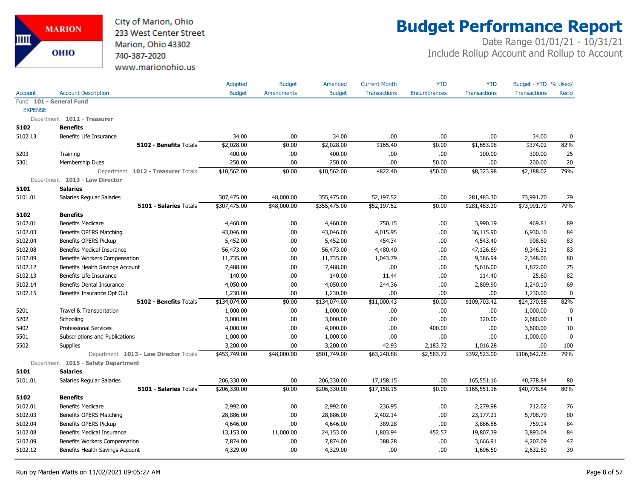

# **Budget Performance Report**

|                |                                       | Adopted       | <b>Budget</b>     | Amended       | <b>Current Month</b> | <b>YTD</b>          | <b>YTD</b>          | Budget - YTD % Used/ |             |
|----------------|---------------------------------------|---------------|-------------------|---------------|----------------------|---------------------|---------------------|----------------------|-------------|
| Account        | <b>Account Description</b>            | <b>Budget</b> | <b>Amendments</b> | <b>Budget</b> | <b>Transactions</b>  | <b>Encumbrances</b> | <b>Transactions</b> | <b>Transactions</b>  | Rec'd       |
|                | Fund 101 - General Fund               |               |                   |               |                      |                     |                     |                      |             |
| <b>EXPENSE</b> |                                       |               |                   |               |                      |                     |                     |                      |             |
|                | Department 1012 - Treasurer           |               |                   |               |                      |                     |                     |                      |             |
| 5102           | <b>Benefits</b>                       |               |                   |               |                      |                     |                     |                      |             |
| 5102.13        | Benefits Life Insurance               | 34.00         | .00               | 34.00         | .00                  | .00                 | .00                 | 34.00                | $\mathbf 0$ |
|                | <b>5102 - Benefits Totals</b>         | \$2,028.00    | \$0.00            | \$2,028.00    | \$165.40             | \$0.00              | \$1,653.98          | \$374.02             | 82%         |
| 5203           | Training                              | 400.00        | .00               | 400.00        | .00.                 | .00                 | 100.00              | 300.00               | 25          |
| 5301           | Membership Dues                       | 250.00        | .00               | 250.00        | .00                  | 50.00               | .00.                | 200.00               | 20          |
|                | Department 1012 - Treasurer Totals    | \$10,562.00   | \$0.00            | \$10,562.00   | \$822.40             | \$50.00             | \$8,323.98          | \$2,188.02           | 79%         |
|                | Department 1013 - Law Director        |               |                   |               |                      |                     |                     |                      |             |
| 5101           | <b>Salaries</b>                       |               |                   |               |                      |                     |                     |                      |             |
| 5101.01        | Salaries Regular Salaries             | 307,475.00    | 48,000.00         | 355,475.00    | 52,197.52            | .00                 | 281,483.30          | 73,991.70            | 79          |
|                | 5101 - Salaries Totals                | \$307,475.00  | \$48,000.00       | \$355,475.00  | \$52,197.52          | \$0.00              | \$281,483.30        | \$73,991.70          | 79%         |
| 5102           | <b>Benefits</b>                       |               |                   |               |                      |                     |                     |                      |             |
| 5102.01        | <b>Benefits Medicare</b>              | 4,460.00      | .00.              | 4,460.00      | 750.15               | .00                 | 3,990.19            | 469.81               | 89          |
| 5102.03        | Benefits OPERS Matching               | 43,046.00     | .00               | 43,046.00     | 4,015.95             | .00                 | 36,115.90           | 6,930.10             | 84          |
| 5102.04        | Benefits OPERS Pickup                 | 5,452.00      | .00.              | 5,452.00      | 454.34               | .00                 | 4,543.40            | 908.60               | 83          |
| 5102.08        | <b>Benefits Medical Insurance</b>     | 56,473.00     | .00               | 56,473.00     | 4,480.40             | .00                 | 47,126.69           | 9,346.31             | 83          |
| 5102.09        | Benefits Workers Compensation         | 11,735.00     | .00               | 11,735.00     | 1,043.79             | .00                 | 9,386.94            | 2,348.06             | 80          |
| 5102.12        | Benefits Health Savings Account       | 7,488.00      | .00               | 7,488.00      | .00                  | .00                 | 5,616.00            | 1,872.00             | 75          |
| 5102.13        | Benefits Life Insurance               | 140.00        | .00               | 140.00        | 11.44                | .00                 | 114.40              | 25.60                | 82          |
| 5102.14        | Benefits Dental Insurance             | 4,050.00      | .00               | 4,050.00      | 244.36               | .00                 | 2,809.90            | 1,240.10             | 69          |
| 5102.15        | Benefits Insurance Opt Out            | 1,230.00      | .00               | 1,230.00      | .00                  | .00                 | .00.                | 1,230.00             | $\mathbf 0$ |
|                | <b>5102 - Benefits Totals</b>         | \$134,074.00  | \$0.00            | \$134,074.00  | \$11,000.43          | \$0.00              | \$109,703.42        | \$24,370.58          | 82%         |
| 5201           | Travel & Transportation               | 1,000.00      | .00               | 1,000.00      | .00.                 | .00                 | .00.                | 1,000.00             | 0           |
| 5202           | Schooling                             | 3,000.00      | .00               | 3,000.00      | .00.                 | .00                 | 320.00              | 2,680.00             | 11          |
| 5402           | <b>Professional Services</b>          | 4,000.00      | .00               | 4,000.00      | .00                  | 400.00              | .00.                | 3,600.00             | 10          |
| 5501           | Subscriptions and Publications        | 1,000.00      | .00               | 1,000.00      | .00                  | .00                 | .00.                | 1,000.00             | $\mathbf 0$ |
| 5502           | Supplies                              | 3,200.00      | .00               | 3,200.00      | 42.93                | 2,183.72            | 1,016.28            | .00                  | 100         |
|                | Department 1013 - Law Director Totals | \$453,749.00  | \$48,000.00       | \$501,749.00  | \$63,240.88          | \$2,583.72          | \$392,523.00        | \$106,642.28         | 79%         |
|                | Department 1015 - Safety Department   |               |                   |               |                      |                     |                     |                      |             |
| 5101           | <b>Salaries</b>                       |               |                   |               |                      |                     |                     |                      |             |
| 5101.01        | Salaries Regular Salaries             | 206,330.00    | .00               | 206,330.00    | 17,158.15            | .00                 | 165,551.16          | 40,778.84            | 80          |
|                | <b>5101 - Salaries Totals</b>         | \$206,330.00  | \$0.00            | \$206,330.00  | \$17,158.15          | \$0.00              | \$165,551.16        | \$40,778.84          | 80%         |
| 5102           | <b>Benefits</b>                       |               |                   |               |                      |                     |                     |                      |             |
| 5102.01        | <b>Benefits Medicare</b>              | 2,992.00      | .00.              | 2,992.00      | 236.95               | .00                 | 2,279.98            | 712.02               | 76          |
| 5102.03        | Benefits OPERS Matching               | 28,886.00     | .00               | 28,886.00     | 2,402.14             | .00                 | 23,177.21           | 5,708.79             | 80          |
| 5102.04        | Benefits OPERS Pickup                 | 4,646.00      | .00.              | 4,646.00      | 389.28               | .00                 | 3,886.86            | 759.14               | 84          |
| 5102.08        | <b>Benefits Medical Insurance</b>     | 13,153.00     | 11,000.00         | 24,153.00     | 1,803.94             | 452.57              | 19,807.39           | 3,893.04             | 84          |
| 5102.09        | Benefits Workers Compensation         | 7,874.00      | .00               | 7,874.00      | 388.28               | .00                 | 3,666.91            | 4,207.09             | 47          |
| 5102.12        | Benefits Health Savings Account       | 4,329.00      | .00               | 4,329.00      | .00                  | .00                 | 1,696.50            | 2,632.50             | 39          |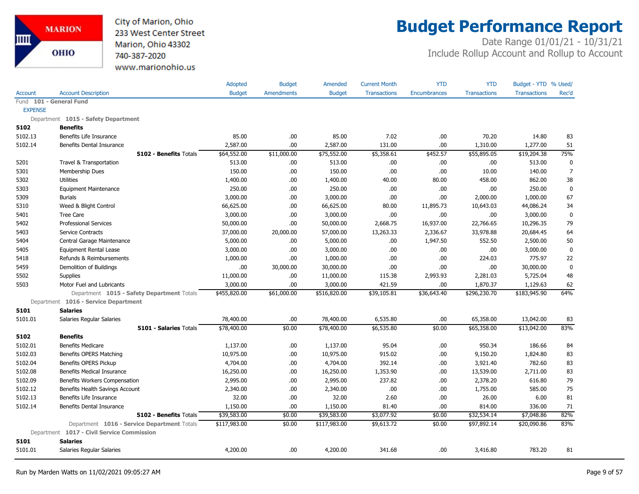

# **Budget Performance Report**

|                |                                             | <b>Adopted</b> | <b>Budget</b>     | Amended       | <b>Current Month</b> | <b>YTD</b>          | <b>YTD</b>          | Budget - YTD % Used/ |                |
|----------------|---------------------------------------------|----------------|-------------------|---------------|----------------------|---------------------|---------------------|----------------------|----------------|
| <b>Account</b> | <b>Account Description</b>                  | <b>Budget</b>  | <b>Amendments</b> | <b>Budget</b> | <b>Transactions</b>  | <b>Encumbrances</b> | <b>Transactions</b> | <b>Transactions</b>  | Rec'd          |
|                | Fund 101 - General Fund                     |                |                   |               |                      |                     |                     |                      |                |
| <b>EXPENSE</b> |                                             |                |                   |               |                      |                     |                     |                      |                |
|                | Department 1015 - Safety Department         |                |                   |               |                      |                     |                     |                      |                |
| 5102           | <b>Benefits</b>                             |                |                   |               |                      |                     |                     |                      |                |
| 5102.13        | Benefits Life Insurance                     | 85.00          | .00.              | 85.00         | 7.02                 | .00.                | 70.20               | 14.80                | 83             |
| 5102.14        | Benefits Dental Insurance                   | 2,587.00       | .00               | 2,587.00      | 131.00               | .00.                | 1,310.00            | 1,277.00             | 51             |
|                | <b>5102 - Benefits Totals</b>               | \$64,552.00    | \$11,000.00       | \$75,552.00   | \$5,358.61           | \$452.57            | \$55,895.05         | \$19,204.38          | 75%            |
| 5201           | Travel & Transportation                     | 513.00         | .00.              | 513.00        | .00                  | .00.                | .00                 | 513.00               | 0              |
| 5301           | Membership Dues                             | 150.00         | .00.              | 150.00        | .00                  | .00.                | 10.00               | 140.00               | $\overline{7}$ |
| 5302           | <b>Utilities</b>                            | 1,400.00       | .00               | 1,400.00      | 40.00                | 80.00               | 458.00              | 862.00               | 38             |
| 5303           | <b>Equipment Maintenance</b>                | 250.00         | .00.              | 250.00        | .00                  | .00.                | .00                 | 250.00               | $\pmb{0}$      |
| 5309           | <b>Burials</b>                              | 3,000.00       | .00.              | 3,000.00      | .00                  | .00.                | 2,000.00            | 1,000.00             | 67             |
| 5310           | Weed & Blight Control                       | 66,625.00      | .00.              | 66,625.00     | 80.00                | 11,895.73           | 10,643.03           | 44,086.24            | 34             |
| 5401           | <b>Tree Care</b>                            | 3,000.00       | .00.              | 3,000.00      | .00                  | .00.                | .00                 | 3,000.00             | $\mathbf 0$    |
| 5402           | <b>Professional Services</b>                | 50,000.00      | .00               | 50,000.00     | 2,668.75             | 16,937.00           | 22,766.65           | 10,296.35            | 79             |
| 5403           | Service Contracts                           | 37,000.00      | 20,000.00         | 57,000.00     | 13,263.33            | 2,336.67            | 33,978.88           | 20,684.45            | 64             |
| 5404           | Central Garage Maintenance                  | 5,000.00       | .00               | 5,000.00      | .00                  | 1,947.50            | 552.50              | 2,500.00             | 50             |
| 5405           | <b>Equipment Rental Lease</b>               | 3,000.00       | .00.              | 3,000.00      | .00                  | .00.                | .00                 | 3,000.00             | $\pmb{0}$      |
| 5418           | Refunds & Reimbursements                    | 1,000.00       | 00.               | 1,000.00      | .00                  | .00.                | 224.03              | 775.97               | 22             |
| 5459           | Demolition of Buildings                     | .00.           | 30,000.00         | 30,000.00     | .00                  | .00.                | .00                 | 30,000.00            | $\mathbf 0$    |
| 5502           | Supplies                                    | 11,000.00      | .00               | 11,000.00     | 115.38               | 2,993.93            | 2,281.03            | 5,725.04             | 48             |
| 5503           | Motor Fuel and Lubricants                   | 3,000.00       | .00               | 3,000.00      | 421.59               | .00.                | 1,870.37            | 1,129.63             | 62             |
|                | Department 1015 - Safety Department Totals  | \$455,820.00   | \$61,000.00       | \$516,820.00  | \$39,105.81          | \$36,643.40         | \$296,230.70        | \$183,945.90         | 64%            |
|                | Department 1016 - Service Department        |                |                   |               |                      |                     |                     |                      |                |
| 5101           | <b>Salaries</b>                             |                |                   |               |                      |                     |                     |                      |                |
| 5101.01        | Salaries Regular Salaries                   | 78,400.00      | .00               | 78,400.00     | 6,535.80             | .00                 | 65,358.00           | 13,042.00            | 83             |
|                | 5101 - Salaries Totals                      | \$78,400.00    | \$0.00            | \$78,400.00   | \$6,535.80           | \$0.00              | \$65,358.00         | \$13,042.00          | 83%            |
| 5102           | <b>Benefits</b>                             |                |                   |               |                      |                     |                     |                      |                |
| 5102.01        | <b>Benefits Medicare</b>                    | 1,137.00       | .00.              | 1,137.00      | 95.04                | .00.                | 950.34              | 186.66               | 84             |
| 5102.03        | <b>Benefits OPERS Matching</b>              | 10,975.00      | .00.              | 10,975.00     | 915.02               | .00.                | 9,150.20            | 1,824.80             | 83             |
| 5102.04        | Benefits OPERS Pickup                       | 4,704.00       | .00.              | 4,704.00      | 392.14               | .00.                | 3,921.40            | 782.60               | 83             |
| 5102.08        | <b>Benefits Medical Insurance</b>           | 16,250.00      | .00.              | 16,250.00     | 1,353.90             | .00.                | 13,539.00           | 2,711.00             | 83             |
| 5102.09        | Benefits Workers Compensation               | 2,995.00       | .00.              | 2,995.00      | 237.82               | .00.                | 2,378.20            | 616.80               | 79             |
| 5102.12        | Benefits Health Savings Account             | 2,340.00       | .00.              | 2,340.00      | .00                  | .00                 | 1,755.00            | 585.00               | 75             |
| 5102.13        | Benefits Life Insurance                     | 32.00          | .00.              | 32.00         | 2.60                 | .00.                | 26.00               | 6.00                 | 81             |
| 5102.14        | Benefits Dental Insurance                   | 1,150.00       | .00.              | 1,150.00      | 81.40                | .00.                | 814.00              | 336.00               | 71             |
|                | 5102 - Benefits Totals                      | \$39,583.00    | \$0.00            | \$39,583.00   | \$3,077.92           | \$0.00              | \$32,534.14         | \$7,048.86           | 82%            |
|                | Department 1016 - Service Department Totals | \$117,983.00   | \$0.00            | \$117,983.00  | \$9,613.72           | \$0.00              | \$97,892.14         | \$20,090.86          | 83%            |
|                | Department 1017 - Civil Service Commission  |                |                   |               |                      |                     |                     |                      |                |
| 5101           | <b>Salaries</b>                             |                |                   |               |                      |                     |                     |                      |                |
| 5101.01        | Salaries Regular Salaries                   | 4,200.00       | .00.              | 4,200.00      | 341.68               | .00.                | 3,416.80            | 783.20               | 81             |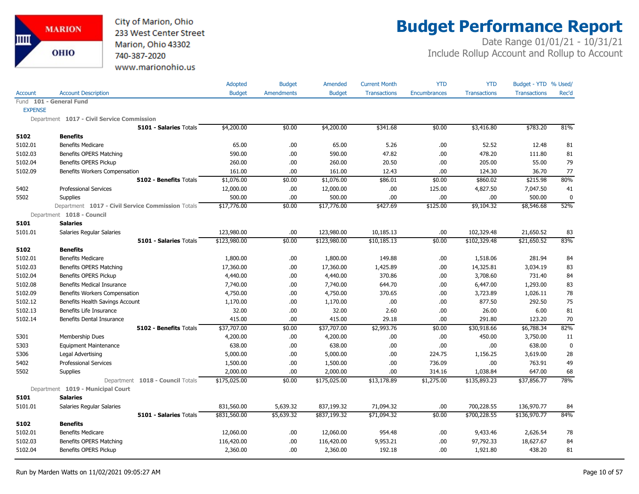

# **Budget Performance Report**

|                |                                                   | Adopted       | <b>Budget</b>     | Amended       | <b>Current Month</b> | <b>YTD</b>   | <b>YTD</b>          | Budget - YTD % Used/ |             |
|----------------|---------------------------------------------------|---------------|-------------------|---------------|----------------------|--------------|---------------------|----------------------|-------------|
| Account        | <b>Account Description</b>                        | <b>Budget</b> | <b>Amendments</b> | <b>Budget</b> | <b>Transactions</b>  | Encumbrances | <b>Transactions</b> | <b>Transactions</b>  | Rec'd       |
|                | Fund 101 - General Fund                           |               |                   |               |                      |              |                     |                      |             |
| <b>EXPENSE</b> |                                                   |               |                   |               |                      |              |                     |                      |             |
|                | Department 1017 - Civil Service Commission        |               |                   |               |                      |              |                     |                      |             |
|                | 5101 - Salaries Totals                            | \$4,200.00    | \$0.00            | \$4,200.00    | \$341.68             | \$0.00       | \$3,416.80          | \$783.20             | 81%         |
| 5102           | <b>Benefits</b>                                   |               |                   |               |                      |              |                     |                      |             |
| 5102.01        | <b>Benefits Medicare</b>                          | 65.00         | .00               | 65.00         | 5.26                 | .00          | 52.52               | 12.48                | 81          |
| 5102.03        | Benefits OPERS Matching                           | 590.00        | .00               | 590.00        | 47.82                | .00          | 478.20              | 111.80               | 81          |
| 5102.04        | Benefits OPERS Pickup                             | 260.00        | .00.              | 260.00        | 20.50                | .00          | 205.00              | 55.00                | 79          |
| 5102.09        | Benefits Workers Compensation                     | 161.00        | .00               | 161.00        | 12.43                | .00          | 124.30              | 36.70                | 77          |
|                | 5102 - Benefits Totals                            | \$1,076.00    | \$0.00            | \$1,076.00    | \$86.01              | \$0.00       | \$860.02            | \$215.98             | 80%         |
| 5402           | <b>Professional Services</b>                      | 12,000.00     | .00.              | 12,000.00     | .00.                 | 125.00       | 4,827.50            | 7,047.50             | 41          |
| 5502           | <b>Supplies</b>                                   | 500.00        | .00               | 500.00        | .00                  | .00          | .00.                | 500.00               | 0           |
|                | Department 1017 - Civil Service Commission Totals | \$17,776.00   | \$0.00            | \$17,776.00   | \$427.69             | \$125.00     | \$9,104.32          | \$8,546.68           | 52%         |
|                | Department 1018 - Council                         |               |                   |               |                      |              |                     |                      |             |
| 5101           | <b>Salaries</b>                                   |               |                   |               |                      |              |                     |                      |             |
| 5101.01        | Salaries Regular Salaries                         | 123,980.00    | .00               | 123,980.00    | 10,185.13            | .00          | 102,329.48          | 21,650.52            | 83          |
|                | 5101 - Salaries Totals                            | \$123,980.00  | \$0.00            | \$123,980.00  | \$10,185.13          | \$0.00       | \$102,329.48        | \$21,650.52          | 83%         |
| 5102           | <b>Benefits</b>                                   |               |                   |               |                      |              |                     |                      |             |
| 5102.01        | <b>Benefits Medicare</b>                          | 1,800.00      | .00               | 1,800.00      | 149.88               | .00          | 1,518.06            | 281.94               | 84          |
| 5102.03        | Benefits OPERS Matching                           | 17,360.00     | .00               | 17,360.00     | 1,425.89             | .00          | 14,325.81           | 3,034.19             | 83          |
| 5102.04        | Benefits OPERS Pickup                             | 4,440.00      | .00               | 4,440.00      | 370.86               | .00          | 3,708.60            | 731.40               | 84          |
| 5102.08        | <b>Benefits Medical Insurance</b>                 | 7,740.00      | .00               | 7,740.00      | 644.70               | .00          | 6,447.00            | 1,293.00             | 83          |
| 5102.09        | Benefits Workers Compensation                     | 4,750.00      | .00.              | 4,750.00      | 370.65               | .00          | 3,723.89            | 1,026.11             | 78          |
| 5102.12        | Benefits Health Savings Account                   | 1,170.00      | .00.              | 1,170.00      | .00                  | .00          | 877.50              | 292.50               | 75          |
| 5102.13        | Benefits Life Insurance                           | 32.00         | .00.              | 32.00         | 2.60                 | .00          | 26.00               | 6.00                 | 81          |
| 5102.14        | <b>Benefits Dental Insurance</b>                  | 415.00        | .00               | 415.00        | 29.18                | .00          | 291.80              | 123.20               | 70          |
|                | 5102 - Benefits Totals                            | \$37,707.00   | \$0.00            | \$37,707.00   | \$2,993.76           | \$0.00       | \$30,918.66         | \$6,788.34           | 82%         |
| 5301           | Membership Dues                                   | 4,200.00      | .00.              | 4,200.00      | .00.                 | .00          | 450.00              | 3,750.00             | 11          |
| 5303           | <b>Equipment Maintenance</b>                      | 638.00        | .00.              | 638.00        | .00.                 | .00          | .00.                | 638.00               | $\mathbf 0$ |
| 5306           | Legal Advertising                                 | 5,000.00      | .00.              | 5,000.00      | .00.                 | 224.75       | 1,156.25            | 3,619.00             | 28          |
| 5402           | <b>Professional Services</b>                      | 1,500.00      | .00               | 1,500.00      | .00                  | 736.09       | .00.                | 763.91               | 49          |
| 5502           | <b>Supplies</b>                                   | 2,000.00      | .00               | 2,000.00      | .00                  | 314.16       | 1,038.84            | 647.00               | 68          |
|                | Department 1018 - Council Totals                  | \$175,025.00  | \$0.00            | \$175,025.00  | \$13,178.89          | \$1,275.00   | \$135,893.23        | \$37,856.77          | 78%         |
|                | Department 1019 - Municipal Court                 |               |                   |               |                      |              |                     |                      |             |
| 5101           | <b>Salaries</b>                                   |               |                   |               |                      |              |                     |                      |             |
| 5101.01        | Salaries Regular Salaries                         | 831,560.00    | 5,639.32          | 837,199.32    | 71,094.32            | .00          | 700,228.55          | 136,970.77           | 84          |
|                | 5101 - Salaries Totals                            | \$831,560.00  | \$5,639.32        | \$837,199.32  | \$71,094.32          | \$0.00       | \$700,228.55        | \$136,970.77         | 84%         |
| 5102           | <b>Benefits</b>                                   |               |                   |               |                      |              |                     |                      |             |
| 5102.01        | <b>Benefits Medicare</b>                          | 12,060.00     | .00               | 12,060.00     | 954.48               | .00          | 9,433.46            | 2,626.54             | 78          |
| 5102.03        | Benefits OPERS Matching                           | 116,420.00    | .00               | 116,420.00    | 9,953.21             | .00          | 97,792.33           | 18,627.67            | 84          |
| 5102.04        | Benefits OPERS Pickup                             | 2,360.00      | .00               | 2,360.00      | 192.18               | .00          | 1,921.80            | 438.20               | 81          |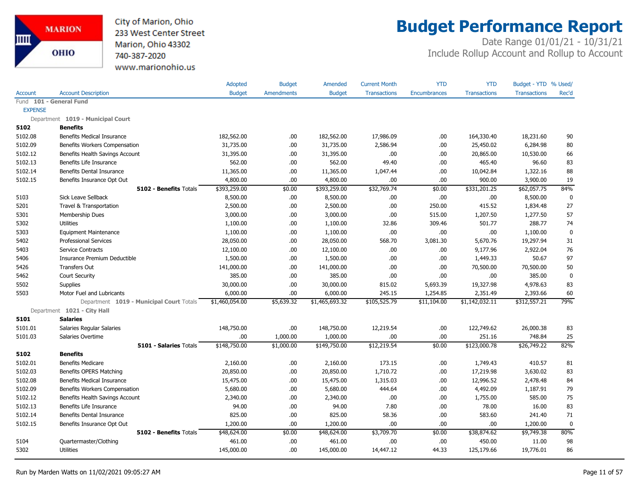

# **Budget Performance Report**

|                |                                          | Adopted        | <b>Budget</b>     | Amended        | <b>Current Month</b> | <b>YTD</b>          | <b>YTD</b>          | Budget - YTD % Used/ |             |
|----------------|------------------------------------------|----------------|-------------------|----------------|----------------------|---------------------|---------------------|----------------------|-------------|
| <b>Account</b> | <b>Account Description</b>               | <b>Budget</b>  | <b>Amendments</b> | <b>Budget</b>  | <b>Transactions</b>  | <b>Encumbrances</b> | <b>Transactions</b> | <b>Transactions</b>  | Rec'd       |
|                | Fund 101 - General Fund                  |                |                   |                |                      |                     |                     |                      |             |
| <b>EXPENSE</b> |                                          |                |                   |                |                      |                     |                     |                      |             |
|                | Department 1019 - Municipal Court        |                |                   |                |                      |                     |                     |                      |             |
| 5102           | <b>Benefits</b>                          |                |                   |                |                      |                     |                     |                      |             |
| 5102.08        | <b>Benefits Medical Insurance</b>        | 182,562.00     | .00.              | 182,562.00     | 17,986.09            | .00.                | 164,330.40          | 18,231.60            | 90          |
| 5102.09        | Benefits Workers Compensation            | 31,735.00      | .00               | 31,735.00      | 2,586.94             | .00.                | 25,450.02           | 6,284.98             | 80          |
| 5102.12        | Benefits Health Savings Account          | 31,395.00      | .00.              | 31,395.00      | .00                  | .00.                | 20,865.00           | 10,530.00            | 66          |
| 5102.13        | Benefits Life Insurance                  | 562.00         | .00               | 562.00         | 49.40                | .00.                | 465.40              | 96.60                | 83          |
| 5102.14        | Benefits Dental Insurance                | 11,365.00      | .00               | 11,365.00      | 1,047.44             | .00.                | 10,042.84           | 1,322.16             | 88          |
| 5102.15        | Benefits Insurance Opt Out               | 4,800.00       | .00               | 4,800.00       | .00.                 | .00.                | 900.00              | 3,900.00             | 19          |
|                | 5102 - Benefits Totals                   | \$393,259.00   | \$0.00            | \$393,259.00   | \$32,769.74          | \$0.00              | \$331,201.25        | \$62,057.75          | 84%         |
| 5103           | Sick Leave Sellback                      | 8,500.00       | .00               | 8,500.00       | .00.                 | .00.                | .00                 | 8,500.00             | $\mathbf 0$ |
| 5201           | Travel & Transportation                  | 2,500.00       | .00               | 2,500.00       | .00                  | 250.00              | 415.52              | 1,834.48             | 27          |
| 5301           | Membership Dues                          | 3,000.00       | .00.              | 3,000.00       | .00                  | 515.00              | 1,207.50            | 1,277.50             | 57          |
| 5302           | <b>Utilities</b>                         | 1,100.00       | .00               | 1,100.00       | 32.86                | 309.46              | 501.77              | 288.77               | 74          |
| 5303           | <b>Equipment Maintenance</b>             | 1,100.00       | .00               | 1,100.00       | .00                  | .00.                | .00                 | 1,100.00             | $\mathbf 0$ |
| 5402           | <b>Professional Services</b>             | 28,050.00      | .00               | 28,050.00      | 568.70               | 3,081.30            | 5,670.76            | 19,297.94            | 31          |
| 5403           | Service Contracts                        | 12,100.00      | .00               | 12,100.00      | .00.                 | .00                 | 9,177.96            | 2,922.04             | 76          |
| 5406           | Insurance Premium Deductible             | 1,500.00       | .00               | 1,500.00       | .00                  | .00.                | 1,449.33            | 50.67                | 97          |
| 5426           | <b>Transfers Out</b>                     | 141,000.00     | .00               | 141,000.00     | .00                  | .00.                | 70,500.00           | 70,500.00            | 50          |
| 5462           | <b>Court Security</b>                    | 385.00         | .00               | 385.00         | .00                  | .00.                | .00                 | 385.00               | $\mathbf 0$ |
| 5502           | <b>Supplies</b>                          | 30,000.00      | .00               | 30,000.00      | 815.02               | 5,693.39            | 19,327.98           | 4,978.63             | 83          |
| 5503           | Motor Fuel and Lubricants                | 6,000.00       | .00.              | 6,000.00       | 245.15               | 1,254.85            | 2,351.49            | 2,393.66             | 60          |
|                | Department 1019 - Municipal Court Totals | \$1,460,054.00 | \$5,639.32        | \$1,465,693.32 | \$105,525.79         | \$11,104.00         | \$1,142,032.11      | \$312,557.21         | 79%         |
|                | Department 1021 - City Hall              |                |                   |                |                      |                     |                     |                      |             |
| 5101           | <b>Salaries</b>                          |                |                   |                |                      |                     |                     |                      |             |
| 5101.01        | Salaries Regular Salaries                | 148,750.00     | .00.              | 148,750.00     | 12,219.54            | .00                 | 122,749.62          | 26,000.38            | 83          |
| 5101.03        | Salaries Overtime                        | .00.           | 1,000.00          | 1,000.00       | .00                  | .00.                | 251.16              | 748.84               | 25          |
|                | 5101 - Salaries Totals                   | \$148,750.00   | \$1,000.00        | \$149,750.00   | \$12,219.54          | \$0.00              | \$123,000.78        | \$26,749.22          | 82%         |
| 5102           | <b>Benefits</b>                          |                |                   |                |                      |                     |                     |                      |             |
| 5102.01        | <b>Benefits Medicare</b>                 | 2,160.00       | .00               | 2,160.00       | 173.15               | .00.                | 1,749.43            | 410.57               | 81          |
| 5102.03        | Benefits OPERS Matching                  | 20,850.00      | .00               | 20,850.00      | 1,710.72             | .00.                | 17,219.98           | 3,630.02             | 83          |
| 5102.08        | <b>Benefits Medical Insurance</b>        | 15,475.00      | .00.              | 15,475.00      | 1,315.03             | .00.                | 12,996.52           | 2,478.48             | 84          |
| 5102.09        | Benefits Workers Compensation            | 5,680.00       | .00               | 5,680.00       | 444.64               | .00.                | 4,492.09            | 1,187.91             | 79          |
| 5102.12        | Benefits Health Savings Account          | 2,340.00       | .00.              | 2,340.00       | .00                  | .00.                | 1,755.00            | 585.00               | 75          |
| 5102.13        | Benefits Life Insurance                  | 94.00          | .00.              | 94.00          | 7.80                 | .00.                | 78.00               | 16.00                | 83          |
| 5102.14        | Benefits Dental Insurance                | 825.00         | .00               | 825.00         | 58.36                | .00.                | 583.60              | 241.40               | 71          |
| 5102.15        | Benefits Insurance Opt Out               | 1,200.00       | .00               | 1,200.00       | .00                  | .00.                | .00                 | 1,200.00             | $\mathbf 0$ |
|                | 5102 - Benefits Totals                   | \$48,624.00    | \$0.00            | \$48,624.00    | \$3,709.70           | \$0.00              | \$38,874.62         | \$9,749.38           | 80%         |
| 5104           | Quartermaster/Clothing                   | 461.00         | .00               | 461.00         | .00.                 | .00.                | 450.00              | 11.00                | 98          |
| 5302           | <b>Utilities</b>                         | 145,000.00     | .00               | 145,000.00     | 14,447.12            | 44.33               | 125,179.66          | 19,776.01            | 86          |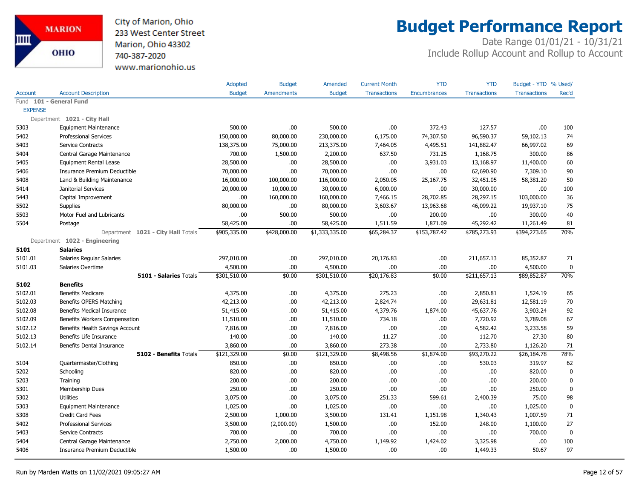

## **Budget Performance Report**

|                |                                    | <b>Adopted</b> | <b>Budget</b>     | Amended        | <b>Current Month</b> | <b>YTD</b>          | <b>YTD</b>          | Budget - YTD % Used/ |             |
|----------------|------------------------------------|----------------|-------------------|----------------|----------------------|---------------------|---------------------|----------------------|-------------|
| <b>Account</b> | <b>Account Description</b>         | <b>Budget</b>  | <b>Amendments</b> | <b>Budget</b>  | <b>Transactions</b>  | <b>Encumbrances</b> | <b>Transactions</b> | <b>Transactions</b>  | Rec'd       |
|                | Fund 101 - General Fund            |                |                   |                |                      |                     |                     |                      |             |
| <b>EXPENSE</b> |                                    |                |                   |                |                      |                     |                     |                      |             |
|                | Department 1021 - City Hall        |                |                   |                |                      |                     |                     |                      |             |
| 5303           | <b>Equipment Maintenance</b>       | 500.00         | .00.              | 500.00         | .00.                 | 372.43              | 127.57              | .00                  | 100         |
| 5402           | <b>Professional Services</b>       | 150,000.00     | 80,000.00         | 230,000.00     | 6,175.00             | 74,307.50           | 96,590.37           | 59,102.13            | 74          |
| 5403           | <b>Service Contracts</b>           | 138,375.00     | 75,000.00         | 213,375.00     | 7,464.05             | 4,495.51            | 141,882.47          | 66,997.02            | 69          |
| 5404           | Central Garage Maintenance         | 700.00         | 1,500.00          | 2,200.00       | 637.50               | 731.25              | 1,168.75            | 300.00               | 86          |
| 5405           | <b>Equipment Rental Lease</b>      | 28,500.00      | .00.              | 28,500.00      | .00.                 | 3,931.03            | 13,168.97           | 11,400.00            | 60          |
| 5406           | Insurance Premium Deductible       | 70,000.00      | .00               | 70,000.00      | .00                  | .00.                | 62,690.90           | 7,309.10             | 90          |
| 5408           | Land & Building Maintenance        | 16,000.00      | 100,000.00        | 116,000.00     | 2,050.05             | 25,167.75           | 32,451.05           | 58,381.20            | 50          |
| 5414           | Janitorial Services                | 20,000.00      | 10,000.00         | 30,000.00      | 6,000.00             | .00.                | 30,000.00           | .00.                 | 100         |
| 5443           | Capital Improvement                | .00.           | 160,000.00        | 160,000.00     | 7,466.15             | 28,702.85           | 28,297.15           | 103,000.00           | 36          |
| 5502           | <b>Supplies</b>                    | 80,000.00      | .00.              | 80,000.00      | 3,603.67             | 13,963.68           | 46,099.22           | 19,937.10            | 75          |
| 5503           | Motor Fuel and Lubricants          | .00            | 500.00            | 500.00         | .00                  | 200.00              | .00                 | 300.00               | 40          |
| 5504           | Postage                            | 58,425.00      | .00               | 58,425.00      | 1,511.59             | 1,871.09            | 45,292.42           | 11,261.49            | 81          |
|                | Department 1021 - City Hall Totals | \$905,335.00   | \$428,000.00      | \$1,333,335.00 | \$65,284.37          | \$153,787.42        | \$785,273.93        | \$394,273.65         | 70%         |
|                | Department 1022 - Engineering      |                |                   |                |                      |                     |                     |                      |             |
| 5101           | <b>Salaries</b>                    |                |                   |                |                      |                     |                     |                      |             |
| 5101.01        | Salaries Regular Salaries          | 297,010.00     | .00               | 297,010.00     | 20,176.83            | .00.                | 211,657.13          | 85,352.87            | 71          |
| 5101.03        | Salaries Overtime                  | 4,500.00       | .00               | 4,500.00       | .00                  | .00.                | .00                 | 4,500.00             | 0           |
|                | 5101 - Salaries Totals             | \$301,510.00   | \$0.00            | \$301,510.00   | \$20,176.83          | \$0.00              | \$211,657.13        | \$89,852.87          | 70%         |
| 5102           | <b>Benefits</b>                    |                |                   |                |                      |                     |                     |                      |             |
| 5102.01        | <b>Benefits Medicare</b>           | 4,375.00       | .00.              | 4,375.00       | 275.23               | .00                 | 2,850.81            | 1,524.19             | 65          |
| 5102.03        | Benefits OPERS Matching            | 42,213.00      | .00.              | 42,213.00      | 2,824.74             | .00.                | 29,631.81           | 12,581.19            | 70          |
| 5102.08        | Benefits Medical Insurance         | 51,415.00      | .00               | 51,415.00      | 4,379.76             | 1,874.00            | 45,637.76           | 3,903.24             | 92          |
| 5102.09        | Benefits Workers Compensation      | 11,510.00      | .00               | 11,510.00      | 734.18               | .00.                | 7,720.92            | 3,789.08             | 67          |
| 5102.12        | Benefits Health Savings Account    | 7,816.00       | .00               | 7,816.00       | .00.                 | .00.                | 4,582.42            | 3,233.58             | 59          |
| 5102.13        | Benefits Life Insurance            | 140.00         | .00               | 140.00         | 11.27                | .00.                | 112.70              | 27.30                | 80          |
| 5102.14        | Benefits Dental Insurance          | 3,860.00       | .00               | 3,860.00       | 273.38               | .00                 | 2,733.80            | 1,126.20             | 71          |
|                | 5102 - Benefits Totals             | \$121,329.00   | \$0.00            | \$121,329.00   | \$8,498.56           | \$1,874.00          | \$93,270.22         | \$26,184.78          | 78%         |
| 5104           | Quartermaster/Clothing             | 850.00         | .00.              | 850.00         | .00.                 | .00                 | 530.03              | 319.97               | 62          |
| 5202           | Schooling                          | 820.00         | .00               | 820.00         | .00.                 | .00.                | .00                 | 820.00               | 0           |
| 5203           | Training                           | 200.00         | .00               | 200.00         | .00                  | .00                 | .00                 | 200.00               | $\pmb{0}$   |
| 5301           | Membership Dues                    | 250.00         | .00.              | 250.00         | .00.                 | .00                 | .00                 | 250.00               | $\mathbf 0$ |
| 5302           | <b>Utilities</b>                   | 3,075.00       | .00.              | 3,075.00       | 251.33               | 599.61              | 2,400.39            | 75.00                | 98          |
| 5303           | <b>Equipment Maintenance</b>       | 1,025.00       | .00               | 1,025.00       | .00.                 | .00.                | .00                 | 1,025.00             | $\pmb{0}$   |
| 5308           | Credit Card Fees                   | 2,500.00       | 1,000.00          | 3,500.00       | 131.41               | 1,151.98            | 1,340.43            | 1,007.59             | 71          |
| 5402           | <b>Professional Services</b>       | 3,500.00       | (2,000.00)        | 1,500.00       | .00.                 | 152.00              | 248.00              | 1,100.00             | 27          |
| 5403           | Service Contracts                  | 700.00         | .00               | 700.00         | .00.                 | .00.                | .00                 | 700.00               | $\mathbf 0$ |
| 5404           | Central Garage Maintenance         | 2,750.00       | 2,000.00          | 4,750.00       | 1,149.92             | 1,424.02            | 3,325.98            | .00                  | 100         |
| 5406           | Insurance Premium Deductible       | 1,500.00       | .00.              | 1,500.00       | .00.                 | .00.                | 1,449.33            | 50.67                | 97          |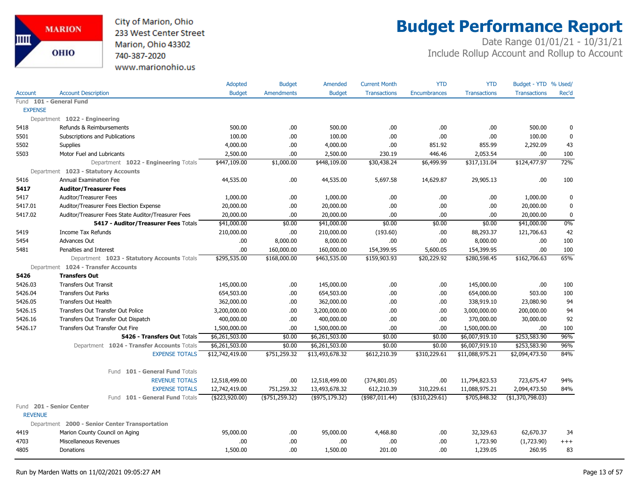City of Marion, Ohio 233 West Center Street Marion, Ohio 43302 740-387-2020 www.marionohio.us

# **Budget Performance Report**

|                                                                | Adopted         | <b>Budget</b>     | Amended           | <b>Current Month</b> | <b>YTD</b>          | <b>YTD</b>          | Budget - YTD % Used/ |             |
|----------------------------------------------------------------|-----------------|-------------------|-------------------|----------------------|---------------------|---------------------|----------------------|-------------|
| <b>Account Description</b><br>Account                          | <b>Budget</b>   | <b>Amendments</b> | <b>Budget</b>     | <b>Transactions</b>  | <b>Encumbrances</b> | <b>Transactions</b> | <b>Transactions</b>  | Rec'd       |
| Fund 101 - General Fund                                        |                 |                   |                   |                      |                     |                     |                      |             |
| <b>EXPENSE</b>                                                 |                 |                   |                   |                      |                     |                     |                      |             |
| Department 1022 - Engineering                                  |                 |                   |                   |                      |                     |                     |                      |             |
| 5418<br>Refunds & Reimbursements                               | 500.00          | .00.              | 500.00            | .00.                 | .00                 | .00                 | 500.00               | 0           |
| 5501<br>Subscriptions and Publications                         | 100.00          | .00.              | 100.00            | .00.                 | .00                 | .00                 | 100.00               | $\mathbf 0$ |
| 5502<br>Supplies                                               | 4,000.00        | .00.              | 4,000.00          | .00.                 | 851.92              | 855.99              | 2,292.09             | 43          |
| 5503<br>Motor Fuel and Lubricants                              | 2,500.00        | .00.              | 2,500.00          | 230.19               | 446.46              | 2,053.54            | .00                  | 100         |
| Department 1022 - Engineering Totals                           | \$447,109.00    | \$1,000.00        | \$448,109.00      | \$30,438.24          | \$6,499.99          | \$317,131.04        | \$124,477.97         | 72%         |
| Department 1023 - Statutory Accounts                           |                 |                   |                   |                      |                     |                     |                      |             |
| 5416<br><b>Annual Examination Fee</b>                          | 44,535.00       | .00.              | 44,535.00         | 5,697.58             | 14,629.87           | 29,905.13           | .00.                 | 100         |
| 5417<br><b>Auditor/Treasurer Fees</b>                          |                 |                   |                   |                      |                     |                     |                      |             |
| 5417<br><b>Auditor/Treasurer Fees</b>                          | 1,000.00        | .00.              | 1,000.00          | .00.                 | .00.                | .00.                | 1,000.00             | 0           |
| 5417.01<br>Auditor/Treasurer Fees Election Expense             | 20,000.00       | .00.              | 20,000.00         | .00.                 | .00                 | .00                 | 20,000.00            | $\mathbf 0$ |
| Auditor/Treasurer Fees State Auditor/Treasurer Fees<br>5417.02 | 20,000.00       | .00               | 20,000.00         | .00.                 | .00                 | .00                 | 20,000.00            | 0           |
| 5417 - Auditor/Treasurer Fees Totals                           | \$41,000.00     | \$0.00            | \$41,000.00       | \$0.00               | \$0.00              | \$0.00              | \$41,000.00          | 0%          |
| 5419<br>Income Tax Refunds                                     | 210,000.00      | .00.              | 210,000.00        | (193.60)             | .00                 | 88,293.37           | 121,706.63           | 42          |
| 5454<br>Advances Out                                           | .00             | 8,000.00          | 8,000.00          | .00                  | .00                 | 8,000.00            | .00.                 | 100         |
| 5481<br>Penalties and Interest                                 | .00.            | 160,000.00        | 160,000.00        | 154,399.95           | 5,600.05            | 154,399.95          | .00.                 | 100         |
| Department 1023 - Statutory Accounts Totals                    | \$295,535.00    | \$168,000.00      | \$463,535.00      | \$159,903.93         | \$20,229.92         | \$280,598.45        | \$162,706.63         | 65%         |
| Department 1024 - Transfer Accounts                            |                 |                   |                   |                      |                     |                     |                      |             |
| 5426<br><b>Transfers Out</b>                                   |                 |                   |                   |                      |                     |                     |                      |             |
| 5426.03<br><b>Transfers Out Transit</b>                        | 145,000.00      | .00.              | 145,000.00        | .00.                 | .00                 | 145,000.00          | .00                  | 100         |
| 5426.04<br><b>Transfers Out Parks</b>                          | 654,503.00      | .00.              | 654,503.00        | .00.                 | .00                 | 654,000.00          | 503.00               | 100         |
| 5426.05<br><b>Transfers Out Health</b>                         | 362,000.00      | .00.              | 362,000.00        | .00.                 | .00                 | 338,919.10          | 23,080.90            | 94          |
| 5426.15<br>Transfers Out Transfer Out Police                   | 3,200,000.00    | .00.              | 3,200,000.00      | .00                  | .00                 | 3,000,000.00        | 200,000.00           | 94          |
| 5426.16<br>Transfers Out Transfer Out Dispatch                 | 400,000.00      | .00.              | 400,000.00        | .00                  | .00.                | 370,000.00          | 30,000.00            | 92          |
| 5426.17<br>Transfers Out Transfer Out Fire                     | 1,500,000.00    | .00               | 1,500,000.00      | .00                  | .00                 | 1,500,000.00        | .00                  | 100         |
| 5426 - Transfers Out Totals                                    | \$6,261,503.00  | \$0.00            | \$6,261,503.00    | \$0.00               | \$0.00              | \$6,007,919.10      | \$253,583.90         | 96%         |
| Department 1024 - Transfer Accounts Totals                     | \$6,261,503.00  | \$0.00            | \$6,261,503.00    | \$0.00               | \$0.00              | \$6,007,919.10      | \$253,583.90         | 96%         |
| <b>EXPENSE TOTALS</b>                                          | \$12,742,419.00 | \$751,259.32      | \$13,493,678.32   | \$612,210.39         | \$310,229.61        | \$11,088,975.21     | \$2,094,473.50       | 84%         |
| Fund 101 - General Fund Totals                                 |                 |                   |                   |                      |                     |                     |                      |             |
| <b>REVENUE TOTALS</b>                                          | 12,518,499.00   | .00.              | 12,518,499.00     | (374, 801.05)        | .00                 | 11,794,823.53       | 723,675.47           | 94%         |
| <b>EXPENSE TOTALS</b>                                          | 12,742,419.00   | 751,259.32        | 13,493,678.32     | 612,210.39           | 310,229.61          | 11,088,975.21       | 2,094,473.50         | 84%         |
| Fund 101 - General Fund Totals                                 | (\$223,920.00)  | ( \$751, 259.32)  | $($ \$975,179.32) | (\$987,011.44)       | $(*310,229.61)$     | \$705,848.32        | ( \$1,370,798.03)    |             |
| Fund 201 - Senior Center                                       |                 |                   |                   |                      |                     |                     |                      |             |
| <b>REVENUE</b>                                                 |                 |                   |                   |                      |                     |                     |                      |             |
| Department 2000 - Senior Center Transportation                 |                 |                   |                   |                      |                     |                     |                      |             |
| Marion County Council on Aging<br>4419                         | 95,000.00       | .00.              | 95,000.00         | 4,468.80             | .00                 | 32,329.63           | 62,670.37            | 34          |
| 4703<br>Miscellaneous Revenues                                 | .00             | .00.              | .00               | .00.                 | .00                 | 1,723.90            | (1,723.90)           | $^{+++}$    |
| 4805<br><b>Donations</b>                                       | 1,500.00        | .00.              | 1,500.00          | 201.00               | .00.                | 1,239.05            | 260.95               | 83          |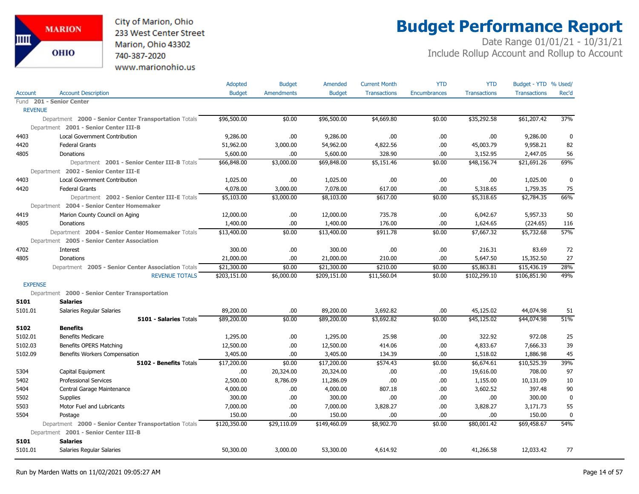

# **Budget Performance Report**

|                |                                                       | Adopted       | <b>Budget</b>     | Amended       | <b>Current Month</b> | <b>YTD</b>          | <b>YTD</b>          | Budget - YTD % Used/ |             |
|----------------|-------------------------------------------------------|---------------|-------------------|---------------|----------------------|---------------------|---------------------|----------------------|-------------|
| <b>Account</b> | <b>Account Description</b>                            | <b>Budget</b> | <b>Amendments</b> | <b>Budget</b> | <b>Transactions</b>  | <b>Encumbrances</b> | <b>Transactions</b> | <b>Transactions</b>  | Rec'd       |
|                | Fund 201 - Senior Center                              |               |                   |               |                      |                     |                     |                      |             |
| <b>REVENUE</b> |                                                       |               |                   |               |                      |                     |                     |                      |             |
|                | Department 2000 - Senior Center Transportation Totals | \$96,500.00   | \$0.00            | \$96,500.00   | \$4,669.80           | \$0.00              | \$35,292.58         | \$61,207.42          | 37%         |
|                | Department 2001 - Senior Center III-B                 |               |                   |               |                      |                     |                     |                      |             |
| 4403           | Local Government Contribution                         | 9,286.00      | .00               | 9,286.00      | .00                  | .00                 | .00                 | 9,286.00             | 0           |
| 4420           | <b>Federal Grants</b>                                 | 51,962.00     | 3,000.00          | 54,962.00     | 4,822.56             | .00                 | 45,003.79           | 9,958.21             | 82          |
| 4805           | Donations                                             | 5,600.00      | .00               | 5,600.00      | 328.90               | .00                 | 3,152.95            | 2,447.05             | 56          |
|                | Department 2001 - Senior Center III-B Totals          | \$66,848.00   | \$3,000.00        | \$69,848.00   | \$5,151.46           | \$0.00              | \$48,156.74         | \$21,691.26          | 69%         |
|                | Department 2002 - Senior Center III-E                 |               |                   |               |                      |                     |                     |                      |             |
| 4403           | <b>Local Government Contribution</b>                  | 1,025.00      | .00               | 1,025.00      | .00                  | .00.                | .00                 | 1,025.00             | $\mathbf 0$ |
| 4420           | <b>Federal Grants</b>                                 | 4,078.00      | 3,000.00          | 7,078.00      | 617.00               | .00                 | 5,318.65            | 1,759.35             | 75          |
|                | Department 2002 - Senior Center III-E Totals          | \$5,103.00    | \$3,000.00        | \$8,103.00    | \$617.00             | \$0.00              | \$5,318.65          | \$2,784.35           | 66%         |
|                | Department 2004 - Senior Center Homemaker             |               |                   |               |                      |                     |                     |                      |             |
| 4419           | Marion County Council on Aging                        | 12,000.00     | .00               | 12,000.00     | 735.78               | .00                 | 6,042.67            | 5,957.33             | 50          |
| 4805           | Donations                                             | 1,400.00      | .00               | 1,400.00      | 176.00               | .00.                | 1,624.65            | (224.65)             | 116         |
|                | Department 2004 - Senior Center Homemaker Totals      | \$13,400.00   | \$0.00            | \$13,400.00   | \$911.78             | \$0.00              | \$7,667.32          | \$5,732.68           | 57%         |
|                | Department 2005 - Senior Center Association           |               |                   |               |                      |                     |                     |                      |             |
| 4702           | Interest                                              | 300.00        | .00               | 300.00        | .00                  | .00                 | 216.31              | 83.69                | 72          |
| 4805           | Donations                                             | 21,000.00     | .00               | 21,000.00     | 210.00               | .00                 | 5,647.50            | 15,352.50            | 27          |
|                | Department 2005 - Senior Center Association Totals    | \$21,300.00   | \$0.00            | \$21,300.00   | \$210.00             | \$0.00              | \$5,863.81          | \$15,436.19          | 28%         |
|                | <b>REVENUE TOTALS</b>                                 | \$203,151.00  | \$6,000.00        | \$209,151.00  | \$11,560.04          | \$0.00              | \$102,299.10        | \$106,851.90         | 49%         |
| <b>EXPENSE</b> |                                                       |               |                   |               |                      |                     |                     |                      |             |
|                | Department 2000 - Senior Center Transportation        |               |                   |               |                      |                     |                     |                      |             |
| 5101           | <b>Salaries</b>                                       |               |                   |               |                      |                     |                     |                      |             |
| 5101.01        | Salaries Regular Salaries                             | 89,200.00     | .00               | 89,200.00     | 3,692.82             | .00.                | 45,125.02           | 44,074.98            | 51          |
|                | <b>5101 - Salaries Totals</b>                         | \$89,200.00   | \$0.00            | \$89,200.00   | \$3,692.82           | \$0.00              | \$45,125.02         | \$44,074.98          | 51%         |
| 5102           | <b>Benefits</b>                                       |               |                   |               |                      |                     |                     |                      |             |
| 5102.01        | <b>Benefits Medicare</b>                              | 1,295.00      | .00               | 1,295.00      | 25.98                | .00.                | 322.92              | 972.08               | 25          |
| 5102.03        | Benefits OPERS Matching                               | 12,500.00     | .00               | 12,500.00     | 414.06               | .00                 | 4,833.67            | 7,666.33             | 39          |
| 5102.09        | Benefits Workers Compensation                         | 3,405.00      | .00               | 3,405.00      | 134.39               | .00                 | 1,518.02            | 1,886.98             | 45          |
|                | 5102 - Benefits Totals                                | \$17,200.00   | \$0.00            | \$17,200.00   | \$574.43             | \$0.00              | \$6,674.61          | \$10,525.39          | 39%         |
| 5304           | Capital Equipment                                     | .00.          | 20,324.00         | 20,324.00     | .00                  | .00.                | 19,616.00           | 708.00               | 97          |
| 5402           | <b>Professional Services</b>                          | 2,500.00      | 8,786.09          | 11,286.09     | .00                  | .00                 | 1,155.00            | 10,131.09            | 10          |
| 5404           | Central Garage Maintenance                            | 4,000.00      | .00               | 4,000.00      | 807.18               | .00                 | 3,602.52            | 397.48               | 90          |
| 5502           | <b>Supplies</b>                                       | 300.00        | .00               | 300.00        | .00                  | .00.                | .00                 | 300.00               | $\mathbf 0$ |
| 5503           | Motor Fuel and Lubricants                             | 7,000.00      | .00.              | 7,000.00      | 3,828.27             | .00.                | 3,828.27            | 3,171.73             | 55          |
| 5504           | Postage                                               | 150.00        | .00               | 150.00        | .00                  | .00                 | .00                 | 150.00               | $\mathbf 0$ |
|                | Department 2000 - Senior Center Transportation Totals | \$120,350.00  | \$29,110.09       | \$149,460.09  | \$8,902.70           | \$0.00              | \$80,001.42         | \$69,458.67          | 54%         |
|                | Department 2001 - Senior Center III-B                 |               |                   |               |                      |                     |                     |                      |             |
| 5101           | <b>Salaries</b>                                       |               |                   |               |                      |                     |                     |                      |             |
| 5101.01        | Salaries Regular Salaries                             | 50,300.00     | 3,000.00          | 53,300.00     | 4,614.92             | .00.                | 41,266.58           | 12,033.42            | 77          |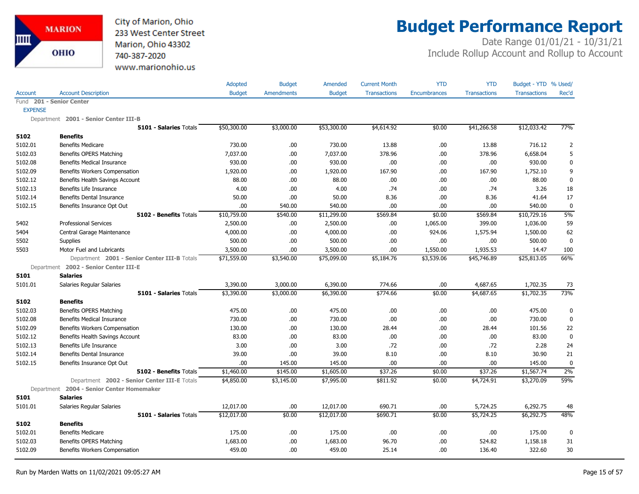

# **Budget Performance Report**

|                |                                              | Adopted       | <b>Budget</b>     | Amended       | <b>Current Month</b> | <b>YTD</b>   | <b>YTD</b>          | Budget - YTD % Used/ |                |
|----------------|----------------------------------------------|---------------|-------------------|---------------|----------------------|--------------|---------------------|----------------------|----------------|
| <b>Account</b> | <b>Account Description</b>                   | <b>Budget</b> | <b>Amendments</b> | <b>Budget</b> | <b>Transactions</b>  | Encumbrances | <b>Transactions</b> | <b>Transactions</b>  | Rec'd          |
|                | Fund 201 - Senior Center                     |               |                   |               |                      |              |                     |                      |                |
| <b>EXPENSE</b> |                                              |               |                   |               |                      |              |                     |                      |                |
|                | Department 2001 - Senior Center III-B        |               |                   |               |                      |              |                     |                      |                |
|                | 5101 - Salaries Totals                       | \$50,300.00   | \$3,000.00        | \$53,300.00   | \$4,614.92           | \$0.00       | \$41,266.58         | \$12,033.42          | 77%            |
| 5102           | <b>Benefits</b>                              |               |                   |               |                      |              |                     |                      |                |
| 5102.01        | <b>Benefits Medicare</b>                     | 730.00        | .00               | 730.00        | 13.88                | .00          | 13.88               | 716.12               | $\overline{2}$ |
| 5102.03        | Benefits OPERS Matching                      | 7,037.00      | .00               | 7,037.00      | 378.96               | .00          | 378.96              | 6,658.04             | 5              |
| 5102.08        | <b>Benefits Medical Insurance</b>            | 930.00        | .00               | 930.00        | .00.                 | .00          | .00.                | 930.00               | 0              |
| 5102.09        | Benefits Workers Compensation                | 1,920.00      | .00.              | 1,920.00      | 167.90               | .00          | 167.90              | 1,752.10             | 9              |
| 5102.12        | Benefits Health Savings Account              | 88.00         | .00               | 88.00         | .00.                 | .00          | .00                 | 88.00                | $\pmb{0}$      |
| 5102.13        | Benefits Life Insurance                      | 4.00          | .00               | 4.00          | .74                  | .00          | .74                 | 3.26                 | 18             |
| 5102.14        | <b>Benefits Dental Insurance</b>             | 50.00         | .00               | 50.00         | 8.36                 | .00          | 8.36                | 41.64                | 17             |
| 5102.15        | Benefits Insurance Opt Out                   | .00.          | 540.00            | 540.00        | .00                  | .00          | .00                 | 540.00               | $\mathbf 0$    |
|                | 5102 - Benefits Totals                       | \$10,759.00   | \$540.00          | \$11,299.00   | \$569.84             | \$0.00       | \$569.84            | \$10,729.16          | 5%             |
| 5402           | <b>Professional Services</b>                 | 2,500.00      | .00               | 2,500.00      | .00                  | 1,065.00     | 399.00              | 1,036.00             | 59             |
| 5404           | Central Garage Maintenance                   | 4,000.00      | .00               | 4,000.00      | .00.                 | 924.06       | 1,575.94            | 1,500.00             | 62             |
| 5502           | Supplies                                     | 500.00        | .00               | 500.00        | .00.                 | .00          | .00                 | 500.00               | $\mathbf 0$    |
| 5503           | Motor Fuel and Lubricants                    | 3,500.00      | .00               | 3,500.00      | .00.                 | 1,550.00     | 1,935.53            | 14.47                | 100            |
|                | Department 2001 - Senior Center III-B Totals | \$71,559.00   | \$3,540.00        | \$75,099.00   | \$5,184.76           | \$3,539.06   | \$45,746.89         | \$25,813.05          | 66%            |
|                | Department 2002 - Senior Center III-E        |               |                   |               |                      |              |                     |                      |                |
| 5101           | <b>Salaries</b>                              |               |                   |               |                      |              |                     |                      |                |
| 5101.01        | Salaries Regular Salaries                    | 3,390.00      | 3,000.00          | 6,390.00      | 774.66               | .00          | 4,687.65            | 1,702.35             | 73             |
|                | 5101 - Salaries Totals                       | \$3,390.00    | \$3,000.00        | \$6,390.00    | \$774.66             | \$0.00       | \$4,687.65          | \$1,702.35           | 73%            |
| 5102           | <b>Benefits</b>                              |               |                   |               |                      |              |                     |                      |                |
| 5102.03        | Benefits OPERS Matching                      | 475.00        | .00.              | 475.00        | .00                  | .00          | .00.                | 475.00               | 0              |
| 5102.08        | <b>Benefits Medical Insurance</b>            | 730.00        | .00.              | 730.00        | .00                  | .00          | .00.                | 730.00               | 0              |
| 5102.09        | Benefits Workers Compensation                | 130.00        | .00               | 130.00        | 28.44                | .00          | 28.44               | 101.56               | 22             |
| 5102.12        | Benefits Health Savings Account              | 83.00         | .00.              | 83.00         | .00.                 | .00          | .00                 | 83.00                | $\mathbf 0$    |
| 5102.13        | Benefits Life Insurance                      | 3.00          | .00.              | 3.00          | .72                  | .00          | .72                 | 2.28                 | 24             |
| 5102.14        | Benefits Dental Insurance                    | 39.00         | .00               | 39.00         | 8.10                 | .00          | 8.10                | 30.90                | 21             |
| 5102.15        | Benefits Insurance Opt Out                   | .00           | 145.00            | 145.00        | .00.                 | .00          | .00.                | 145.00               | $\mathbf 0$    |
|                | 5102 - Benefits Totals                       | \$1,460.00    | \$145.00          | \$1,605.00    | \$37.26              | \$0.00       | \$37.26             | \$1,567.74           | 2%             |
|                | Department 2002 - Senior Center III-E Totals | \$4,850.00    | \$3,145.00        | \$7,995.00    | \$811.92             | \$0.00       | \$4,724.91          | \$3,270.09           | 59%            |
|                | Department 2004 - Senior Center Homemaker    |               |                   |               |                      |              |                     |                      |                |
| 5101           | <b>Salaries</b>                              |               |                   |               |                      |              |                     |                      |                |
| 5101.01        | Salaries Regular Salaries                    | 12,017.00     | .00               | 12,017.00     | 690.71               | .00          | 5,724.25            | 6,292.75             | 48             |
|                | 5101 - Salaries Totals                       | \$12,017.00   | \$0.00            | \$12,017.00   | \$690.71             | \$0.00       | \$5,724.25          | \$6,292.75           | 48%            |
| 5102           | <b>Benefits</b>                              |               |                   |               |                      |              |                     |                      |                |
| 5102.01        | <b>Benefits Medicare</b>                     | 175.00        | .00               | 175.00        | .00                  | .00          | .00.                | 175.00               | $\mathbf 0$    |
| 5102.03        | Benefits OPERS Matching                      | 1,683.00      | .00               | 1,683.00      | 96.70                | .00          | 524.82              | 1,158.18             | 31             |
| 5102.09        | Benefits Workers Compensation                | 459.00        | .00               | 459.00        | 25.14                | .00.         | 136.40              | 322.60               | 30             |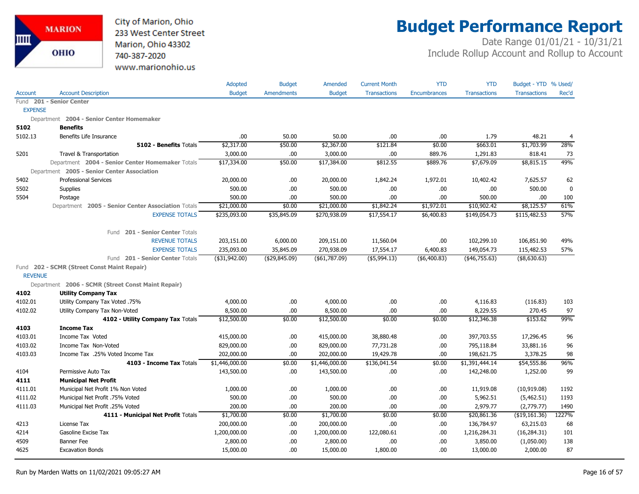

# **Budget Performance Report**

|                |                                                    | Adopted        | <b>Budget</b>     | Amended        | <b>Current Month</b> | <b>YTD</b>          | <b>YTD</b>          | Budget - YTD % Used/ |             |
|----------------|----------------------------------------------------|----------------|-------------------|----------------|----------------------|---------------------|---------------------|----------------------|-------------|
| <b>Account</b> | <b>Account Description</b>                         | <b>Budget</b>  | <b>Amendments</b> | <b>Budget</b>  | <b>Transactions</b>  | <b>Encumbrances</b> | <b>Transactions</b> | <b>Transactions</b>  | Rec'd       |
|                | Fund 201 - Senior Center                           |                |                   |                |                      |                     |                     |                      |             |
| <b>EXPENSE</b> |                                                    |                |                   |                |                      |                     |                     |                      |             |
|                | Department 2004 - Senior Center Homemaker          |                |                   |                |                      |                     |                     |                      |             |
| 5102           | <b>Benefits</b>                                    |                |                   |                |                      |                     |                     |                      |             |
| 5102.13        | Benefits Life Insurance                            | .00            | 50.00             | 50.00          | .00                  | .00                 | 1.79                | 48.21                | 4           |
|                | 5102 - Benefits Totals                             | \$2,317.00     | \$50.00           | \$2,367.00     | \$121.84             | \$0.00              | \$663.01            | \$1,703.99           | 28%         |
| 5201           | Travel & Transportation                            | 3,000.00       | .00               | 3,000.00       | .00                  | 889.76              | 1,291.83            | 818.41               | 73          |
|                | Department 2004 - Senior Center Homemaker Totals   | \$17,334.00    | \$50.00           | \$17,384.00    | \$812.55             | \$889.76            | \$7,679.09          | \$8,815.15           | 49%         |
|                | Department 2005 - Senior Center Association        |                |                   |                |                      |                     |                     |                      |             |
| 5402           | <b>Professional Services</b>                       | 20,000.00      | .00               | 20,000.00      | 1,842.24             | 1,972.01            | 10,402.42           | 7,625.57             | 62          |
| 5502           | <b>Supplies</b>                                    | 500.00         | .00.              | 500.00         | .00                  | .00                 | .00                 | 500.00               | $\mathbf 0$ |
| 5504           | Postage                                            | 500.00         | .00               | 500.00         | .00                  | .00                 | 500.00              | .00.                 | 100         |
|                | Department 2005 - Senior Center Association Totals | \$21,000.00    | \$0.00            | \$21,000.00    | \$1,842.24           | \$1,972.01          | \$10,902.42         | \$8,125.57           | 61%         |
|                | <b>EXPENSE TOTALS</b>                              | \$235,093.00   | \$35,845.09       | \$270,938.09   | \$17,554.17          | \$6,400.83          | \$149,054.73        | \$115,482.53         | 57%         |
|                | Fund 201 - Senior Center Totals                    |                |                   |                |                      |                     |                     |                      |             |
|                | <b>REVENUE TOTALS</b>                              | 203,151.00     | 6,000.00          | 209,151.00     | 11,560.04            | .00.                | 102,299.10          | 106,851.90           | 49%         |
|                | <b>EXPENSE TOTALS</b>                              | 235,093.00     | 35,845.09         | 270,938.09     | 17,554.17            | 6,400.83            | 149,054.73          | 115,482.53           | 57%         |
|                | Fund 201 - Senior Center Totals                    | $(*31,942.00)$ | ( \$29, 845.09)   | (\$61,787.09)  | $($ \$5,994.13)      | (\$6,400.83)        | $(*46,755.63)$      | (\$8,630.63)         |             |
|                | Fund 202 - SCMR (Street Const Maint Repair)        |                |                   |                |                      |                     |                     |                      |             |
| <b>REVENUE</b> |                                                    |                |                   |                |                      |                     |                     |                      |             |
|                | Department 2006 - SCMR (Street Const Maint Repair) |                |                   |                |                      |                     |                     |                      |             |
| 4102           | <b>Utility Company Tax</b>                         |                |                   |                |                      |                     |                     |                      |             |
| 4102.01        | Utility Company Tax Voted .75%                     | 4,000.00       | .00               | 4,000.00       | .00                  | .00.                | 4,116.83            | (116.83)             | 103         |
| 4102.02        | Utility Company Tax Non-Voted                      | 8,500.00       | .00               | 8,500.00       | .00.                 | .00                 | 8,229.55            | 270.45               | 97          |
|                | 4102 - Utility Company Tax Totals                  | \$12,500.00    | \$0.00            | \$12,500.00    | \$0.00               | \$0.00              | \$12,346.38         | \$153.62             | 99%         |
| 4103           | <b>Income Tax</b>                                  |                |                   |                |                      |                     |                     |                      |             |
| 4103.01        | Income Tax Voted                                   | 415,000.00     | .00               | 415,000.00     | 38,880.48            | .00.                | 397,703.55          | 17,296.45            | 96          |
| 4103.02        | Income Tax Non-Voted                               | 829,000.00     | .00               | 829,000.00     | 77,731.28            | .00                 | 795,118.84          | 33,881.16            | 96          |
| 4103.03        | Income Tax .25% Voted Income Tax                   | 202,000.00     | .00               | 202,000.00     | 19,429.78            | .00                 | 198,621.75          | 3,378.25             | 98          |
|                | 4103 - Income Tax Totals                           | \$1,446,000.00 | \$0.00            | \$1,446,000.00 | \$136,041.54         | \$0.00              | \$1,391,444.14      | \$54,555.86          | 96%         |
| 4104           | Permissive Auto Tax                                | 143,500.00     | .00.              | 143,500.00     | .00                  | .00                 | 142,248.00          | 1,252.00             | 99          |
| 4111           | <b>Municipal Net Profit</b>                        |                |                   |                |                      |                     |                     |                      |             |
| 4111.01        | Municipal Net Profit 1% Non Voted                  | 1,000.00       | .00.              | 1,000.00       | .00.                 | .00.                | 11,919.08           | (10,919.08)          | 1192        |
| 4111.02        | Municipal Net Profit .75% Voted                    | 500.00         | .00.              | 500.00         | .00                  | .00                 | 5,962.51            | (5,462.51)           | 1193        |
| 4111.03        | Municipal Net Profit .25% Voted                    | 200.00         | .00.              | 200.00         | .00                  | .00                 | 2,979.77            | (2,779.77)           | 1490        |
|                | 4111 - Municipal Net Profit Totals                 | \$1,700.00     | \$0.00            | \$1,700.00     | \$0.00               | \$0.00              | \$20,861.36         | ( \$19, 161.36)      | 1227%       |
| 4213           | License Tax                                        | 200,000.00     | .00               | 200,000.00     | .00                  | .00.                | 136,784.97          | 63,215.03            | 68          |
| 4214           | Gasoline Excise Tax                                | 1,200,000.00   | .00.              | 1,200,000.00   | 122,080.61           | .00.                | 1,216,284.31        | (16, 284.31)         | 101         |
| 4509           | Banner Fee                                         | 2,800.00       | .00               | 2,800.00       | .00                  | .00                 | 3,850.00            | (1,050.00)           | 138         |
| 4625           | <b>Excavation Bonds</b>                            | 15,000.00      | 00.               | 15,000.00      | 1,800.00             | .00.                | 13,000.00           | 2,000.00             | 87          |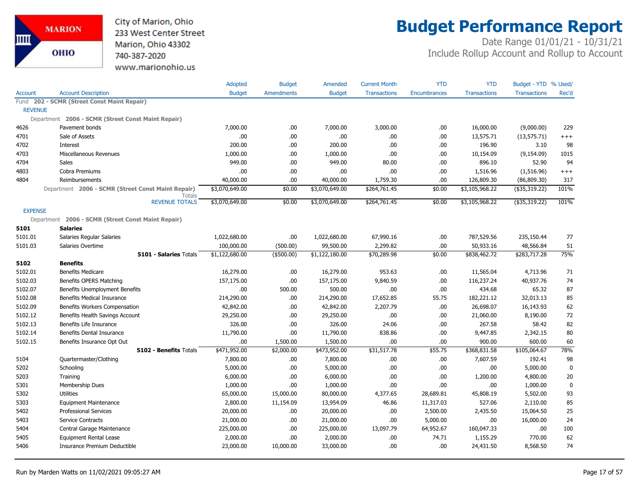

# **Budget Performance Report**

|                |                                                              | Adopted        | <b>Budget</b>     | Amended        | <b>Current Month</b> | <b>YTD</b>   | <b>YTD</b>          | Budget - YTD % Used/ |             |
|----------------|--------------------------------------------------------------|----------------|-------------------|----------------|----------------------|--------------|---------------------|----------------------|-------------|
| Account        | <b>Account Description</b>                                   | <b>Budget</b>  | <b>Amendments</b> | <b>Budget</b>  | <b>Transactions</b>  | Encumbrances | <b>Transactions</b> | <b>Transactions</b>  | Rec'd       |
|                | Fund 202 - SCMR (Street Const Maint Repair)                  |                |                   |                |                      |              |                     |                      |             |
| <b>REVENUE</b> |                                                              |                |                   |                |                      |              |                     |                      |             |
|                | Department 2006 - SCMR (Street Const Maint Repair)           |                |                   |                |                      |              |                     |                      |             |
| 4626           | Pavement bonds                                               | 7,000.00       | .00.              | 7,000.00       | 3,000.00             | .00.         | 16,000.00           | (9,000.00)           | 229         |
| 4701           | Sale of Assets                                               | .00            | .00               | .00.           | .00                  | .00          | 13,575.71           | (13, 575.71)         | $^{+++}$    |
| 4702           | Interest                                                     | 200.00         | .00.              | 200.00         | .00                  | .00          | 196.90              | 3.10                 | 98          |
| 4703           | Miscellaneous Revenues                                       | 1,000.00       | .00               | 1,000.00       | .00                  | .00          | 10,154.09           | (9, 154.09)          | 1015        |
| 4704           | Sales                                                        | 949.00         | .00               | 949.00         | 80.00                | .00          | 896.10              | 52.90                | 94          |
| 4803           | Cobra Premiums                                               | .00            | .00               | .00            | .00                  | .00          | 1,516.96            | (1,516.96)           | $^{+++}$    |
| 4804           | Reimbursements                                               | 40,000.00      | .00               | 40,000.00      | 1,759.30             | .00          | 126,809.30          | (86, 809.30)         | 317         |
|                | Department 2006 - SCMR (Street Const Maint Repair)<br>Totals | \$3,070,649.00 | \$0.00            | \$3,070,649.00 | \$264,761.45         | \$0.00       | \$3,105,968.22      | (\$35,319.22)        | 101%        |
|                | <b>REVENUE TOTALS</b>                                        | \$3,070,649.00 | \$0.00            | \$3,070,649.00 | \$264,761.45         | \$0.00       | \$3,105,968.22      | $($ \$35,319.22)     | 101%        |
| <b>EXPENSE</b> |                                                              |                |                   |                |                      |              |                     |                      |             |
| Department     | 2006 - SCMR (Street Const Maint Repair)                      |                |                   |                |                      |              |                     |                      |             |
| 5101           | <b>Salaries</b>                                              |                |                   |                |                      |              |                     |                      |             |
| 5101.01        | Salaries Regular Salaries                                    | 1,022,680.00   | .00               | 1,022,680.00   | 67,990.16            | .00          | 787,529.56          | 235,150.44           | 77          |
| 5101.03        | Salaries Overtime                                            | 100,000.00     | (500.00)          | 99,500.00      | 2,299.82             | .00          | 50,933.16           | 48,566.84            | 51          |
|                | <b>5101 - Salaries Totals</b>                                | \$1,122,680.00 | (\$500.00)        | \$1,122,180.00 | \$70,289.98          | \$0.00       | \$838,462.72        | \$283,717.28         | 75%         |
| 5102           | <b>Benefits</b>                                              |                |                   |                |                      |              |                     |                      |             |
| 5102.01        | <b>Benefits Medicare</b>                                     | 16,279.00      | .00               | 16,279.00      | 953.63               | .00          | 11,565.04           | 4,713.96             | 71          |
| 5102.03        | Benefits OPERS Matching                                      | 157,175.00     | .00               | 157,175.00     | 9,840.59             | .00          | 116,237.24          | 40,937.76            | 74          |
| 5102.07        | Benefits Unemployment Benefits                               | .00            | 500.00            | 500.00         | .00                  | .00          | 434.68              | 65.32                | 87          |
| 5102.08        | <b>Benefits Medical Insurance</b>                            | 214,290.00     | .00.              | 214,290.00     | 17,652.85            | 55.75        | 182,221.12          | 32,013.13            | 85          |
| 5102.09        | Benefits Workers Compensation                                | 42,842.00      | .00               | 42,842.00      | 2,207.79             | .00          | 26,698.07           | 16,143.93            | 62          |
| 5102.12        | Benefits Health Savings Account                              | 29,250.00      | .00.              | 29,250.00      | .00                  | .00          | 21,060.00           | 8,190.00             | 72          |
| 5102.13        | Benefits Life Insurance                                      | 326.00         | .00               | 326.00         | 24.06                | .00          | 267.58              | 58.42                | 82          |
| 5102.14        | <b>Benefits Dental Insurance</b>                             | 11,790.00      | .00               | 11,790.00      | 838.86               | .00          | 9,447.85            | 2,342.15             | 80          |
| 5102.15        | Benefits Insurance Opt Out                                   | .00            | 1,500.00          | 1,500.00       | .00                  | .00          | 900.00              | 600.00               | 60          |
|                | 5102 - Benefits Totals                                       | \$471,952.00   | \$2,000.00        | \$473,952.00   | \$31,517.78          | \$55.75      | \$368,831.58        | \$105,064.67         | 78%         |
| 5104           | Quartermaster/Clothing                                       | 7,800.00       | .00.              | 7,800.00       | .00                  | .00.         | 7,607.59            | 192.41               | 98          |
| 5202           | Schooling                                                    | 5,000.00       | .00.              | 5,000.00       | .00                  | .00          | .00                 | 5,000.00             | $\mathbf 0$ |
| 5203           | Training                                                     | 6,000.00       | .00.              | 6,000.00       | .00                  | .00          | 1,200.00            | 4,800.00             | 20          |
| 5301           | Membership Dues                                              | 1,000.00       | .00.              | 1,000.00       | .00                  | .00          | .00.                | 1,000.00             | $\mathbf 0$ |
| 5302           | <b>Utilities</b>                                             | 65,000.00      | 15,000.00         | 80,000.00      | 4,377.65             | 28,689.81    | 45,808.19           | 5,502.00             | 93          |
| 5303           | <b>Equipment Maintenance</b>                                 | 2,800.00       | 11,154.09         | 13,954.09      | 46.86                | 11,317.03    | 527.06              | 2,110.00             | 85          |
| 5402           | <b>Professional Services</b>                                 | 20,000.00      | .00.              | 20,000.00      | .00                  | 2,500.00     | 2,435.50            | 15,064.50            | 25          |
| 5403           | Service Contracts                                            | 21,000.00      | .00.              | 21,000.00      | .00                  | 5,000.00     | .00.                | 16,000.00            | 24          |
| 5404           | Central Garage Maintenance                                   | 225,000.00     | .00               | 225,000.00     | 13,097.79            | 64,952.67    | 160,047.33          | .00.                 | 100         |
| 5405           | <b>Equipment Rental Lease</b>                                | 2,000.00       | .00               | 2,000.00       | .00                  | 74.71        | 1,155.29            | 770.00               | 62          |
| 5406           | Insurance Premium Deductible                                 | 23,000.00      | 10,000.00         | 33,000.00      | .00                  | .00          | 24,431.50           | 8,568.50             | 74          |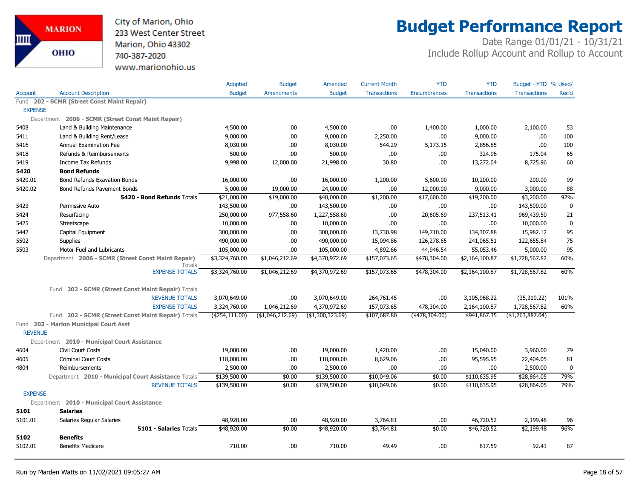

# **Budget Performance Report**

|                |                                                              | Adopted         | <b>Budget</b>     | Amended          | <b>Current Month</b> | <b>YTD</b>          | <b>YTD</b>          | Budget - YTD % Used/ |             |
|----------------|--------------------------------------------------------------|-----------------|-------------------|------------------|----------------------|---------------------|---------------------|----------------------|-------------|
| <b>Account</b> | <b>Account Description</b>                                   | <b>Budget</b>   | <b>Amendments</b> | <b>Budget</b>    | <b>Transactions</b>  | <b>Encumbrances</b> | <b>Transactions</b> | <b>Transactions</b>  | Rec'd       |
|                | Fund 202 - SCMR (Street Const Maint Repair)                  |                 |                   |                  |                      |                     |                     |                      |             |
| <b>EXPENSE</b> |                                                              |                 |                   |                  |                      |                     |                     |                      |             |
|                | Department 2006 - SCMR (Street Const Maint Repair)           |                 |                   |                  |                      |                     |                     |                      |             |
| 5408           | Land & Building Maintenance                                  | 4,500.00        | .00               | 4,500.00         | .00                  | 1,400.00            | 1,000.00            | 2,100.00             | 53          |
| 5411           | Land & Building Rent/Lease                                   | 9,000.00        | .00               | 9,000.00         | 2,250.00             | .00                 | 9,000.00            | .00                  | 100         |
| 5416           | Annual Examination Fee                                       | 8,030.00        | .00.              | 8,030.00         | 544.29               | 5,173.15            | 2,856.85            | .00                  | 100         |
| 5418           | Refunds & Reimbursements                                     | 500.00          | .00.              | 500.00           | .00.                 | .00.                | 324.96              | 175.04               | 65          |
| 5419           | <b>Income Tax Refunds</b>                                    | 9,998.00        | 12,000.00         | 21,998.00        | 30.80                | .00                 | 13,272.04           | 8,725.96             | 60          |
| 5420           | <b>Bond Refunds</b>                                          |                 |                   |                  |                      |                     |                     |                      |             |
| 5420.01        | <b>Bond Refunds Exavation Bonds</b>                          | 16,000.00       | .00.              | 16,000.00        | 1,200.00             | 5,600.00            | 10,200.00           | 200.00               | 99          |
| 5420.02        | Bond Refunds Pavement Bonds                                  | 5,000.00        | 19,000.00         | 24,000.00        | .00.                 | 12,000.00           | 9,000.00            | 3,000.00             | 88          |
|                | 5420 - Bond Refunds Totals                                   | \$21,000.00     | \$19,000.00       | \$40,000.00      | \$1,200.00           | \$17,600.00         | \$19,200.00         | \$3,200.00           | 92%         |
| 5423           | Permissive Auto                                              | 143,500.00      | .00.              | 143,500.00       | .00                  | .00                 | .00                 | 143,500.00           | $\mathbf 0$ |
| 5424           | Resurfacing                                                  | 250,000.00      | 977,558.60        | 1,227,558.60     | .00.                 | 20,605.69           | 237,513.41          | 969,439.50           | 21          |
| 5425           | Streetscape                                                  | 10,000.00       | .00.              | 10,000.00        | .00.                 | .00                 | .00                 | 10,000.00            | $\mathbf 0$ |
| 5442           | Capital Equipment                                            | 300,000.00      | .00.              | 300,000.00       | 13,730.98            | 149,710.00          | 134,307.88          | 15,982.12            | 95          |
| 5502           | Supplies                                                     | 490,000.00      | .00.              | 490,000.00       | 15,094.86            | 126,278.65          | 241,065.51          | 122,655.84           | 75          |
| 5503           | Motor Fuel and Lubricants                                    | 105,000.00      | .00.              | 105,000.00       | 4,892.66             | 44,946.54           | 55,053.46           | 5,000.00             | 95          |
|                | Department 2006 - SCMR (Street Const Maint Repair)<br>Totals | \$3,324,760.00  | \$1,046,212.69    | \$4,370,972.69   | \$157,073.65         | \$478,304.00        | \$2,164,100.87      | \$1,728,567.82       | 60%         |
|                | <b>EXPENSE TOTALS</b>                                        | \$3,324,760.00  | \$1,046,212.69    | \$4,370,972.69   | \$157,073.65         | \$478,304.00        | \$2,164,100.87      | \$1,728,567.82       | 60%         |
|                | 202 - SCMR (Street Const Maint Repair) Totals<br>Fund        |                 |                   |                  |                      |                     |                     |                      |             |
|                | <b>REVENUE TOTALS</b>                                        | 3,070,649.00    | .00.              | 3,070,649.00     | 264,761.45           | .00                 | 3,105,968.22        | (35, 319.22)         | 101%        |
|                | <b>EXPENSE TOTALS</b>                                        | 3,324,760.00    | 1,046,212.69      | 4,370,972.69     | 157,073.65           | 478,304.00          | 2,164,100.87        | 1,728,567.82         | 60%         |
|                | Fund 202 - SCMR (Street Const Maint Repair) Totals           | (\$254, 111.00) | (\$1,046,212.69)  | (\$1,300,323.69) | \$107,687.80         | $(*478,304.00)$     | \$941,867.35        | ( \$1,763,887.04)    |             |
| <b>REVENUE</b> | Fund 203 - Marion Municipal Court Asst                       |                 |                   |                  |                      |                     |                     |                      |             |
|                | Department 2010 - Municipal Court Assistance                 |                 |                   |                  |                      |                     |                     |                      |             |
| 4604           | <b>Civil Court Costs</b>                                     | 19,000.00       | .00.              | 19,000.00        | 1,420.00             | .00                 | 15,040.00           | 3,960.00             | 79          |
| 4605           | <b>Criminal Court Costs</b>                                  | 118,000.00      | .00.              | 118,000.00       | 8,629.06             | .00                 | 95,595.95           | 22,404.05            | 81          |
| 4804           | Reimbursements                                               | 2,500.00        | .00               | 2,500.00         | .00.                 | .00                 | .00.                | 2,500.00             | 0           |
|                | Department 2010 - Municipal Court Assistance Totals          | \$139,500.00    | \$0.00            | \$139,500.00     | \$10,049.06          | \$0.00              | \$110,635.95        | \$28,864.05          | 79%         |
|                | <b>REVENUE TOTALS</b>                                        | \$139,500.00    | \$0.00            | \$139,500.00     | \$10,049.06          | \$0.00              | \$110,635.95        | \$28,864.05          | 79%         |
| <b>EXPENSE</b> |                                                              |                 |                   |                  |                      |                     |                     |                      |             |
|                | Department 2010 - Municipal Court Assistance                 |                 |                   |                  |                      |                     |                     |                      |             |
| 5101           | <b>Salaries</b>                                              |                 |                   |                  |                      |                     |                     |                      |             |
| 5101.01        | Salaries Regular Salaries                                    | 48,920.00       | .00.              | 48,920.00        | 3,764.81             | .00                 | 46,720.52           | 2,199.48             | 96          |
|                | 5101 - Salaries Totals                                       | \$48,920.00     | \$0.00            | \$48,920.00      | \$3,764.81           | \$0.00              | \$46,720.52         | \$2,199.48           | 96%         |
| 5102           | <b>Benefits</b>                                              |                 |                   |                  |                      |                     |                     |                      |             |
| 5102.01        | <b>Benefits Medicare</b>                                     | 710.00          | .00.              | 710.00           | 49.49                | .00                 | 617.59              | 92.41                | 87          |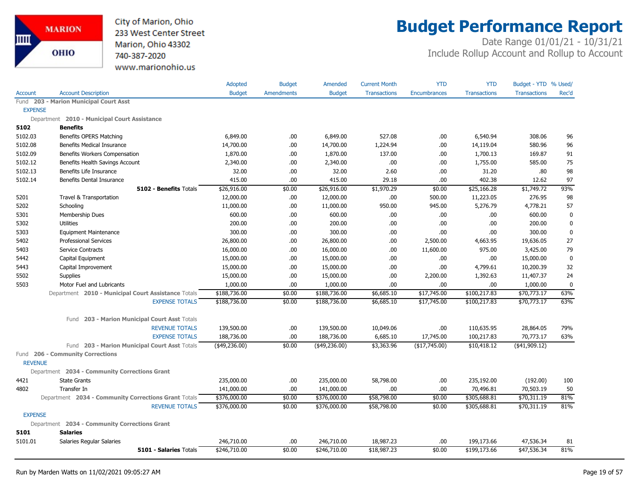

# **Budget Performance Report**

|                |                                                      | Adopted        | <b>Budget</b>     | Amended          | <b>Current Month</b> | <b>YTD</b>          | <b>YTD</b>          | Budget - YTD % Used/ |             |
|----------------|------------------------------------------------------|----------------|-------------------|------------------|----------------------|---------------------|---------------------|----------------------|-------------|
| <b>Account</b> | <b>Account Description</b>                           | <b>Budget</b>  | <b>Amendments</b> | <b>Budget</b>    | <b>Transactions</b>  | <b>Encumbrances</b> | <b>Transactions</b> | <b>Transactions</b>  | Rec'd       |
|                | Fund 203 - Marion Municipal Court Asst               |                |                   |                  |                      |                     |                     |                      |             |
| <b>EXPENSE</b> |                                                      |                |                   |                  |                      |                     |                     |                      |             |
|                | Department 2010 - Municipal Court Assistance         |                |                   |                  |                      |                     |                     |                      |             |
| 5102           | <b>Benefits</b>                                      |                |                   |                  |                      |                     |                     |                      |             |
| 5102.03        | Benefits OPERS Matching                              | 6,849.00       | .00.              | 6,849.00         | 527.08               | .00                 | 6,540.94            | 308.06               | 96          |
| 5102.08        | <b>Benefits Medical Insurance</b>                    | 14,700.00      | .00.              | 14,700.00        | 1,224.94             | .00                 | 14,119.04           | 580.96               | 96          |
| 5102.09        | Benefits Workers Compensation                        | 1,870.00       | .00.              | 1,870.00         | 137.00               | .00                 | 1,700.13            | 169.87               | 91          |
| 5102.12        | Benefits Health Savings Account                      | 2,340.00       | .00.              | 2,340.00         | .00                  | .00                 | 1,755.00            | 585.00               | 75          |
| 5102.13        | Benefits Life Insurance                              | 32.00          | .00.              | 32.00            | 2.60                 | .00                 | 31.20               | .80                  | 98          |
| 5102.14        | <b>Benefits Dental Insurance</b>                     | 415.00         | .00               | 415.00           | 29.18                | .00.                | 402.38              | 12.62                | 97          |
|                | <b>5102 - Benefits Totals</b>                        | \$26,916.00    | \$0.00            | \$26,916.00      | \$1,970.29           | \$0.00              | \$25,166.28         | \$1,749.72           | 93%         |
| 5201           | Travel & Transportation                              | 12,000.00      | .00.              | 12,000.00        | .00                  | 500.00              | 11,223.05           | 276.95               | 98          |
| 5202           | Schooling                                            | 11,000.00      | .00.              | 11,000.00        | 950.00               | 945.00              | 5,276.79            | 4,778.21             | 57          |
| 5301           | Membership Dues                                      | 600.00         | .00.              | 600.00           | .00                  | .00                 | .00.                | 600.00               | $\pmb{0}$   |
| 5302           | Utilities                                            | 200.00         | .00               | 200.00           | .00                  | .00                 | .00                 | 200.00               | $\bf{0}$    |
| 5303           | <b>Equipment Maintenance</b>                         | 300.00         | .00.              | 300.00           | .00                  | .00                 | .00                 | 300.00               | $\bf{0}$    |
| 5402           | <b>Professional Services</b>                         | 26,800.00      | .00.              | 26,800.00        | .00                  | 2,500.00            | 4,663.95            | 19,636.05            | 27          |
| 5403           | Service Contracts                                    | 16,000.00      | .00.              | 16,000.00        | .00                  | 11,600.00           | 975.00              | 3,425.00             | 79          |
| 5442           | Capital Equipment                                    | 15,000.00      | .00.              | 15,000.00        | .00                  | .00                 | .00                 | 15,000.00            | $\mathbf 0$ |
| 5443           | Capital Improvement                                  | 15,000.00      | .00.              | 15,000.00        | .00                  | .00                 | 4,799.61            | 10,200.39            | 32          |
| 5502           | <b>Supplies</b>                                      | 15,000.00      | .00.              | 15,000.00        | .00                  | 2,200.00            | 1,392.63            | 11,407.37            | 24          |
| 5503           | Motor Fuel and Lubricants                            | 1,000.00       | .00               | 1,000.00         | .00                  | .00                 | .00                 | 1,000.00             | $\mathbf 0$ |
|                | Department 2010 - Municipal Court Assistance Totals  | \$188,736.00   | \$0.00            | \$188,736.00     | \$6,685.10           | \$17,745.00         | \$100,217.83        | \$70,773.17          | 63%         |
|                | <b>EXPENSE TOTALS</b>                                | \$188,736.00   | \$0.00            | \$188,736.00     | \$6,685.10           | \$17,745.00         | \$100,217.83        | \$70,773.17          | 63%         |
|                | 203 - Marion Municipal Court Asst Totals<br>Fund     |                |                   |                  |                      |                     |                     |                      |             |
|                | <b>REVENUE TOTALS</b>                                | 139,500.00     | .00.              | 139,500.00       | 10,049.06            | .00                 | 110,635.95          | 28,864.05            | 79%         |
|                | <b>EXPENSE TOTALS</b>                                | 188,736.00     | .00.              | 188,736.00       | 6,685.10             | 17,745.00           | 100,217.83          | 70,773.17            | 63%         |
|                | Fund 203 - Marion Municipal Court Asst Totals        | $(*49,236.00)$ | \$0.00            | $($ \$49,236.00) | \$3,363.96           | (\$17,745.00)       | \$10,418.12         | $(*41,909.12)$       |             |
| <b>REVENUE</b> | Fund 206 - Community Corrections                     |                |                   |                  |                      |                     |                     |                      |             |
|                | Department 2034 - Community Corrections Grant        |                |                   |                  |                      |                     |                     |                      |             |
| 4421           | <b>State Grants</b>                                  | 235,000.00     | .00.              | 235,000.00       | 58,798.00            | .00                 | 235,192.00          | (192.00)             | 100         |
| 4802           | Transfer In                                          | 141,000.00     | .00.              | 141,000.00       | .00                  | .00                 | 70,496.81           | 70,503.19            | 50          |
|                | Department 2034 - Community Corrections Grant Totals | \$376,000.00   | \$0.00            | \$376,000.00     | \$58,798.00          | \$0.00              | \$305,688.81        | \$70,311.19          | 81%         |
|                | <b>REVENUE TOTALS</b>                                | \$376,000.00   | \$0.00            | \$376,000.00     | \$58,798.00          | \$0.00              | \$305,688.81        | \$70,311.19          | 81%         |
| <b>EXPENSE</b> |                                                      |                |                   |                  |                      |                     |                     |                      |             |
|                | Department 2034 - Community Corrections Grant        |                |                   |                  |                      |                     |                     |                      |             |
| 5101           | <b>Salaries</b>                                      |                |                   |                  |                      |                     |                     |                      |             |
| 5101.01        | Salaries Regular Salaries                            | 246,710.00     | .00.              | 246,710.00       | 18,987.23            | .00                 | 199,173.66          | 47,536.34            | 81          |
|                | <b>5101 - Salaries Totals</b>                        | \$246,710.00   | \$0.00            | \$246,710.00     | \$18,987.23          | \$0.00              | \$199,173.66        | \$47,536.34          | 81%         |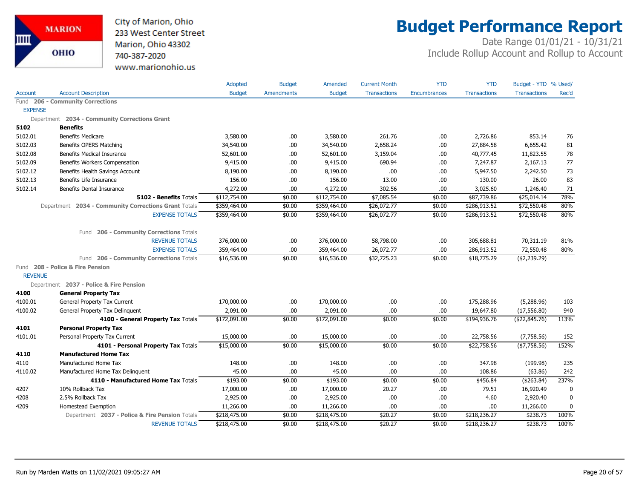

# **Budget Performance Report**

|                |                                                      | Adopted       | <b>Budget</b>     | Amended       | <b>Current Month</b> | <b>YTD</b>          | <b>YTD</b>          | Budget - YTD % Used/ |       |
|----------------|------------------------------------------------------|---------------|-------------------|---------------|----------------------|---------------------|---------------------|----------------------|-------|
| Account        | <b>Account Description</b>                           | <b>Budget</b> | <b>Amendments</b> | <b>Budget</b> | <b>Transactions</b>  | <b>Encumbrances</b> | <b>Transactions</b> | <b>Transactions</b>  | Rec'd |
| Fund           | <b>206 - Community Corrections</b>                   |               |                   |               |                      |                     |                     |                      |       |
| <b>EXPENSE</b> |                                                      |               |                   |               |                      |                     |                     |                      |       |
|                | Department 2034 - Community Corrections Grant        |               |                   |               |                      |                     |                     |                      |       |
| 5102           | <b>Benefits</b>                                      |               |                   |               |                      |                     |                     |                      |       |
| 5102.01        | <b>Benefits Medicare</b>                             | 3,580.00      | .00               | 3,580.00      | 261.76               | .00                 | 2,726.86            | 853.14               | 76    |
| 5102.03        | Benefits OPERS Matching                              | 34,540.00     | .00.              | 34,540.00     | 2,658.24             | .00.                | 27,884.58           | 6,655.42             | 81    |
| 5102.08        | Benefits Medical Insurance                           | 52,601.00     | .00               | 52,601.00     | 3,159.04             | .00                 | 40,777.45           | 11,823.55            | 78    |
| 5102.09        | Benefits Workers Compensation                        | 9,415.00      | .00               | 9,415.00      | 690.94               | .00                 | 7,247.87            | 2,167.13             | 77    |
| 5102.12        | Benefits Health Savings Account                      | 8,190.00      | .00.              | 8,190.00      | .00                  | .00.                | 5,947.50            | 2,242.50             | 73    |
| 5102.13        | Benefits Life Insurance                              | 156.00        | .00.              | 156.00        | 13.00                | .00                 | 130.00              | 26.00                | 83    |
| 5102.14        | Benefits Dental Insurance                            | 4,272.00      | .00               | 4,272.00      | 302.56               | .00                 | 3,025.60            | 1,246.40             | 71    |
|                | 5102 - Benefits Totals                               | \$112,754.00  | \$0.00            | \$112,754.00  | \$7,085.54           | \$0.00              | \$87,739.86         | \$25,014.14          | 78%   |
|                | Department 2034 - Community Corrections Grant Totals | \$359,464.00  | \$0.00            | \$359,464.00  | \$26,072.77          | \$0.00              | \$286,913.52        | \$72,550.48          | 80%   |
|                | <b>EXPENSE TOTALS</b>                                | \$359,464.00  | \$0.00            | \$359,464.00  | \$26,072.77          | \$0.00              | \$286,913.52        | \$72,550.48          | 80%   |
|                | 206 - Community Corrections Totals<br>Fund           |               |                   |               |                      |                     |                     |                      |       |
|                | <b>REVENUE TOTALS</b>                                | 376,000.00    | .00.              | 376,000.00    | 58,798.00            | .00                 | 305,688.81          | 70,311.19            | 81%   |
|                | <b>EXPENSE TOTALS</b>                                | 359,464.00    | .00               | 359,464.00    | 26,072.77            | .00                 | 286,913.52          | 72,550.48            | 80%   |
|                | Fund 206 - Community Corrections Totals              | \$16,536.00   | \$0.00            | \$16,536.00   | \$32,725.23          | \$0.00              | \$18,775.29         | (\$2,239.29)         |       |
|                | Fund 208 - Police & Fire Pension                     |               |                   |               |                      |                     |                     |                      |       |
| <b>REVENUE</b> |                                                      |               |                   |               |                      |                     |                     |                      |       |
|                | Department 2037 - Police & Fire Pension              |               |                   |               |                      |                     |                     |                      |       |
| 4100           | <b>General Property Tax</b>                          |               |                   |               |                      |                     |                     |                      |       |
| 4100.01        | General Property Tax Current                         | 170,000.00    | .00               | 170,000.00    | .00                  | .00.                | 175,288.96          | (5,288.96)           | 103   |
| 4100.02        | General Property Tax Delinquent                      | 2,091.00      | .00.              | 2,091.00      | .00                  | .00                 | 19,647.80           | (17, 556.80)         | 940   |
|                | 4100 - General Property Tax Totals                   | \$172,091.00  | \$0.00            | \$172,091.00  | \$0.00               | \$0.00              | \$194,936.76        | (\$22,845.76)        | 113%  |
| 4101           | <b>Personal Property Tax</b>                         |               |                   |               |                      |                     |                     |                      |       |
| 4101.01        | Personal Property Tax Current                        | 15,000.00     | .00               | 15,000.00     | .00                  | .00                 | 22,758.56           | (7,758.56)           | 152   |
|                | 4101 - Personal Property Tax Totals                  | \$15,000.00   | \$0.00            | \$15,000.00   | \$0.00               | \$0.00              | \$22,758.56         | (\$7,758.56)         | 152%  |
| 4110           | <b>Manufactured Home Tax</b>                         |               |                   |               |                      |                     |                     |                      |       |
| 4110           | Manufactured Home Tax                                | 148.00        | .00.              | 148.00        | .00                  | .00                 | 347.98              | (199.98)             | 235   |
| 4110.02        | Manufactured Home Tax Delinguent                     | 45.00         | .00.              | 45.00         | .00                  | .00                 | 108.86              | (63.86)              | 242   |
|                | 4110 - Manufactured Home Tax Totals                  | \$193.00      | \$0.00            | \$193.00      | \$0.00               | \$0.00              | \$456.84            | ( \$263.84)          | 237%  |
| 4207           | 10% Rollback Tax                                     | 17,000.00     | .00               | 17,000.00     | 20.27                | .00                 | 79.51               | 16,920.49            | 0     |
| 4208           | 2.5% Rollback Tax                                    | 2,925.00      | .00.              | 2,925.00      | .00                  | .00                 | 4.60                | 2,920.40             | 0     |
| 4209           | <b>Homestead Exemption</b>                           | 11,266.00     | .00.              | 11,266.00     | .00                  | .00                 | .00                 | 11,266.00            | 0     |
|                | Department 2037 - Police & Fire Pension Totals       | \$218,475.00  | \$0.00            | \$218,475.00  | \$20.27              | \$0.00              | \$218,236.27        | \$238.73             | 100%  |
|                | <b>REVENUE TOTALS</b>                                | \$218,475.00  | \$0.00            | \$218,475.00  | \$20.27              | \$0.00              | \$218,236.27        | \$238.73             | 100%  |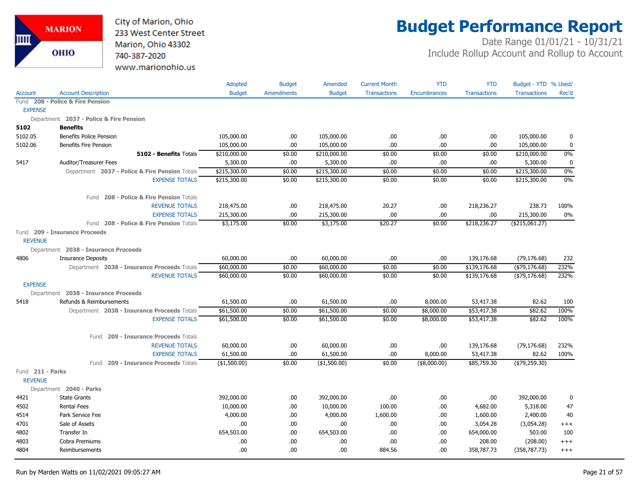

# **Budget Performance Report**

|                                    |                                                | Adopted         | <b>Budget</b>     | Amended       | <b>Current Month</b> | <b>YTD</b>          | <b>YTD</b>          | Budget - YTD % Used/ |             |
|------------------------------------|------------------------------------------------|-----------------|-------------------|---------------|----------------------|---------------------|---------------------|----------------------|-------------|
| Account                            | <b>Account Description</b>                     | <b>Budget</b>   | <b>Amendments</b> | <b>Budget</b> | <b>Transactions</b>  | <b>Encumbrances</b> | <b>Transactions</b> | <b>Transactions</b>  | Rec'd       |
|                                    | Fund 208 - Police & Fire Pension               |                 |                   |               |                      |                     |                     |                      |             |
| <b>EXPENSE</b>                     |                                                |                 |                   |               |                      |                     |                     |                      |             |
|                                    | Department 2037 - Police & Fire Pension        |                 |                   |               |                      |                     |                     |                      |             |
| 5102                               | <b>Benefits</b>                                |                 |                   |               |                      |                     |                     |                      |             |
| 5102.05                            | <b>Benefits Police Pension</b>                 | 105,000.00      | .00.              | 105,000.00    | .00                  | .00                 | .00                 | 105,000.00           | 0           |
| 5102.06                            | <b>Benefits Fire Pension</b>                   | 105,000.00      | .00.              | 105,000.00    | .00.                 | .00                 | .00                 | 105,000.00           | 0           |
|                                    | 5102 - Benefits Totals                         | \$210,000.00    | \$0.00            | \$210,000.00  | \$0.00               | \$0.00              | \$0.00              | \$210,000.00         | 0%          |
| 5417                               | Auditor/Treasurer Fees                         | 5,300.00        | .00.              | 5,300.00      | .00                  | .00.                | .00                 | 5,300.00             | $\mathbf 0$ |
|                                    | Department 2037 - Police & Fire Pension Totals | \$215,300.00    | \$0.00            | \$215,300.00  | \$0.00               | \$0.00              | \$0.00              | \$215,300.00         | 0%          |
|                                    | <b>EXPENSE TOTALS</b>                          | \$215,300.00    | \$0.00            | \$215,300.00  | \$0.00               | \$0.00              | \$0.00              | \$215,300.00         | 0%          |
|                                    | Fund 208 - Police & Fire Pension Totals        |                 |                   |               |                      |                     |                     |                      |             |
|                                    | <b>REVENUE TOTALS</b>                          | 218,475.00      | .00.              | 218,475.00    | 20.27                | .00                 | 218,236.27          | 238.73               | 100%        |
|                                    | <b>EXPENSE TOTALS</b>                          | 215,300.00      | .00.              | 215,300.00    | .00.                 | .00.                | .00                 | 215,300.00           | $0\%$       |
|                                    | Fund 208 - Police & Fire Pension Totals        | \$3,175.00      | \$0.00            | \$3,175.00    | \$20.27              | \$0.00              | \$218,236.27        | ( \$215,061.27)      |             |
|                                    | Fund 209 - Insurance Proceeds                  |                 |                   |               |                      |                     |                     |                      |             |
| <b>REVENUE</b>                     |                                                |                 |                   |               |                      |                     |                     |                      |             |
|                                    | Department 2038 - Insurance Proceeds           |                 |                   |               |                      |                     |                     |                      |             |
| 4806                               | <b>Insurance Deposits</b>                      | 60,000.00       | .00.              | 60,000.00     | .00                  | .00                 | 139,176.68          | (79, 176.68)         | 232         |
|                                    | Department 2038 - Insurance Proceeds Totals    | \$60,000.00     | \$0.00            | \$60,000.00   | \$0.00               | \$0.00              | \$139,176.68        | $($ \$79,176.68)     | 232%        |
|                                    | <b>REVENUE TOTALS</b>                          | \$60,000.00     | \$0.00            | \$60,000.00   | \$0.00               | \$0.00              | \$139,176.68        | ( \$79, 176.68)      | 232%        |
| <b>EXPENSE</b>                     |                                                |                 |                   |               |                      |                     |                     |                      |             |
|                                    | Department 2038 - Insurance Proceeds           |                 |                   |               |                      |                     |                     |                      |             |
| 5418                               | Refunds & Reimbursements                       | 61,500.00       | .00.              | 61,500.00     | .00                  | 8,000.00            | 53,417.38           | 82.62                | 100         |
|                                    | Department 2038 - Insurance Proceeds Totals    | \$61,500.00     | \$0.00            | \$61,500.00   | \$0.00               | \$8,000.00          | \$53,417.38         | \$82.62              | 100%        |
|                                    | <b>EXPENSE TOTALS</b>                          | \$61,500.00     | \$0.00            | \$61,500.00   | \$0.00               | \$8,000.00          | \$53,417.38         | \$82.62              | 100%        |
|                                    | Fund 209 - Insurance Proceeds Totals           |                 |                   |               |                      |                     |                     |                      |             |
|                                    | <b>REVENUE TOTALS</b>                          | 60,000.00       | .00.              | 60,000.00     | .00.                 | .00                 | 139,176.68          | (79, 176.68)         | 232%        |
|                                    | <b>EXPENSE TOTALS</b>                          | 61,500.00       | .00.              | 61,500.00     | .00.                 | 8,000.00            | 53,417.38           | 82.62                | 100%        |
|                                    | 209 - Insurance Proceeds Totals<br>Fund        | $($ \$1,500.00) | \$0.00            | (\$1,500.00)  | \$0.00               | (\$8,000.00)        | \$85,759.30         | $(*79,259.30)$       |             |
| Fund 211 - Parks<br><b>REVENUE</b> |                                                |                 |                   |               |                      |                     |                     |                      |             |
|                                    | Department 2040 - Parks                        |                 |                   |               |                      |                     |                     |                      |             |
| 4421                               | <b>State Grants</b>                            | 392,000.00      | .00.              | 392,000.00    | .00.                 | .00                 | .00                 | 392,000.00           | 0           |
| 4502                               | <b>Rental Fees</b>                             | 10,000.00       | .00               | 10,000.00     | 100.00               | .00                 | 4,682.00            | 5,318.00             | 47          |
| 4514                               | Park Service Fee                               | 4,000.00        | .00.              | 4,000.00      | 1,600.00             | .00.                | 1,600.00            | 2,400.00             | 40          |
| 4701                               | Sale of Assets                                 | .00             | .00.              | .00           | .00                  | .00                 | 3,054.28            | (3,054.28)           | $^{+++}$    |
| 4802                               | Transfer In                                    | 654,503.00      | .00               | 654,503.00    | .00.                 | .00                 | 654,000.00          | 503.00               | 100         |
| 4803                               | Cobra Premiums                                 | .00             | .00.              | .00           | .00                  | .00                 | 208.00              | (208.00)             | $+++$       |
| 4804                               | Reimbursements                                 | .00             | .00               | .00           | 884.56               | .00                 | 358,787.73          | (358, 787.73)        | $^{+++}$    |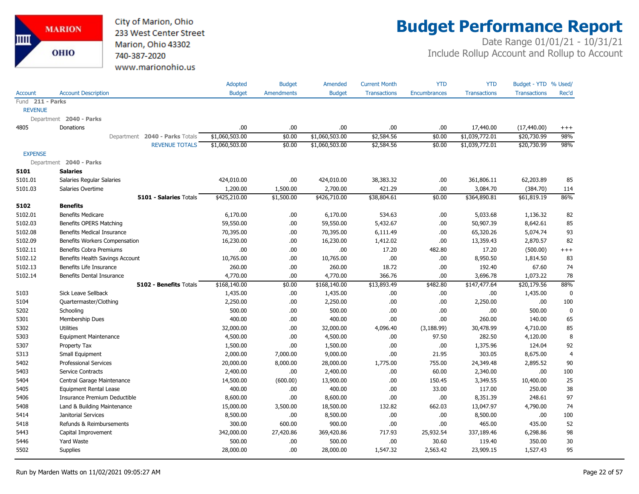

# **Budget Performance Report**

|                  |                                   | Adopted        | <b>Budget</b>     | Amended        | <b>Current Month</b> | <b>YTD</b>          | <b>YTD</b>          | Budget - YTD % Used/ |                |
|------------------|-----------------------------------|----------------|-------------------|----------------|----------------------|---------------------|---------------------|----------------------|----------------|
| <b>Account</b>   | <b>Account Description</b>        | <b>Budget</b>  | <b>Amendments</b> | <b>Budget</b>  | <b>Transactions</b>  | <b>Encumbrances</b> | <b>Transactions</b> | <b>Transactions</b>  | Rec'd          |
| Fund 211 - Parks |                                   |                |                   |                |                      |                     |                     |                      |                |
| <b>REVENUE</b>   |                                   |                |                   |                |                      |                     |                     |                      |                |
|                  | Department 2040 - Parks           |                |                   |                |                      |                     |                     |                      |                |
| 4805             | Donations                         | .00.           | .00.              | .00            | .00                  | .00                 | 17,440.00           | (17, 440.00)         | $^{+++}$       |
|                  | Department 2040 - Parks Totals    | \$1,060,503.00 | \$0.00            | \$1,060,503.00 | \$2,584.56           | \$0.00              | \$1,039,772.01      | \$20,730.99          | 98%            |
|                  | <b>REVENUE TOTALS</b>             | \$1,060,503.00 | \$0.00            | \$1,060,503.00 | \$2,584.56           | \$0.00              | \$1,039,772.01      | \$20,730.99          | 98%            |
| <b>EXPENSE</b>   |                                   |                |                   |                |                      |                     |                     |                      |                |
|                  | Department 2040 - Parks           |                |                   |                |                      |                     |                     |                      |                |
| 5101             | <b>Salaries</b>                   |                |                   |                |                      |                     |                     |                      |                |
| 5101.01          | Salaries Regular Salaries         | 424,010.00     | .00.              | 424,010.00     | 38,383.32            | .00                 | 361,806.11          | 62,203.89            | 85             |
| 5101.03          | Salaries Overtime                 | 1,200.00       | 1,500.00          | 2,700.00       | 421.29               | .00                 | 3,084.70            | (384.70)             | 114            |
|                  | 5101 - Salaries Totals            | \$425,210.00   | \$1,500.00        | \$426,710.00   | \$38,804.61          | \$0.00              | \$364,890.81        | \$61,819.19          | 86%            |
| 5102             | <b>Benefits</b>                   |                |                   |                |                      |                     |                     |                      |                |
| 5102.01          | <b>Benefits Medicare</b>          | 6,170.00       | .00.              | 6,170.00       | 534.63               | .00                 | 5,033.68            | 1,136.32             | 82             |
| 5102.03          | Benefits OPERS Matching           | 59,550.00      | .00.              | 59,550.00      | 5,432.67             | .00                 | 50,907.39           | 8,642.61             | 85             |
| 5102.08          | <b>Benefits Medical Insurance</b> | 70,395.00      | .00.              | 70,395.00      | 6,111.49             | .00                 | 65,320.26           | 5,074.74             | 93             |
| 5102.09          | Benefits Workers Compensation     | 16,230.00      | .00.              | 16,230.00      | 1,412.02             | .00                 | 13,359.43           | 2,870.57             | 82             |
| 5102.11          | <b>Benefits Cobra Premiums</b>    | .00            | .00               | .00            | 17.20                | 482.80              | 17.20               | (500.00)             | $^{+++}$       |
| 5102.12          | Benefits Health Savings Account   | 10,765.00      | .00.              | 10,765.00      | .00.                 | .00                 | 8,950.50            | 1,814.50             | 83             |
| 5102.13          | Benefits Life Insurance           | 260.00         | .00.              | 260.00         | 18.72                | .00                 | 192.40              | 67.60                | 74             |
| 5102.14          | Benefits Dental Insurance         | 4,770.00       | 00.               | 4,770.00       | 366.76               | .00                 | 3,696.78            | 1,073.22             | 78             |
|                  | 5102 - Benefits Totals            | \$168,140.00   | \$0.00            | \$168,140.00   | \$13,893.49          | \$482.80            | \$147,477.64        | \$20,179.56          | 88%            |
| 5103             | Sick Leave Sellback               | 1,435.00       | .00.              | 1,435.00       | .00.                 | .00                 | .00.                | 1,435.00             | 0              |
| 5104             | Quartermaster/Clothing            | 2,250.00       | .00.              | 2,250.00       | .00.                 | .00                 | 2,250.00            | .00                  | 100            |
| 5202             | Schooling                         | 500.00         | .00.              | 500.00         | .00.                 | .00                 | .00.                | 500.00               | $\mathbf 0$    |
| 5301             | Membership Dues                   | 400.00         | .00.              | 400.00         | .00.                 | .00                 | 260.00              | 140.00               | 65             |
| 5302             | <b>Utilities</b>                  | 32,000.00      | .00.              | 32,000.00      | 4,096.40             | (3, 188.99)         | 30,478.99           | 4,710.00             | 85             |
| 5303             | <b>Equipment Maintenance</b>      | 4,500.00       | .00.              | 4,500.00       | .00.                 | 97.50               | 282.50              | 4,120.00             | 8              |
| 5307             | Property Tax                      | 1,500.00       | .00.              | 1,500.00       | .00.                 | .00                 | 1,375.96            | 124.04               | 92             |
| 5313             | Small Equipment                   | 2,000.00       | 7,000.00          | 9,000.00       | .00.                 | 21.95               | 303.05              | 8,675.00             | $\overline{4}$ |
| 5402             | <b>Professional Services</b>      | 20,000.00      | 8,000.00          | 28,000.00      | 1,775.00             | 755.00              | 24,349.48           | 2,895.52             | 90             |
| 5403             | Service Contracts                 | 2,400.00       | .00.              | 2,400.00       | .00.                 | 60.00               | 2,340.00            | .00                  | 100            |
| 5404             | Central Garage Maintenance        | 14,500.00      | (600.00)          | 13,900.00      | .00.                 | 150.45              | 3,349.55            | 10,400.00            | 25             |
| 5405             | <b>Equipment Rental Lease</b>     | 400.00         | .00.              | 400.00         | .00.                 | 33.00               | 117.00              | 250.00               | 38             |
| 5406             | Insurance Premium Deductible      | 8,600.00       | .00.              | 8,600.00       | .00.                 | .00                 | 8,351.39            | 248.61               | 97             |
| 5408             | Land & Building Maintenance       | 15,000.00      | 3,500.00          | 18,500.00      | 132.82               | 662.03              | 13,047.97           | 4,790.00             | 74             |
| 5414             | Janitorial Services               | 8,500.00       | .00.              | 8,500.00       | .00.                 | .00                 | 8,500.00            | .00.                 | 100            |
| 5418             | Refunds & Reimbursements          | 300.00         | 600.00            | 900.00         | .00.                 | .00                 | 465.00              | 435.00               | 52             |
| 5443             | Capital Improvement               | 342,000.00     | 27,420.86         | 369,420.86     | 717.93               | 25,932.54           | 337,189.46          | 6,298.86             | 98             |
| 5446             | Yard Waste                        | 500.00         | .00.              | 500.00         | .00.                 | 30.60               | 119.40              | 350.00               | 30             |
| 5502             | <b>Supplies</b>                   | 28,000.00      | .00.              | 28,000.00      | 1,547.32             | 2,563.42            | 23,909.15           | 1,527.43             | 95             |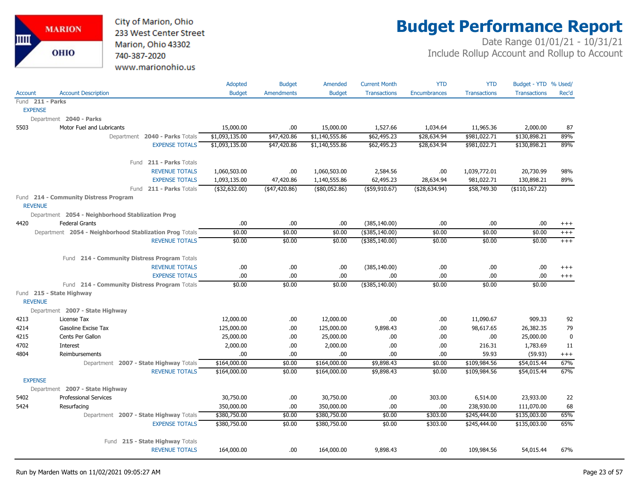

# **Budget Performance Report**

|                  |                                                                 | Adopted        | <b>Budget</b>     | Amended              | <b>Current Month</b>     | <b>YTD</b>     | <b>YTD</b>                   | Budget - YTD % Used/       |                 |
|------------------|-----------------------------------------------------------------|----------------|-------------------|----------------------|--------------------------|----------------|------------------------------|----------------------------|-----------------|
| Account          | <b>Account Description</b>                                      | <b>Budget</b>  | <b>Amendments</b> | <b>Budget</b>        | <b>Transactions</b>      | Encumbrances   | <b>Transactions</b>          | <b>Transactions</b>        | Rec'd           |
| Fund 211 - Parks |                                                                 |                |                   |                      |                          |                |                              |                            |                 |
| <b>EXPENSE</b>   |                                                                 |                |                   |                      |                          |                |                              |                            |                 |
|                  | Department 2040 - Parks                                         |                |                   |                      |                          |                |                              |                            |                 |
| 5503             | Motor Fuel and Lubricants                                       | 15,000.00      | .00               | 15,000.00            | 1,527.66                 | 1,034.64       | 11,965.36                    | 2,000.00                   | 87              |
|                  | Department 2040 - Parks Totals                                  | \$1,093,135.00 | \$47,420.86       | \$1,140,555.86       | \$62,495.23              | \$28,634.94    | \$981,022.71                 | \$130,898.21               | 89%             |
|                  | <b>EXPENSE TOTALS</b>                                           | \$1,093,135.00 | \$47,420.86       | \$1,140,555.86       | \$62,495.23              | \$28,634.94    | \$981,022.71                 | \$130,898.21               | 89%             |
|                  | Fund 211 - Parks Totals                                         |                |                   |                      |                          |                |                              |                            |                 |
|                  | <b>REVENUE TOTALS</b>                                           | 1,060,503.00   | .00               | 1,060,503.00         | 2,584.56                 | .00            | 1,039,772.01                 | 20,730.99                  | 98%             |
|                  | <b>EXPENSE TOTALS</b>                                           | 1,093,135.00   | 47,420.86         | 1,140,555.86         | 62,495.23                | 28,634.94      | 981,022.71                   | 130,898.21                 | 89%             |
|                  | Fund 211 - Parks Totals                                         | (\$32,632.00)  | (47,420.86)       | (\$80,052.86)        | ( \$59, 910.67)          | ( \$28,634.94) | \$58,749.30                  | (\$110, 167.22)            |                 |
| <b>REVENUE</b>   | Fund 214 - Community Distress Program                           |                |                   |                      |                          |                |                              |                            |                 |
|                  | Department 2054 - Neighborhood Stablization Prog                |                |                   |                      |                          |                |                              |                            |                 |
| 4420             | <b>Federal Grants</b>                                           | .00            | .00               | .00                  | (385, 140.00)            | .00            | .00                          | .00                        | $^{+++}$        |
|                  | Department 2054 - Neighborhood Stablization Prog Totals         | \$0.00         | \$0.00            | \$0.00               | $($ \$385,140.00)        | \$0.00         | \$0.00                       | \$0.00                     | $^{+++}$        |
|                  | <b>REVENUE TOTALS</b>                                           | \$0.00         | \$0.00            | \$0.00               | (\$385,140.00)           | \$0.00         | \$0.00                       | \$0.00                     | $+++$           |
|                  |                                                                 |                |                   |                      |                          |                |                              |                            |                 |
|                  | Fund 214 - Community Distress Program Totals                    |                |                   |                      |                          |                |                              |                            |                 |
|                  | <b>REVENUE TOTALS</b>                                           | .00            | .00.              | .00.                 | (385, 140.00)            | .00            | .00.                         | .00                        | $^{+++}$        |
|                  | <b>EXPENSE TOTALS</b>                                           | .00            | .00.              | .00                  | .00                      | .00            | .00                          | .00                        | $^{+++}$        |
|                  | Fund 214 - Community Distress Program Totals                    | \$0.00         | \$0.00            | \$0.00               | (\$385,140.00)           | \$0.00         | \$0.00                       | \$0.00                     |                 |
|                  | Fund 215 - State Highway                                        |                |                   |                      |                          |                |                              |                            |                 |
| <b>REVENUE</b>   |                                                                 |                |                   |                      |                          |                |                              |                            |                 |
|                  | Department 2007 - State Highway                                 |                |                   |                      |                          |                |                              |                            |                 |
| 4213             | License Tax                                                     | 12,000.00      | .00.              | 12,000.00            | .00                      | .00            | 11,090.67                    | 909.33                     | 92              |
| 4214             | Gasoline Excise Tax                                             | 125,000.00     | .00.              | 125,000.00           | 9,898.43                 | .00            | 98,617.65                    | 26,382.35                  | 79              |
| 4215             | Cents Per Gallon                                                | 25,000.00      | .00.              | 25,000.00            | .00                      | .00            | .00                          | 25,000.00                  | $\mathbf 0$     |
| 4702             | Interest                                                        | 2,000.00       | .00.              | 2,000.00             | .00                      | .00            | 216.31                       | 1,783.69                   | 11              |
| 4804             | Reimbursements                                                  | .00            | .00.              | .00.<br>\$164,000.00 | .00                      | .00            | 59.93                        | (59.93)                    | $^{+++}$<br>67% |
|                  | Department 2007 - State Highway Totals<br><b>REVENUE TOTALS</b> | \$164,000.00   | \$0.00            | \$164,000.00         | \$9,898.43<br>\$9,898.43 | \$0.00         | \$109,984.56<br>\$109,984.56 | \$54,015.44<br>\$54,015.44 | 67%             |
| <b>EXPENSE</b>   |                                                                 | \$164,000.00   | \$0.00            |                      |                          | \$0.00         |                              |                            |                 |
|                  | Department 2007 - State Highway                                 |                |                   |                      |                          |                |                              |                            |                 |
| 5402             | <b>Professional Services</b>                                    | 30,750.00      | .00.              | 30,750.00            | .00                      | 303.00         | 6,514.00                     | 23,933.00                  | 22              |
| 5424             | Resurfacing                                                     | 350,000.00     | .00.              | 350,000.00           | .00                      | .00            | 238,930.00                   | 111,070.00                 | 68              |
|                  | Department 2007 - State Highway Totals                          | \$380,750.00   | \$0.00            | \$380,750.00         | \$0.00                   | \$303.00       | \$245,444.00                 | \$135,003.00               | 65%             |
|                  | <b>EXPENSE TOTALS</b>                                           | \$380,750.00   | \$0.00            | \$380,750.00         | \$0.00                   | \$303.00       | \$245,444.00                 | \$135,003.00               | 65%             |
|                  | Fund 215 - State Highway Totals                                 |                |                   |                      |                          |                |                              |                            |                 |
|                  | <b>REVENUE TOTALS</b>                                           | 164,000.00     | .00               | 164,000.00           | 9,898.43                 | .00            | 109,984.56                   | 54,015.44                  | 67%             |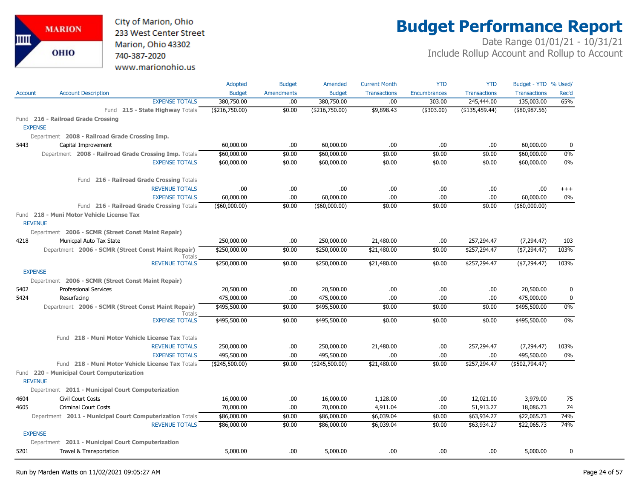City of Marion, Ohio 233 West Center Street Marion, Ohio 43302 740-387-2020 www.marionohio.us

# **Budget Performance Report**

|                |                                                                     | Adopted         | <b>Budget</b>     | Amended          | <b>Current Month</b> | <b>YTD</b>          | <b>YTD</b>          | Budget - YTD % Used/ |             |
|----------------|---------------------------------------------------------------------|-----------------|-------------------|------------------|----------------------|---------------------|---------------------|----------------------|-------------|
| <b>Account</b> | <b>Account Description</b>                                          | <b>Budget</b>   | <b>Amendments</b> | <b>Budget</b>    | <b>Transactions</b>  | <b>Encumbrances</b> | <b>Transactions</b> | <b>Transactions</b>  | Rec'd       |
|                | <b>EXPENSE TOTALS</b>                                               | 380,750.00      | .00.              | 380,750.00       | .00                  | 303.00              | 245,444.00          | 135,003.00           | 65%         |
|                | Fund 215 - State Highway Totals                                     | ( \$216,750.00) | \$0.00            | ( \$216,750.00)  | \$9,898.43           | ( \$303.00)         | $($ \$135,459.44)   | (\$80,987.56)        |             |
|                | Fund 216 - Railroad Grade Crossing                                  |                 |                   |                  |                      |                     |                     |                      |             |
|                | <b>EXPENSE</b>                                                      |                 |                   |                  |                      |                     |                     |                      |             |
|                | Department 2008 - Railroad Grade Crossing Imp.                      |                 |                   |                  |                      |                     |                     |                      |             |
| 5443           | Capital Improvement                                                 | 60,000.00       | .00               | 60,000.00        | .00                  | .00                 | .00                 | 60,000.00            | 0           |
|                | Department 2008 - Railroad Grade Crossing Imp. Totals               | \$60,000.00     | \$0.00            | \$60,000.00      | \$0.00               | \$0.00              | \$0.00              | \$60,000.00          | 0%          |
|                | <b>EXPENSE TOTALS</b>                                               | \$60,000.00     | \$0.00            | \$60,000.00      | \$0.00               | \$0.00              | \$0.00              | \$60,000.00          | $0\%$       |
|                | Fund 216 - Railroad Grade Crossing Totals                           |                 |                   |                  |                      |                     |                     |                      |             |
|                | <b>REVENUE TOTALS</b>                                               | .00.            | .00               | .00.             | .00                  | .00                 | .00                 | .00.                 | $+++$       |
|                | <b>EXPENSE TOTALS</b>                                               | 60,000.00       | .00.              | 60,000.00        | .00                  | .00                 | .00                 | 60,000.00            | 0%          |
|                | Fund 216 - Railroad Grade Crossing Totals                           | ( \$60,000.00)  | \$0.00            | $($ \$60,000.00) | \$0.00               | \$0.00              | \$0.00              | $($ \$60,000.00)     |             |
|                | Fund 218 - Muni Motor Vehicle License Tax                           |                 |                   |                  |                      |                     |                     |                      |             |
|                | <b>REVENUE</b>                                                      |                 |                   |                  |                      |                     |                     |                      |             |
|                | Department 2006 - SCMR (Street Const Maint Repair)                  |                 |                   |                  |                      |                     |                     |                      |             |
| 4218           | Municpal Auto Tax State                                             | 250,000.00      | .00.              | 250,000.00       | 21,480.00            | .00                 | 257,294.47          | (7, 294.47)          | 103         |
|                | Department 2006 - SCMR (Street Const Maint Repair)<br><b>Totals</b> | \$250,000.00    | \$0.00            | \$250,000.00     | \$21,480.00          | \$0.00              | \$257,294.47        | ( \$7,294.47)        | 103%        |
|                | <b>REVENUE TOTALS</b>                                               | \$250,000.00    | \$0.00            | \$250,000.00     | \$21,480.00          | \$0.00              | \$257,294.47        | ( \$7,294.47)        | 103%        |
|                | <b>EXPENSE</b>                                                      |                 |                   |                  |                      |                     |                     |                      |             |
|                | Department 2006 - SCMR (Street Const Maint Repair)                  |                 |                   |                  |                      |                     |                     |                      |             |
| 5402           | <b>Professional Services</b>                                        | 20,500.00       | .00               | 20,500.00        | .00                  | .00                 | .00                 | 20,500.00            | 0           |
| 5424           | Resurfacing                                                         | 475,000.00      | .00               | 475,000.00       | .00                  | .00                 | .00                 | 475,000.00           | $\mathbf 0$ |
|                | Department 2006 - SCMR (Street Const Maint Repair)<br><b>Totals</b> | \$495,500.00    | \$0.00            | \$495,500.00     | \$0.00               | \$0.00              | \$0.00              | \$495,500.00         | $0\%$       |
|                | <b>EXPENSE TOTALS</b>                                               | \$495,500.00    | \$0.00            | \$495,500.00     | \$0.00               | \$0.00              | \$0.00              | \$495,500.00         | 0%          |
|                | Fund 218 - Muni Motor Vehicle License Tax Totals                    |                 |                   |                  |                      |                     |                     |                      |             |
|                | <b>REVENUE TOTALS</b>                                               | 250,000.00      | .00               | 250,000.00       | 21,480.00            | .00                 | 257,294.47          | (7,294.47)           | 103%        |
|                | <b>EXPENSE TOTALS</b>                                               | 495,500.00      | .00               | 495,500.00       | .00                  | .00                 | .00                 | 495,500.00           | 0%          |
|                | Fund 218 - Muni Motor Vehicle License Tax Totals                    | (\$245,500.00)  | \$0.00            | (\$245,500.00)   | \$21,480.00          | \$0.00              | \$257,294.47        | (\$502,794.47)       |             |
|                | Fund 220 - Municipal Court Computerization<br><b>REVENUE</b>        |                 |                   |                  |                      |                     |                     |                      |             |
|                | Department 2011 - Municipal Court Computerization                   |                 |                   |                  |                      |                     |                     |                      |             |
| 4604           | Civil Court Costs                                                   | 16,000.00       | .00.              | 16,000.00        | 1,128.00             | .00                 | 12,021.00           | 3,979.00             | 75          |
| 4605           | <b>Criminal Court Costs</b>                                         | 70,000.00       | .00.              | 70,000.00        | 4,911.04             | .00.                | 51,913.27           | 18,086.73            | 74          |
|                | Department 2011 - Municipal Court Computerization Totals            | \$86,000.00     | \$0.00            | \$86,000.00      | \$6,039.04           | \$0.00              | \$63,934.27         | \$22,065.73          | 74%         |
|                | <b>REVENUE TOTALS</b>                                               | \$86,000.00     | \$0.00            | \$86,000.00      | \$6,039.04           | \$0.00              | \$63,934.27         | \$22,065.73          | 74%         |
|                | <b>EXPENSE</b>                                                      |                 |                   |                  |                      |                     |                     |                      |             |
|                | Department 2011 - Municipal Court Computerization                   |                 |                   |                  |                      |                     |                     |                      |             |
| 5201           | Travel & Transportation                                             | 5,000.00        | .00.              | 5,000.00         | .00                  | .00                 | .00                 | 5,000.00             | 0           |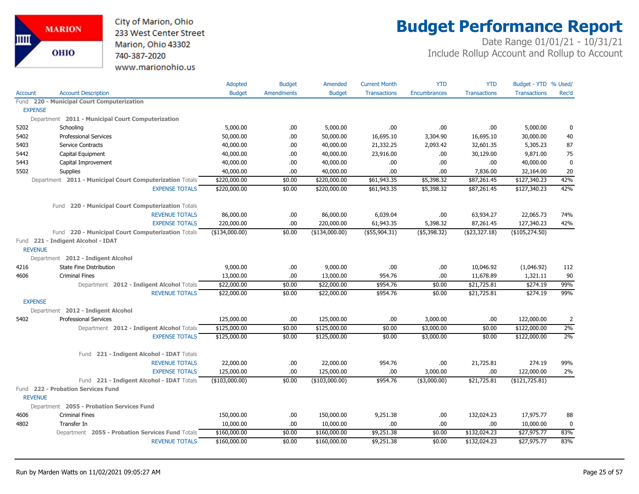

# **Budget Performance Report**

|                |                                                          | Adopted        | <b>Budget</b>     | Amended        | <b>Current Month</b> | <b>YTD</b>          | <b>YTD</b>          | Budget - YTD % Used/ |                |
|----------------|----------------------------------------------------------|----------------|-------------------|----------------|----------------------|---------------------|---------------------|----------------------|----------------|
| <b>Account</b> | <b>Account Description</b>                               | <b>Budget</b>  | <b>Amendments</b> | <b>Budget</b>  | <b>Transactions</b>  | <b>Encumbrances</b> | <b>Transactions</b> | <b>Transactions</b>  | Rec'd          |
|                | Fund 220 - Municipal Court Computerization               |                |                   |                |                      |                     |                     |                      |                |
| <b>EXPENSE</b> |                                                          |                |                   |                |                      |                     |                     |                      |                |
|                | Department 2011 - Municipal Court Computerization        |                |                   |                |                      |                     |                     |                      |                |
| 5202           | Schooling                                                | 5,000.00       | .00               | 5,000.00       | .00                  | .00                 | .00.                | 5,000.00             | 0              |
| 5402           | <b>Professional Services</b>                             | 50,000.00      | .00               | 50,000.00      | 16,695.10            | 3,304.90            | 16,695.10           | 30,000.00            | 40             |
| 5403           | <b>Service Contracts</b>                                 | 40,000.00      | .00               | 40,000.00      | 21,332.25            | 2,093.42            | 32,601.35           | 5,305.23             | 87             |
| 5442           | Capital Equipment                                        | 40,000.00      | .00.              | 40,000.00      | 23,916.00            | .00                 | 30,129.00           | 9,871.00             | 75             |
| 5443           | Capital Improvement                                      | 40,000.00      | .00               | 40,000.00      | .00                  | .00                 | .00                 | 40,000.00            | $\mathbf 0$    |
| 5502           | Supplies                                                 | 40,000.00      | .00               | 40,000.00      | .00                  | .00                 | 7,836.00            | 32,164.00            | 20             |
|                | Department 2011 - Municipal Court Computerization Totals | \$220,000.00   | \$0.00            | \$220,000.00   | \$61,943.35          | \$5,398.32          | \$87,261.45         | \$127,340.23         | 42%            |
|                | <b>EXPENSE TOTALS</b>                                    | \$220,000.00   | \$0.00            | \$220,000.00   | \$61,943.35          | \$5,398.32          | \$87,261.45         | \$127,340.23         | 42%            |
|                | 220 - Municipal Court Computerization Totals<br>Fund     |                |                   |                |                      |                     |                     |                      |                |
|                | <b>REVENUE TOTALS</b>                                    | 86,000.00      | .00               | 86,000.00      | 6,039.04             | .00                 | 63,934.27           | 22,065.73            | 74%            |
|                | <b>EXPENSE TOTALS</b>                                    | 220,000.00     | .00               | 220,000.00     | 61,943.35            | 5,398.32            | 87,261.45           | 127,340.23           | 42%            |
|                | Fund 220 - Municipal Court Computerization Totals        | (\$134,000.00) | \$0.00            | (\$134,000.00) | $($ \$55,904.31)     | (\$5,398.32)        | ( \$23, 327.18)     | (\$105, 274.50)      |                |
| <b>REVENUE</b> | Fund 221 - Indigent Alcohol - IDAT                       |                |                   |                |                      |                     |                     |                      |                |
|                | Department 2012 - Indigent Alcohol                       |                |                   |                |                      |                     |                     |                      |                |
| 4216           | <b>State Fine Distribution</b>                           | 9,000.00       | .00               | 9,000.00       | .00                  | .00                 | 10,046.92           | (1,046.92)           | 112            |
| 4606           | <b>Criminal Fines</b>                                    | 13,000.00      | .00.              | 13,000.00      | 954.76               | .00                 | 11,678.89           | 1,321.11             | 90             |
|                | Department 2012 - Indigent Alcohol Totals                | \$22,000.00    | \$0.00            | \$22,000.00    | \$954.76             | \$0.00              | \$21,725.81         | \$274.19             | 99%            |
|                | <b>REVENUE TOTALS</b>                                    | \$22,000.00    | \$0.00            | \$22,000.00    | \$954.76             | \$0.00              | \$21,725.81         | \$274.19             | 99%            |
| <b>EXPENSE</b> |                                                          |                |                   |                |                      |                     |                     |                      |                |
|                | Department 2012 - Indigent Alcohol                       |                |                   |                |                      |                     |                     |                      |                |
| 5402           | <b>Professional Services</b>                             | 125,000.00     | .00               | 125,000.00     | .00                  | 3,000.00            | .00                 | 122,000.00           | $\overline{2}$ |
|                | Department 2012 - Indigent Alcohol Totals                | \$125,000.00   | \$0.00            | \$125,000.00   | \$0.00               | \$3,000.00          | \$0.00              | \$122,000.00         | 2%             |
|                | <b>EXPENSE TOTALS</b>                                    | \$125,000.00   | \$0.00            | \$125,000.00   | \$0.00               | \$3,000.00          | \$0.00              | \$122,000.00         | 2%             |
|                | 221 - Indigent Alcohol - IDAT Totals<br>Fund             |                |                   |                |                      |                     |                     |                      |                |
|                | <b>REVENUE TOTALS</b>                                    | 22,000.00      | .00.              | 22,000.00      | 954.76               | .00                 | 21,725.81           | 274.19               | 99%            |
|                | <b>EXPENSE TOTALS</b>                                    | 125,000.00     | .00               | 125,000.00     | .00                  | 3,000.00            | .00                 | 122,000.00           | 2%             |
|                | Fund 221 - Indigent Alcohol - IDAT Totals                | (\$103,000.00) | \$0.00            | (\$103,000.00) | \$954.76             | $($ \$3,000.00)     | \$21,725.81         | (\$121,725.81)       |                |
|                | Fund 222 - Probation Services Fund                       |                |                   |                |                      |                     |                     |                      |                |
| <b>REVENUE</b> |                                                          |                |                   |                |                      |                     |                     |                      |                |
|                | Department 2055 - Probation Services Fund                |                |                   |                |                      |                     |                     |                      |                |
| 4606           | <b>Criminal Fines</b>                                    | 150,000.00     | .00.              | 150,000.00     | 9,251.38             | .00                 | 132,024.23          | 17,975.77            | 88             |
| 4802           | Transfer In                                              | 10,000.00      | .00               | 10,000.00      | .00                  | .00                 | .00                 | 10,000.00            | $\mathbf 0$    |
|                | Department 2055 - Probation Services Fund Totals         | \$160,000.00   | \$0.00            | \$160,000.00   | \$9,251.38           | \$0.00              | \$132,024.23        | \$27,975.77          | 83%            |
|                | <b>REVENUE TOTALS</b>                                    | \$160,000.00   | \$0.00            | \$160,000.00   | \$9,251.38           | \$0.00              | \$132,024.23        | \$27,975.77          | 83%            |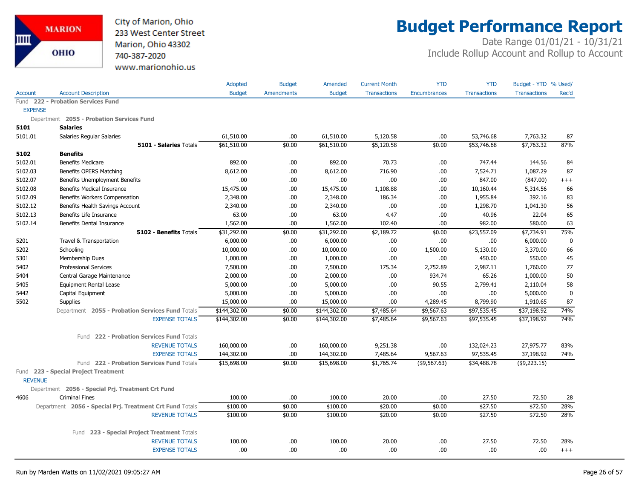

# **Budget Performance Report**

|                |                                                          | <b>Adopted</b> | <b>Budget</b>     | Amended       | <b>Current Month</b> | <b>YTD</b>          | <b>YTD</b>          | Budget - YTD % Used/ |           |
|----------------|----------------------------------------------------------|----------------|-------------------|---------------|----------------------|---------------------|---------------------|----------------------|-----------|
| <b>Account</b> | <b>Account Description</b>                               | <b>Budget</b>  | <b>Amendments</b> | <b>Budget</b> | <b>Transactions</b>  | <b>Encumbrances</b> | <b>Transactions</b> | <b>Transactions</b>  | Rec'd     |
|                | Fund 222 - Probation Services Fund                       |                |                   |               |                      |                     |                     |                      |           |
| <b>EXPENSE</b> |                                                          |                |                   |               |                      |                     |                     |                      |           |
|                | Department 2055 - Probation Services Fund                |                |                   |               |                      |                     |                     |                      |           |
| 5101           | <b>Salaries</b>                                          |                |                   |               |                      |                     |                     |                      |           |
| 5101.01        | Salaries Regular Salaries                                | 61,510.00      | .00               | 61,510.00     | 5,120.58             | .00.                | 53,746.68           | 7,763.32             | 87        |
|                | <b>5101 - Salaries Totals</b>                            | \$61,510.00    | \$0.00            | \$61,510.00   | \$5,120.58           | \$0.00              | \$53,746.68         | \$7,763.32           | 87%       |
| 5102           | <b>Benefits</b>                                          |                |                   |               |                      |                     |                     |                      |           |
| 5102.01        | <b>Benefits Medicare</b>                                 | 892.00         | .00               | 892.00        | 70.73                | .00.                | 747.44              | 144.56               | 84        |
| 5102.03        | Benefits OPERS Matching                                  | 8,612.00       | .00               | 8,612.00      | 716.90               | .00.                | 7,524.71            | 1,087.29             | 87        |
| 5102.07        | Benefits Unemployment Benefits                           | .00            | .00               | .00.          | .00                  | .00.                | 847.00              | (847.00)             | $^{+++}$  |
| 5102.08        | <b>Benefits Medical Insurance</b>                        | 15,475.00      | .00               | 15,475.00     | 1,108.88             | .00                 | 10,160.44           | 5,314.56             | 66        |
| 5102.09        | Benefits Workers Compensation                            | 2,348.00       | .00               | 2,348.00      | 186.34               | .00                 | 1,955.84            | 392.16               | 83        |
| 5102.12        | Benefits Health Savings Account                          | 2,340.00       | .00               | 2,340.00      | .00                  | .00                 | 1,298.70            | 1,041.30             | 56        |
| 5102.13        | Benefits Life Insurance                                  | 63.00          | .00               | 63.00         | 4.47                 | .00                 | 40.96               | 22.04                | 65        |
| 5102.14        | Benefits Dental Insurance                                | 1,562.00       | .00               | 1,562.00      | 102.40               | .00                 | 982.00              | 580.00               | 63        |
|                | 5102 - Benefits Totals                                   | \$31,292.00    | \$0.00            | \$31,292.00   | \$2,189.72           | \$0.00              | \$23,557.09         | \$7,734.91           | 75%       |
| 5201           | Travel & Transportation                                  | 6,000.00       | .00.              | 6,000.00      | .00                  | .00                 | .00                 | 6,000.00             | 0         |
| 5202           | Schooling                                                | 10,000.00      | .00               | 10,000.00     | .00                  | 1,500.00            | 5,130.00            | 3,370.00             | 66        |
| 5301           | Membership Dues                                          | 1,000.00       | .00               | 1,000.00      | .00                  | .00                 | 450.00              | 550.00               | 45        |
| 5402           | <b>Professional Services</b>                             | 7,500.00       | .00               | 7,500.00      | 175.34               | 2,752.89            | 2,987.11            | 1,760.00             | 77        |
| 5404           | Central Garage Maintenance                               | 2,000.00       | .00               | 2,000.00      | .00                  | 934.74              | 65.26               | 1,000.00             | 50        |
| 5405           | <b>Equipment Rental Lease</b>                            | 5,000.00       | .00               | 5,000.00      | .00                  | 90.55               | 2,799.41            | 2,110.04             | 58        |
| 5442           | Capital Equipment                                        | 5,000.00       | .00               | 5,000.00      | .00                  | .00                 | .00                 | 5,000.00             | $\pmb{0}$ |
| 5502           | <b>Supplies</b>                                          | 15,000.00      | .00               | 15,000.00     | .00                  | 4,289.45            | 8,799.90            | 1,910.65             | 87        |
|                | Department 2055 - Probation Services Fund Totals         | \$144,302.00   | \$0.00            | \$144,302.00  | \$7,485.64           | \$9,567.63          | \$97,535.45         | \$37,198.92          | 74%       |
|                | <b>EXPENSE TOTALS</b>                                    | \$144,302.00   | \$0.00            | \$144,302.00  | \$7,485.64           | \$9,567.63          | \$97,535.45         | \$37,198.92          | 74%       |
|                | Fund 222 - Probation Services Fund Totals                |                |                   |               |                      |                     |                     |                      |           |
|                | <b>REVENUE TOTALS</b>                                    | 160,000.00     | .00               | 160,000.00    | 9,251.38             | .00                 | 132,024.23          | 27,975.77            | 83%       |
|                | <b>EXPENSE TOTALS</b>                                    | 144,302.00     | .00               | 144,302.00    | 7,485.64             | 9,567.63            | 97,535.45           | 37,198.92            | 74%       |
|                | Fund 222 - Probation Services Fund Totals                | \$15,698.00    | \$0.00            | \$15,698.00   | \$1,765.74           | (\$9,567.63)        | \$34,488.78         | (\$9,223.15)         |           |
| <b>REVENUE</b> | Fund 223 - Special Project Treatment                     |                |                   |               |                      |                     |                     |                      |           |
|                | Department 2056 - Special Prj. Treatment Crt Fund        |                |                   |               |                      |                     |                     |                      |           |
| 4606           | <b>Criminal Fines</b>                                    | 100.00         | .00               | 100.00        | 20.00                | .00                 | 27.50               | 72.50                | 28        |
|                | Department 2056 - Special Prj. Treatment Crt Fund Totals | \$100.00       | \$0.00            | \$100.00      | \$20.00              | \$0.00              | \$27.50             | \$72.50              | 28%       |
|                | <b>REVENUE TOTALS</b>                                    | \$100.00       | \$0.00            | \$100.00      | \$20.00              | \$0.00              | \$27.50             | \$72.50              | 28%       |
|                |                                                          |                |                   |               |                      |                     |                     |                      |           |
|                | Fund 223 - Special Project Treatment Totals              |                |                   |               |                      |                     |                     |                      |           |
|                | <b>REVENUE TOTALS</b>                                    | 100.00         | .00               | 100.00        | 20.00                | .00.                | 27.50               | 72.50                | 28%       |
|                | <b>EXPENSE TOTALS</b>                                    | .00            | .00.              | .00.          | .00                  | .00                 | .00                 | .00                  | $+++$     |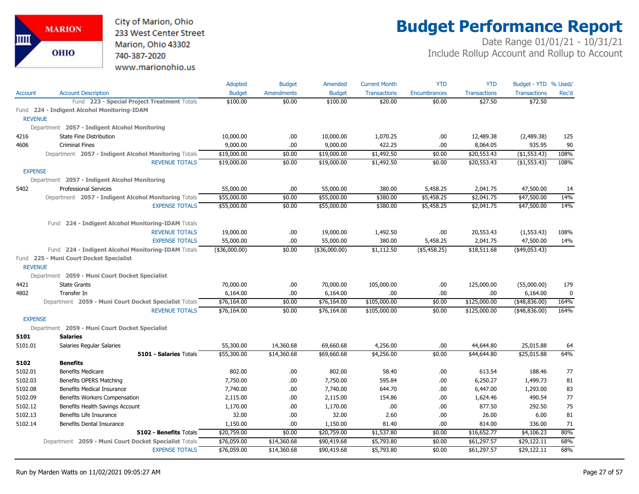City of Marion, Ohio 233 West Center Street Marion, Ohio 43302 740-387-2020 www.marionohio.us

# **Budget Performance Report**

|                |                                                       | Adopted       | <b>Budget</b>     | Amended       | <b>Current Month</b> | <b>YTD</b>          | <b>YTD</b>          | Budget - YTD % Used/ |             |
|----------------|-------------------------------------------------------|---------------|-------------------|---------------|----------------------|---------------------|---------------------|----------------------|-------------|
| Account        | <b>Account Description</b>                            | <b>Budget</b> | <b>Amendments</b> | <b>Budget</b> | <b>Transactions</b>  | <b>Encumbrances</b> | <b>Transactions</b> | <b>Transactions</b>  | Rec'd       |
|                | Fund 223 - Special Project Treatment Totals           | \$100.00      | \$0.00            | \$100.00      | \$20.00              | \$0.00              | \$27.50             | \$72.50              |             |
|                | Fund 224 - Indigent Alcohol Monitoring-IDAM           |               |                   |               |                      |                     |                     |                      |             |
| <b>REVENUE</b> |                                                       |               |                   |               |                      |                     |                     |                      |             |
|                | Department 2057 - Indigent Alcohol Monitoring         |               |                   |               |                      |                     |                     |                      |             |
| 4216           | <b>State Fine Distribution</b>                        | 10,000.00     | .00.              | 10,000.00     | 1,070.25             | .00                 | 12,489.38           | (2,489.38)           | 125         |
| 4606           | <b>Criminal Fines</b>                                 | 9,000.00      | .00.              | 9,000.00      | 422.25               | .00                 | 8,064.05            | 935.95               | 90          |
|                | Department 2057 - Indigent Alcohol Monitoring Totals  | \$19,000.00   | \$0.00            | \$19,000.00   | \$1,492.50           | \$0.00              | \$20,553.43         | (\$1,553.43)         | 108%        |
|                | <b>REVENUE TOTALS</b>                                 | \$19,000.00   | \$0.00            | \$19,000.00   | \$1,492.50           | \$0.00              | \$20,553.43         | (\$1,553.43)         | 108%        |
| <b>EXPENSE</b> |                                                       |               |                   |               |                      |                     |                     |                      |             |
|                | Department 2057 - Indigent Alcohol Monitoring         |               |                   |               |                      |                     |                     |                      |             |
| 5402           | <b>Professional Services</b>                          | 55,000.00     | .00.              | 55,000.00     | 380.00               | 5,458.25            | 2,041.75            | 47,500.00            | 14          |
|                | Department 2057 - Indigent Alcohol Monitoring Totals  | \$55,000.00   | \$0.00            | \$55,000.00   | \$380.00             | \$5,458.25          | \$2,041.75          | \$47,500.00          | 14%         |
|                | <b>EXPENSE TOTALS</b>                                 | \$55,000.00   | \$0.00            | \$55,000.00   | \$380.00             | \$5,458.25          | \$2,041.75          | \$47,500.00          | 14%         |
|                | Fund 224 - Indigent Alcohol Monitoring-IDAM Totals    |               |                   |               |                      |                     |                     |                      |             |
|                | <b>REVENUE TOTALS</b>                                 | 19,000.00     | .00.              | 19,000.00     | 1,492.50             | .00                 | 20,553.43           | (1, 553.43)          | 108%        |
|                | <b>EXPENSE TOTALS</b>                                 | 55,000.00     | .00               | 55,000.00     | 380.00               | 5,458.25            | 2,041.75            | 47,500.00            | 14%         |
|                | Fund 224 - Indigent Alcohol Monitoring-IDAM Totals    | (\$36,000.00) | \$0.00            | (\$36,000.00) | \$1,112.50           | ( \$5,458.25)       | \$18,511.68         | $(*49,053.43)$       |             |
|                | Fund 225 - Muni Court Docket Specialist               |               |                   |               |                      |                     |                     |                      |             |
| <b>REVENUE</b> |                                                       |               |                   |               |                      |                     |                     |                      |             |
|                | Department 2059 - Muni Court Docket Specialist        |               |                   |               |                      |                     |                     |                      |             |
| 4421           | <b>State Grants</b>                                   | 70,000.00     | .00.              | 70,000.00     | 105,000.00           | .00                 | 125,000.00          | (55,000.00)          | 179         |
| 4802           | Transfer In                                           | 6,164.00      | .00.              | 6,164.00      | .00.                 | .00                 | .00                 | 6,164.00             | $\mathbf 0$ |
|                | Department 2059 - Muni Court Docket Specialist Totals | \$76,164.00   | \$0.00            | \$76,164.00   | \$105,000.00         | \$0.00              | \$125,000.00        | (48,836.00)          | 164%        |
|                | <b>REVENUE TOTALS</b>                                 | \$76,164.00   | \$0.00            | \$76,164.00   | \$105,000.00         | \$0.00              | \$125,000.00        | (48,836.00)          | 164%        |
| <b>EXPENSE</b> |                                                       |               |                   |               |                      |                     |                     |                      |             |
|                | Department 2059 - Muni Court Docket Specialist        |               |                   |               |                      |                     |                     |                      |             |
| 5101           | <b>Salaries</b>                                       |               |                   |               |                      |                     |                     |                      |             |
| 5101.01        | Salaries Regular Salaries                             | 55,300.00     | 14,360.68         | 69,660.68     | 4,256.00             | .00                 | 44,644.80           | 25,015.88            | 64          |
|                | 5101 - Salaries Totals                                | \$55,300.00   | \$14,360.68       | \$69,660.68   | \$4,256.00           | \$0.00              | \$44,644.80         | \$25,015.88          | 64%         |
| 5102           | <b>Benefits</b>                                       |               |                   |               |                      |                     |                     |                      |             |
| 5102.01        | <b>Benefits Medicare</b>                              | 802.00        | .00               | 802.00        | 58.40                | .00                 | 613.54              | 188.46               | 77          |
| 5102.03        | Benefits OPERS Matching                               | 7,750.00      | .00               | 7,750.00      | 595.84               | .00                 | 6,250.27            | 1,499.73             | 81          |
| 5102.08        | <b>Benefits Medical Insurance</b>                     | 7,740.00      | .00.              | 7,740.00      | 644.70               | .00                 | 6,447.00            | 1,293.00             | 83          |
| 5102.09        | Benefits Workers Compensation                         | 2,115.00      | .00               | 2,115.00      | 154.86               | .00                 | 1,624.46            | 490.54               | 77          |
| 5102.12        | Benefits Health Savings Account                       | 1,170.00      | .00               | 1,170.00      | .00.                 | .00                 | 877.50              | 292.50               | 75          |
| 5102.13        | Benefits Life Insurance                               | 32.00         | .00.              | 32.00         | 2.60                 | .00                 | 26.00               | 6.00                 | 81          |
| 5102.14        | Benefits Dental Insurance                             | 1,150.00      | .00               | 1,150.00      | 81.40                | .00                 | 814.00              | 336.00               | 71          |
|                | 5102 - Benefits Totals                                | \$20,759.00   | \$0.00            | \$20,759.00   | \$1,537.80           | \$0.00              | \$16,652.77         | \$4,106.23           | 80%         |
|                | Department 2059 - Muni Court Docket Specialist Totals | \$76,059.00   | \$14,360.68       | \$90,419.68   | \$5,793.80           | \$0.00              | \$61,297.57         | \$29,122.11          | 68%         |
|                | <b>EXPENSE TOTALS</b>                                 | \$76,059.00   | \$14,360.68       | \$90,419.68   | \$5,793.80           | \$0.00              | \$61,297.57         | \$29,122.11          | 68%         |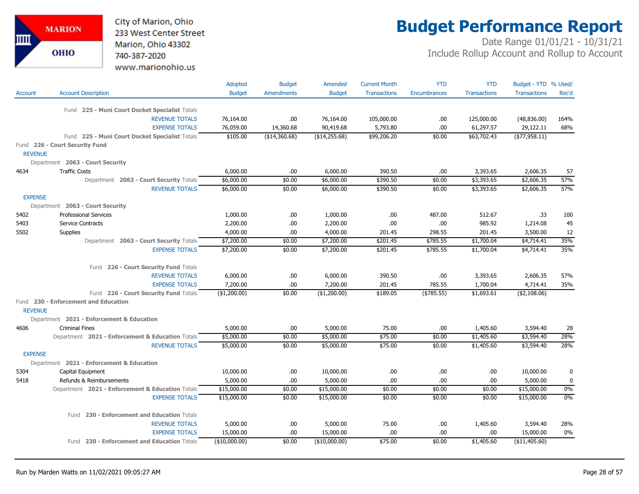City of Marion, Ohio 233 West Center Street Marion, Ohio 43302 740-387-2020 www.marionohio.us

# **Budget Performance Report**

|                |                                                  | Adopted       | <b>Budget</b>     | Amended       | <b>Current Month</b> | <b>YTD</b>          | <b>YTD</b>          | Budget - YTD % Used/ |              |
|----------------|--------------------------------------------------|---------------|-------------------|---------------|----------------------|---------------------|---------------------|----------------------|--------------|
| Account        | <b>Account Description</b>                       | <b>Budget</b> | <b>Amendments</b> | <b>Budget</b> | <b>Transactions</b>  | <b>Encumbrances</b> | <b>Transactions</b> | <b>Transactions</b>  | Rec'd        |
|                |                                                  |               |                   |               |                      |                     |                     |                      |              |
|                | Fund 225 - Muni Court Docket Specialist Totals   |               |                   |               |                      |                     |                     |                      |              |
|                | <b>REVENUE TOTALS</b>                            | 76,164.00     | .00               | 76,164.00     | 105,000.00           | .00                 | 125,000.00          | (48,836.00)          | 164%         |
|                | <b>EXPENSE TOTALS</b>                            | 76,059.00     | 14,360.68         | 90,419.68     | 5,793.80             | .00                 | 61,297.57           | 29,122.11            | 68%          |
|                | Fund 225 - Muni Court Docket Specialist Totals   | \$105.00      | ( \$14,360.68)    | (\$14,255.68) | \$99,206.20          | \$0.00              | \$63,702.43         | $($ \$77,958.11)     |              |
| <b>REVENUE</b> | Fund 226 - Court Security Fund                   |               |                   |               |                      |                     |                     |                      |              |
|                | Department 2063 - Court Security                 |               |                   |               |                      |                     |                     |                      |              |
| 4634           | <b>Traffic Costs</b>                             | 6,000.00      | .00               | 6,000.00      | 390.50               | .00                 | 3,393.65            | 2,606.35             | 57           |
|                | Department 2063 - Court Security Totals          | \$6,000.00    | \$0.00            | \$6,000.00    | \$390.50             | \$0.00              | \$3,393.65          | \$2,606.35           | 57%          |
|                | <b>REVENUE TOTALS</b>                            | \$6,000.00    | \$0.00            | \$6,000.00    | \$390.50             | \$0.00              | \$3,393.65          | \$2,606.35           | 57%          |
| <b>EXPENSE</b> |                                                  |               |                   |               |                      |                     |                     |                      |              |
|                | Department 2063 - Court Security                 |               |                   |               |                      |                     |                     |                      |              |
| 5402           | <b>Professional Services</b>                     | 1,000.00      | .00.              | 1,000.00      | .00                  | 487.00              | 512.67              | .33                  | 100          |
| 5403           | <b>Service Contracts</b>                         | 2,200.00      | .00.              | 2,200.00      | .00                  | .00                 | 985.92              | 1,214.08             | 45           |
| 5502           | <b>Supplies</b>                                  | 4,000.00      | .00               | 4,000.00      | 201.45               | 298.55              | 201.45              | 3,500.00             | 12           |
|                | Department 2063 - Court Security Totals          | \$7,200.00    | \$0.00            | \$7,200.00    | \$201.45             | \$785.55            | \$1,700.04          | \$4,714.41           | 35%          |
|                | <b>EXPENSE TOTALS</b>                            | \$7,200.00    | \$0.00            | \$7,200.00    | \$201.45             | \$785.55            | \$1,700.04          | \$4,714.41           | 35%          |
|                | Fund 226 - Court Security Fund Totals            |               |                   |               |                      |                     |                     |                      |              |
|                | <b>REVENUE TOTALS</b>                            | 6,000.00      | .00               | 6,000.00      | 390.50               | .00                 | 3,393.65            | 2,606.35             | 57%          |
|                | <b>EXPENSE TOTALS</b>                            | 7,200.00      | .00               | 7,200.00      | 201.45               | 785.55              | 1,700.04            | 4,714.41             | 35%          |
|                | Fund 226 - Court Security Fund Totals            | (\$1,200.00)  | \$0.00            | (\$1,200.00)  | \$189.05             | ( \$785.55)         | \$1,693.61          | $($ \$2,108.06)      |              |
|                | Fund 230 - Enforcement and Education             |               |                   |               |                      |                     |                     |                      |              |
| <b>REVENUE</b> |                                                  |               |                   |               |                      |                     |                     |                      |              |
|                | Department 2021 - Enforcement & Education        |               |                   |               |                      |                     |                     |                      |              |
| 4606           | <b>Criminal Fines</b>                            | 5,000.00      | .00.              | 5,000.00      | 75.00                | .00                 | 1,405.60            | 3,594.40             | 28           |
|                | Department 2021 - Enforcement & Education Totals | \$5,000.00    | \$0.00            | \$5,000.00    | \$75.00              | \$0.00              | \$1,405.60          | \$3,594.40           | 28%          |
|                | <b>REVENUE TOTALS</b>                            | \$5,000.00    | \$0.00            | \$5,000.00    | \$75.00              | \$0.00              | \$1,405.60          | \$3,594.40           | 28%          |
| <b>EXPENSE</b> |                                                  |               |                   |               |                      |                     |                     |                      |              |
|                | Department 2021 - Enforcement & Education        |               |                   |               |                      |                     |                     |                      |              |
| 5304           | Capital Equipment                                | 10,000.00     | .00.              | 10,000.00     | .00.                 | .00                 | .00.                | 10,000.00            | $\mathbf{0}$ |
| 5418           | Refunds & Reimbursements                         | 5,000.00      | .00               | 5,000.00      | .00                  | .00                 | .00.                | 5,000.00             | 0            |
|                | Department 2021 - Enforcement & Education Totals | \$15,000.00   | \$0.00            | \$15,000.00   | \$0.00               | \$0.00              | \$0.00              | \$15,000.00          | 0%           |
|                | <b>EXPENSE TOTALS</b>                            | \$15,000.00   | \$0.00            | \$15,000.00   | \$0.00               | \$0.00              | \$0.00              | \$15,000.00          | 0%           |
|                | Fund 230 - Enforcement and Education Totals      |               |                   |               |                      |                     |                     |                      |              |
|                | <b>REVENUE TOTALS</b>                            | 5,000.00      | .00.              | 5,000.00      | 75.00                | .00                 | 1,405.60            | 3,594.40             | 28%          |
|                | <b>EXPENSE TOTALS</b>                            | 15,000.00     | .00               | 15,000.00     | .00                  | .00                 | .00.                | 15,000.00            | $0\%$        |
|                | Fund 230 - Enforcement and Education Totals      | (\$10,000.00) | \$0.00            | (\$10,000.00) | \$75.00              | \$0.00              | \$1,405.60          | ( \$11,405.60)       |              |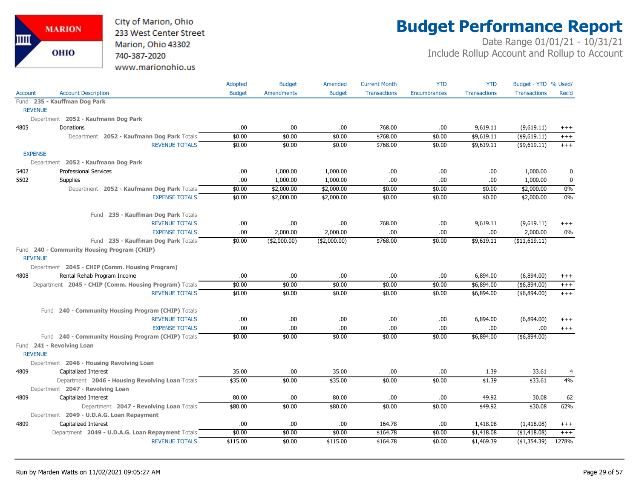

# **Budget Performance Report**

|                |                                                                                | Adopted          | <b>Budget</b>     | Amended          | <b>Current Month</b> | <b>YTD</b>          | <b>YTD</b>               | Budget - YTD % Used/           |                   |
|----------------|--------------------------------------------------------------------------------|------------------|-------------------|------------------|----------------------|---------------------|--------------------------|--------------------------------|-------------------|
| <b>Account</b> | <b>Account Description</b>                                                     | <b>Budget</b>    | <b>Amendments</b> | <b>Budget</b>    | <b>Transactions</b>  | <b>Encumbrances</b> | <b>Transactions</b>      | <b>Transactions</b>            | Rec'd             |
|                | Fund 235 - Kauffman Dog Park                                                   |                  |                   |                  |                      |                     |                          |                                |                   |
|                | <b>REVENUE</b>                                                                 |                  |                   |                  |                      |                     |                          |                                |                   |
|                | Department 2052 - Kaufmann Dog Park                                            |                  |                   |                  |                      |                     |                          |                                |                   |
| 4805           | Donations                                                                      | .00              | .00.              | .00.             | 768.00               | .00                 | 9,619.11                 | (9,619.11)                     | $^{+++}$          |
|                | Department 2052 - Kaufmann Dog Park Totals                                     | \$0.00           | \$0.00            | \$0.00           | \$768.00             | \$0.00              | \$9,619.11               | $($ \$9,619.11)                | $^{+++}$          |
|                | <b>REVENUE TOTALS</b>                                                          | \$0.00           | \$0.00            | \$0.00           | \$768.00             | \$0.00              | \$9,619.11               | $($ \$9,619.11)                | $^{+++}$          |
| <b>EXPENSE</b> |                                                                                |                  |                   |                  |                      |                     |                          |                                |                   |
|                | Department 2052 - Kaufmann Dog Park                                            |                  |                   |                  |                      |                     |                          |                                |                   |
| 5402           | <b>Professional Services</b>                                                   | .00.             | 1,000.00          | 1,000.00         | .00                  | .00                 | .00.                     | 1,000.00                       | 0                 |
| 5502           | Supplies                                                                       | .00.             | 1,000.00          | 1,000.00         | .00                  | .00                 | .00                      | 1,000.00                       | 0                 |
|                | Department 2052 - Kaufmann Dog Park Totals                                     | \$0.00           | \$2,000.00        | \$2,000.00       | \$0.00               | \$0.00              | \$0.00                   | \$2,000.00                     | 0%                |
|                | <b>EXPENSE TOTALS</b>                                                          | \$0.00           | \$2,000.00        | \$2,000.00       | \$0.00               | \$0.00              | \$0.00                   | \$2,000.00                     | 0%                |
|                | Fund 235 - Kauffman Dog Park Totals                                            |                  |                   |                  |                      |                     |                          |                                |                   |
|                | <b>REVENUE TOTALS</b>                                                          | .00              | .00.              | .00.             | 768.00               | .00                 | 9,619.11                 | (9,619.11)                     | $^{+++}$          |
|                | <b>EXPENSE TOTALS</b>                                                          | .00              | 2,000.00          | 2,000.00         | .00                  | .00.                | .00                      | 2,000.00                       | 0%                |
|                | Fund 235 - Kauffman Dog Park Totals                                            | \$0.00           | ( \$2,000.00)     | ( \$2,000.00)    | \$768.00             | \$0.00              | \$9,619.11               | ( \$11,619.11)                 |                   |
|                | Fund 240 - Community Housing Program (CHIP)<br><b>REVENUE</b>                  |                  |                   |                  |                      |                     |                          |                                |                   |
|                |                                                                                |                  |                   |                  |                      |                     |                          |                                |                   |
|                | Department 2045 - CHIP (Comm. Housing Program)                                 |                  |                   |                  |                      |                     |                          |                                |                   |
| 4808           | Rental Rehab Program Income                                                    | .00.             | .00.              | .00.             | .00                  | .00.                | 6,894.00                 | (6,894.00)                     | $^{+++}$          |
|                | Department 2045 - CHIP (Comm. Housing Program) Totals<br><b>REVENUE TOTALS</b> | \$0.00<br>\$0.00 | \$0.00<br>\$0.00  | \$0.00<br>\$0.00 | \$0.00               | \$0.00              | \$6,894.00<br>\$6,894.00 | ( \$6,894.00)<br>( \$6,894.00) | $^{+++}$<br>$+++$ |
|                |                                                                                |                  |                   |                  | \$0.00               | \$0.00              |                          |                                |                   |
|                | Fund 240 - Community Housing Program (CHIP) Totals                             |                  |                   |                  |                      |                     |                          |                                |                   |
|                | <b>REVENUE TOTALS</b>                                                          | .00              | .00               | .00.             | .00                  | .00                 | 6,894.00                 | (6,894.00)                     | $^{+++}$          |
|                | <b>EXPENSE TOTALS</b>                                                          | .00              | .00               | .00.             | .00                  | .00                 | .00                      | .00                            | $+++$             |
|                | Fund 240 - Community Housing Program (CHIP) Totals                             | \$0.00           | \$0.00            | \$0.00           | \$0.00               | \$0.00              | \$6,894.00               | ( \$6,894.00)                  |                   |
|                | Fund 241 - Revolving Loan                                                      |                  |                   |                  |                      |                     |                          |                                |                   |
|                | <b>REVENUE</b>                                                                 |                  |                   |                  |                      |                     |                          |                                |                   |
|                | Department 2046 - Housing Revolving Loan                                       |                  |                   |                  |                      |                     |                          |                                |                   |
| 4809           | Capitalized Interest                                                           | 35.00            | .00               | 35.00            | .00                  | .00                 | 1.39                     | 33.61                          | 4                 |
|                | Department 2046 - Housing Revolving Loan Totals                                | \$35.00          | \$0.00            | \$35.00          | \$0.00               | \$0.00              | \$1.39                   | \$33.61                        | 4%                |
|                | Department 2047 - Revolving Loan                                               |                  |                   |                  |                      |                     |                          |                                |                   |
| 4809           | Capitalized Interest                                                           | 80.00            | .00.              | 80.00            | .00                  | .00                 | 49.92                    | 30.08                          | 62                |
|                | Department 2047 - Revolving Loan Totals                                        | \$80.00          | \$0.00            | \$80.00          | \$0.00               | \$0.00              | \$49.92                  | \$30.08                        | 62%               |
|                | Department 2049 - U.D.A.G. Loan Repayment                                      |                  |                   |                  |                      |                     |                          |                                |                   |
| 4809           | Capitalized Interest                                                           | .00.             | .00.              | .00.             | 164.78               | .00.                | 1,418.08                 | (1,418.08)                     | $^{+++}$          |
|                | Department 2049 - U.D.A.G. Loan Repayment Totals                               | \$0.00           | \$0.00            | \$0.00           | \$164.78             | \$0.00              | \$1,418.08               | (\$1,418.08)                   | $+++$             |
|                | <b>REVENUE TOTALS</b>                                                          | \$115.00         | \$0.00            | \$115.00         | \$164.78             | \$0.00              | \$1,469.39               | (\$1,354.39)                   | 1278%             |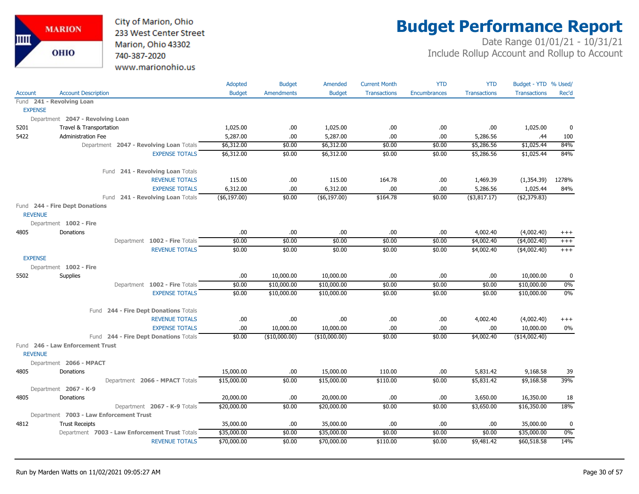

# **Budget Performance Report**

|                |                                                | Adopted       | <b>Budget</b>     | Amended         | <b>Current Month</b> | <b>YTD</b>   | <b>YTD</b>          | Budget - YTD % Used/ |          |
|----------------|------------------------------------------------|---------------|-------------------|-----------------|----------------------|--------------|---------------------|----------------------|----------|
| <b>Account</b> | <b>Account Description</b>                     | <b>Budget</b> | <b>Amendments</b> | <b>Budget</b>   | <b>Transactions</b>  | Encumbrances | <b>Transactions</b> | <b>Transactions</b>  | Rec'd    |
|                | Fund 241 - Revolving Loan                      |               |                   |                 |                      |              |                     |                      |          |
| <b>EXPENSE</b> |                                                |               |                   |                 |                      |              |                     |                      |          |
|                | Department 2047 - Revolving Loan               |               |                   |                 |                      |              |                     |                      |          |
| 5201           | Travel & Transportation                        | 1,025.00      | .00.              | 1,025.00        | .00                  | .00          | .00.                | 1,025.00             | 0        |
| 5422           | <b>Administration Fee</b>                      | 5,287.00      | .00.              | 5,287.00        | .00                  | .00          | 5,286.56            | .44                  | 100      |
|                | Department 2047 - Revolving Loan Totals        | \$6,312.00    | \$0.00            | \$6,312.00      | \$0.00               | \$0.00       | \$5,286.56          | \$1,025.44           | 84%      |
|                | <b>EXPENSE TOTALS</b>                          | \$6,312.00    | \$0.00            | \$6,312.00      | \$0.00               | \$0.00       | \$5,286.56          | \$1,025.44           | 84%      |
|                | Fund 241 - Revolving Loan Totals               |               |                   |                 |                      |              |                     |                      |          |
|                | <b>REVENUE TOTALS</b>                          | 115.00        | .00.              | 115.00          | 164.78               | .00          | 1,469.39            | (1,354.39)           | 1278%    |
|                | <b>EXPENSE TOTALS</b>                          | 6,312.00      | .00.              | 6,312.00        | .00                  | .00.         | 5,286.56            | 1,025.44             | 84%      |
|                | Fund 241 - Revolving Loan Totals               | $(*6,197.00)$ | \$0.00            | $($ \$6,197.00) | \$164.78             | \$0.00       | $($ \$3,817.17 $)$  | (\$2,379.83)         |          |
| <b>REVENUE</b> | Fund 244 - Fire Dept Donations                 |               |                   |                 |                      |              |                     |                      |          |
|                | Department 1002 - Fire                         |               |                   |                 |                      |              |                     |                      |          |
| 4805           | Donations                                      | .00           | .00.              | .00             | .00                  | .00.         | 4,002.40            | (4,002.40)           | $^{+++}$ |
|                | Department 1002 - Fire Totals                  | \$0.00        | \$0.00            | \$0.00          | \$0.00               | \$0.00       | \$4,002.40          | $($ \$4,002.40)      | $^{+++}$ |
|                | <b>REVENUE TOTALS</b>                          | \$0.00        | \$0.00            | \$0.00          | \$0.00               | \$0.00       | \$4,002.40          | ( \$4,002.40)        | $+++$    |
| <b>EXPENSE</b> |                                                |               |                   |                 |                      |              |                     |                      |          |
|                | Department 1002 - Fire                         |               |                   |                 |                      |              |                     |                      |          |
| 5502           | <b>Supplies</b>                                | .00           | 10,000.00         | 10,000.00       | .00.                 | .00.         | .00.                | 10,000.00            | 0        |
|                | Department 1002 - Fire Totals                  | \$0.00        | \$10,000.00       | \$10,000.00     | \$0.00               | \$0.00       | \$0.00              | \$10,000.00          | 0%       |
|                | <b>EXPENSE TOTALS</b>                          | \$0.00        | \$10,000.00       | \$10,000.00     | \$0.00               | \$0.00       | \$0.00              | \$10,000.00          | $0\%$    |
|                | Fund 244 - Fire Dept Donations Totals          |               |                   |                 |                      |              |                     |                      |          |
|                | <b>REVENUE TOTALS</b>                          | .00           | .00.              | .00             | .00                  | .00.         | 4,002.40            | (4,002.40)           | $^{+++}$ |
|                | <b>EXPENSE TOTALS</b>                          | .00           | 10,000.00         | 10,000.00       | .00                  | .00          | .00                 | 10,000.00            | 0%       |
|                | Fund 244 - Fire Dept Donations Totals          | \$0.00        | (\$10,000.00)     | (\$10,000.00)   | \$0.00               | \$0.00       | \$4,002.40          | (\$14,002.40)        |          |
| <b>REVENUE</b> | Fund 246 - Law Enforcement Trust               |               |                   |                 |                      |              |                     |                      |          |
|                | Department 2066 - MPACT                        |               |                   |                 |                      |              |                     |                      |          |
| 4805           | Donations                                      | 15,000.00     | .00.              | 15,000.00       | 110.00               | .00          | 5,831.42            | 9,168.58             | 39       |
|                | Department 2066 - MPACT Totals                 | \$15,000.00   | \$0.00            | \$15,000.00     | \$110.00             | \$0.00       | \$5,831.42          | \$9,168.58           | 39%      |
|                | Department 2067 - K-9                          |               |                   |                 |                      |              |                     |                      |          |
| 4805           | Donations                                      | 20,000.00     | .00.              | 20,000.00       | .00                  | .00          | 3,650.00            | 16,350.00            | 18       |
|                | Department 2067 - K-9 Totals                   | \$20,000.00   | \$0.00            | \$20,000.00     | \$0.00               | \$0.00       | \$3,650.00          | \$16,350.00          | 18%      |
|                | Department 7003 - Law Enforcement Trust        |               |                   |                 |                      |              |                     |                      |          |
| 4812           | <b>Trust Receipts</b>                          | 35,000.00     | .00.              | 35,000.00       | .00                  | .00.         | .00.                | 35,000.00            | 0        |
|                | Department 7003 - Law Enforcement Trust Totals | \$35,000.00   | \$0.00            | \$35,000.00     | \$0.00               | \$0.00       | \$0.00              | \$35,000.00          | 0%       |
|                | <b>REVENUE TOTALS</b>                          | \$70,000.00   | \$0.00            | \$70,000.00     | \$110.00             | \$0.00       | \$9,481.42          | \$60,518.58          | 14%      |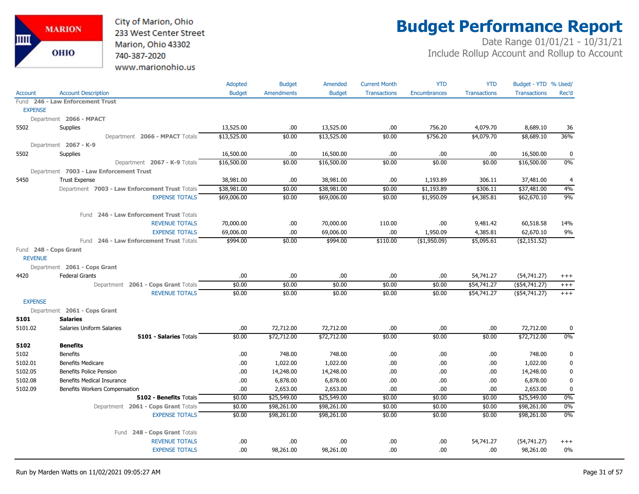

# **Budget Performance Report**

|                |                                                | Adopted       | <b>Budget</b>     | Amended       | <b>Current Month</b> | <b>YTD</b>          | <b>YTD</b>          | Budget - YTD % Used/ |             |
|----------------|------------------------------------------------|---------------|-------------------|---------------|----------------------|---------------------|---------------------|----------------------|-------------|
| <b>Account</b> | <b>Account Description</b>                     | <b>Budget</b> | <b>Amendments</b> | <b>Budget</b> | <b>Transactions</b>  | <b>Encumbrances</b> | <b>Transactions</b> | <b>Transactions</b>  | Rec'd       |
|                | Fund 246 - Law Enforcement Trust               |               |                   |               |                      |                     |                     |                      |             |
| <b>EXPENSE</b> |                                                |               |                   |               |                      |                     |                     |                      |             |
|                | Department 2066 - MPACT                        |               |                   |               |                      |                     |                     |                      |             |
| 5502           | Supplies                                       | 13,525.00     | .00.              | 13,525.00     | .00.                 | 756.20              | 4,079.70            | 8,689.10             | 36          |
|                | Department 2066 - MPACT Totals                 | \$13,525.00   | \$0.00            | \$13,525.00   | \$0.00               | \$756.20            | \$4,079.70          | \$8,689.10           | 36%         |
|                | Department 2067 - K-9                          |               |                   |               |                      |                     |                     |                      |             |
| 5502           | <b>Supplies</b>                                | 16,500.00     | .00.              | 16,500.00     | .00.                 | .00                 | .00                 | 16,500.00            | 0           |
|                | Department 2067 - K-9 Totals                   | \$16,500.00   | \$0.00            | \$16,500.00   | \$0.00               | \$0.00              | \$0.00              | \$16,500.00          | 0%          |
|                | Department 7003 - Law Enforcement Trust        |               |                   |               |                      |                     |                     |                      |             |
| 5450           | <b>Trust Expense</b>                           | 38,981.00     | .00.              | 38,981.00     | .00.                 | 1,193.89            | 306.11              | 37,481.00            | 4           |
|                | Department 7003 - Law Enforcement Trust Totals | \$38,981.00   | \$0.00            | \$38,981.00   | \$0.00               | \$1,193.89          | \$306.11            | \$37,481.00          | 4%          |
|                | <b>EXPENSE TOTALS</b>                          | \$69,006.00   | \$0.00            | \$69,006.00   | \$0.00               | \$1,950.09          | \$4,385.81          | \$62,670.10          | 9%          |
|                | 246 - Law Enforcement Trust Totals<br>Fund     |               |                   |               |                      |                     |                     |                      |             |
|                | <b>REVENUE TOTALS</b>                          | 70,000.00     | .00.              | 70,000.00     | 110.00               | .00.                | 9,481.42            | 60,518.58            | 14%         |
|                | <b>EXPENSE TOTALS</b>                          | 69,006.00     | .00.              | 69,006.00     | .00.                 | 1,950.09            | 4,385.81            | 62,670.10            | 9%          |
|                | Fund 246 - Law Enforcement Trust Totals        | \$994.00      | \$0.00            | \$994.00      | \$110.00             | ( \$1,950.09)       | \$5,095.61          | ( \$2,151.52)        |             |
|                | Fund 248 - Cops Grant                          |               |                   |               |                      |                     |                     |                      |             |
| <b>REVENUE</b> |                                                |               |                   |               |                      |                     |                     |                      |             |
|                | Department 2061 - Cops Grant                   |               |                   |               |                      |                     |                     |                      |             |
| 4420           | <b>Federal Grants</b>                          | .00           | .00.              | .00           | .00.                 | .00.                | 54,741.27           | (54, 741.27)         | $^{+++}$    |
|                | Department 2061 - Cops Grant Totals            | \$0.00        | \$0.00            | \$0.00        | \$0.00               | \$0.00              | \$54,741.27         | $($ \$54,741.27)     | $^{+++}$    |
|                | <b>REVENUE TOTALS</b>                          | \$0.00        | \$0.00            | \$0.00        | \$0.00               | \$0.00              | \$54,741.27         | $($ \$54,741.27)     | $+++$       |
| <b>EXPENSE</b> |                                                |               |                   |               |                      |                     |                     |                      |             |
|                | Department 2061 - Cops Grant                   |               |                   |               |                      |                     |                     |                      |             |
| 5101           | <b>Salaries</b>                                |               |                   |               |                      |                     |                     |                      |             |
| 5101.02        | Salaries Uniform Salaries                      | .00           | 72,712.00         | 72,712.00     | .00.                 | .00                 | .00                 | 72,712.00            | $\mathbf 0$ |
|                | 5101 - Salaries Totals                         | \$0.00        | \$72,712.00       | \$72,712.00   | \$0.00               | \$0.00              | \$0.00              | \$72,712.00          | 0%          |
| 5102           | <b>Benefits</b>                                |               |                   |               |                      |                     |                     |                      |             |
| 5102           | <b>Benefits</b>                                | .00           | 748.00            | 748.00        | .00.                 | .00.                | .00                 | 748.00               | $\bf{0}$    |
| 5102.01        | <b>Benefits Medicare</b>                       | .00           | 1,022.00          | 1,022.00      | .00.                 | .00                 | .00                 | 1,022.00             | $\bf{0}$    |
| 5102.05        | <b>Benefits Police Pension</b>                 | .00           | 14,248.00         | 14,248.00     | .00.                 | .00                 | .00                 | 14,248.00            | $\pmb{0}$   |
| 5102.08        | <b>Benefits Medical Insurance</b>              | .00           | 6,878.00          | 6,878.00      | .00.                 | .00                 | .00                 | 6,878.00             | $\bf{0}$    |
| 5102.09        | Benefits Workers Compensation                  | .00           | 2,653.00          | 2,653.00      | .00.                 | .00                 | .00                 | 2,653.00             | $\bf{0}$    |
|                | 5102 - Benefits Totals                         | \$0.00        | \$25,549.00       | \$25,549.00   | \$0.00               | \$0.00              | \$0.00              | \$25,549.00          | 0%          |
|                | Department 2061 - Cops Grant Totals            | \$0.00        | \$98,261.00       | \$98,261.00   | \$0.00               | \$0.00              | \$0.00              | \$98,261.00          | 0%          |
|                | <b>EXPENSE TOTALS</b>                          | \$0.00        | \$98,261.00       | \$98,261.00   | \$0.00               | \$0.00              | \$0.00              | \$98,261.00          | 0%          |
|                | Fund 248 - Cops Grant Totals                   |               |                   |               |                      |                     |                     |                      |             |
|                | <b>REVENUE TOTALS</b>                          | .00           | .00               | .00           | .00.                 | .00                 | 54,741.27           | (54, 741.27)         | $^{+++}$    |
|                | <b>EXPENSE TOTALS</b>                          | .00           | 98,261.00         | 98,261.00     | .00.                 | .00                 | .00                 | 98,261.00            | 0%          |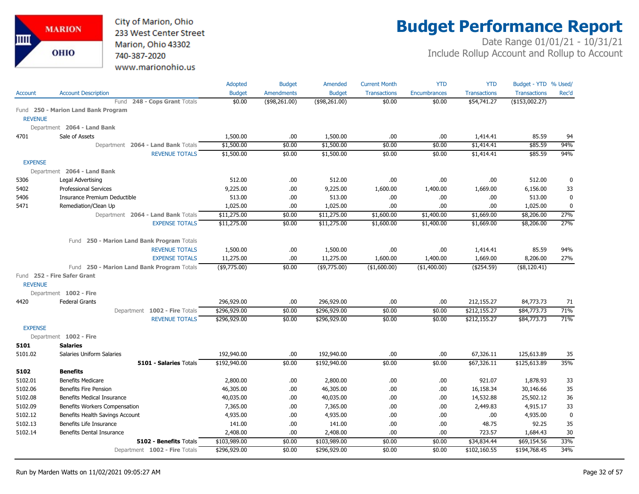City of Marion, Ohio 233 West Center Street Marion, Ohio 43302 740-387-2020 www.marionohio.us

# **Budget Performance Report**

|                |                                                                     | Adopted                   | <b>Budget</b>     | Amended                   | <b>Current Month</b>      | <b>YTD</b>                | <b>YTD</b>             | Budget - YTD % Used/     |             |
|----------------|---------------------------------------------------------------------|---------------------------|-------------------|---------------------------|---------------------------|---------------------------|------------------------|--------------------------|-------------|
| <b>Account</b> | <b>Account Description</b>                                          | <b>Budget</b>             | <b>Amendments</b> | <b>Budget</b>             | <b>Transactions</b>       | <b>Encumbrances</b>       | <b>Transactions</b>    | <b>Transactions</b>      | Rec'd       |
|                | 248 - Cops Grant Totals<br>Fund                                     | \$0.00                    | (\$98,261.00)     | (\$98,261.00)             | \$0.00                    | \$0.00                    | \$54,741.27            | $($ \$153,002.27)        |             |
|                | Fund 250 - Marion Land Bank Program                                 |                           |                   |                           |                           |                           |                        |                          |             |
| <b>REVENUE</b> |                                                                     |                           |                   |                           |                           |                           |                        |                          |             |
|                | Department 2064 - Land Bank                                         |                           |                   |                           |                           |                           |                        |                          |             |
| 4701           | Sale of Assets                                                      | 1,500.00                  | .00.              | 1,500.00                  | .00.                      | .00                       | 1,414.41               | 85.59                    | 94          |
|                | Department 2064 - Land Bank Totals                                  | \$1,500.00                | \$0.00            | \$1,500.00                | \$0.00                    | \$0.00                    | \$1,414.41             | \$85.59                  | 94%         |
|                | <b>REVENUE TOTALS</b>                                               | \$1,500.00                | \$0.00            | \$1,500.00                | \$0.00                    | \$0.00                    | \$1,414.41             | \$85.59                  | 94%         |
| <b>EXPENSE</b> |                                                                     |                           |                   |                           |                           |                           |                        |                          |             |
|                | Department 2064 - Land Bank                                         |                           |                   |                           |                           |                           |                        |                          |             |
| 5306           | Legal Advertising                                                   | 512.00                    | .00               | 512.00                    | .00                       | .00                       | .00.                   | 512.00                   | 0           |
| 5402           | <b>Professional Services</b>                                        | 9,225.00                  | .00.              | 9,225.00                  | 1,600.00                  | 1,400.00                  | 1,669.00               | 6,156.00                 | 33          |
| 5406           | Insurance Premium Deductible                                        | 513.00                    | .00               | 513.00                    | .00.                      | .00                       | .00.                   | 513.00                   | 0           |
| 5471           | Remediation/Clean Up                                                | 1,025.00                  | .00               | 1,025.00                  | .00                       | .00                       | .00.                   | 1,025.00                 | $\mathbf 0$ |
|                | Department 2064 - Land Bank Totals                                  | \$11,275.00               | \$0.00            | \$11,275.00               | \$1,600.00                | \$1,400.00                | \$1,669.00             | \$8,206.00               | 27%         |
|                | <b>EXPENSE TOTALS</b>                                               | \$11,275.00               | \$0.00            | \$11,275.00               | \$1,600.00                | \$1,400.00                | \$1,669.00             | \$8,206.00               | 27%         |
|                |                                                                     |                           |                   |                           |                           |                           |                        |                          |             |
|                | Fund 250 - Marion Land Bank Program Totals                          |                           |                   |                           |                           |                           |                        |                          | 94%         |
|                | <b>REVENUE TOTALS</b>                                               | 1,500.00                  | .00.<br>.00       | 1,500.00                  | .00                       | .00                       | 1,414.41               | 85.59                    | 27%         |
|                | <b>EXPENSE TOTALS</b><br>Fund 250 - Marion Land Bank Program Totals | 11,275.00<br>(\$9,775.00) | \$0.00            | 11,275.00<br>(\$9,775.00) | 1,600.00<br>( \$1,600.00) | 1,400.00<br>( \$1,400.00) | 1,669.00<br>(\$254.59) | 8,206.00<br>(\$8,120.41) |             |
|                | Fund 252 - Fire Safer Grant                                         |                           |                   |                           |                           |                           |                        |                          |             |
| <b>REVENUE</b> |                                                                     |                           |                   |                           |                           |                           |                        |                          |             |
|                | Department 1002 - Fire                                              |                           |                   |                           |                           |                           |                        |                          |             |
| 4420           | <b>Federal Grants</b>                                               | 296,929.00                | .00.              | 296,929.00                | .00                       | .00                       | 212,155.27             | 84,773.73                | 71          |
|                | Department 1002 - Fire Totals                                       | \$296,929.00              | \$0.00            | \$296,929.00              | \$0.00                    | \$0.00                    | \$212,155.27           | \$84,773.73              | 71%         |
|                | <b>REVENUE TOTALS</b>                                               | \$296,929.00              | \$0.00            | \$296,929.00              | \$0.00                    | \$0.00                    | \$212,155.27           | \$84,773.73              | 71%         |
| <b>EXPENSE</b> |                                                                     |                           |                   |                           |                           |                           |                        |                          |             |
|                | Department 1002 - Fire                                              |                           |                   |                           |                           |                           |                        |                          |             |
| 5101           | <b>Salaries</b>                                                     |                           |                   |                           |                           |                           |                        |                          |             |
| 5101.02        | Salaries Uniform Salaries                                           | 192,940.00                | .00.              | 192,940.00                | .00.                      | .00                       | 67,326.11              | 125,613.89               | 35          |
|                | 5101 - Salaries Totals                                              | \$192,940.00              | \$0.00            | \$192,940.00              | \$0.00                    | \$0.00                    | \$67,326.11            | \$125,613.89             | 35%         |
| 5102           | <b>Benefits</b>                                                     |                           |                   |                           |                           |                           |                        |                          |             |
| 5102.01        | <b>Benefits Medicare</b>                                            | 2,800.00                  | .00.              | 2,800.00                  | .00.                      | .00                       | 921.07                 | 1,878.93                 | 33          |
| 5102.06        | <b>Benefits Fire Pension</b>                                        | 46,305.00                 | .00               | 46,305.00                 | .00.                      | .00                       | 16,158.34              | 30,146.66                | 35          |
| 5102.08        | Benefits Medical Insurance                                          | 40,035.00                 | .00.              | 40,035.00                 | .00.                      | .00                       | 14,532.88              | 25,502.12                | 36          |
| 5102.09        | Benefits Workers Compensation                                       | 7,365.00                  | .00.              | 7,365.00                  | .00                       | .00                       | 2,449.83               | 4,915.17                 | 33          |
| 5102.12        | Benefits Health Savings Account                                     | 4,935.00                  | .00               | 4,935.00                  | .00.                      | .00                       | .00                    | 4,935.00                 | $\pmb{0}$   |
| 5102.13        | Benefits Life Insurance                                             | 141.00                    | .00               | 141.00                    | .00.                      | .00                       | 48.75                  | 92.25                    | 35          |
| 5102.14        | <b>Benefits Dental Insurance</b>                                    | 2,408.00                  | .00               | 2,408.00                  | .00.                      | .00                       | 723.57                 | 1,684.43                 | 30          |
|                | 5102 - Benefits Totals                                              | \$103,989.00              | \$0.00            | \$103,989.00              | \$0.00                    | \$0.00                    | \$34,834.44            | \$69,154.56              | 33%         |
|                | Department 1002 - Fire Totals                                       | \$296,929.00              | \$0.00            | \$296,929.00              | \$0.00                    | \$0.00                    | \$102,160.55           | \$194,768.45             | 34%         |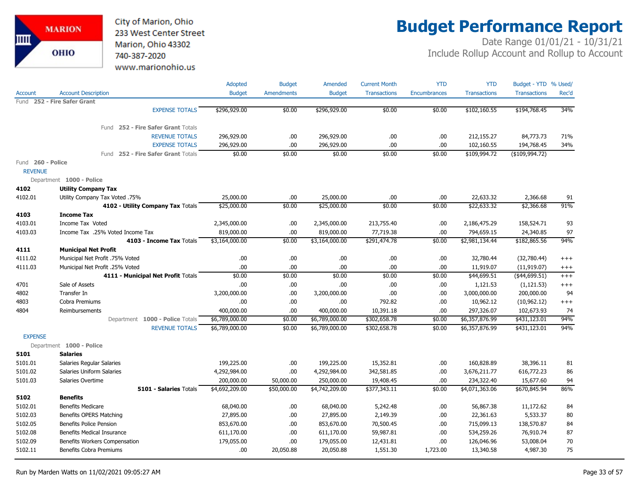

# **Budget Performance Report**

|                                     |                                    | Adopted        | <b>Budget</b>     | Amended        | <b>Current Month</b> | <b>YTD</b>          | <b>YTD</b>          | Budget - YTD % Used/ |          |
|-------------------------------------|------------------------------------|----------------|-------------------|----------------|----------------------|---------------------|---------------------|----------------------|----------|
| Account                             | <b>Account Description</b>         | <b>Budget</b>  | <b>Amendments</b> | <b>Budget</b>  | <b>Transactions</b>  | <b>Encumbrances</b> | <b>Transactions</b> | <b>Transactions</b>  | Rec'd    |
| Fund                                | 252 - Fire Safer Grant             |                |                   |                |                      |                     |                     |                      |          |
|                                     | <b>EXPENSE TOTALS</b>              | \$296,929.00   | \$0.00            | \$296,929.00   | \$0.00               | \$0.00              | \$102,160.55        | \$194,768.45         | 34%      |
|                                     | Fund 252 - Fire Safer Grant Totals |                |                   |                |                      |                     |                     |                      |          |
|                                     | <b>REVENUE TOTALS</b>              | 296,929.00     | .00.              | 296,929.00     | .00                  | .00                 | 212,155.27          | 84,773.73            | 71%      |
|                                     | <b>EXPENSE TOTALS</b>              | 296,929.00     | .00               | 296,929.00     | .00.                 | .00                 | 102,160.55          | 194,768.45           | 34%      |
|                                     | Fund 252 - Fire Safer Grant Totals | \$0.00         | \$0.00            | \$0.00         | \$0.00               | \$0.00              | \$109,994.72        | ( \$109, 994.72)     |          |
| Fund 260 - Police<br><b>REVENUE</b> |                                    |                |                   |                |                      |                     |                     |                      |          |
|                                     | Department 1000 - Police           |                |                   |                |                      |                     |                     |                      |          |
| 4102                                | <b>Utility Company Tax</b>         |                |                   |                |                      |                     |                     |                      |          |
| 4102.01                             | Utility Company Tax Voted .75%     | 25,000.00      | .00.              | 25,000.00      | .00.                 | .00                 | 22,633.32           | 2,366.68             | 91       |
|                                     | 4102 - Utility Company Tax Totals  | \$25,000.00    | \$0.00            | \$25,000.00    | \$0.00               | \$0.00              | \$22,633.32         | \$2,366.68           | 91%      |
| 4103                                | <b>Income Tax</b>                  |                |                   |                |                      |                     |                     |                      |          |
| 4103.01                             | Income Tax Voted                   | 2,345,000.00   | .00.              | 2,345,000.00   | 213,755.40           | .00                 | 2,186,475.29        | 158,524.71           | 93       |
| 4103.03                             | Income Tax .25% Voted Income Tax   | 819,000.00     | .00               | 819,000.00     | 77,719.38            | .00                 | 794,659.15          | 24,340.85            | 97       |
|                                     | 4103 - Income Tax Totals           | \$3,164,000.00 | \$0.00            | \$3,164,000.00 | \$291,474.78         | \$0.00              | \$2,981,134.44      | \$182,865.56         | 94%      |
| 4111                                | <b>Municipal Net Profit</b>        |                |                   |                |                      |                     |                     |                      |          |
| 4111.02                             | Municipal Net Profit .75% Voted    | .00            | .00.              | .00            | .00.                 | .00                 | 32,780.44           | (32,780.44)          | $^{+++}$ |
| 4111.03                             | Municipal Net Profit .25% Voted    | .00            | .00.              | .00            | .00.                 | .00                 | 11,919.07           | (11, 919.07)         | $^{+++}$ |
|                                     | 4111 - Municipal Net Profit Totals | \$0.00         | \$0.00            | \$0.00         | \$0.00               | \$0.00              | \$44,699.51         | (\$44,699.51)        | $+++$    |
| 4701                                | Sale of Assets                     | .00            | .00               | .00            | .00.                 | .00                 | 1,121.53            | (1, 121.53)          | $^{+++}$ |
| 4802                                | Transfer In                        | 3,200,000.00   | .00.              | 3,200,000.00   | .00.                 | .00                 | 3,000,000.00        | 200,000.00           | 94       |
| 4803                                | Cobra Premiums                     | .00            | .00.              | .00            | 792.82               | .00                 | 10,962.12           | (10, 962.12)         | $+++$    |
| 4804                                | Reimbursements                     | 400,000.00     | .00               | 400,000.00     | 10,391.18            | .00                 | 297,326.07          | 102,673.93           | 74       |
|                                     | Department 1000 - Police Totals    | \$6,789,000.00 | \$0.00            | \$6,789,000.00 | \$302,658.78         | \$0.00              | \$6,357,876.99      | \$431,123.01         | 94%      |
|                                     | <b>REVENUE TOTALS</b>              | \$6,789,000.00 | \$0.00            | \$6,789,000.00 | \$302,658.78         | \$0.00              | \$6,357,876.99      | \$431,123.01         | 94%      |
| <b>EXPENSE</b>                      |                                    |                |                   |                |                      |                     |                     |                      |          |
|                                     | Department 1000 - Police           |                |                   |                |                      |                     |                     |                      |          |
| 5101                                | <b>Salaries</b>                    |                |                   |                |                      |                     |                     |                      |          |
| 5101.01                             | Salaries Regular Salaries          | 199,225.00     | .00.              | 199,225.00     | 15,352.81            | .00                 | 160,828.89          | 38,396.11            | 81       |
| 5101.02                             | <b>Salaries Uniform Salaries</b>   | 4,292,984.00   | .00.              | 4,292,984.00   | 342,581.85           | .00                 | 3,676,211.77        | 616,772.23           | 86       |
| 5101.03                             | Salaries Overtime                  | 200,000.00     | 50,000.00         | 250,000.00     | 19,408.45            | .00                 | 234,322.40          | 15,677.60            | 94       |
|                                     | <b>5101 - Salaries Totals</b>      | \$4,692,209.00 | \$50,000.00       | \$4,742,209.00 | \$377,343.11         | \$0.00              | \$4,071,363.06      | \$670,845.94         | 86%      |
| 5102                                | <b>Benefits</b>                    |                |                   |                |                      |                     |                     |                      |          |
| 5102.01                             | <b>Benefits Medicare</b>           | 68,040.00      | .00.              | 68,040.00      | 5,242.48             | .00                 | 56,867.38           | 11,172.62            | 84       |
| 5102.03                             | Benefits OPERS Matching            | 27,895.00      | .00.              | 27,895.00      | 2,149.39             | .00                 | 22,361.63           | 5,533.37             | 80       |
| 5102.05                             | <b>Benefits Police Pension</b>     | 853,670.00     | .00.              | 853,670.00     | 70,500.45            | .00                 | 715,099.13          | 138,570.87           | 84       |
| 5102.08                             | <b>Benefits Medical Insurance</b>  | 611,170.00     | .00.              | 611,170.00     | 59,987.81            | .00                 | 534,259.26          | 76,910.74            | 87       |
| 5102.09                             | Benefits Workers Compensation      | 179,055.00     | .00.              | 179,055.00     | 12,431.81            | .00                 | 126,046.96          | 53,008.04            | 70       |
| 5102.11                             | <b>Benefits Cobra Premiums</b>     | .00.           | 20,050.88         | 20,050.88      | 1,551.30             | 1,723.00            | 13,340.58           | 4,987.30             | 75       |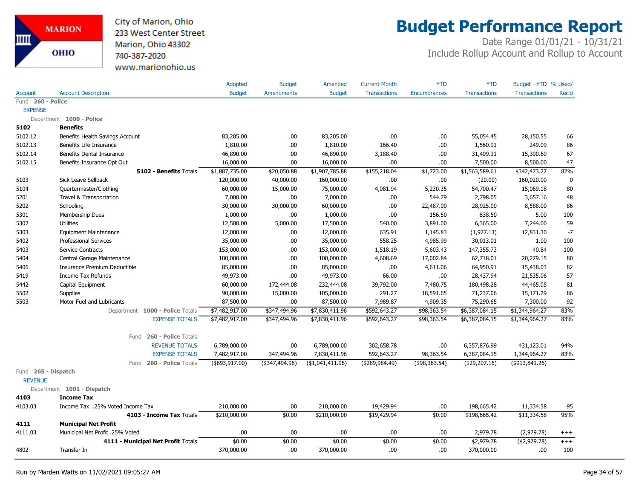

### **Budget Performance Report**

|                                       |                                    | Adopted          | <b>Budget</b>     | Amended           | <b>Current Month</b> | <b>YTD</b>          | <b>YTD</b>          | Budget - YTD % Used/ |             |
|---------------------------------------|------------------------------------|------------------|-------------------|-------------------|----------------------|---------------------|---------------------|----------------------|-------------|
| <b>Account</b>                        | <b>Account Description</b>         | <b>Budget</b>    | <b>Amendments</b> | <b>Budget</b>     | <b>Transactions</b>  | <b>Encumbrances</b> | <b>Transactions</b> | <b>Transactions</b>  | Rec'd       |
| Fund 260 - Police                     |                                    |                  |                   |                   |                      |                     |                     |                      |             |
| <b>EXPENSE</b>                        |                                    |                  |                   |                   |                      |                     |                     |                      |             |
|                                       | Department 1000 - Police           |                  |                   |                   |                      |                     |                     |                      |             |
| 5102                                  | <b>Benefits</b>                    |                  |                   |                   |                      |                     |                     |                      |             |
| 5102.12                               | Benefits Health Savings Account    | 83,205.00        | .00.              | 83,205.00         | .00                  | .00                 | 55,054.45           | 28,150.55            | 66          |
| 5102.13                               | Benefits Life Insurance            | 1,810.00         | .00.              | 1,810.00          | 166.40               | .00                 | 1,560.91            | 249.09               | 86          |
| 5102.14                               | Benefits Dental Insurance          | 46,890.00        | .00.              | 46,890.00         | 3,188.40             | .00                 | 31,499.31           | 15,390.69            | 67          |
| 5102.15                               | Benefits Insurance Opt Out         | 16,000.00        | .00               | 16,000.00         | .00                  | .00                 | 7,500.00            | 8,500.00             | 47          |
|                                       | 5102 - Benefits Totals             | \$1,887,735.00   | \$20,050.88       | \$1,907,785.88    | \$155,218.04         | \$1,723.00          | \$1,563,589.61      | \$342,473.27         | 82%         |
| 5103                                  | Sick Leave Sellback                | 120,000.00       | 40,000.00         | 160,000.00        | .00.                 | .00                 | (20.00)             | 160,020.00           | $\mathbf 0$ |
| 5104                                  | Quartermaster/Clothing             | 60,000.00        | 15,000.00         | 75,000.00         | 4,081.94             | 5,230.35            | 54,700.47           | 15,069.18            | 80          |
| 5201                                  | Travel & Transportation            | 7,000.00         | .00               | 7,000.00          | .00.                 | 544.79              | 2,798.05            | 3,657.16             | 48          |
| 5202                                  | Schooling                          | 30,000.00        | 30,000.00         | 60,000.00         | .00.                 | 22,487.00           | 28,925.00           | 8,588.00             | 86          |
| 5301                                  | Membership Dues                    | 1,000.00         | .00.              | 1,000.00          | .00                  | 156.50              | 838.50              | 5.00                 | 100         |
| 5302                                  | <b>Utilities</b>                   | 12,500.00        | 5,000.00          | 17,500.00         | 540.00               | 3,891.00            | 6,365.00            | 7,244.00             | 59          |
| 5303                                  | <b>Equipment Maintenance</b>       | 12,000.00        | .00.              | 12,000.00         | 635.91               | 1,145.83            | (1,977.13)          | 12,831.30            | $-7$        |
| 5402                                  | <b>Professional Services</b>       | 35,000.00        | .00               | 35,000.00         | 558.25               | 4,985.99            | 30,013.01           | 1.00                 | 100         |
| 5403                                  | Service Contracts                  | 153,000.00       | .00.              | 153,000.00        | 1,518.19             | 5,603.43            | 147,355.73          | 40.84                | 100         |
| 5404                                  | Central Garage Maintenance         | 100,000.00       | .00               | 100,000.00        | 4,608.69             | 17,002.84           | 62,718.01           | 20,279.15            | 80          |
| 5406                                  | Insurance Premium Deductible       | 85,000.00        | .00               | 85,000.00         | .00.                 | 4,611.06            | 64,950.91           | 15,438.03            | 82          |
| 5419                                  | Income Tax Refunds                 | 49,973.00        | .00               | 49,973.00         | 66.00                | .00.                | 28,437.94           | 21,535.06            | 57          |
| 5442                                  | Capital Equipment                  | 60,000.00        | 172,444.08        | 232,444.08        | 39,792.00            | 7,480.75            | 180,498.28          | 44,465.05            | 81          |
| 5502                                  | <b>Supplies</b>                    | 90,000.00        | 15,000.00         | 105,000.00        | 291.27               | 18,591.65           | 71,237.06           | 15,171.29            | 86          |
| 5503                                  | Motor Fuel and Lubricants          | 87,500.00        | .00.              | 87,500.00         | 7,989.87             | 4,909.35            | 75,290.65           | 7,300.00             | 92          |
|                                       | Department 1000 - Police Totals    | \$7,482,917.00   | \$347,494.96      | \$7,830,411.96    | \$592,643.27         | \$98,363.54         | \$6,387,084.15      | \$1,344,964.27       | 83%         |
|                                       | <b>EXPENSE TOTALS</b>              | \$7,482,917.00   | \$347,494.96      | \$7,830,411.96    | \$592,643.27         | \$98,363.54         | \$6,387,084.15      | \$1,344,964.27       | 83%         |
|                                       | Fund 260 - Police Totals           |                  |                   |                   |                      |                     |                     |                      |             |
|                                       | <b>REVENUE TOTALS</b>              | 6,789,000.00     | .00               | 6,789,000.00      | 302,658.78           | .00                 | 6,357,876.99        | 431,123.01           | 94%         |
|                                       | <b>EXPENSE TOTALS</b>              | 7,482,917.00     | 347,494.96        | 7,830,411.96      | 592,643.27           | 98,363.54           | 6,387,084.15        | 1,344,964.27         | 83%         |
|                                       | 260 - Police Totals<br>Fund        | ( \$693, 917.00) | (\$347,494.96)    | ( \$1,041,411.96) | ( \$289, 984.49)     | (\$98,363.54)       | ( \$29, 207.16)     | $($ \$913,841.26)    |             |
| Fund 265 - Dispatch<br><b>REVENUE</b> |                                    |                  |                   |                   |                      |                     |                     |                      |             |
|                                       |                                    |                  |                   |                   |                      |                     |                     |                      |             |
|                                       | Department 1001 - Dispatch         |                  |                   |                   |                      |                     |                     |                      |             |
| 4103                                  | <b>Income Tax</b>                  |                  |                   |                   |                      |                     |                     |                      |             |
| 4103.03                               | Income Tax .25% Voted Income Tax   | 210,000.00       | .00.              | 210,000.00        | 19,429.94            | .00.                | 198,665.42          | 11,334.58            | 95          |
|                                       | 4103 - Income Tax Totals           | \$210,000.00     | \$0.00            | \$210,000.00      | \$19,429.94          | \$0.00              | \$198,665.42        | \$11,334.58          | 95%         |
| 4111                                  | <b>Municipal Net Profit</b>        |                  |                   |                   |                      |                     |                     |                      |             |
| 4111.03                               | Municipal Net Profit .25% Voted    | .00.             | .00.              | .00               | .00                  | .00.                | 2,979.78            | (2,979.78)           | $^{+++}$    |
|                                       | 4111 - Municipal Net Profit Totals | \$0.00           | \$0.00            | \$0.00            | \$0.00               | \$0.00              | \$2,979.78          | ( \$2,979.78)        | $+++$       |
| 4802                                  | Transfer In                        | 370,000.00       | .00.              | 370,000.00        | .00.                 | .00                 | 370,000.00          | .00                  | 100         |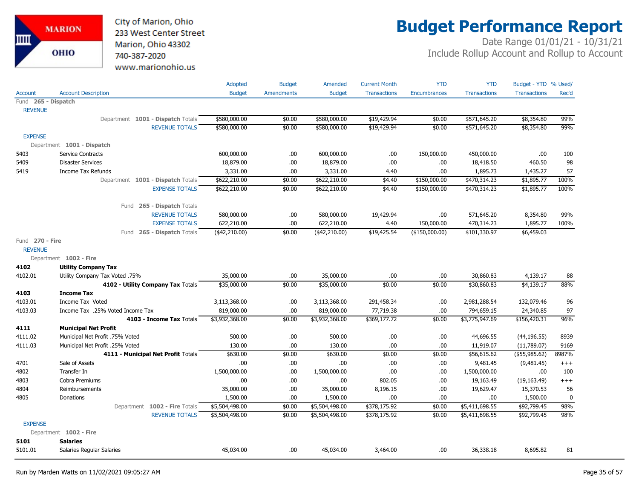City of Marion, Ohio 233 West Center Street Marion, Ohio 43302 740-387-2020 www.marionohio.us

# **Budget Performance Report**

|                     |                                    | Adopted        | <b>Budget</b> | Amended        | <b>Current Month</b> | <b>YTD</b>          | <b>YTD</b>          | Budget - YTD % Used/ |             |
|---------------------|------------------------------------|----------------|---------------|----------------|----------------------|---------------------|---------------------|----------------------|-------------|
| Account             | <b>Account Description</b>         | <b>Budget</b>  | Amendments    | <b>Budget</b>  | <b>Transactions</b>  | <b>Encumbrances</b> | <b>Transactions</b> | <b>Transactions</b>  | Rec'd       |
| Fund 265 - Dispatch |                                    |                |               |                |                      |                     |                     |                      |             |
| <b>REVENUE</b>      |                                    |                |               |                |                      |                     |                     |                      |             |
|                     | Department 1001 - Dispatch Totals  | \$580,000.00   | \$0.00        | \$580,000.00   | \$19,429.94          | \$0.00              | \$571,645.20        | \$8,354.80           | 99%         |
|                     | <b>REVENUE TOTALS</b>              | \$580,000.00   | \$0.00        | \$580,000.00   | \$19,429.94          | \$0.00              | \$571,645.20        | \$8,354.80           | 99%         |
| <b>EXPENSE</b>      |                                    |                |               |                |                      |                     |                     |                      |             |
|                     | Department 1001 - Dispatch         |                |               |                |                      |                     |                     |                      |             |
| 5403                | <b>Service Contracts</b>           | 600,000.00     | .00.          | 600,000.00     | .00.                 | 150,000.00          | 450,000.00          | .00.                 | 100         |
| 5409                | <b>Disaster Services</b>           | 18,879.00      | .00.          | 18,879.00      | .00                  | .00                 | 18,418.50           | 460.50               | 98          |
| 5419                | <b>Income Tax Refunds</b>          | 3,331.00       | .00           | 3,331.00       | 4.40                 | .00.                | 1,895.73            | 1,435.27             | 57          |
|                     | Department 1001 - Dispatch Totals  | \$622,210.00   | \$0.00        | \$622,210.00   | \$4.40               | \$150,000.00        | \$470,314.23        | \$1,895.77           | 100%        |
|                     | <b>EXPENSE TOTALS</b>              | \$622,210.00   | \$0.00        | \$622,210.00   | \$4.40               | \$150,000.00        | \$470,314.23        | \$1,895.77           | 100%        |
|                     |                                    |                |               |                |                      |                     |                     |                      |             |
|                     | Fund 265 - Dispatch Totals         |                |               |                |                      |                     |                     |                      |             |
|                     | <b>REVENUE TOTALS</b>              | 580,000.00     | .00.          | 580,000.00     | 19,429.94            | .00                 | 571,645.20          | 8,354.80             | 99%         |
|                     | <b>EXPENSE TOTALS</b>              | 622,210.00     | .00           | 622,210.00     | 4.40                 | 150,000.00          | 470,314.23          | 1,895.77             | 100%        |
|                     | Fund 265 - Dispatch Totals         | (42,210.00)    | \$0.00        | $(*42,210.00)$ | \$19,425.54          | ( \$150,000.00)     | \$101,330.97        | \$6,459.03           |             |
| Fund 270 - Fire     |                                    |                |               |                |                      |                     |                     |                      |             |
| <b>REVENUE</b>      |                                    |                |               |                |                      |                     |                     |                      |             |
|                     | Department 1002 - Fire             |                |               |                |                      |                     |                     |                      |             |
| 4102                | <b>Utility Company Tax</b>         |                |               |                |                      |                     |                     |                      |             |
| 4102.01             | Utility Company Tax Voted .75%     | 35,000.00      | .00.          | 35,000.00      | .00                  | .00                 | 30,860.83           | 4,139.17             | 88          |
|                     | 4102 - Utility Company Tax Totals  | \$35,000.00    | \$0.00        | \$35,000.00    | \$0.00               | \$0.00              | \$30,860.83         | \$4,139.17           | 88%         |
| 4103                | <b>Income Tax</b>                  |                |               |                |                      |                     |                     |                      |             |
| 4103.01             | Income Tax Voted                   | 3,113,368.00   | .00.          | 3,113,368.00   | 291,458.34           | .00                 | 2,981,288.54        | 132,079.46           | 96          |
| 4103.03             | Income Tax .25% Voted Income Tax   | 819,000.00     | .00           | 819,000.00     | 77,719.38            | .00                 | 794,659.15          | 24,340.85            | 97          |
|                     | 4103 - Income Tax Totals           | \$3,932,368.00 | \$0.00        | \$3,932,368.00 | \$369,177.72         | \$0.00              | \$3,775,947.69      | \$156,420.31         | 96%         |
| 4111                | <b>Municipal Net Profit</b>        |                |               |                |                      |                     |                     |                      |             |
| 4111.02             | Municipal Net Profit .75% Voted    | 500.00         | .00.          | 500.00         | .00.                 | .00                 | 44,696.55           | (44, 196.55)         | 8939        |
| 4111.03             | Municipal Net Profit .25% Voted    | 130.00         | .00.          | 130.00         | .00                  | .00                 | 11,919.07           | (11,789.07)          | 9169        |
|                     | 4111 - Municipal Net Profit Totals | \$630.00       | \$0.00        | \$630.00       | \$0.00               | \$0.00              | \$56,615.62         | $($ \$55,985.62)     | 8987%       |
| 4701                | Sale of Assets                     | .00            | .00.          | .00            | .00                  | .00                 | 9,481.45            | (9,481.45)           | $^{+++}$    |
| 4802                | Transfer In                        | 1,500,000.00   | .00.          | 1,500,000.00   | .00                  | .00                 | 1,500,000.00        | .00.                 | 100         |
| 4803                | Cobra Premiums                     | .00            | .00.          | .00.           | 802.05               | .00                 | 19,163.49           | (19, 163.49)         | $^{+++}$    |
| 4804                | Reimbursements                     | 35,000.00      | .00.          | 35,000.00      | 8,196.15             | .00                 | 19,629.47           | 15,370.53            | 56          |
| 4805                | Donations                          | 1,500.00       | 00.           | 1,500.00       | .00.                 | .00                 | .00                 | 1,500.00             | $\mathbf 0$ |
|                     | Department 1002 - Fire Totals      | \$5,504,498.00 | \$0.00        | \$5,504,498.00 | \$378,175.92         | \$0.00              | \$5,411,698.55      | \$92,799.45          | 98%         |
|                     | <b>REVENUE TOTALS</b>              | \$5,504,498.00 | \$0.00        | \$5,504,498.00 | \$378,175.92         | \$0.00              | \$5,411,698.55      | \$92,799.45          | 98%         |
| <b>EXPENSE</b>      |                                    |                |               |                |                      |                     |                     |                      |             |
|                     | Department 1002 - Fire             |                |               |                |                      |                     |                     |                      |             |
| 5101                | <b>Salaries</b>                    |                |               |                |                      |                     |                     |                      |             |
| 5101.01             | Salaries Regular Salaries          | 45,034.00      | .00.          | 45,034.00      | 3,464.00             | .00                 | 36,338.18           | 8,695.82             | 81          |
|                     |                                    |                |               |                |                      |                     |                     |                      |             |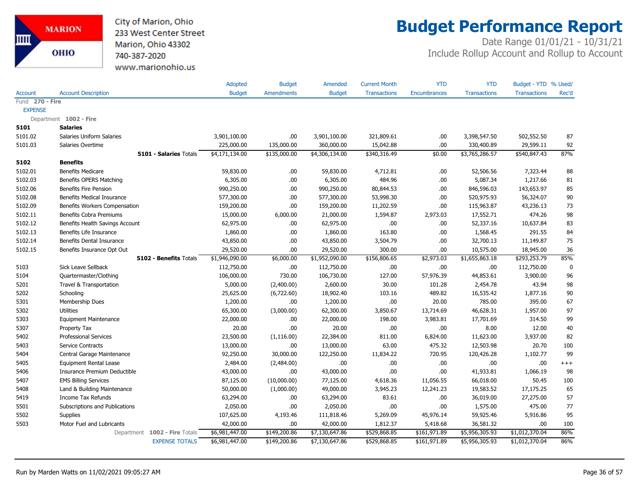

# **Budget Performance Report**

|                 |                                 | Adopted        | <b>Budget</b>     | Amended        | <b>Current Month</b> | <b>YTD</b>          | <b>YTD</b>          | Budget - YTD % Used/ |             |
|-----------------|---------------------------------|----------------|-------------------|----------------|----------------------|---------------------|---------------------|----------------------|-------------|
| Account         | <b>Account Description</b>      | <b>Budget</b>  | <b>Amendments</b> | <b>Budget</b>  | <b>Transactions</b>  | <b>Encumbrances</b> | <b>Transactions</b> | <b>Transactions</b>  | Rec'd       |
| Fund 270 - Fire |                                 |                |                   |                |                      |                     |                     |                      |             |
| <b>EXPENSE</b>  |                                 |                |                   |                |                      |                     |                     |                      |             |
|                 | Department 1002 - Fire          |                |                   |                |                      |                     |                     |                      |             |
| 5101            | <b>Salaries</b>                 |                |                   |                |                      |                     |                     |                      |             |
| 5101.02         | Salaries Uniform Salaries       | 3,901,100.00   | .00.              | 3,901,100.00   | 321,809.61           | .00                 | 3,398,547.50        | 502,552.50           | 87          |
| 5101.03         | Salaries Overtime               | 225,000.00     | 135,000.00        | 360,000.00     | 15,042.88            | .00                 | 330,400.89          | 29,599.11            | 92          |
|                 | 5101 - Salaries Totals          | \$4,171,134.00 | \$135,000.00      | \$4,306,134.00 | \$340,316.49         | \$0.00              | \$3,765,286.57      | \$540,847.43         | 87%         |
| 5102            | <b>Benefits</b>                 |                |                   |                |                      |                     |                     |                      |             |
| 5102.01         | <b>Benefits Medicare</b>        | 59,830.00      | .00.              | 59,830.00      | 4,712.81             | .00.                | 52,506.56           | 7,323.44             | 88          |
| 5102.03         | Benefits OPERS Matching         | 6,305.00       | .00.              | 6,305.00       | 484.96               | .00.                | 5,087.34            | 1,217.66             | 81          |
| 5102.06         | <b>Benefits Fire Pension</b>    | 990,250.00     | .00.              | 990,250.00     | 80,844.53            | .00.                | 846,596.03          | 143,653.97           | 85          |
| 5102.08         | Benefits Medical Insurance      | 577,300.00     | .00               | 577,300.00     | 53,998.30            | .00.                | 520,975.93          | 56,324.07            | 90          |
| 5102.09         | Benefits Workers Compensation   | 159,200.00     | .00               | 159,200.00     | 11,202.59            | .00                 | 115,963.87          | 43,236.13            | 73          |
| 5102.11         | <b>Benefits Cobra Premiums</b>  | 15,000.00      | 6,000.00          | 21,000.00      | 1,594.87             | 2,973.03            | 17,552.71           | 474.26               | 98          |
| 5102.12         | Benefits Health Savings Account | 62,975.00      | .00               | 62,975.00      | .00                  | .00                 | 52,337.16           | 10,637.84            | 83          |
| 5102.13         | Benefits Life Insurance         | 1,860.00       | .00.              | 1,860.00       | 163.80               | .00.                | 1,568.45            | 291.55               | 84          |
| 5102.14         | Benefits Dental Insurance       | 43,850.00      | .00.              | 43,850.00      | 3,504.79             | .00.                | 32,700.13           | 11,149.87            | 75          |
| 5102.15         | Benefits Insurance Opt Out      | 29,520.00      | .00               | 29,520.00      | 300.00               | .00.                | 10,575.00           | 18,945.00            | 36          |
|                 | 5102 - Benefits Totals          | \$1,946,090.00 | \$6,000.00        | \$1,952,090.00 | \$156,806.65         | \$2,973.03          | \$1,655,863.18      | \$293,253.79         | 85%         |
| 5103            | Sick Leave Sellback             | 112,750.00     | .00.              | 112,750.00     | .00                  | .00                 | .00                 | 112,750.00           | $\mathbf 0$ |
| 5104            | Quartermaster/Clothing          | 106,000.00     | 730.00            | 106,730.00     | 127.00               | 57,976.39           | 44,853.61           | 3,900.00             | 96          |
| 5201            | Travel & Transportation         | 5,000.00       | (2,400.00)        | 2,600.00       | 30.00                | 101.28              | 2,454.78            | 43.94                | 98          |
| 5202            | Schooling                       | 25,625.00      | (6,722.60)        | 18,902.40      | 103.16               | 489.82              | 16,535.42           | 1,877.16             | 90          |
| 5301            | Membership Dues                 | 1,200.00       | .00.              | 1,200.00       | .00.                 | 20.00               | 785.00              | 395.00               | 67          |
| 5302            | <b>Utilities</b>                | 65,300.00      | (3,000.00)        | 62,300.00      | 3,850.67             | 13,714.69           | 46,628.31           | 1,957.00             | 97          |
| 5303            | <b>Equipment Maintenance</b>    | 22,000.00      | .00.              | 22,000.00      | 198.00               | 3,983.81            | 17,701.69           | 314.50               | 99          |
| 5307            | Property Tax                    | 20.00          | .00.              | 20.00          | .00.                 | .00.                | 8.00                | 12.00                | 40          |
| 5402            | <b>Professional Services</b>    | 23,500.00      | (1, 116.00)       | 22,384.00      | 811.00               | 6,824.00            | 11,623.00           | 3,937.00             | 82          |
| 5403            | Service Contracts               | 13,000.00      | .00.              | 13,000.00      | 63.00                | 475.32              | 12,503.98           | 20.70                | 100         |
| 5404            | Central Garage Maintenance      | 92,250.00      | 30,000.00         | 122,250.00     | 11,834.22            | 720.95              | 120,426.28          | 1,102.77             | 99          |
| 5405            | <b>Equipment Rental Lease</b>   | 2,484.00       | (2,484.00)        | .00            | .00.                 | .00.                | .00                 | .00.                 | $^{+++}$    |
| 5406            | Insurance Premium Deductible    | 43,000.00      | .00.              | 43,000.00      | .00                  | .00.                | 41,933.81           | 1,066.19             | 98          |
| 5407            | <b>EMS Billing Services</b>     | 87,125.00      | (10,000.00)       | 77,125.00      | 4,618.36             | 11,056.55           | 66,018.00           | 50.45                | 100         |
| 5408            | Land & Building Maintenance     | 50,000.00      | (1,000.00)        | 49,000.00      | 3,945.23             | 12,241.23           | 19,583.52           | 17,175.25            | 65          |
| 5419            | Income Tax Refunds              | 63,294.00      | .00.              | 63,294.00      | 83.61                | .00.                | 36,019.00           | 27,275.00            | 57          |
| 5501            | Subscriptions and Publications  | 2,050.00       | .00.              | 2,050.00       | .00                  | .00                 | 1,575.00            | 475.00               | 77          |
| 5502            | Supplies                        | 107,625.00     | 4,193.46          | 111,818.46     | 5,269.09             | 45,976.14           | 59,925.46           | 5,916.86             | 95          |
| 5503            | Motor Fuel and Lubricants       | 42,000.00      | .00.              | 42,000.00      | 1,812.37             | 5,418.68            | 36,581.32           | .00.                 | 100         |
|                 | Department 1002 - Fire Totals   | \$6,981,447.00 | \$149,200.86      | \$7,130,647.86 | \$529,868.85         | \$161,971.89        | \$5,956,305.93      | \$1,012,370.04       | 86%         |
|                 | <b>EXPENSE TOTALS</b>           | \$6,981,447.00 | \$149,200.86      | \$7,130,647.86 | \$529,868.85         | \$161,971.89        | \$5,956,305.93      | \$1,012,370.04       | 86%         |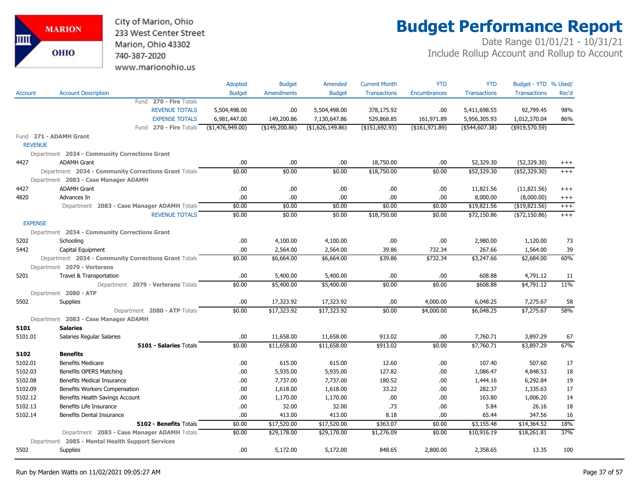City of Marion, Ohio 233 West Center Street Marion, Ohio 43302 740-387-2020 www.marionohio.us

# **Budget Performance Report**

|                |                                                      | Adopted           | <b>Budget</b>     | Amended          | <b>Current Month</b> | <b>YTD</b>          | <b>YTD</b>          | Budget - YTD % Used/ |          |
|----------------|------------------------------------------------------|-------------------|-------------------|------------------|----------------------|---------------------|---------------------|----------------------|----------|
| <b>Account</b> | <b>Account Description</b>                           | <b>Budget</b>     | <b>Amendments</b> | <b>Budget</b>    | <b>Transactions</b>  | <b>Encumbrances</b> | <b>Transactions</b> | <b>Transactions</b>  | Rec'd    |
|                | Fund 270 - Fire Totals                               |                   |                   |                  |                      |                     |                     |                      |          |
|                | <b>REVENUE TOTALS</b>                                | 5,504,498.00      | .00.              | 5,504,498.00     | 378,175.92           | .00                 | 5,411,698.55        | 92,799.45            | 98%      |
|                | <b>EXPENSE TOTALS</b>                                | 6,981,447.00      | 149,200.86        | 7,130,647.86     | 529,868.85           | 161,971.89          | 5,956,305.93        | 1,012,370.04         | 86%      |
|                | Fund 270 - Fire Totals                               | ( \$1,476,949.00) | (\$149,200.86)    | (\$1,626,149.86) | (\$151,692.93)       | ( \$161, 971.89)    | (\$544,607.38)      | $($ \$919,570.59)    |          |
|                | Fund 271 - ADAMH Grant                               |                   |                   |                  |                      |                     |                     |                      |          |
| <b>REVENUE</b> |                                                      |                   |                   |                  |                      |                     |                     |                      |          |
|                | Department 2034 - Community Corrections Grant        |                   |                   |                  |                      |                     |                     |                      |          |
| 4427           | <b>ADAMH Grant</b>                                   | .00.              | .00               | .00              | 18,750.00            | .00                 | 52,329.30           | (52, 329.30)         | $^{+++}$ |
|                | Department 2034 - Community Corrections Grant Totals | \$0.00            | \$0.00            | \$0.00           | \$18,750.00          | \$0.00              | \$52,329.30         | (\$52,329.30)        | $+++$    |
|                | Department 2083 - Case Manager ADAMH                 |                   |                   |                  |                      |                     |                     |                      |          |
| 4427           | <b>ADAMH Grant</b>                                   | .00               | .00.              | .00              | .00                  | .00                 | 11,821.56           | (11,821.56)          | $^{+++}$ |
| 4820           | Advances In                                          | .00               | .00.              | .00              | .00.                 | .00                 | 8,000.00            | (8,000.00)           | $^{+++}$ |
|                | Department 2083 - Case Manager ADAMH Totals          | \$0.00            | \$0.00            | \$0.00           | \$0.00               | \$0.00              | \$19,821.56         | ( \$19, 821.56)      | $+++$    |
|                | <b>REVENUE TOTALS</b>                                | \$0.00            | \$0.00            | \$0.00           | \$18,750.00          | \$0.00              | \$72,150.86         | (\$72,150.86)        | $+++$    |
| <b>EXPENSE</b> |                                                      |                   |                   |                  |                      |                     |                     |                      |          |
|                | Department 2034 - Community Corrections Grant        |                   |                   |                  |                      |                     |                     |                      |          |
| 5202           | Schooling                                            | .00               | 4,100.00          | 4,100.00         | .00                  | .00                 | 2,980.00            | 1,120.00             | 73       |
| 5442           | Capital Equipment                                    | .00               | 2,564.00          | 2,564.00         | 39.86                | 732.34              | 267.66              | 1,564.00             | 39       |
|                | Department 2034 - Community Corrections Grant Totals | \$0.00            | \$6,664.00        | \$6,664.00       | \$39.86              | \$732.34            | \$3,247.66          | \$2,684.00           | 60%      |
|                | Department 2079 - Verterans                          |                   |                   |                  |                      |                     |                     |                      |          |
| 5201           | Travel & Transportation                              | .00               | 5,400.00          | 5,400.00         | .00.                 | .00                 | 608.88              | 4,791.12             | 11       |
|                | Department 2079 - Verterans Totals                   | \$0.00            | \$5,400.00        | \$5,400.00       | \$0.00               | \$0.00              | \$608.88            | \$4,791.12           | 11%      |
|                | Department 2080 - ATP                                |                   |                   |                  |                      |                     |                     |                      |          |
| 5502           | <b>Supplies</b>                                      | .00               | 17,323.92         | 17,323.92        | .00                  | 4,000.00            | 6,048.25            | 7,275.67             | 58       |
|                | Department 2080 - ATP Totals                         | \$0.00            | \$17,323.92       | \$17,323.92      | \$0.00               | \$4,000.00          | \$6,048.25          | \$7,275.67           | 58%      |
|                | Department 2083 - Case Manager ADAMH                 |                   |                   |                  |                      |                     |                     |                      |          |
| 5101           | <b>Salaries</b>                                      |                   |                   |                  |                      |                     |                     |                      |          |
| 5101.01        | Salaries Regular Salaries                            | .00               | 11,658.00         | 11,658.00        | 913.02               | .00                 | 7,760.71            | 3,897.29             | 67       |
|                | <b>5101 - Salaries Totals</b>                        | \$0.00            | \$11,658.00       | \$11,658.00      | \$913.02             | \$0.00              | \$7,760.71          | \$3,897.29           | 67%      |
| 5102           | <b>Benefits</b>                                      |                   |                   |                  |                      |                     |                     |                      |          |
| 5102.01        | <b>Benefits Medicare</b>                             | .00               | 615.00            | 615.00           | 12.60                | .00                 | 107.40              | 507.60               | 17       |
| 5102.03        | Benefits OPERS Matching                              | .00               | 5,935.00          | 5,935.00         | 127.82               | .00                 | 1,086.47            | 4,848.53             | 18       |
| 5102.08        | <b>Benefits Medical Insurance</b>                    | .00               | 7,737.00          | 7,737.00         | 180.52               | .00                 | 1,444.16            | 6,292.84             | 19       |
| 5102.09        | Benefits Workers Compensation                        | .00               | 1,618.00          | 1,618.00         | 33.22                | .00                 | 282.37              | 1,335.63             | 17       |
| 5102.12        | Benefits Health Savings Account                      | .00               | 1,170.00          | 1,170.00         | .00                  | .00                 | 163.80              | 1,006.20             | 14       |
| 5102.13        | Benefits Life Insurance                              | .00               | 32.00             | 32.00            | .73                  | .00                 | 5.84                | 26.16                | 18       |
| 5102.14        | Benefits Dental Insurance                            | .00               | 413.00            | 413.00           | 8.18                 | .00                 | 65.44               | 347.56               | 16       |
|                | 5102 - Benefits Totals                               | \$0.00            | \$17,520.00       | \$17,520.00      | \$363.07             | \$0.00              | \$3,155.48          | \$14,364.52          | 18%      |
|                | Department 2083 - Case Manager ADAMH Totals          | \$0.00            | \$29,178.00       | \$29,178.00      | \$1,276.09           | \$0.00              | \$10,916.19         | \$18,261.81          | 37%      |
|                | Department 2085 - Mental Health Support Services     |                   |                   |                  |                      |                     |                     |                      |          |
| 5502           | <b>Supplies</b>                                      | .00               | 5,172.00          | 5,172.00         | 848.65               | 2,800.00            | 2,358.65            | 13.35                | 100      |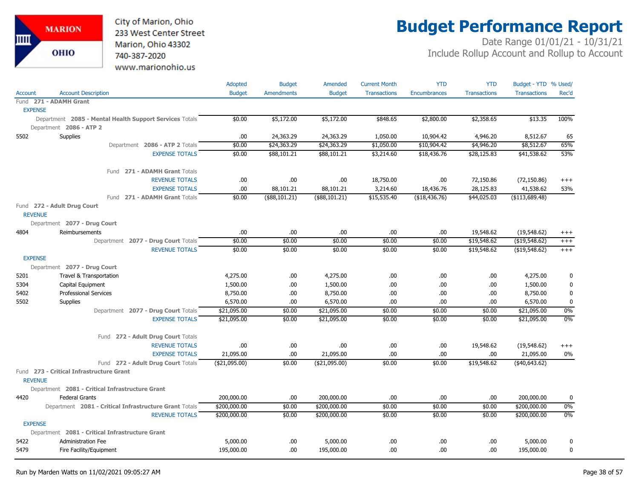

# **Budget Performance Report**

|                |                                                         | Adopted        | <b>Budget</b>     | Amended        | <b>Current Month</b> | <b>YTD</b>          | <b>YTD</b>          | Budget - YTD % Used/ |                  |
|----------------|---------------------------------------------------------|----------------|-------------------|----------------|----------------------|---------------------|---------------------|----------------------|------------------|
| Account        | <b>Account Description</b>                              | <b>Budget</b>  | <b>Amendments</b> | <b>Budget</b>  | <b>Transactions</b>  | <b>Encumbrances</b> | <b>Transactions</b> | <b>Transactions</b>  | Rec'd            |
|                | Fund 271 - ADAMH Grant                                  |                |                   |                |                      |                     |                     |                      |                  |
| <b>EXPENSE</b> |                                                         |                |                   |                |                      |                     |                     |                      |                  |
|                | Department 2085 - Mental Health Support Services Totals | \$0.00         | \$5,172.00        | \$5,172.00     | \$848.65             | \$2,800.00          | \$2,358.65          | \$13.35              | 100%             |
|                | Department 2086 - ATP 2                                 |                |                   |                |                      |                     |                     |                      |                  |
| 5502           | Supplies                                                | .00            | 24,363.29         | 24,363.29      | 1,050.00             | 10,904.42           | 4,946.20            | 8,512.67             | 65               |
|                | Department 2086 - ATP 2 Totals                          | \$0.00         | \$24,363.29       | \$24,363.29    | \$1,050.00           | \$10,904.42         | \$4,946.20          | \$8,512.67           | 65%              |
|                | <b>EXPENSE TOTALS</b>                                   | \$0.00         | \$88,101.21       | \$88,101.21    | \$3,214.60           | \$18,436.76         | \$28,125.83         | \$41,538.62          | 53%              |
|                | Fund 271 - ADAMH Grant Totals                           |                |                   |                |                      |                     |                     |                      |                  |
|                | <b>REVENUE TOTALS</b>                                   | .00            | .00.              | .00            | 18,750.00            | .00                 | 72,150.86           | (72, 150.86)         | $^{+++}$         |
|                | <b>EXPENSE TOTALS</b>                                   | .00            | 88,101.21         | 88,101.21      | 3,214.60             | 18,436.76           | 28,125.83           | 41,538.62            | 53%              |
|                | Fund 271 - ADAMH Grant Totals                           | \$0.00         | $(*88,101.21)$    | (\$88,101.21)  | \$15,535.40          | (\$18,436.76)       | \$44,025.03         | ( \$113,689.48)      |                  |
|                | Fund 272 - Adult Drug Court                             |                |                   |                |                      |                     |                     |                      |                  |
| <b>REVENUE</b> |                                                         |                |                   |                |                      |                     |                     |                      |                  |
|                | Department 2077 - Drug Court                            |                |                   |                |                      |                     |                     |                      |                  |
| 4804           | Reimbursements                                          | .00            | .00               | .00            | .00                  | .00                 | 19,548.62           | (19,548.62)          | $^{+++}$         |
|                | Department 2077 - Drug Court Totals                     | \$0.00         | \$0.00            | \$0.00         | \$0.00               | \$0.00              | \$19,548.62         | (\$19,548.62)        | $^{+++}$         |
|                | <b>REVENUE TOTALS</b>                                   | \$0.00         | \$0.00            | \$0.00         | \$0.00               | \$0.00              | \$19,548.62         | ( \$19,548.62)       | $^{+++}$         |
| <b>EXPENSE</b> |                                                         |                |                   |                |                      |                     |                     |                      |                  |
|                | Department 2077 - Drug Court                            |                |                   |                |                      |                     |                     |                      |                  |
| 5201           | Travel & Transportation                                 | 4,275.00       | .00.              | 4,275.00       | .00.                 | .00                 | .00.                | 4,275.00             | 0                |
| 5304           | Capital Equipment                                       | 1,500.00       | .00.              | 1,500.00       | .00                  | .00                 | .00                 | 1,500.00             | $\bf{0}$         |
| 5402           | <b>Professional Services</b>                            | 8,750.00       | .00.              | 8,750.00       | .00.                 | .00                 | .00                 | 8,750.00             | $\mathbf 0$      |
| 5502           | Supplies                                                | 6,570.00       | .00               | 6,570.00       | .00.                 | .00                 | .00.                | 6,570.00             | $\bf{0}$         |
|                | Department 2077 - Drug Court Totals                     | \$21,095.00    | \$0.00            | \$21,095.00    | \$0.00               | \$0.00              | \$0.00              | \$21,095.00          | $0\%$            |
|                | <b>EXPENSE TOTALS</b>                                   | \$21,095.00    | \$0.00            | \$21,095.00    | \$0.00               | \$0.00              | \$0.00              | \$21,095.00          | 0%               |
|                | Fund 272 - Adult Drug Court Totals                      |                |                   |                |                      |                     |                     |                      |                  |
|                | <b>REVENUE TOTALS</b>                                   | .00            | .00.              | .00            | .00.                 | .00                 | 19,548.62           | (19,548.62)          | $^{+++}$         |
|                | <b>EXPENSE TOTALS</b>                                   | 21,095.00      | .00               | 21,095.00      | .00                  | .00                 | .00                 | 21,095.00            | $0\%$            |
|                | Fund 272 - Adult Drug Court Totals                      | ( \$21,095.00) | \$0.00            | ( \$21,095.00) | \$0.00               | \$0.00              | \$19,548.62         | (40, 643.62)         |                  |
|                | Fund 273 - Critical Infrastructure Grant                |                |                   |                |                      |                     |                     |                      |                  |
| <b>REVENUE</b> |                                                         |                |                   |                |                      |                     |                     |                      |                  |
|                | Department 2081 - Critical Infrastructure Grant         |                |                   |                |                      |                     |                     |                      |                  |
| 4420           | <b>Federal Grants</b>                                   | 200,000.00     | .00               | 200,000.00     | .00                  | .00                 | .00                 | 200,000.00           | 0                |
|                | Department 2081 - Critical Infrastructure Grant Totals  | \$200,000.00   | \$0.00            | \$200,000.00   | \$0.00               | \$0.00              | \$0.00              | \$200,000.00         | 0%               |
|                | <b>REVENUE TOTALS</b>                                   | \$200,000.00   | \$0.00            | \$200,000.00   | \$0.00               | \$0.00              | \$0.00              | \$200,000.00         | 0%               |
| <b>EXPENSE</b> |                                                         |                |                   |                |                      |                     |                     |                      |                  |
| 5422           | Department 2081 - Critical Infrastructure Grant         |                |                   | 5,000.00       |                      |                     |                     | 5,000.00             |                  |
|                | <b>Administration Fee</b>                               | 5,000.00       | .00               |                | .00                  | .00                 | .00                 |                      | 0<br>$\mathbf 0$ |
| 5479           | Fire Facility/Equipment                                 | 195,000.00     | .00               | 195,000.00     | .00                  | .00                 | .00.                | 195,000.00           |                  |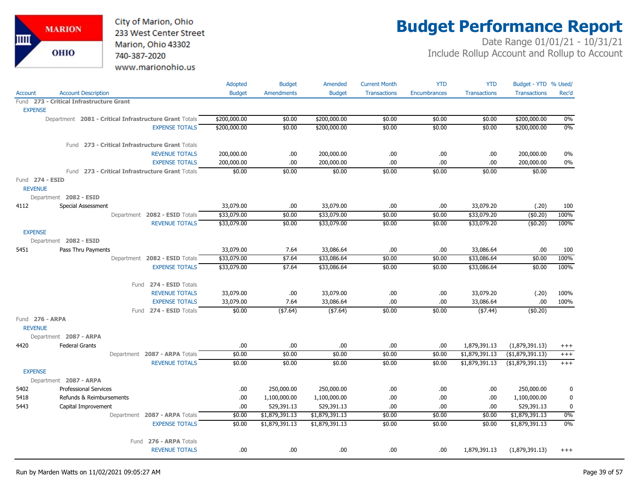City of Marion, Ohio 233 West Center Street Marion, Ohio 43302 740-387-2020 www.marionohio.us

# **Budget Performance Report**

|                                   |                                                        | Adopted       | <b>Budget</b>     | Amended        | <b>Current Month</b> | <b>YTD</b>          | <b>YTD</b>          | Budget - YTD % Used/ |          |
|-----------------------------------|--------------------------------------------------------|---------------|-------------------|----------------|----------------------|---------------------|---------------------|----------------------|----------|
| <b>Account</b>                    | <b>Account Description</b>                             | <b>Budget</b> | <b>Amendments</b> | <b>Budget</b>  | <b>Transactions</b>  | <b>Encumbrances</b> | <b>Transactions</b> | <b>Transactions</b>  | Rec'd    |
|                                   | Fund 273 - Critical Infrastructure Grant               |               |                   |                |                      |                     |                     |                      |          |
| <b>EXPENSE</b>                    |                                                        |               |                   |                |                      |                     |                     |                      |          |
|                                   | Department 2081 - Critical Infrastructure Grant Totals | \$200,000.00  | \$0.00            | \$200,000.00   | \$0.00               | \$0.00              | \$0.00              | \$200,000.00         | 0%       |
|                                   | <b>EXPENSE TOTALS</b>                                  | \$200,000.00  | \$0.00            | \$200,000.00   | \$0.00               | \$0.00              | \$0.00              | \$200,000.00         | $0\%$    |
|                                   | Fund 273 - Critical Infrastructure Grant Totals        |               |                   |                |                      |                     |                     |                      |          |
|                                   | <b>REVENUE TOTALS</b>                                  | 200,000.00    | .00               | 200,000.00     | .00                  | .00.                | .00                 | 200,000.00           | 0%       |
|                                   | <b>EXPENSE TOTALS</b>                                  | 200,000.00    | .00.              | 200,000.00     | .00                  | .00                 | .00                 | 200,000.00           | 0%       |
|                                   | Fund 273 - Critical Infrastructure Grant Totals        | \$0.00        | \$0.00            | \$0.00         | \$0.00               | \$0.00              | \$0.00              | \$0.00               |          |
| Fund 274 - ESID<br><b>REVENUE</b> |                                                        |               |                   |                |                      |                     |                     |                      |          |
|                                   | Department 2082 - ESID                                 |               |                   |                |                      |                     |                     |                      |          |
| 4112                              | <b>Special Assessment</b>                              | 33,079.00     | .00.              | 33,079.00      | .00                  | .00.                | 33,079.20           | (.20)                | 100      |
|                                   | Department 2082 - ESID Totals                          | \$33,079.00   | \$0.00            | \$33,079.00    | \$0.00               | \$0.00              | \$33,079.20         | (\$0.20)             | 100%     |
|                                   | <b>REVENUE TOTALS</b>                                  | \$33,079.00   | \$0.00            | \$33,079.00    | \$0.00               | \$0.00              | \$33,079.20         | (\$0.20)             | 100%     |
| <b>EXPENSE</b>                    |                                                        |               |                   |                |                      |                     |                     |                      |          |
|                                   | Department 2082 - ESID                                 |               |                   |                |                      |                     |                     |                      |          |
| 5451                              | Pass Thru Payments                                     | 33,079.00     | 7.64              | 33,086.64      | .00.                 | .00                 | 33,086.64           | .00.                 | 100      |
|                                   | Department 2082 - ESID Totals                          | \$33,079.00   | \$7.64            | \$33,086.64    | \$0.00               | \$0.00              | \$33,086.64         | \$0.00               | 100%     |
|                                   | <b>EXPENSE TOTALS</b>                                  | \$33,079.00   | \$7.64            | \$33,086.64    | \$0.00               | \$0.00              | \$33,086.64         | \$0.00               | 100%     |
|                                   | Fund 274 - ESID Totals                                 |               |                   |                |                      |                     |                     |                      |          |
|                                   | <b>REVENUE TOTALS</b>                                  | 33,079.00     | .00               | 33,079.00      | .00.                 | .00.                | 33,079.20           | (.20)                | 100%     |
|                                   | <b>EXPENSE TOTALS</b>                                  | 33,079.00     | 7.64              | 33,086.64      | .00                  | .00                 | 33,086.64           | .00                  | 100%     |
|                                   | Fund 274 - ESID Totals                                 | \$0.00        | ( \$7.64)         | ( \$7.64)      | \$0.00               | \$0.00              | ( \$7.44)           | (\$0.20)             |          |
| Fund 276 - ARPA<br><b>REVENUE</b> |                                                        |               |                   |                |                      |                     |                     |                      |          |
|                                   | Department 2087 - ARPA                                 |               |                   |                |                      |                     |                     |                      |          |
| 4420                              | <b>Federal Grants</b>                                  | .00           | .00               | .00            | .00                  | .00.                | 1,879,391.13        | (1,879,391.13)       | $^{+++}$ |
|                                   | Department 2087 - ARPA Totals                          | \$0.00        | \$0.00            | \$0.00         | \$0.00               | \$0.00              | \$1,879,391.13      | (\$1,879,391.13)     | $^{+++}$ |
|                                   | <b>REVENUE TOTALS</b>                                  | \$0.00        | \$0.00            | \$0.00         | \$0.00               | \$0.00              | \$1,879,391.13      | ( \$1,879,391.13)    | $^{+++}$ |
| <b>EXPENSE</b>                    |                                                        |               |                   |                |                      |                     |                     |                      |          |
|                                   | Department 2087 - ARPA                                 |               |                   |                |                      |                     |                     |                      |          |
| 5402                              | <b>Professional Services</b>                           | .00.          | 250,000.00        | 250,000.00     | .00                  | .00.                | .00.                | 250,000.00           | 0        |
| 5418                              | Refunds & Reimbursements                               | .00           | 1,100,000.00      | 1,100,000.00   | .00                  | .00.                | .00.                | 1,100,000.00         | 0        |
| 5443                              | Capital Improvement                                    | .00           | 529,391.13        | 529,391.13     | .00                  | .00.                | .00                 | 529,391.13           | 0        |
|                                   | Department 2087 - ARPA Totals                          | \$0.00        | \$1,879,391.13    | \$1,879,391.13 | \$0.00               | \$0.00              | \$0.00              | \$1,879,391.13       | 0%       |
|                                   | <b>EXPENSE TOTALS</b>                                  | \$0.00        | \$1,879,391.13    | \$1,879,391.13 | \$0.00               | \$0.00              | \$0.00              | \$1,879,391.13       | 0%       |
|                                   | 276 - ARPA Totals<br>Fund                              |               |                   |                |                      |                     |                     |                      |          |
|                                   | <b>REVENUE TOTALS</b>                                  | .00           | .00.              | .00            | .00.                 | .00                 | 1,879,391.13        | (1,879,391.13)       | $+++$    |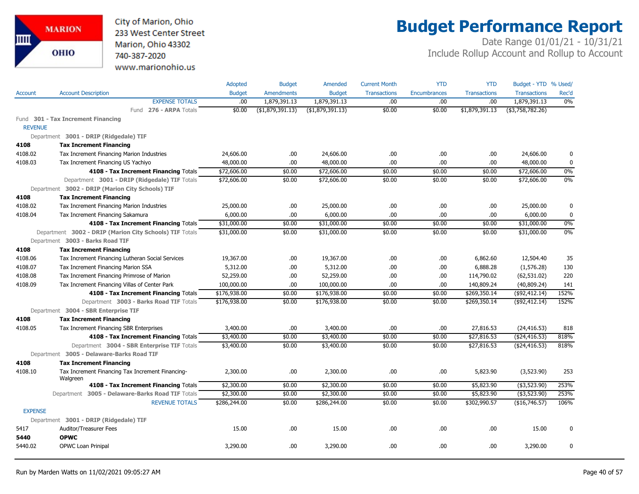City of Marion, Ohio 233 West Center Street Marion, Ohio 43302 740-387-2020 www.marionohio.us

# **Budget Performance Report**

|                |                                                                                          | <b>Adopted</b> | <b>Budget</b>     | Amended                  | <b>Current Month</b> | <b>YTD</b>          | <b>YTD</b>                 | Budget - YTD % Used/ |              |
|----------------|------------------------------------------------------------------------------------------|----------------|-------------------|--------------------------|----------------------|---------------------|----------------------------|----------------------|--------------|
| Account        | <b>Account Description</b>                                                               | <b>Budget</b>  | <b>Amendments</b> | <b>Budget</b>            | <b>Transactions</b>  | <b>Encumbrances</b> | <b>Transactions</b>        | <b>Transactions</b>  | Rec'd        |
|                | <b>EXPENSE TOTALS</b>                                                                    | .00            | 1,879,391.13      | 1,879,391.13             | .00                  | .00                 | .00.                       | 1,879,391.13         | 0%           |
|                | Fund 276 - ARPA Totals                                                                   | \$0.00         | ( \$1,879,391.13) | ( \$1,879,391.13)        | \$0.00               | \$0.00              | \$1,879,391.13             | (\$3,758,782.26)     |              |
|                | Fund 301 - Tax Increment Financing                                                       |                |                   |                          |                      |                     |                            |                      |              |
| <b>REVENUE</b> |                                                                                          |                |                   |                          |                      |                     |                            |                      |              |
|                | Department 3001 - DRIP (Ridgedale) TIF                                                   |                |                   |                          |                      |                     |                            |                      |              |
| 4108           | <b>Tax Increment Financing</b>                                                           |                |                   |                          |                      |                     |                            |                      |              |
| 4108.02        | Tax Increment Financing Marion Industries                                                | 24,606.00      | .00.              | 24,606.00                | .00.                 | .00                 | .00.                       | 24,606.00            | 0            |
| 4108.03        | Tax Increment Financing US Yachiyo                                                       | 48,000.00      | .00.              | 48,000.00                | .00.                 | .00                 | .00.                       | 48,000.00            | $\mathbf 0$  |
|                | 4108 - Tax Increment Financing Totals                                                    | \$72,606.00    | \$0.00            | \$72,606.00              | \$0.00               | \$0.00              | \$0.00                     | \$72,606.00          | 0%           |
|                | Department 3001 - DRIP (Ridgedale) TIF Totals                                            | \$72,606.00    | \$0.00            | \$72,606.00              | \$0.00               | \$0.00              | \$0.00                     | \$72,606.00          | 0%           |
|                | Department 3002 - DRIP (Marion City Schools) TIF                                         |                |                   |                          |                      |                     |                            |                      |              |
| 4108           | <b>Tax Increment Financing</b>                                                           |                |                   |                          |                      |                     |                            |                      |              |
| 4108.02        | Tax Increment Financing Marion Industries                                                | 25,000.00      | .00.              | 25,000.00                | .00.                 | .00                 | .00.                       | 25,000.00            | $\mathbf 0$  |
| 4108.04        | Tax Increment Financing Sakamura                                                         | 6,000.00       | .00.              | 6,000.00                 | .00.                 | .00.                | .00                        | 6,000.00             | $\pmb{0}$    |
|                | 4108 - Tax Increment Financing Totals                                                    | \$31,000.00    | \$0.00            | \$31,000.00              | \$0.00               | \$0.00              | \$0.00                     | \$31,000.00          | 0%           |
|                | Department 3002 - DRIP (Marion City Schools) TIF Totals                                  | \$31,000.00    | \$0.00            | \$31,000.00              | \$0.00               | \$0.00              | \$0.00                     | \$31,000.00          | 0%           |
|                | Department 3003 - Barks Road TIF                                                         |                |                   |                          |                      |                     |                            |                      |              |
| 4108           | <b>Tax Increment Financing</b>                                                           |                |                   |                          |                      |                     |                            |                      |              |
| 4108.06        | Tax Increment Financing Lutheran Social Services                                         | 19,367.00      | .00.              | 19,367.00                | .00.                 | .00                 | 6,862.60                   | 12,504.40            | 35           |
| 4108.07        | Tax Increment Financing Marion SSA                                                       | 5,312.00       | .00               | 5,312.00                 | .00.                 | .00                 | 6,888.28                   | (1, 576.28)          | 130          |
| 4108.08        | Tax Increment Financing Primrose of Marion                                               | 52,259.00      | .00.              | 52,259.00                | .00                  | .00                 | 114,790.02                 | (62, 531.02)         | 220          |
| 4108.09        | Tax Increment Financing Villas of Center Park                                            | 100,000.00     | .00               | 100,000.00               | .00.                 | .00                 | 140,809.24                 | (40, 809.24)         | 141          |
|                | 4108 - Tax Increment Financing Totals                                                    | \$176,938.00   | \$0.00            | \$176,938.00             | \$0.00               | \$0.00              | \$269,350.14               | ( \$92, 412.14)      | 152%         |
|                | Department 3003 - Barks Road TIF Totals                                                  | \$176,938.00   | \$0.00            | \$176,938.00             | \$0.00               | \$0.00              | \$269,350.14               | ( \$92, 412.14)      | 152%         |
|                | Department 3004 - SBR Enterprise TIF                                                     |                |                   |                          |                      |                     |                            |                      |              |
| 4108           | <b>Tax Increment Financing</b>                                                           |                |                   |                          |                      |                     |                            |                      |              |
| 4108.05        | Tax Increment Financing SBR Enterprises                                                  | 3,400.00       | .00.              | 3,400.00                 | .00.                 | .00                 | 27,816.53                  | (24, 416.53)         | 818          |
|                | 4108 - Tax Increment Financing Totals                                                    | \$3,400.00     | \$0.00            | \$3,400.00<br>\$3,400.00 | \$0.00               | \$0.00              | \$27,816.53<br>\$27,816.53 | ( \$24,416.53)       | 818%<br>818% |
|                | Department 3004 - SBR Enterprise TIF Totals<br>Department 3005 - Delaware-Barks Road TIF | \$3,400.00     | \$0.00            |                          | \$0.00               | \$0.00              |                            | ( \$24,416.53)       |              |
| 4108           | <b>Tax Increment Financing</b>                                                           |                |                   |                          |                      |                     |                            |                      |              |
| 4108.10        | Tax Increment Financing Tax Increment Financing-                                         | 2,300.00       | .00.              | 2,300.00                 | .00                  | .00                 | 5,823.90                   | (3,523.90)           | 253          |
|                | Walgreen                                                                                 |                |                   |                          |                      |                     |                            |                      |              |
|                | 4108 - Tax Increment Financing Totals                                                    | \$2,300.00     | \$0.00            | \$2,300.00               | \$0.00               | \$0.00              | \$5,823.90                 | $(*3,523.90)$        | 253%         |
|                | Department 3005 - Delaware-Barks Road TIF Totals                                         | \$2,300.00     | \$0.00            | \$2,300.00               | \$0.00               | \$0.00              | \$5,823.90                 | (\$3,523.90)         | 253%         |
|                | <b>REVENUE TOTALS</b>                                                                    | \$286,244.00   | \$0.00            | \$286,244.00             | \$0.00               | \$0.00              | \$302,990.57               | (\$16,746.57)        | 106%         |
| <b>EXPENSE</b> |                                                                                          |                |                   |                          |                      |                     |                            |                      |              |
|                | Department 3001 - DRIP (Ridgedale) TIF                                                   |                |                   |                          |                      |                     |                            |                      |              |
| 5417           | Auditor/Treasurer Fees                                                                   | 15.00          | .00.              | 15.00                    | .00.                 | .00                 | .00                        | 15.00                | 0            |
| 5440           | <b>OPWC</b>                                                                              |                |                   |                          |                      |                     |                            |                      |              |
| 5440.02        | OPWC Loan Prinipal                                                                       | 3,290.00       | .00.              | 3,290.00                 | .00.                 | .00                 | .00.                       | 3,290.00             | 0            |
|                |                                                                                          |                |                   |                          |                      |                     |                            |                      |              |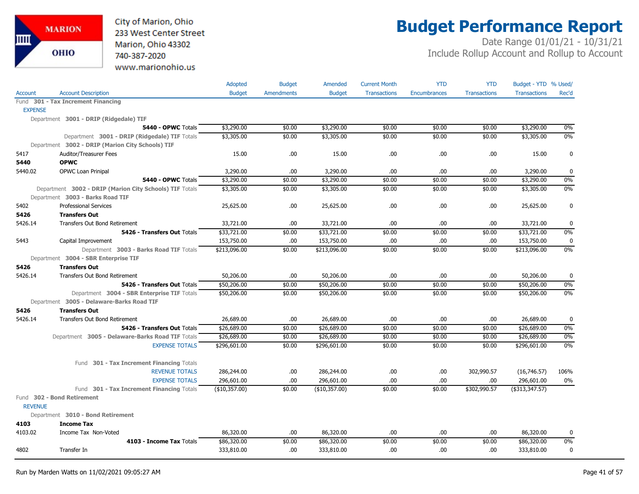City of Marion, Ohio 233 West Center Street Marion, Ohio 43302 740-387-2020 www.marionohio.us

# **Budget Performance Report**

|                |                                                         | Adopted       | <b>Budget</b>     | Amended       | <b>Current Month</b> | <b>YTD</b>          | <b>YTD</b>          | Budget - YTD % Used/ |             |
|----------------|---------------------------------------------------------|---------------|-------------------|---------------|----------------------|---------------------|---------------------|----------------------|-------------|
| <b>Account</b> | <b>Account Description</b>                              | <b>Budget</b> | <b>Amendments</b> | <b>Budget</b> | <b>Transactions</b>  | <b>Encumbrances</b> | <b>Transactions</b> | <b>Transactions</b>  | Rec'd       |
|                | Fund 301 - Tax Increment Financing                      |               |                   |               |                      |                     |                     |                      |             |
| <b>EXPENSE</b> |                                                         |               |                   |               |                      |                     |                     |                      |             |
|                | Department 3001 - DRIP (Ridgedale) TIF                  |               |                   |               |                      |                     |                     |                      |             |
|                | 5440 - OPWC Totals                                      | \$3,290.00    | \$0.00            | \$3,290.00    | \$0.00               | \$0.00              | \$0.00              | \$3,290.00           | 0%          |
|                | Department 3001 - DRIP (Ridgedale) TIF Totals           | \$3,305.00    | \$0.00            | \$3,305.00    | \$0.00               | \$0.00              | \$0.00              | \$3,305.00           | 0%          |
|                | Department 3002 - DRIP (Marion City Schools) TIF        |               |                   |               |                      |                     |                     |                      |             |
| 5417           | <b>Auditor/Treasurer Fees</b>                           | 15.00         | .00               | 15.00         | .00                  | .00                 | .00                 | 15.00                | $\bf{0}$    |
| 5440           | <b>OPWC</b>                                             |               |                   |               |                      |                     |                     |                      |             |
| 5440.02        | <b>OPWC Loan Prinipal</b>                               | 3,290.00      | .00.              | 3,290.00      | .00                  | .00.                | .00                 | 3,290.00             | $\bf{0}$    |
|                | 5440 - OPWC Totals                                      | \$3,290.00    | \$0.00            | \$3,290.00    | \$0.00               | \$0.00              | \$0.00              | \$3,290.00           | 0%          |
|                | Department 3002 - DRIP (Marion City Schools) TIF Totals | \$3,305.00    | \$0.00            | \$3,305.00    | \$0.00               | \$0.00              | \$0.00              | \$3,305.00           | 0%          |
|                | Department 3003 - Barks Road TIF                        |               |                   |               |                      |                     |                     |                      |             |
| 5402           | <b>Professional Services</b>                            | 25,625.00     | .00.              | 25,625.00     | .00                  | .00                 | .00                 | 25,625.00            | $\mathbf 0$ |
| 5426           | <b>Transfers Out</b>                                    |               |                   |               |                      |                     |                     |                      |             |
| 5426.14        | <b>Transfers Out Bond Retirement</b>                    | 33,721.00     | .00               | 33,721.00     | .00                  | .00                 | .00                 | 33,721.00            | 0           |
|                | 5426 - Transfers Out Totals                             | \$33,721.00   | \$0.00            | \$33,721.00   | \$0.00               | \$0.00              | \$0.00              | \$33,721.00          | 0%          |
| 5443           | Capital Improvement                                     | 153,750.00    | .00               | 153,750.00    | .00.                 | .00                 | .00.                | 153,750.00           | 0           |
|                | Department 3003 - Barks Road TIF Totals                 | \$213,096.00  | \$0.00            | \$213,096.00  | \$0.00               | \$0.00              | \$0.00              | \$213,096.00         | 0%          |
|                | Department 3004 - SBR Enterprise TIF                    |               |                   |               |                      |                     |                     |                      |             |
| 5426           | <b>Transfers Out</b>                                    |               |                   |               |                      |                     |                     |                      |             |
| 5426.14        | <b>Transfers Out Bond Retirement</b>                    | 50,206.00     | .00               | 50,206.00     | .00                  | .00                 | .00.                | 50,206.00            | 0           |
|                | 5426 - Transfers Out Totals                             | \$50,206.00   | \$0.00            | \$50,206.00   | \$0.00               | \$0.00              | \$0.00              | \$50,206.00          | 0%          |
|                | Department 3004 - SBR Enterprise TIF Totals             | \$50,206.00   | \$0.00            | \$50,206.00   | \$0.00               | \$0.00              | \$0.00              | \$50,206.00          | 0%          |
|                | Department 3005 - Delaware-Barks Road TIF               |               |                   |               |                      |                     |                     |                      |             |
| 5426           | <b>Transfers Out</b>                                    |               |                   |               |                      |                     |                     |                      |             |
| 5426.14        | Transfers Out Bond Retirement                           | 26,689.00     | .00               | 26,689.00     | .00                  | .00                 | .00                 | 26,689.00            | $\mathbf 0$ |
|                | 5426 - Transfers Out Totals                             | \$26,689.00   | \$0.00            | \$26,689.00   | \$0.00               | \$0.00              | \$0.00              | \$26,689.00          | 0%          |
|                | Department 3005 - Delaware-Barks Road TIF Totals        | \$26,689.00   | \$0.00            | \$26,689.00   | \$0.00               | \$0.00              | \$0.00              | \$26,689.00          | $0\%$       |
|                | <b>EXPENSE TOTALS</b>                                   | \$296,601.00  | \$0.00            | \$296,601.00  | \$0.00               | \$0.00              | \$0.00              | \$296,601.00         | 0%          |
|                |                                                         |               |                   |               |                      |                     |                     |                      |             |
|                | Fund 301 - Tax Increment Financing Totals               |               |                   |               |                      |                     |                     |                      |             |
|                | <b>REVENUE TOTALS</b>                                   | 286,244.00    | .00               | 286,244.00    | .00                  | .00                 | 302,990.57          | (16,746.57)          | 106%        |
|                | <b>EXPENSE TOTALS</b>                                   | 296,601.00    | .00               | 296,601.00    | .00                  | .00                 | .00                 | 296,601.00           | $0\%$       |
|                | Fund 301 - Tax Increment Financing Totals               | (\$10,357.00) | \$0.00            | (\$10,357.00) | \$0.00               | \$0.00              | \$302,990.57        | (\$313,347.57)       |             |
|                | Fund 302 - Bond Retirement                              |               |                   |               |                      |                     |                     |                      |             |
| <b>REVENUE</b> |                                                         |               |                   |               |                      |                     |                     |                      |             |
|                | Department 3010 - Bond Retirement                       |               |                   |               |                      |                     |                     |                      |             |
| 4103           | <b>Income Tax</b>                                       |               |                   |               |                      |                     |                     |                      |             |
| 4103.02        | Income Tax Non-Voted                                    | 86,320.00     | .00               | 86,320.00     | .00.                 | .00.                | .00                 | 86,320.00            | 0           |
|                | 4103 - Income Tax Totals                                | \$86,320.00   | \$0.00            | \$86,320.00   | \$0.00               | \$0.00              | \$0.00              | \$86,320.00          | 0%          |
| 4802           | Transfer In                                             | 333,810.00    | .00               | 333,810.00    | .00                  | .00                 | .00.                | 333,810.00           | 0           |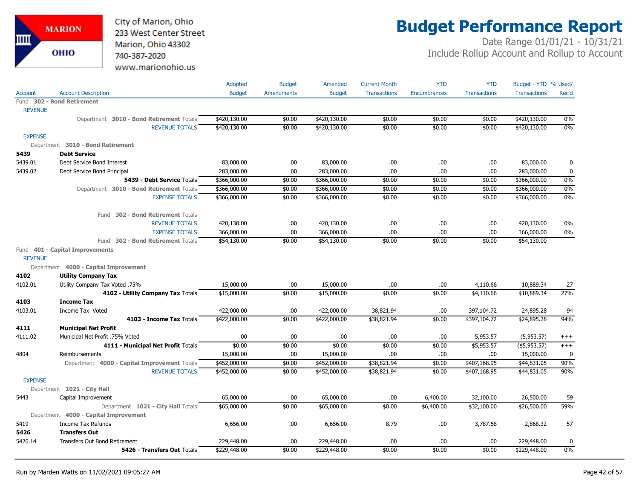

# **Budget Performance Report**

|                |                                              | Adopted       | <b>Budget</b>     | Amended       | <b>Current Month</b> | <b>YTD</b>          | <b>YTD</b>          | Budget - YTD % Used/ |          |
|----------------|----------------------------------------------|---------------|-------------------|---------------|----------------------|---------------------|---------------------|----------------------|----------|
| Account        | <b>Account Description</b>                   | <b>Budget</b> | <b>Amendments</b> | <b>Budget</b> | <b>Transactions</b>  | <b>Encumbrances</b> | <b>Transactions</b> | <b>Transactions</b>  | Rec'd    |
|                | Fund 302 - Bond Retirement                   |               |                   |               |                      |                     |                     |                      |          |
| <b>REVENUE</b> |                                              |               |                   |               |                      |                     |                     |                      |          |
|                | Department 3010 - Bond Retirement Totals     | \$420,130.00  | \$0.00            | \$420,130.00  | \$0.00               | \$0.00              | \$0.00              | \$420,130.00         | $0\%$    |
|                | <b>REVENUE TOTALS</b>                        | \$420,130.00  | \$0.00            | \$420,130.00  | \$0.00               | \$0.00              | \$0.00              | \$420,130.00         | 0%       |
| <b>EXPENSE</b> |                                              |               |                   |               |                      |                     |                     |                      |          |
|                | Department 3010 - Bond Retirement            |               |                   |               |                      |                     |                     |                      |          |
| 5439           | <b>Debt Service</b>                          |               |                   |               |                      |                     |                     |                      |          |
| 5439.01        | Debt Service Bond Interest                   | 83,000.00     | .00               | 83,000.00     | .00                  | .00                 | .00.                | 83,000.00            | 0        |
| 5439.02        | Debt Service Bond Principal                  | 283,000.00    | .00               | 283,000.00    | .00                  | .00                 | .00.                | 283,000.00           | 0        |
|                | 5439 - Debt Service Totals                   | \$366,000.00  | \$0.00            | \$366,000.00  | \$0.00               | \$0.00              | \$0.00              | \$366,000.00         | 0%       |
|                | Department 3010 - Bond Retirement Totals     | \$366,000.00  | \$0.00            | \$366,000.00  | \$0.00               | \$0.00              | \$0.00              | \$366,000.00         | 0%       |
|                | <b>EXPENSE TOTALS</b>                        | \$366,000.00  | \$0.00            | \$366,000.00  | \$0.00               | \$0.00              | \$0.00              | \$366,000.00         | 0%       |
|                | Fund 302 - Bond Retirement Totals            |               |                   |               |                      |                     |                     |                      |          |
|                | <b>REVENUE TOTALS</b>                        | 420,130.00    | .00               | 420,130.00    | .00                  | .00                 | .00                 | 420,130.00           | $0\%$    |
|                | <b>EXPENSE TOTALS</b>                        | 366,000.00    | .00               | 366,000.00    | .00                  | .00                 | .00.                | 366,000.00           | $0\%$    |
|                | Fund 302 - Bond Retirement Totals            | \$54,130.00   | \$0.00            | \$54,130.00   | \$0.00               | \$0.00              | \$0.00              | \$54,130.00          |          |
| <b>REVENUE</b> | Fund 401 - Capital Improvements              |               |                   |               |                      |                     |                     |                      |          |
|                | Department 4000 - Capital Improvement        |               |                   |               |                      |                     |                     |                      |          |
| 4102           | <b>Utility Company Tax</b>                   |               |                   |               |                      |                     |                     |                      |          |
| 4102.01        | Utility Company Tax Voted .75%               | 15,000.00     | .00               | 15,000.00     | .00                  | .00.                | 4,110.66            | 10,889.34            | 27       |
|                | 4102 - Utility Company Tax Totals            | \$15,000.00   | \$0.00            | \$15,000.00   | \$0.00               | \$0.00              | \$4,110.66          | \$10,889.34          | 27%      |
| 4103           | <b>Income Tax</b>                            |               |                   |               |                      |                     |                     |                      |          |
| 4103.01        | Income Tax Voted                             | 422,000.00    | .00               | 422,000.00    | 38,821.94            | .00                 | 397,104.72          | 24,895.28            | 94       |
|                | 4103 - Income Tax Totals                     | \$422,000.00  | \$0.00            | \$422,000.00  | \$38,821.94          | \$0.00              | \$397,104.72        | \$24,895.28          | 94%      |
| 4111           | <b>Municipal Net Profit</b>                  |               |                   |               |                      |                     |                     |                      |          |
| 4111.02        | Municipal Net Profit .75% Voted              | .00           | .00               | .00           | .00                  | .00                 | 5,953.57            | (5,953.57)           | $^{+++}$ |
|                | 4111 - Municipal Net Profit Totals           | \$0.00        | \$0.00            | \$0.00        | \$0.00               | \$0.00              | \$5,953.57          | (\$5,953.57)         | $^{+++}$ |
| 4804           | Reimbursements                               | 15,000.00     | .00               | 15,000.00     | .00                  | .00                 | .00                 | 15,000.00            | 0        |
|                | Department 4000 - Capital Improvement Totals | \$452,000.00  | \$0.00            | \$452,000.00  | \$38,821.94          | \$0.00              | \$407,168.95        | \$44,831.05          | 90%      |
|                | <b>REVENUE TOTALS</b>                        | \$452,000.00  | \$0.00            | \$452,000.00  | \$38,821.94          | \$0.00              | \$407,168.95        | \$44,831.05          | 90%      |
| <b>EXPENSE</b> |                                              |               |                   |               |                      |                     |                     |                      |          |
|                | Department 1021 - City Hall                  |               |                   |               |                      |                     |                     |                      |          |
| 5443           | Capital Improvement                          | 65,000.00     | .00               | 65,000.00     | .00                  | 6,400.00            | 32,100.00           | 26,500.00            | 59       |
|                | Department 1021 - City Hall Totals           | \$65,000.00   | \$0.00            | \$65,000.00   | \$0.00               | \$6,400.00          | \$32,100.00         | \$26,500.00          | 59%      |
|                | Department 4000 - Capital Improvement        |               |                   |               |                      |                     |                     |                      |          |
| 5419           | Income Tax Refunds                           | 6,656.00      | .00               | 6,656.00      | 8.79                 | .00                 | 3,787.68            | 2,868.32             | 57       |
| 5426           | <b>Transfers Out</b>                         |               |                   |               |                      |                     |                     |                      |          |
| 5426.14        | <b>Transfers Out Bond Retirement</b>         | 229,448.00    | .00               | 229,448.00    | .00                  | .00                 | .00.                | 229,448.00           | 0        |
|                | 5426 - Transfers Out Totals                  | \$229,448.00  | \$0.00            | \$229,448.00  | \$0.00               | \$0.00              | \$0.00              | \$229,448.00         | 0%       |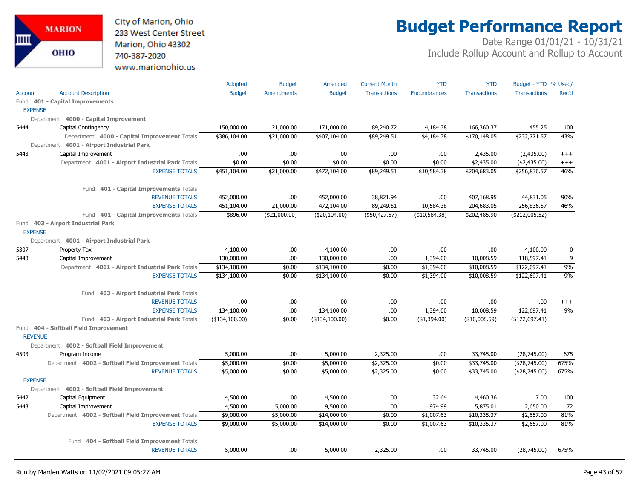City of Marion, Ohio 233 West Center Street Marion, Ohio 43302 740-387-2020 www.marionohio.us

# **Budget Performance Report**

|                |                                                     | Adopted        | <b>Budget</b>     | Amended        | <b>Current Month</b> | <b>YTD</b>          | <b>YTD</b>          | Budget - YTD % Used/ |          |
|----------------|-----------------------------------------------------|----------------|-------------------|----------------|----------------------|---------------------|---------------------|----------------------|----------|
| <b>Account</b> | <b>Account Description</b>                          | <b>Budget</b>  | <b>Amendments</b> | <b>Budget</b>  | <b>Transactions</b>  | <b>Encumbrances</b> | <b>Transactions</b> | <b>Transactions</b>  | Rec'd    |
|                | Fund 401 - Capital Improvements                     |                |                   |                |                      |                     |                     |                      |          |
| <b>EXPENSE</b> |                                                     |                |                   |                |                      |                     |                     |                      |          |
|                | Department 4000 - Capital Improvement               |                |                   |                |                      |                     |                     |                      |          |
| 5444           | Capital Contingency                                 | 150,000.00     | 21,000.00         | 171,000.00     | 89,240.72            | 4,184.38            | 166,360.37          | 455.25               | 100      |
|                | Department 4000 - Capital Improvement Totals        | \$386,104.00   | \$21,000.00       | \$407,104.00   | \$89,249.51          | \$4,184.38          | \$170,148.05        | \$232,771.57         | 43%      |
|                | Department 4001 - Airport Industrial Park           |                |                   |                |                      |                     |                     |                      |          |
| 5443           | Capital Improvement                                 | .00            | .00.              | .00            | .00                  | .00                 | 2,435.00            | (2,435.00)           | $^{+++}$ |
|                | Department 4001 - Airport Industrial Park Totals    | \$0.00         | \$0.00            | \$0.00         | \$0.00               | \$0.00              | \$2,435.00          | (42, 435.00)         | $^{+++}$ |
|                | <b>EXPENSE TOTALS</b>                               | \$451,104.00   | \$21,000.00       | \$472,104.00   | \$89,249.51          | \$10,584.38         | \$204,683.05        | \$256,836.57         | 46%      |
|                | 401 - Capital Improvements Totals<br>Fund           |                |                   |                |                      |                     |                     |                      |          |
|                | <b>REVENUE TOTALS</b>                               | 452,000.00     | .00               | 452,000.00     | 38,821.94            | .00                 | 407,168.95          | 44,831.05            | 90%      |
|                | <b>EXPENSE TOTALS</b>                               | 451,104.00     | 21,000.00         | 472,104.00     | 89,249.51            | 10,584.38           | 204,683.05          | 256,836.57           | 46%      |
|                | Fund 401 - Capital Improvements Totals              | \$896.00       | ( \$21,000.00)    | (\$20,104.00)  | (\$50,427.57)        | (\$10,584.38)       | \$202,485.90        | (\$212,005.52)       |          |
|                | Fund 403 - Airport Industrial Park                  |                |                   |                |                      |                     |                     |                      |          |
| <b>EXPENSE</b> |                                                     |                |                   |                |                      |                     |                     |                      |          |
|                | Department 4001 - Airport Industrial Park           |                |                   |                |                      |                     |                     |                      |          |
| 5307           | Property Tax                                        | 4,100.00       | .00.              | 4,100.00       | .00                  | .00.                | .00                 | 4,100.00             | 0        |
| 5443           | Capital Improvement                                 | 130,000.00     | .00               | 130,000.00     | .00                  | 1,394.00            | 10,008.59           | 118,597.41           | 9        |
|                | Department 4001 - Airport Industrial Park Totals    | \$134,100.00   | \$0.00            | \$134,100.00   | \$0.00               | \$1,394.00          | \$10,008.59         | \$122,697.41         | 9%       |
|                | <b>EXPENSE TOTALS</b>                               | \$134,100.00   | \$0.00            | \$134,100.00   | \$0.00               | \$1,394.00          | \$10,008.59         | \$122,697.41         | 9%       |
|                | 403 - Airport Industrial Park Totals<br>Fund        |                |                   |                |                      |                     |                     |                      |          |
|                | <b>REVENUE TOTALS</b>                               | .00            | .00.              | .00            | .00                  | .00                 | .00                 | .00.                 | $^{+++}$ |
|                | <b>EXPENSE TOTALS</b>                               | 134,100.00     | .00.              | 134,100.00     | .00                  | 1,394.00            | 10,008.59           | 122,697.41           | 9%       |
|                | Fund 403 - Airport Industrial Park Totals           | (\$134,100.00) | \$0.00            | (\$134,100.00) | \$0.00               | $($ \$1,394.00)     | (\$10,008.59)       | (\$122,697.41)       |          |
| <b>REVENUE</b> | Fund 404 - Softball Field Improvement               |                |                   |                |                      |                     |                     |                      |          |
|                | Department 4002 - Softball Field Improvement        |                |                   |                |                      |                     |                     |                      |          |
| 4503           | Program Income                                      | 5,000.00       | .00               | 5,000.00       | 2,325.00             | .00                 | 33,745.00           | (28, 745.00)         | 675      |
|                | Department 4002 - Softball Field Improvement Totals | \$5,000.00     | \$0.00            | \$5,000.00     | \$2,325.00           | \$0.00              | \$33,745.00         | (\$28,745.00)        | 675%     |
|                | <b>REVENUE TOTALS</b>                               | \$5,000.00     | \$0.00            | \$5,000.00     | \$2,325.00           | \$0.00              | \$33,745.00         | (\$28,745.00)        | 675%     |
| <b>EXPENSE</b> |                                                     |                |                   |                |                      |                     |                     |                      |          |
|                | Department 4002 - Softball Field Improvement        |                |                   |                |                      |                     |                     |                      |          |
| 5442           | Capital Equipment                                   | 4,500.00       | .00.              | 4,500.00       | .00                  | 32.64               | 4,460.36            | 7.00                 | 100      |
| 5443           | Capital Improvement                                 | 4,500.00       | 5,000.00          | 9,500.00       | .00                  | 974.99              | 5,875.01            | 2,650.00             | 72       |
|                | Department 4002 - Softball Field Improvement Totals | \$9,000.00     | \$5,000.00        | \$14,000.00    | \$0.00               | \$1,007.63          | \$10,335.37         | \$2,657.00           | 81%      |
|                | <b>EXPENSE TOTALS</b>                               | \$9,000.00     | \$5,000.00        | \$14,000.00    | \$0.00               | \$1,007.63          | \$10,335.37         | \$2,657.00           | 81%      |
|                | 404 - Softball Field Improvement Totals<br>Fund     |                |                   |                |                      |                     |                     |                      |          |
|                | <b>REVENUE TOTALS</b>                               | 5,000.00       | .00.              | 5,000.00       | 2,325.00             | .00.                | 33,745.00           | (28,745.00)          | 675%     |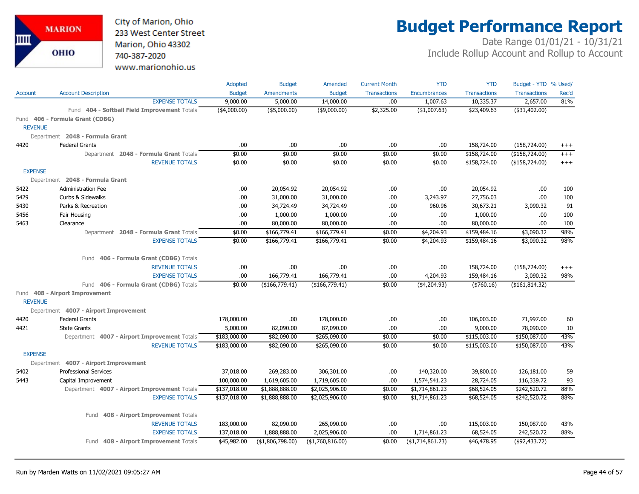City of Marion, Ohio 233 West Center Street Marion, Ohio 43302 740-387-2020 www.marionohio.us

# **Budget Performance Report**

|                |                                              | Adopted         | <b>Budget</b>     | Amended          | <b>Current Month</b> | <b>YTD</b>          | <b>YTD</b>          | Budget - YTD % Used/ |          |
|----------------|----------------------------------------------|-----------------|-------------------|------------------|----------------------|---------------------|---------------------|----------------------|----------|
| Account        | <b>Account Description</b>                   | <b>Budget</b>   | <b>Amendments</b> | <b>Budget</b>    | <b>Transactions</b>  | <b>Encumbrances</b> | <b>Transactions</b> | <b>Transactions</b>  | Rec'd    |
|                | <b>EXPENSE TOTALS</b>                        | 9,000.00        | 5,000.00          | 14,000.00        | .00                  | 1,007.63            | 10,335.37           | 2,657.00             | 81%      |
|                | Fund 404 - Softball Field Improvement Totals | $($ \$4,000.00) | $($ \$5,000.00)   | $($ \$9,000.00)  | \$2,325.00           | $($ \$1,007.63)     | \$23,409.63         | ( \$31,402.00)       |          |
|                | Fund 406 - Formula Grant (CDBG)              |                 |                   |                  |                      |                     |                     |                      |          |
| <b>REVENUE</b> |                                              |                 |                   |                  |                      |                     |                     |                      |          |
|                | Department 2048 - Formula Grant              |                 |                   |                  |                      |                     |                     |                      |          |
| 4420           | <b>Federal Grants</b>                        | .00             | .00               | .00.             | .00                  | .00                 | 158,724.00          | (158, 724.00)        | $^{+++}$ |
|                | Department 2048 - Formula Grant Totals       | \$0.00          | \$0.00            | \$0.00           | \$0.00               | \$0.00              | \$158,724.00        | (\$158,724.00)       | $^{+++}$ |
|                | <b>REVENUE TOTALS</b>                        | \$0.00          | \$0.00            | \$0.00           | \$0.00               | \$0.00              | \$158,724.00        | ( \$158, 724.00)     | $^{+++}$ |
| <b>EXPENSE</b> |                                              |                 |                   |                  |                      |                     |                     |                      |          |
|                | Department 2048 - Formula Grant              |                 |                   |                  |                      |                     |                     |                      |          |
| 5422           | <b>Administration Fee</b>                    | .00             | 20,054.92         | 20,054.92        | .00                  | .00                 | 20,054.92           | .00                  | 100      |
| 5429           | Curbs & Sidewalks                            | .00.            | 31,000.00         | 31,000.00        | .00                  | 3,243.97            | 27,756.03           | .00                  | 100      |
| 5430           | Parks & Recreation                           | .00.            | 34,724.49         | 34,724.49        | .00                  | 960.96              | 30,673.21           | 3,090.32             | 91       |
| 5456           | Fair Housing                                 | .00             | 1,000.00          | 1,000.00         | .00                  | .00                 | 1,000.00            | .00                  | 100      |
| 5463           | Clearance                                    | .00             | 80,000.00         | 80,000.00        | .00                  | .00                 | 80,000.00           | .00                  | 100      |
|                | Department 2048 - Formula Grant Totals       | \$0.00          | \$166,779.41      | \$166,779.41     | \$0.00               | \$4,204.93          | \$159,484.16        | \$3,090.32           | 98%      |
|                | <b>EXPENSE TOTALS</b>                        | \$0.00          | \$166,779.41      | \$166,779.41     | \$0.00               | \$4,204.93          | \$159,484.16        | \$3,090.32           | 98%      |
|                | Fund 406 - Formula Grant (CDBG) Totals       |                 |                   |                  |                      |                     |                     |                      |          |
|                | <b>REVENUE TOTALS</b>                        | .00             | .00.              | .00.             | .00                  | .00                 | 158,724.00          | (158, 724.00)        | $^{+++}$ |
|                | <b>EXPENSE TOTALS</b>                        | .00             | 166,779.41        | 166,779.41       | .00                  | 4,204.93            | 159,484.16          | 3,090.32             | 98%      |
|                | Fund 406 - Formula Grant (CDBG) Totals       | \$0.00          | (\$166,779.41)    | (\$166,779.41)   | \$0.00               | (\$4,204.93)        | $(*760.16)$         | (\$161, 814.32)      |          |
| <b>REVENUE</b> | Fund 408 - Airport Improvement               |                 |                   |                  |                      |                     |                     |                      |          |
|                | Department 4007 - Airport Improvement        |                 |                   |                  |                      |                     |                     |                      |          |
| 4420           | <b>Federal Grants</b>                        | 178,000.00      | .00.              | 178,000.00       | .00                  | .00                 | 106,003.00          | 71,997.00            | 60       |
| 4421           | <b>State Grants</b>                          | 5,000.00        | 82,090.00         | 87,090.00        | .00                  | .00                 | 9,000.00            | 78,090.00            | 10       |
|                | Department 4007 - Airport Improvement Totals | \$183,000.00    | \$82,090.00       | \$265,090.00     | \$0.00               | \$0.00              | \$115,003.00        | \$150,087.00         | 43%      |
|                | <b>REVENUE TOTALS</b>                        | \$183,000.00    | \$82,090.00       | \$265,090.00     | \$0.00               | \$0.00              | \$115,003.00        | \$150,087.00         | 43%      |
| <b>EXPENSE</b> |                                              |                 |                   |                  |                      |                     |                     |                      |          |
|                | Department 4007 - Airport Improvement        |                 |                   |                  |                      |                     |                     |                      |          |
| 5402           | <b>Professional Services</b>                 | 37,018.00       | 269,283.00        | 306,301.00       | .00                  | 140,320.00          | 39,800.00           | 126,181.00           | 59       |
| 5443           | Capital Improvement                          | 100,000.00      | 1,619,605.00      | 1,719,605.00     | .00                  | 1,574,541.23        | 28,724.05           | 116,339.72           | 93       |
|                | Department 4007 - Airport Improvement Totals | \$137,018.00    | \$1,888,888.00    | \$2,025,906.00   | \$0.00               | \$1,714,861.23      | \$68,524.05         | \$242,520.72         | 88%      |
|                | <b>EXPENSE TOTALS</b>                        | \$137,018.00    | \$1,888,888.00    | \$2,025,906.00   | \$0.00               | \$1,714,861.23      | \$68,524.05         | \$242,520.72         | 88%      |
|                | 408 - Airport Improvement Totals<br>Fund     |                 |                   |                  |                      |                     |                     |                      |          |
|                | <b>REVENUE TOTALS</b>                        | 183,000.00      | 82,090.00         | 265,090.00       | .00                  | .00                 | 115,003.00          | 150,087.00           | 43%      |
|                | <b>EXPENSE TOTALS</b>                        | 137,018.00      | 1,888,888.00      | 2,025,906.00     | .00                  | 1,714,861.23        | 68,524.05           | 242,520.72           | 88%      |
|                | Fund 408 - Airport Improvement Totals        | \$45,982.00     | (\$1,806,798.00)  | (\$1,760,816.00) | \$0.00               | ( \$1,714,861.23)   | \$46,478.95         | (\$92,433.72)        |          |
|                |                                              |                 |                   |                  |                      |                     |                     |                      |          |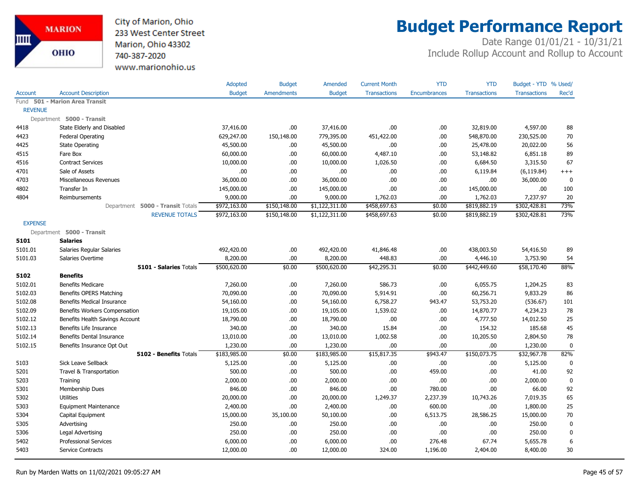

# **Budget Performance Report**

|                |                                   | Adopted       | <b>Budget</b>     | Amended        | <b>Current Month</b> | <b>YTD</b>          | <b>YTD</b>          | Budget - YTD % Used/ |             |
|----------------|-----------------------------------|---------------|-------------------|----------------|----------------------|---------------------|---------------------|----------------------|-------------|
| Account        | <b>Account Description</b>        | <b>Budget</b> | <b>Amendments</b> | <b>Budget</b>  | <b>Transactions</b>  | <b>Encumbrances</b> | <b>Transactions</b> | <b>Transactions</b>  | Rec'd       |
|                | Fund 501 - Marion Area Transit    |               |                   |                |                      |                     |                     |                      |             |
| <b>REVENUE</b> |                                   |               |                   |                |                      |                     |                     |                      |             |
|                | Department 5000 - Transit         |               |                   |                |                      |                     |                     |                      |             |
| 4418           | State Elderly and Disabled        | 37,416.00     | .00.              | 37,416.00      | .00                  | .00                 | 32,819.00           | 4,597.00             | 88          |
| 4423           | <b>Federal Operating</b>          | 629,247.00    | 150,148.00        | 779,395.00     | 451,422.00           | .00                 | 548,870.00          | 230,525.00           | 70          |
| 4425           | <b>State Operating</b>            | 45,500.00     | .00.              | 45,500.00      | .00.                 | .00                 | 25,478.00           | 20,022.00            | 56          |
| 4515           | Fare Box                          | 60,000.00     | .00.              | 60,000.00      | 4,487.10             | .00                 | 53,148.82           | 6,851.18             | 89          |
| 4516           | <b>Contract Services</b>          | 10,000.00     | .00               | 10,000.00      | 1,026.50             | .00                 | 6,684.50            | 3,315.50             | 67          |
| 4701           | Sale of Assets                    | .00.          | .00.              | .00            | .00.                 | .00                 | 6,119.84            | (6, 119.84)          | $^{+++}$    |
| 4703           | Miscellaneous Revenues            | 36,000.00     | .00.              | 36,000.00      | .00                  | .00                 | .00                 | 36,000.00            | 0           |
| 4802           | Transfer In                       | 145,000.00    | .00               | 145,000.00     | .00                  | .00                 | 145,000.00          | .00                  | 100         |
| 4804           | Reimbursements                    | 9,000.00      | .00               | 9,000.00       | 1,762.03             | .00                 | 1,762.03            | 7,237.97             | 20          |
|                | Department 5000 - Transit Totals  | \$972,163.00  | \$150,148.00      | \$1,122,311.00 | \$458,697.63         | \$0.00              | \$819,882.19        | \$302,428.81         | 73%         |
|                | <b>REVENUE TOTALS</b>             | \$972,163.00  | \$150,148.00      | \$1,122,311.00 | \$458,697.63         | \$0.00              | \$819,882.19        | \$302,428.81         | 73%         |
| <b>EXPENSE</b> |                                   |               |                   |                |                      |                     |                     |                      |             |
|                | Department 5000 - Transit         |               |                   |                |                      |                     |                     |                      |             |
| 5101           | <b>Salaries</b>                   |               |                   |                |                      |                     |                     |                      |             |
| 5101.01        | Salaries Regular Salaries         | 492,420.00    | .00.              | 492,420.00     | 41,846.48            | .00                 | 438,003.50          | 54,416.50            | 89          |
| 5101.03        | Salaries Overtime                 | 8,200.00      | .00.              | 8,200.00       | 448.83               | .00                 | 4,446.10            | 3,753.90             | 54          |
|                | 5101 - Salaries Totals            | \$500,620.00  | \$0.00            | \$500,620.00   | \$42,295.31          | \$0.00              | \$442,449.60        | \$58,170.40          | 88%         |
| 5102           | <b>Benefits</b>                   |               |                   |                |                      |                     |                     |                      |             |
| 5102.01        | <b>Benefits Medicare</b>          | 7,260.00      | .00.              | 7,260.00       | 586.73               | .00                 | 6,055.75            | 1,204.25             | 83          |
| 5102.03        | Benefits OPERS Matching           | 70,090.00     | .00.              | 70,090.00      | 5,914.91             | .00                 | 60,256.71           | 9,833.29             | 86          |
| 5102.08        | <b>Benefits Medical Insurance</b> | 54,160.00     | .00.              | 54,160.00      | 6,758.27             | 943.47              | 53,753.20           | (536.67)             | 101         |
| 5102.09        | Benefits Workers Compensation     | 19,105.00     | .00.              | 19,105.00      | 1,539.02             | .00                 | 14,870.77           | 4,234.23             | 78          |
| 5102.12        | Benefits Health Savings Account   | 18,790.00     | .00.              | 18,790.00      | .00.                 | .00                 | 4,777.50            | 14,012.50            | 25          |
| 5102.13        | Benefits Life Insurance           | 340.00        | .00.              | 340.00         | 15.84                | .00                 | 154.32              | 185.68               | 45          |
| 5102.14        | <b>Benefits Dental Insurance</b>  | 13,010.00     | .00.              | 13,010.00      | 1,002.58             | .00                 | 10,205.50           | 2,804.50             | 78          |
| 5102.15        | Benefits Insurance Opt Out        | 1,230.00      | .00.              | 1,230.00       | .00.                 | .00                 | .00                 | 1,230.00             | $\mathbf 0$ |
|                | 5102 - Benefits Totals            | \$183,985.00  | \$0.00            | \$183,985.00   | \$15,817.35          | \$943.47            | \$150,073.75        | \$32,967.78          | 82%         |
| 5103           | <b>Sick Leave Sellback</b>        | 5,125.00      | .00.              | 5,125.00       | .00.                 | .00                 | .00                 | 5,125.00             | 0           |
| 5201           | Travel & Transportation           | 500.00        | .00.              | 500.00         | .00.                 | 459.00              | .00                 | 41.00                | 92          |
| 5203           | Training                          | 2,000.00      | .00.              | 2,000.00       | .00                  | .00                 | .00                 | 2,000.00             | $\pmb{0}$   |
| 5301           | Membership Dues                   | 846.00        | .00.              | 846.00         | .00                  | 780.00              | .00                 | 66.00                | 92          |
| 5302           | <b>Utilities</b>                  | 20,000.00     | .00.              | 20,000.00      | 1,249.37             | 2,237.39            | 10,743.26           | 7,019.35             | 65          |
| 5303           | <b>Equipment Maintenance</b>      | 2,400.00      | .00.              | 2,400.00       | .00.                 | 600.00              | .00                 | 1,800.00             | 25          |
| 5304           | Capital Equipment                 | 15,000.00     | 35,100.00         | 50,100.00      | .00.                 | 6,513.75            | 28,586.25           | 15,000.00            | 70          |
| 5305           | Advertising                       | 250.00        | .00.              | 250.00         | .00.                 | .00                 | .00                 | 250.00               | 0           |
| 5306           | Legal Advertising                 | 250.00        | .00.              | 250.00         | .00                  | .00                 | .00                 | 250.00               | 0           |
| 5402           | <b>Professional Services</b>      | 6,000.00      | .00.              | 6,000.00       | .00                  | 276.48              | 67.74               | 5,655.78             | 6           |
| 5403           | Service Contracts                 | 12,000.00     | .00               | 12,000.00      | 324.00               | 1,196.00            | 2,404.00            | 8,400.00             | 30          |
|                |                                   |               |                   |                |                      |                     |                     |                      |             |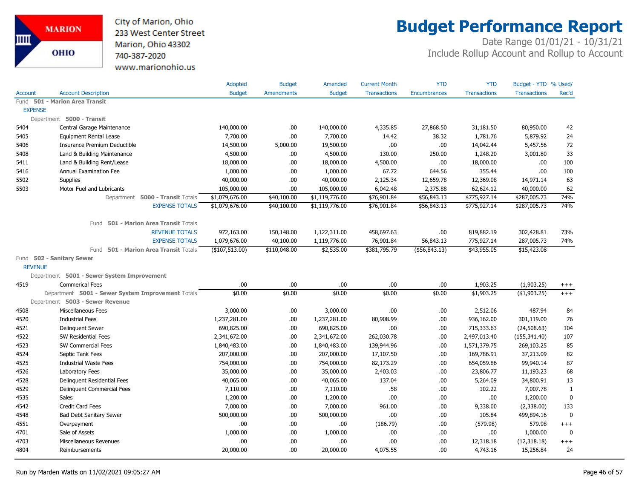

# **Budget Performance Report**

|                |                                                   | Adopted        | <b>Budget</b>     | Amended        | <b>Current Month</b> | <b>YTD</b>          | <b>YTD</b>          | Budget - YTD % Used/ |              |
|----------------|---------------------------------------------------|----------------|-------------------|----------------|----------------------|---------------------|---------------------|----------------------|--------------|
| <b>Account</b> | <b>Account Description</b>                        | <b>Budget</b>  | <b>Amendments</b> | <b>Budget</b>  | <b>Transactions</b>  | <b>Encumbrances</b> | <b>Transactions</b> | <b>Transactions</b>  | Rec'd        |
| Fund           | 501 - Marion Area Transit                         |                |                   |                |                      |                     |                     |                      |              |
|                | <b>EXPENSE</b>                                    |                |                   |                |                      |                     |                     |                      |              |
|                | Department 5000 - Transit                         |                |                   |                |                      |                     |                     |                      |              |
| 5404           | Central Garage Maintenance                        | 140,000.00     | .00.              | 140,000.00     | 4,335.85             | 27,868.50           | 31,181.50           | 80,950.00            | 42           |
| 5405           | <b>Equipment Rental Lease</b>                     | 7,700.00       | .00               | 7,700.00       | 14.42                | 38.32               | 1,781.76            | 5,879.92             | 24           |
| 5406           | Insurance Premium Deductible                      | 14,500.00      | 5,000.00          | 19,500.00      | .00.                 | .00.                | 14,042.44           | 5,457.56             | 72           |
| 5408           | Land & Building Maintenance                       | 4,500.00       | .00.              | 4,500.00       | 130.00               | 250.00              | 1,248.20            | 3,001.80             | 33           |
| 5411           | Land & Building Rent/Lease                        | 18,000.00      | .00               | 18,000.00      | 4,500.00             | .00.                | 18,000.00           | .00                  | 100          |
| 5416           | <b>Annual Examination Fee</b>                     | 1,000.00       | .00.              | 1,000.00       | 67.72                | 644.56              | 355.44              | .00.                 | 100          |
| 5502           | Supplies                                          | 40,000.00      | .00.              | 40,000.00      | 2,125.34             | 12,659.78           | 12,369.08           | 14,971.14            | 63           |
| 5503           | Motor Fuel and Lubricants                         | 105,000.00     | .00.              | 105,000.00     | 6,042.48             | 2,375.88            | 62,624.12           | 40,000.00            | 62           |
|                | Department 5000 - Transit Totals                  | \$1,079,676.00 | \$40,100.00       | \$1,119,776.00 | \$76,901.84          | \$56,843.13         | \$775,927.14        | \$287,005.73         | 74%          |
|                | <b>EXPENSE TOTALS</b>                             | \$1,079,676.00 | \$40,100.00       | \$1,119,776.00 | \$76,901.84          | \$56,843.13         | \$775,927.14        | \$287,005.73         | 74%          |
|                | 501 - Marion Area Transit Totals<br>Fund          |                |                   |                |                      |                     |                     |                      |              |
|                | <b>REVENUE TOTALS</b>                             | 972,163.00     | 150,148.00        | 1,122,311.00   | 458,697.63           | .00.                | 819,882.19          | 302,428.81           | 73%          |
|                | <b>EXPENSE TOTALS</b>                             | 1,079,676.00   | 40,100.00         | 1,119,776.00   | 76,901.84            | 56,843.13           | 775,927.14          | 287,005.73           | 74%          |
|                | Fund 501 - Marion Area Transit Totals             | (\$107,513.00) | \$110,048.00      | \$2,535.00     | \$381,795.79         | ( \$56, 843.13)     | \$43,955.05         | \$15,423.08          |              |
|                | Fund 502 - Sanitary Sewer                         |                |                   |                |                      |                     |                     |                      |              |
|                | <b>REVENUE</b>                                    |                |                   |                |                      |                     |                     |                      |              |
|                | Department 5001 - Sewer System Improvement        |                |                   |                |                      |                     |                     |                      |              |
| 4519           | <b>Commerical Fees</b>                            | .00            | .00               | .00            | .00.                 | .00.                | 1,903.25            | (1,903.25)           | $^{+++}$     |
|                | Department 5001 - Sewer System Improvement Totals | \$0.00         | \$0.00            | \$0.00         | \$0.00               | \$0.00              | \$1,903.25          | ( \$1,903.25)        | $+++$        |
|                | Department 5003 - Sewer Revenue                   |                |                   |                |                      |                     |                     |                      |              |
| 4508           | Miscellaneous Fees                                | 3,000.00       | .00.              | 3,000.00       | .00.                 | .00                 | 2,512.06            | 487.94               | 84           |
| 4520           | <b>Industrial Fees</b>                            | 1,237,281.00   | .00.              | 1,237,281.00   | 80,908.99            | .00.                | 936,162.00          | 301,119.00           | 76           |
| 4521           | <b>Delinquent Sewer</b>                           | 690,825.00     | .00.              | 690,825.00     | .00.                 | .00                 | 715,333.63          | (24,508.63)          | 104          |
| 4522           | SW Residential Fees                               | 2,341,672.00   | .00.              | 2,341,672.00   | 262,030.78           | .00                 | 2,497,013.40        | (155, 341.40)        | 107          |
| 4523           | SW Commercial Fees                                | 1,840,483.00   | .00.              | 1,840,483.00   | 139,944.96           | .00.                | 1,571,379.75        | 269,103.25           | 85           |
| 4524           | Septic Tank Fees                                  | 207,000.00     | .00               | 207,000.00     | 17,107.50            | .00                 | 169,786.91          | 37,213.09            | 82           |
| 4525           | <b>Industrial Waste Fees</b>                      | 754,000.00     | .00.              | 754,000.00     | 82,173.29            | .00                 | 654,059.86          | 99,940.14            | 87           |
| 4526           | Laboratory Fees                                   | 35,000.00      | .00.              | 35,000.00      | 2,403.03             | .00.                | 23,806.77           | 11,193.23            | 68           |
| 4528           | Delinquent Residential Fees                       | 40,065.00      | .00.              | 40,065.00      | 137.04               | .00                 | 5,264.09            | 34,800.91            | 13           |
| 4529           | Delinquent Commercial Fees                        | 7,110.00       | .00               | 7,110.00       | .58                  | .00.                | 102.22              | 7,007.78             | $\mathbf{1}$ |
| 4535           | Sales                                             | 1,200.00       | .00               | 1,200.00       | .00.                 | .00.                | .00                 | 1,200.00             | $\mathbf 0$  |
| 4542           | Credit Card Fees                                  | 7,000.00       | .00               | 7,000.00       | 961.00               | .00.                | 9,338.00            | (2,338.00)           | 133          |
| 4548           | <b>Bad Debt Sanitary Sewer</b>                    | 500,000.00     | .00.              | 500,000.00     | .00                  | .00.                | 105.84              | 499,894.16           | 0            |
| 4551           | Overpayment                                       | .00            | .00.              | .00            | (186.79)             | .00                 | (579.98)            | 579.98               | $+++$        |
| 4701           | Sale of Assets                                    | 1,000.00       | .00.              | 1,000.00       | .00.                 | .00                 | .00                 | 1,000.00             | $\mathbf 0$  |
| 4703           | Miscellaneous Revenues                            | .00            | .00.              | .00            | .00                  | .00                 | 12,318.18           | (12, 318.18)         | $^{+++}$     |
| 4804           | Reimbursements                                    | 20,000.00      | .00.              | 20,000.00      | 4,075.55             | .00                 | 4,743.16            | 15,256.84            | 24           |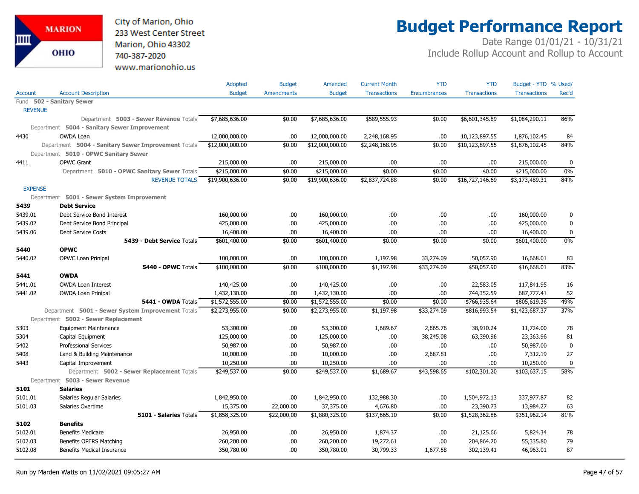

# **Budget Performance Report**

|                |                                                     | Adopted         | <b>Budget</b> | Amended         | <b>Current Month</b> | <b>YTD</b>          | <b>YTD</b>          | Budget - YTD % Used/ |              |
|----------------|-----------------------------------------------------|-----------------|---------------|-----------------|----------------------|---------------------|---------------------|----------------------|--------------|
| <b>Account</b> | <b>Account Description</b>                          | <b>Budget</b>   | Amendments    | <b>Budget</b>   | <b>Transactions</b>  | <b>Encumbrances</b> | <b>Transactions</b> | <b>Transactions</b>  | Rec'd        |
|                | Fund 502 - Sanitary Sewer                           |                 |               |                 |                      |                     |                     |                      |              |
| <b>REVENUE</b> |                                                     |                 |               |                 |                      |                     |                     |                      |              |
|                | Department 5003 - Sewer Revenue Totals              | \$7,685,636.00  | \$0.00        | \$7,685,636.00  | \$589,555.93         | \$0.00              | \$6,601,345.89      | \$1,084,290.11       | 86%          |
|                | Department 5004 - Sanitary Sewer Improvement        |                 |               |                 |                      |                     |                     |                      |              |
| 4430           | <b>OWDA Loan</b>                                    | 12,000,000.00   | .00           | 12,000,000.00   | 2,248,168.95         | .00                 | 10,123,897.55       | 1,876,102.45         | 84           |
|                | Department 5004 - Sanitary Sewer Improvement Totals | \$12,000,000.00 | \$0.00        | \$12,000,000.00 | \$2,248,168.95       | \$0.00              | \$10,123,897.55     | \$1,876,102.45       | 84%          |
|                | Department 5010 - OPWC Sanitary Sewer               |                 |               |                 |                      |                     |                     |                      |              |
| 4411           | <b>OPWC Grant</b>                                   | 215,000.00      | .00.          | 215,000.00      | .00                  | .00                 | .00.                | 215,000.00           | $\mathbf{0}$ |
|                | Department 5010 - OPWC Sanitary Sewer Totals        | \$215,000.00    | \$0.00        | \$215,000.00    | \$0.00               | \$0.00              | \$0.00              | \$215,000.00         | 0%           |
|                | <b>REVENUE TOTALS</b>                               | \$19,900,636.00 | \$0.00        | \$19,900,636.00 | \$2,837,724.88       | \$0.00              | \$16,727,146.69     | \$3,173,489.31       | 84%          |
| <b>EXPENSE</b> |                                                     |                 |               |                 |                      |                     |                     |                      |              |
|                | Department 5001 - Sewer System Improvement          |                 |               |                 |                      |                     |                     |                      |              |
| 5439           | <b>Debt Service</b>                                 |                 |               |                 |                      |                     |                     |                      |              |
| 5439.01        | Debt Service Bond Interest                          | 160,000.00      | .00           | 160,000.00      | .00.                 | .00                 | .00                 | 160,000.00           | 0            |
| 5439.02        | Debt Service Bond Principal                         | 425,000.00      | .00           | 425,000.00      | .00                  | .00                 | .00.                | 425,000.00           | $\mathbf 0$  |
| 5439.06        | <b>Debt Service Costs</b>                           | 16,400.00       | .00           | 16,400.00       | .00                  | .00                 | .00                 | 16,400.00            | $\mathbf 0$  |
|                | 5439 - Debt Service Totals                          | \$601,400.00    | \$0.00        | \$601,400.00    | \$0.00               | \$0.00              | \$0.00              | \$601,400.00         | 0%           |
| 5440           | <b>OPWC</b>                                         |                 |               |                 |                      |                     |                     |                      |              |
| 5440.02        | OPWC Loan Prinipal                                  | 100,000.00      | .00.          | 100,000.00      | 1,197.98             | 33,274.09           | 50,057.90           | 16,668.01            | 83           |
|                | 5440 - OPWC Totals                                  | \$100,000.00    | \$0.00        | \$100,000.00    | \$1,197.98           | \$33,274.09         | \$50,057.90         | \$16,668.01          | 83%          |
| 5441           | <b>OWDA</b>                                         |                 |               |                 |                      |                     |                     |                      |              |
| 5441.01        | <b>OWDA Loan Interest</b>                           | 140,425.00      | .00           | 140,425.00      | .00.                 | .00                 | 22,583.05           | 117,841.95           | 16           |
| 5441.02        | <b>OWDA Loan Prinipal</b>                           | 1,432,130.00    | .00           | 1,432,130.00    | .00                  | .00                 | 744,352.59          | 687,777.41           | 52           |
|                | 5441 - OWDA Totals                                  | \$1,572,555.00  | \$0.00        | \$1,572,555.00  | \$0.00               | \$0.00              | \$766,935.64        | \$805,619.36         | 49%          |
|                | Department 5001 - Sewer System Improvement Totals   | \$2,273,955.00  | \$0.00        | \$2,273,955.00  | \$1,197.98           | \$33,274.09         | \$816,993.54        | \$1,423,687.37       | 37%          |
|                | Department 5002 - Sewer Replacement                 |                 |               |                 |                      |                     |                     |                      |              |
| 5303           | <b>Equipment Maintenance</b>                        | 53,300.00       | .00.          | 53,300.00       | 1,689.67             | 2,665.76            | 38,910.24           | 11,724.00            | 78           |
| 5304           | Capital Equipment                                   | 125,000.00      | .00.          | 125,000.00      | .00.                 | 38,245.08           | 63,390.96           | 23,363.96            | 81           |
| 5402           | <b>Professional Services</b>                        | 50,987.00       | .00           | 50,987.00       | .00.                 | .00                 | .00.                | 50,987.00            | $\mathbf 0$  |
| 5408           | Land & Building Maintenance                         | 10,000.00       | .00           | 10,000.00       | .00.                 | 2,687.81            | .00.                | 7,312.19             | 27           |
| 5443           | Capital Improvement                                 | 10,250.00       | .00           | 10,250.00       | .00.                 | .00                 | .00.                | 10,250.00            | $\mathbf 0$  |
|                | Department 5002 - Sewer Replacement Totals          | \$249,537.00    | \$0.00        | \$249,537.00    | \$1,689.67           | \$43,598.65         | \$102,301.20        | \$103,637.15         | 58%          |
|                | Department 5003 - Sewer Revenue                     |                 |               |                 |                      |                     |                     |                      |              |
| 5101           | <b>Salaries</b>                                     |                 |               |                 |                      |                     |                     |                      |              |
| 5101.01        | Salaries Regular Salaries                           | 1,842,950.00    | .00.          | 1,842,950.00    | 132,988.30           | .00                 | 1,504,972.13        | 337,977.87           | 82           |
| 5101.03        | Salaries Overtime                                   | 15,375.00       | 22,000.00     | 37,375.00       | 4,676.80             | .00                 | 23,390.73           | 13,984.27            | 63           |
|                | 5101 - Salaries Totals                              | \$1,858,325.00  | \$22,000.00   | \$1,880,325.00  | \$137,665.10         | \$0.00              | \$1,528,362.86      | \$351,962.14         | 81%          |
| 5102           | <b>Benefits</b>                                     |                 |               |                 |                      |                     |                     |                      |              |
| 5102.01        | <b>Benefits Medicare</b>                            | 26,950.00       | .00.          | 26,950.00       | 1,874.37             | .00                 | 21,125.66           | 5,824.34             | 78           |
| 5102.03        | Benefits OPERS Matching                             | 260,200.00      | .00           | 260,200.00      | 19,272.61            | .00                 | 204,864.20          | 55,335.80            | 79           |
| 5102.08        | <b>Benefits Medical Insurance</b>                   | 350,780.00      | .00.          | 350,780.00      | 30,799.33            | 1,677.58            | 302,139.41          | 46,963.01            | 87           |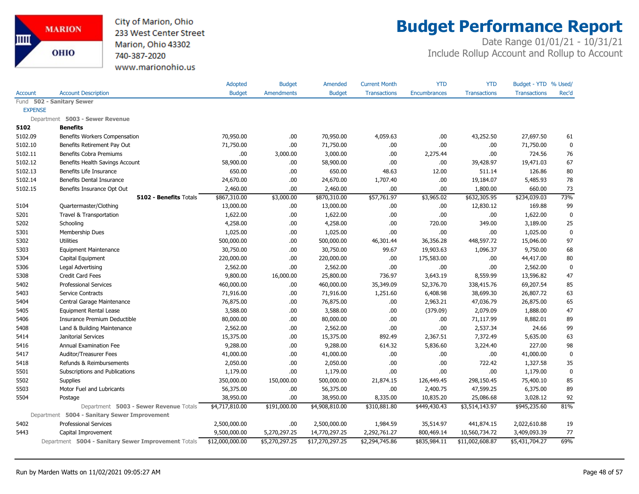City of Marion, Ohio 233 West Center Street Marion, Ohio 43302 740-387-2020 www.marionohio.us

# **Budget Performance Report**

|                |                                                     | Adopted         | <b>Budget</b>     | Amended         | <b>Current Month</b> | <b>YTD</b>          | <b>YTD</b>          | Budget - YTD % Used/ |             |
|----------------|-----------------------------------------------------|-----------------|-------------------|-----------------|----------------------|---------------------|---------------------|----------------------|-------------|
| <b>Account</b> | <b>Account Description</b>                          | <b>Budget</b>   | <b>Amendments</b> | <b>Budget</b>   | <b>Transactions</b>  | <b>Encumbrances</b> | <b>Transactions</b> | <b>Transactions</b>  | Rec'd       |
| Fund           | 502 - Sanitary Sewer                                |                 |                   |                 |                      |                     |                     |                      |             |
|                | <b>EXPENSE</b>                                      |                 |                   |                 |                      |                     |                     |                      |             |
|                | Department 5003 - Sewer Revenue                     |                 |                   |                 |                      |                     |                     |                      |             |
| 5102           | <b>Benefits</b>                                     |                 |                   |                 |                      |                     |                     |                      |             |
| 5102.09        | Benefits Workers Compensation                       | 70,950.00       | .00.              | 70,950.00       | 4,059.63             | .00                 | 43,252.50           | 27,697.50            | 61          |
| 5102.10        | Benefits Retirement Pay Out                         | 71,750.00       | .00.              | 71,750.00       | .00.                 | .00                 | .00.                | 71,750.00            | 0           |
| 5102.11        | Benefits Cobra Premiums                             | .00             | 3,000.00          | 3,000.00        | .00.                 | 2,275.44            | .00                 | 724.56               | 76          |
| 5102.12        | Benefits Health Savings Account                     | 58,900.00       | .00.              | 58,900.00       | .00                  | .00                 | 39,428.97           | 19,471.03            | 67          |
| 5102.13        | Benefits Life Insurance                             | 650.00          | .00.              | 650.00          | 48.63                | 12.00               | 511.14              | 126.86               | 80          |
| 5102.14        | Benefits Dental Insurance                           | 24,670.00       | .00.              | 24,670.00       | 1,707.40             | .00                 | 19,184.07           | 5,485.93             | 78          |
| 5102.15        | Benefits Insurance Opt Out                          | 2,460.00        | .00               | 2,460.00        | .00.                 | .00                 | 1,800.00            | 660.00               | 73          |
|                | <b>5102 - Benefits Totals</b>                       | \$867,310.00    | \$3,000.00        | \$870,310.00    | \$57,761.97          | \$3,965.02          | \$632,305.95        | \$234,039.03         | 73%         |
| 5104           | Quartermaster/Clothing                              | 13,000.00       | .00.              | 13,000.00       | .00.                 | .00                 | 12,830.12           | 169.88               | 99          |
| 5201           | Travel & Transportation                             | 1,622.00        | .00.              | 1,622.00        | .00                  | .00                 | .00                 | 1,622.00             | $\mathbf 0$ |
| 5202           | Schooling                                           | 4,258.00        | .00               | 4,258.00        | .00                  | 720.00              | 349.00              | 3,189.00             | 25          |
| 5301           | Membership Dues                                     | 1,025.00        | .00.              | 1,025.00        | .00                  | .00                 | .00                 | 1,025.00             | $\mathbf 0$ |
| 5302           | <b>Utilities</b>                                    | 500,000.00      | .00.              | 500,000.00      | 46,301.44            | 36,356.28           | 448,597.72          | 15,046.00            | 97          |
| 5303           | <b>Equipment Maintenance</b>                        | 30,750.00       | .00.              | 30,750.00       | 99.67                | 19,903.63           | 1,096.37            | 9,750.00             | 68          |
| 5304           | Capital Equipment                                   | 220,000.00      | .00.              | 220,000.00      | .00                  | 175,583.00          | .00.                | 44,417.00            | 80          |
| 5306           | Legal Advertising                                   | 2,562.00        | .00.              | 2,562.00        | .00.                 | .00                 | .00.                | 2,562.00             | $\mathbf 0$ |
| 5308           | Credit Card Fees                                    | 9,800.00        | 16,000.00         | 25,800.00       | 736.97               | 3,643.19            | 8,559.99            | 13,596.82            | 47          |
| 5402           | <b>Professional Services</b>                        | 460,000.00      | .00               | 460,000.00      | 35,349.09            | 52,376.70           | 338,415.76          | 69,207.54            | 85          |
| 5403           | Service Contracts                                   | 71,916.00       | .00.              | 71,916.00       | 1,251.60             | 6,408.98            | 38,699.30           | 26,807.72            | 63          |
| 5404           | Central Garage Maintenance                          | 76,875.00       | .00.              | 76,875.00       | .00.                 | 2,963.21            | 47,036.79           | 26,875.00            | 65          |
| 5405           | <b>Equipment Rental Lease</b>                       | 3,588.00        | .00.              | 3,588.00        | .00.                 | (379.09)            | 2,079.09            | 1,888.00             | 47          |
| 5406           | Insurance Premium Deductible                        | 80,000.00       | .00.              | 80,000.00       | .00.                 | .00                 | 71,117.99           | 8,882.01             | 89          |
| 5408           | Land & Building Maintenance                         | 2,562.00        | .00.              | 2,562.00        | .00                  | .00                 | 2,537.34            | 24.66                | 99          |
| 5414           | Janitorial Services                                 | 15,375.00       | .00.              | 15,375.00       | 892.49               | 2,367.51            | 7,372.49            | 5,635.00             | 63          |
| 5416           | <b>Annual Examination Fee</b>                       | 9,288.00        | .00.              | 9,288.00        | 614.32               | 5,836.60            | 3,224.40            | 227.00               | 98          |
| 5417           | Auditor/Treasurer Fees                              | 41,000.00       | .00.              | 41,000.00       | .00                  | .00                 | .00                 | 41,000.00            | $\pmb{0}$   |
| 5418           | Refunds & Reimbursements                            | 2,050.00        | .00               | 2,050.00        | .00.                 | .00                 | 722.42              | 1,327.58             | 35          |
| 5501           | Subscriptions and Publications                      | 1,179.00        | .00.              | 1,179.00        | .00                  | .00                 | .00                 | 1,179.00             | $\mathbf 0$ |
| 5502           | <b>Supplies</b>                                     | 350,000.00      | 150,000.00        | 500,000.00      | 21,874.15            | 126,449.45          | 298,150.45          | 75,400.10            | 85          |
| 5503           | Motor Fuel and Lubricants                           | 56,375.00       | .00.              | 56,375.00       | .00                  | 2,400.75            | 47,599.25           | 6,375.00             | 89          |
| 5504           | Postage                                             | 38,950.00       | .00.              | 38,950.00       | 8,335.00             | 10,835.20           | 25,086.68           | 3,028.12             | 92          |
|                | Department 5003 - Sewer Revenue Totals              | \$4,717,810.00  | \$191,000.00      | \$4,908,810.00  | \$310,881.80         | \$449,430.43        | \$3,514,143.97      | \$945,235.60         | 81%         |
|                | Department 5004 - Sanitary Sewer Improvement        |                 |                   |                 |                      |                     |                     |                      |             |
| 5402           | <b>Professional Services</b>                        | 2,500,000.00    | .00.              | 2,500,000.00    | 1,984.59             | 35,514.97           | 441,874.15          | 2,022,610.88         | 19          |
| 5443           | Capital Improvement                                 | 9,500,000.00    | 5,270,297.25      | 14,770,297.25   | 2,292,761.27         | 800,469.14          | 10,560,734.72       | 3,409,093.39         | 77          |
|                | Department 5004 - Sanitary Sewer Improvement Totals | \$12,000,000.00 | \$5,270,297.25    | \$17,270,297.25 | \$2,294,745.86       | \$835,984.11        | \$11,002,608.87     | \$5,431,704.27       | 69%         |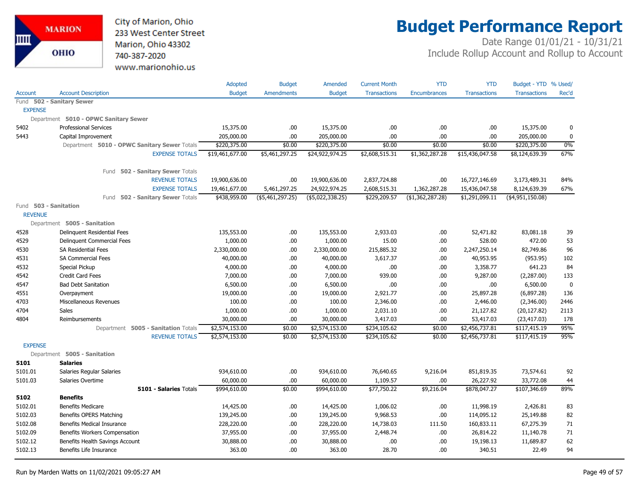

# **Budget Performance Report**

|                |                                       |                                              | Adopted         | <b>Budget</b>     | Amended           | <b>Current Month</b> | <b>YTD</b>          | <b>YTD</b>          | Budget - YTD % Used/ |             |
|----------------|---------------------------------------|----------------------------------------------|-----------------|-------------------|-------------------|----------------------|---------------------|---------------------|----------------------|-------------|
| Account        | <b>Account Description</b>            |                                              | <b>Budget</b>   | <b>Amendments</b> | <b>Budget</b>     | <b>Transactions</b>  | <b>Encumbrances</b> | <b>Transactions</b> | <b>Transactions</b>  | Rec'd       |
| Fund           | 502 - Sanitary Sewer                  |                                              |                 |                   |                   |                      |                     |                     |                      |             |
| <b>EXPENSE</b> |                                       |                                              |                 |                   |                   |                      |                     |                     |                      |             |
|                | Department 5010 - OPWC Sanitary Sewer |                                              |                 |                   |                   |                      |                     |                     |                      |             |
| 5402           | <b>Professional Services</b>          |                                              | 15,375.00       | .00.              | 15,375.00         | .00.                 | .00                 | .00.                | 15,375.00            | $\mathbf 0$ |
| 5443           | Capital Improvement                   |                                              | 205,000.00      | .00               | 205,000.00        | .00                  | .00                 | .00.                | 205,000.00           | $\mathbf 0$ |
|                |                                       | Department 5010 - OPWC Sanitary Sewer Totals | \$220,375.00    | \$0.00            | \$220,375.00      | \$0.00               | \$0.00              | \$0.00              | \$220,375.00         | 0%          |
|                |                                       | <b>EXPENSE TOTALS</b>                        | \$19,461,677.00 | \$5,461,297.25    | \$24,922,974.25   | \$2,608,515.31       | \$1,362,287.28      | \$15,436,047.58     | \$8,124,639.39       | 67%         |
|                |                                       | Fund 502 - Sanitary Sewer Totals             |                 |                   |                   |                      |                     |                     |                      |             |
|                |                                       | <b>REVENUE TOTALS</b>                        | 19,900,636.00   | .00               | 19,900,636.00     | 2,837,724.88         | .00                 | 16,727,146.69       | 3,173,489.31         | 84%         |
|                |                                       | <b>EXPENSE TOTALS</b>                        | 19,461,677.00   | 5,461,297.25      | 24,922,974.25     | 2,608,515.31         | 1,362,287.28        | 15,436,047.58       | 8,124,639.39         | 67%         |
|                |                                       | Fund 502 - Sanitary Sewer Totals             | \$438,959.00    | (\$5,461,297.25)  | ( \$5,022,338.25) | \$229,209.57         | (\$1,362,287.28)    | \$1,291,099.11      | $($ \$4,951,150.08)  |             |
|                | Fund 503 - Sanitation                 |                                              |                 |                   |                   |                      |                     |                     |                      |             |
| <b>REVENUE</b> |                                       |                                              |                 |                   |                   |                      |                     |                     |                      |             |
|                | Department 5005 - Sanitation          |                                              |                 |                   |                   |                      |                     |                     |                      |             |
| 4528           | Delinguent Residential Fees           |                                              | 135,553.00      | .00.              | 135,553.00        | 2,933.03             | .00                 | 52,471.82           | 83,081.18            | 39          |
| 4529           | Delinguent Commercial Fees            |                                              | 1,000.00        | .00               | 1,000.00          | 15.00                | .00                 | 528.00              | 472.00               | 53          |
| 4530           | <b>SA Residential Fees</b>            |                                              | 2,330,000.00    | .00               | 2,330,000.00      | 215,885.32           | .00                 | 2,247,250.14        | 82,749.86            | 96          |
| 4531           | <b>SA Commercial Fees</b>             |                                              | 40,000.00       | .00               | 40,000.00         | 3,617.37             | .00                 | 40,953.95           | (953.95)             | 102         |
| 4532           | Special Pickup                        |                                              | 4,000.00        | .00               | 4,000.00          | .00.                 | .00                 | 3,358.77            | 641.23               | 84          |
| 4542           | <b>Credit Card Fees</b>               |                                              | 7,000.00        | .00.              | 7,000.00          | 939.00               | .00                 | 9,287.00            | (2,287.00)           | 133         |
| 4547           | <b>Bad Debt Sanitation</b>            |                                              | 6,500.00        | .00               | 6,500.00          | .00.                 | .00                 | .00.                | 6,500.00             | $\mathbf 0$ |
| 4551           | Overpayment                           |                                              | 19,000.00       | .00               | 19,000.00         | 2,921.77             | .00                 | 25,897.28           | (6,897.28)           | 136         |
| 4703           | Miscellaneous Revenues                |                                              | 100.00          | .00.              | 100.00            | 2,346.00             | .00                 | 2,446.00            | (2,346.00)           | 2446        |
| 4704           | Sales                                 |                                              | 1,000.00        | .00.              | 1,000.00          | 2,031.10             | .00                 | 21,127.82           | (20, 127.82)         | 2113        |
| 4804           | Reimbursements                        |                                              | 30,000.00       | .00               | 30,000.00         | 3,417.03             | .00                 | 53,417.03           | (23, 417.03)         | 178         |
|                |                                       | Department 5005 - Sanitation Totals          | \$2,574,153.00  | \$0.00            | \$2,574,153.00    | \$234,105.62         | \$0.00              | \$2,456,737.81      | \$117,415.19         | 95%         |
|                |                                       | <b>REVENUE TOTALS</b>                        | \$2,574,153.00  | \$0.00            | \$2,574,153.00    | \$234,105.62         | \$0.00              | \$2,456,737.81      | \$117,415.19         | 95%         |
| <b>EXPENSE</b> |                                       |                                              |                 |                   |                   |                      |                     |                     |                      |             |
|                | Department 5005 - Sanitation          |                                              |                 |                   |                   |                      |                     |                     |                      |             |
| 5101           | <b>Salaries</b>                       |                                              |                 |                   |                   |                      |                     |                     |                      |             |
| 5101.01        | Salaries Regular Salaries             |                                              | 934,610.00      | .00               | 934,610.00        | 76,640.65            | 9,216.04            | 851,819.35          | 73,574.61            | 92          |
| 5101.03        | Salaries Overtime                     |                                              | 60,000.00       | .00               | 60,000.00         | 1,109.57             | .00                 | 26,227.92           | 33,772.08            | 44          |
|                |                                       | 5101 - Salaries Totals                       | \$994,610.00    | \$0.00            | \$994,610.00      | \$77,750.22          | \$9,216.04          | \$878,047.27        | \$107,346.69         | 89%         |
| 5102           | <b>Benefits</b>                       |                                              |                 |                   |                   |                      |                     |                     |                      |             |
| 5102.01        | <b>Benefits Medicare</b>              |                                              | 14,425.00       | .00.              | 14,425.00         | 1,006.02             | .00                 | 11,998.19           | 2,426.81             | 83          |
| 5102.03        | Benefits OPERS Matching               |                                              | 139,245.00      | .00               | 139,245.00        | 9,968.53             | .00                 | 114,095.12          | 25,149.88            | 82          |
| 5102.08        | Benefits Medical Insurance            |                                              | 228,220.00      | .00.              | 228,220.00        | 14,738.03            | 111.50              | 160,833.11          | 67,275.39            | 71          |
| 5102.09        | Benefits Workers Compensation         |                                              | 37,955.00       | .00.              | 37,955.00         | 2,448.74             | .00                 | 26,814.22           | 11,140.78            | 71          |
| 5102.12        | Benefits Health Savings Account       |                                              | 30,888.00       | .00.              | 30,888.00         | .00                  | .00                 | 19,198.13           | 11,689.87            | 62          |
| 5102.13        | Benefits Life Insurance               |                                              | 363.00          | .00               | 363.00            | 28.70                | .00                 | 340.51              | 22.49                | 94          |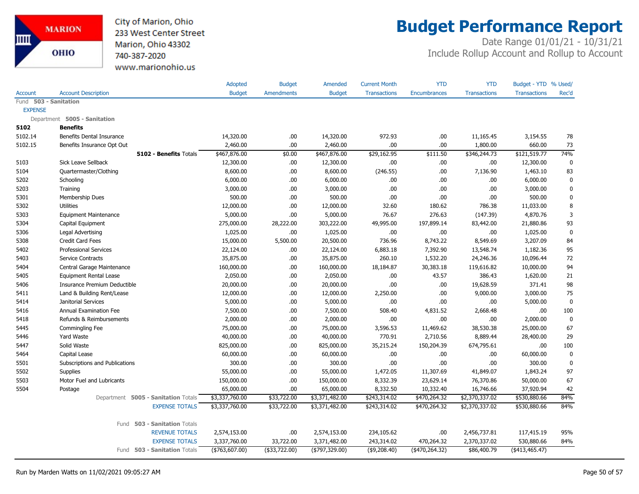City of Marion, Ohio 233 West Center Street Marion, Ohio 43302 740-387-2020 www.marionohio.us

### **Budget Performance Report**

|                |                                     | Adopted         | <b>Budget</b>     | Amended           | <b>Current Month</b> | <b>YTD</b>    | <b>YTD</b>          | Budget - YTD % Used/ |           |
|----------------|-------------------------------------|-----------------|-------------------|-------------------|----------------------|---------------|---------------------|----------------------|-----------|
| Account        | <b>Account Description</b>          | <b>Budget</b>   | <b>Amendments</b> | <b>Budget</b>     | <b>Transactions</b>  | Encumbrances  | <b>Transactions</b> | <b>Transactions</b>  | Rec'd     |
| Fund           | 503 - Sanitation                    |                 |                   |                   |                      |               |                     |                      |           |
| <b>EXPENSE</b> |                                     |                 |                   |                   |                      |               |                     |                      |           |
|                | Department 5005 - Sanitation        |                 |                   |                   |                      |               |                     |                      |           |
| 5102           | <b>Benefits</b>                     |                 |                   |                   |                      |               |                     |                      |           |
| 5102.14        | Benefits Dental Insurance           | 14,320.00       | .00.              | 14,320.00         | 972.93               | .00.          | 11,165.45           | 3,154.55             | 78        |
| 5102.15        | Benefits Insurance Opt Out          | 2,460.00        | .00.              | 2,460.00          | .00                  | .00           | 1,800.00            | 660.00               | 73        |
|                | 5102 - Benefits Totals              | \$467,876.00    | \$0.00            | \$467,876.00      | \$29,162.95          | \$111.50      | \$346,244.73        | \$121,519.77         | 74%       |
| 5103           | Sick Leave Sellback                 | 12,300.00       | .00.              | 12,300.00         | .00.                 | .00.          | .00                 | 12,300.00            | 0         |
| 5104           | Quartermaster/Clothing              | 8,600.00        | .00.              | 8,600.00          | (246.55)             | .00.          | 7,136.90            | 1,463.10             | 83        |
| 5202           | Schooling                           | 6,000.00        | .00.              | 6,000.00          | .00                  | .00.          | .00                 | 6,000.00             | 0         |
| 5203           | Training                            | 3,000.00        | .00.              | 3,000.00          | .00.                 | .00.          | .00                 | 3,000.00             | 0         |
| 5301           | Membership Dues                     | 500.00          | .00.              | 500.00            | .00                  | .00.          | .00                 | 500.00               | 0         |
| 5302           | <b>Utilities</b>                    | 12,000.00       | .00.              | 12,000.00         | 32.60                | 180.62        | 786.38              | 11,033.00            | 8         |
| 5303           | <b>Equipment Maintenance</b>        | 5,000.00        | .00.              | 5,000.00          | 76.67                | 276.63        | (147.39)            | 4,870.76             | 3         |
| 5304           | Capital Equipment                   | 275,000.00      | 28,222.00         | 303,222.00        | 49,995.00            | 197,899.14    | 83,442.00           | 21,880.86            | 93        |
| 5306           | Legal Advertising                   | 1,025.00        | .00.              | 1,025.00          | .00                  | .00.          | .00                 | 1,025.00             | 0         |
| 5308           | <b>Credit Card Fees</b>             | 15,000.00       | 5,500.00          | 20,500.00         | 736.96               | 8,743.22      | 8,549.69            | 3,207.09             | 84        |
| 5402           | <b>Professional Services</b>        | 22,124.00       | .00.              | 22,124.00         | 6,883.18             | 7,392.90      | 13,548.74           | 1,182.36             | 95        |
| 5403           | Service Contracts                   | 35,875.00       | .00.              | 35,875.00         | 260.10               | 1,532.20      | 24,246.36           | 10,096.44            | 72        |
| 5404           | Central Garage Maintenance          | 160,000.00      | .00.              | 160,000.00        | 18,184.87            | 30,383.18     | 119,616.82          | 10,000.00            | 94        |
| 5405           | <b>Equipment Rental Lease</b>       | 2,050.00        | .00.              | 2,050.00          | .00                  | 43.57         | 386.43              | 1,620.00             | 21        |
| 5406           | Insurance Premium Deductible        | 20,000.00       | .00.              | 20,000.00         | .00                  | .00.          | 19,628.59           | 371.41               | 98        |
| 5411           | Land & Building Rent/Lease          | 12,000.00       | .00.              | 12,000.00         | 2,250.00             | .00           | 9,000.00            | 3,000.00             | 75        |
| 5414           | Janitorial Services                 | 5,000.00        | .00.              | 5,000.00          | .00                  | .00           | .00                 | 5,000.00             | $\pmb{0}$ |
| 5416           | Annual Examination Fee              | 7,500.00        | .00.              | 7,500.00          | 508.40               | 4,831.52      | 2,668.48            | .00                  | 100       |
| 5418           | Refunds & Reimbursements            | 2,000.00        | .00.              | 2,000.00          | .00                  | .00.          | .00                 | 2,000.00             | $\pmb{0}$ |
| 5445           | Commingling Fee                     | 75,000.00       | .00.              | 75,000.00         | 3,596.53             | 11,469.62     | 38,530.38           | 25,000.00            | 67        |
| 5446           | Yard Waste                          | 40,000.00       | .00.              | 40,000.00         | 770.91               | 2,710.56      | 8,889.44            | 28,400.00            | 29        |
| 5447           | Solid Waste                         | 825,000.00      | .00.              | 825,000.00        | 35,215.24            | 150,204.39    | 674,795.61          | .00                  | 100       |
| 5464           | Capital Lease                       | 60,000.00       | .00.              | 60,000.00         | .00.                 | .00.          | .00                 | 60,000.00            | $\pmb{0}$ |
| 5501           | Subscriptions and Publications      | 300.00          | .00.              | 300.00            | .00                  | .00.          | .00                 | 300.00               | 0         |
| 5502           | <b>Supplies</b>                     | 55,000.00       | .00.              | 55,000.00         | 1,472.05             | 11,307.69     | 41,849.07           | 1,843.24             | 97        |
| 5503           | Motor Fuel and Lubricants           | 150,000.00      | .00.              | 150,000.00        | 8,332.39             | 23,629.14     | 76,370.86           | 50,000.00            | 67        |
| 5504           | Postage                             | 65,000.00       | .00               | 65,000.00         | 8,332.50             | 10,332.40     | 16,746.66           | 37,920.94            | 42        |
|                | Department 5005 - Sanitation Totals | \$3,337,760.00  | \$33,722.00       | \$3,371,482.00    | \$243,314.02         | \$470,264.32  | \$2,370,337.02      | \$530,880.66         | 84%       |
|                | <b>EXPENSE TOTALS</b>               | \$3,337,760.00  | \$33,722.00       | \$3,371,482.00    | \$243,314.02         | \$470,264.32  | \$2,370,337.02      | \$530,880.66         | 84%       |
|                | Fund 503 - Sanitation Totals        |                 |                   |                   |                      |               |                     |                      |           |
|                | <b>REVENUE TOTALS</b>               | 2,574,153.00    | .00.              | 2,574,153.00      | 234,105.62           | .00           | 2,456,737.81        | 117,415.19           | 95%       |
|                | <b>EXPENSE TOTALS</b>               | 3,337,760.00    | 33,722.00         | 3,371,482.00      | 243,314.02           | 470,264.32    | 2,370,337.02        | 530,880.66           | 84%       |
|                | Fund 503 - Sanitation Totals        | ( \$763,607.00) | $($ \$33,722.00)  | $($ \$797,329.00) | ( \$9,208.40)        | (470, 264.32) | \$86,400.79         | $(*413,465.47)$      |           |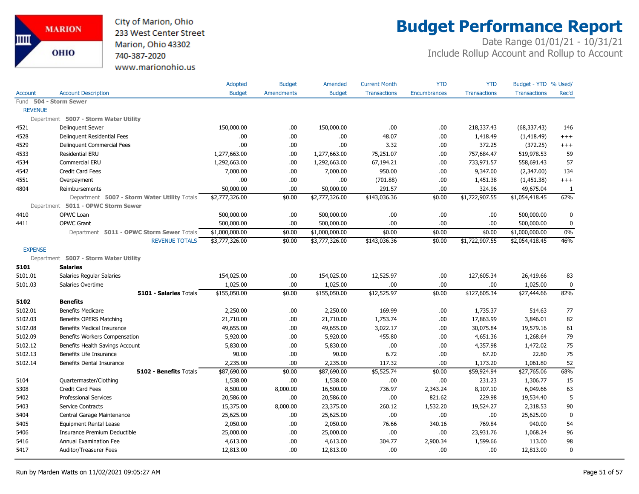City of Marion, Ohio 233 West Center Street Marion, Ohio 43302 740-387-2020 www.marionohio.us

# **Budget Performance Report**

|                |                                              | Adopted        | <b>Budget</b>     | Amended        | <b>Current Month</b> | <b>YTD</b>          | <b>YTD</b>          | Budget - YTD % Used/ |             |
|----------------|----------------------------------------------|----------------|-------------------|----------------|----------------------|---------------------|---------------------|----------------------|-------------|
| <b>Account</b> | <b>Account Description</b>                   | <b>Budget</b>  | <b>Amendments</b> | <b>Budget</b>  | <b>Transactions</b>  | <b>Encumbrances</b> | <b>Transactions</b> | <b>Transactions</b>  | Rec'd       |
|                | Fund 504 - Storm Sewer                       |                |                   |                |                      |                     |                     |                      |             |
| <b>REVENUE</b> |                                              |                |                   |                |                      |                     |                     |                      |             |
|                | Department 5007 - Storm Water Utility        |                |                   |                |                      |                     |                     |                      |             |
| 4521           | Delinquent Sewer                             | 150,000.00     | .00.              | 150,000.00     | .00                  | .00.                | 218,337.43          | (68, 337.43)         | 146         |
| 4528           | Delinguent Residential Fees                  | .00            | .00.              | .00.           | 48.07                | .00.                | 1,418.49            | (1,418.49)           | $^{+++}$    |
| 4529           | Delinguent Commercial Fees                   | .00            | .00.              | .00            | 3.32                 | .00                 | 372.25              | (372.25)             | $^{+++}$    |
| 4533           | <b>Residential ERU</b>                       | 1,277,663.00   | .00.              | 1,277,663.00   | 75,251.07            | .00.                | 757,684.47          | 519,978.53           | 59          |
| 4534           | Commercial ERU                               | 1,292,663.00   | .00.              | 1,292,663.00   | 67,194.21            | .00.                | 733,971.57          | 558,691.43           | 57          |
| 4542           | Credit Card Fees                             | 7,000.00       | .00.              | 7,000.00       | 950.00               | .00.                | 9,347.00            | (2,347.00)           | 134         |
| 4551           | Overpayment                                  | .00            | .00.              | .00            | (701.88)             | .00.                | 1,451.38            | (1,451.38)           | $^{+++}$    |
| 4804           | Reimbursements                               | 50,000.00      | .00               | 50,000.00      | 291.57               | .00.                | 324.96              | 49,675.04            | 1           |
|                | Department 5007 - Storm Water Utility Totals | \$2,777,326.00 | \$0.00            | \$2,777,326.00 | \$143,036.36         | \$0.00              | \$1,722,907.55      | \$1,054,418.45       | 62%         |
|                | Department 5011 - OPWC Storm Sewer           |                |                   |                |                      |                     |                     |                      |             |
| 4410           | OPWC Loan                                    | 500,000.00     | .00.              | 500,000.00     | .00                  | .00                 | .00                 | 500,000.00           | $\mathbf 0$ |
| 4411           | <b>OPWC Grant</b>                            | 500,000.00     | .00               | 500,000.00     | .00                  | .00.                | .00                 | 500,000.00           | $\mathbf 0$ |
|                | Department 5011 - OPWC Storm Sewer Totals    | \$1,000,000.00 | \$0.00            | \$1,000,000.00 | \$0.00               | \$0.00              | \$0.00              | \$1,000,000.00       | 0%          |
|                | <b>REVENUE TOTALS</b>                        | \$3,777,326.00 | \$0.00            | \$3,777,326.00 | \$143,036.36         | \$0.00              | \$1,722,907.55      | \$2,054,418.45       | 46%         |
| <b>EXPENSE</b> |                                              |                |                   |                |                      |                     |                     |                      |             |
|                | Department 5007 - Storm Water Utility        |                |                   |                |                      |                     |                     |                      |             |
| 5101           | <b>Salaries</b>                              |                |                   |                |                      |                     |                     |                      |             |
| 5101.01        | Salaries Regular Salaries                    | 154,025.00     | .00.              | 154,025.00     | 12,525.97            | .00                 | 127,605.34          | 26,419.66            | 83          |
| 5101.03        | Salaries Overtime                            | 1,025.00       | .00.              | 1,025.00       | .00                  | .00.                | .00                 | 1,025.00             | $\mathbf 0$ |
|                | 5101 - Salaries Totals                       | \$155,050.00   | \$0.00            | \$155,050.00   | \$12,525.97          | \$0.00              | \$127,605.34        | \$27,444.66          | 82%         |
| 5102           | <b>Benefits</b>                              |                |                   |                |                      |                     |                     |                      |             |
| 5102.01        | <b>Benefits Medicare</b>                     | 2,250.00       | .00               | 2,250.00       | 169.99               | .00.                | 1,735.37            | 514.63               | 77          |
| 5102.03        | Benefits OPERS Matching                      | 21,710.00      | .00.              | 21,710.00      | 1,753.74             | .00.                | 17,863.99           | 3,846.01             | 82          |
| 5102.08        | Benefits Medical Insurance                   | 49,655.00      | .00.              | 49,655.00      | 3,022.17             | .00.                | 30,075.84           | 19,579.16            | 61          |
| 5102.09        | Benefits Workers Compensation                | 5,920.00       | .00.              | 5,920.00       | 455.80               | .00.                | 4,651.36            | 1,268.64             | 79          |
| 5102.12        | Benefits Health Savings Account              | 5,830.00       | .00               | 5,830.00       | .00.                 | .00.                | 4,357.98            | 1,472.02             | 75          |
| 5102.13        | Benefits Life Insurance                      | 90.00          | .00               | 90.00          | 6.72                 | .00.                | 67.20               | 22.80                | 75          |
| 5102.14        | Benefits Dental Insurance                    | 2,235.00       | .00               | 2,235.00       | 117.32               | .00.                | 1,173.20            | 1,061.80             | 52          |
|                | 5102 - Benefits Totals                       | \$87,690.00    | \$0.00            | \$87,690.00    | \$5,525.74           | \$0.00              | \$59,924.94         | \$27,765.06          | 68%         |
| 5104           | Quartermaster/Clothing                       | 1,538.00       | .00.              | 1,538.00       | .00                  | .00.                | 231.23              | 1,306.77             | 15          |
| 5308           | <b>Credit Card Fees</b>                      | 8,500.00       | 8,000.00          | 16,500.00      | 736.97               | 2,343.24            | 8,107.10            | 6,049.66             | 63          |
| 5402           | <b>Professional Services</b>                 | 20,586.00      | .00.              | 20,586.00      | .00                  | 821.62              | 229.98              | 19,534.40            | 5           |
| 5403           | Service Contracts                            | 15,375.00      | 8,000.00          | 23,375.00      | 260.12               | 1,532.20            | 19,524.27           | 2,318.53             | 90          |
| 5404           | Central Garage Maintenance                   | 25,625.00      | .00.              | 25,625.00      | .00                  | .00.                | .00                 | 25,625.00            | $\mathbf 0$ |
| 5405           | <b>Equipment Rental Lease</b>                | 2,050.00       | .00.              | 2,050.00       | 76.66                | 340.16              | 769.84              | 940.00               | 54          |
| 5406           | Insurance Premium Deductible                 | 25,000.00      | .00               | 25,000.00      | .00.                 | .00.                | 23,931.76           | 1,068.24             | 96          |
| 5416           | Annual Examination Fee                       | 4,613.00       | .00               | 4,613.00       | 304.77               | 2,900.34            | 1,599.66            | 113.00               | 98          |
| 5417           | Auditor/Treasurer Fees                       | 12,813.00      | .00.              | 12,813.00      | .00                  | .00.                | .00.                | 12,813.00            | $\mathbf 0$ |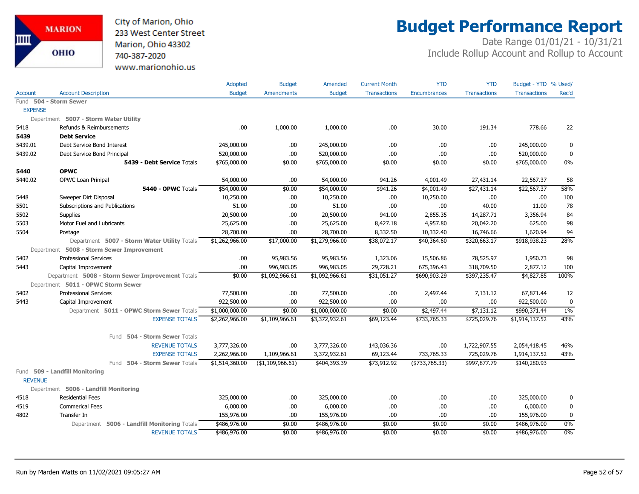City of Marion, Ohio 233 West Center Street Marion, Ohio 43302 740-387-2020 www.marionohio.us

# **Budget Performance Report**

|                |                                                  | Adopted        | <b>Budget</b>     | Amended        | <b>Current Month</b> | <b>YTD</b>          | <b>YTD</b>          | Budget - YTD % Used/ |       |
|----------------|--------------------------------------------------|----------------|-------------------|----------------|----------------------|---------------------|---------------------|----------------------|-------|
| <b>Account</b> | <b>Account Description</b>                       | <b>Budget</b>  | <b>Amendments</b> | <b>Budget</b>  | <b>Transactions</b>  | <b>Encumbrances</b> | <b>Transactions</b> | <b>Transactions</b>  | Rec'd |
| Fund           | 504 - Storm Sewer                                |                |                   |                |                      |                     |                     |                      |       |
| <b>EXPENSE</b> |                                                  |                |                   |                |                      |                     |                     |                      |       |
|                | Department 5007 - Storm Water Utility            |                |                   |                |                      |                     |                     |                      |       |
| 5418           | Refunds & Reimbursements                         | .00            | 1,000.00          | 1,000.00       | .00                  | 30.00               | 191.34              | 778.66               | 22    |
| 5439           | <b>Debt Service</b>                              |                |                   |                |                      |                     |                     |                      |       |
| 5439.01        | Debt Service Bond Interest                       | 245,000.00     | .00               | 245,000.00     | .00                  | .00                 | .00                 | 245,000.00           | 0     |
| 5439.02        | Debt Service Bond Principal                      | 520,000.00     | .00.              | 520,000.00     | .00                  | .00                 | .00                 | 520,000.00           | 0     |
|                | 5439 - Debt Service Totals                       | \$765,000.00   | \$0.00            | \$765,000.00   | \$0.00               | \$0.00              | \$0.00              | \$765,000.00         | 0%    |
| 5440           | <b>OPWC</b>                                      |                |                   |                |                      |                     |                     |                      |       |
| 5440.02        | OPWC Loan Prinipal                               | 54,000.00      | .00.              | 54,000.00      | 941.26               | 4,001.49            | 27,431.14           | 22,567.37            | 58    |
|                | 5440 - OPWC Totals                               | \$54,000.00    | \$0.00            | \$54,000.00    | \$941.26             | \$4,001.49          | \$27,431.14         | \$22,567.37          | 58%   |
| 5448           | Sweeper Dirt Disposal                            | 10,250.00      | .00               | 10,250.00      | .00.                 | 10,250.00           | .00                 | .00                  | 100   |
| 5501           | Subscriptions and Publications                   | 51.00          | .00               | 51.00          | .00                  | .00                 | 40.00               | 11.00                | 78    |
| 5502           | Supplies                                         | 20,500.00      | .00.              | 20,500.00      | 941.00               | 2,855.35            | 14,287.71           | 3,356.94             | 84    |
| 5503           | Motor Fuel and Lubricants                        | 25,625.00      | .00.              | 25,625.00      | 8,427.18             | 4,957.80            | 20,042.20           | 625.00               | 98    |
| 5504           | Postage                                          | 28,700.00      | .00.              | 28,700.00      | 8,332.50             | 10,332.40           | 16,746.66           | 1,620.94             | 94    |
|                | Department 5007 - Storm Water Utility Totals     | \$1,262,966.00 | \$17,000.00       | \$1,279,966.00 | \$38,072.17          | \$40,364.60         | \$320,663.17        | \$918,938.23         | 28%   |
|                | Department 5008 - Storm Sewer Improvement        |                |                   |                |                      |                     |                     |                      |       |
| 5402           | <b>Professional Services</b>                     | .00            | 95,983.56         | 95,983.56      | 1,323.06             | 15,506.86           | 78,525.97           | 1,950.73             | 98    |
| 5443           | Capital Improvement                              | .00            | 996,983.05        | 996,983.05     | 29,728.21            | 675,396.43          | 318,709.50          | 2,877.12             | 100   |
|                | Department 5008 - Storm Sewer Improvement Totals | \$0.00         | \$1,092,966.61    | \$1,092,966.61 | \$31,051.27          | \$690,903.29        | \$397,235.47        | \$4,827.85           | 100%  |
|                | Department 5011 - OPWC Storm Sewer               |                |                   |                |                      |                     |                     |                      |       |
| 5402           | <b>Professional Services</b>                     | 77,500.00      | .00.              | 77,500.00      | .00                  | 2,497.44            | 7,131.12            | 67,871.44            | 12    |
| 5443           | Capital Improvement                              | 922,500.00     | .00               | 922,500.00     | .00                  | .00                 | .00                 | 922,500.00           | 0     |
|                | Department 5011 - OPWC Storm Sewer Totals        | \$1,000,000.00 | \$0.00            | \$1,000,000.00 | \$0.00               | \$2,497.44          | \$7,131.12          | \$990,371.44         | $1\%$ |
|                | <b>EXPENSE TOTALS</b>                            | \$2,262,966.00 | \$1,109,966.61    | \$3,372,932.61 | \$69,123.44          | \$733,765.33        | \$725,029.76        | \$1,914,137.52       | 43%   |
|                | 504 - Storm Sewer Totals<br>Fund                 |                |                   |                |                      |                     |                     |                      |       |
|                | <b>REVENUE TOTALS</b>                            | 3,777,326.00   | .00               | 3,777,326.00   | 143,036.36           | .00                 | 1,722,907.55        | 2,054,418.45         | 46%   |
|                | <b>EXPENSE TOTALS</b>                            | 2,262,966.00   | 1,109,966.61      | 3,372,932.61   | 69,123.44            | 733,765.33          | 725,029.76          | 1,914,137.52         | 43%   |
|                | Fund 504 - Storm Sewer Totals                    | \$1,514,360.00 | ( \$1,109,966.61) | \$404,393.39   | \$73,912.92          | ( \$733, 765.33)    | \$997,877.79        | \$140,280.93         |       |
| <b>REVENUE</b> | Fund 509 - Landfill Monitoring                   |                |                   |                |                      |                     |                     |                      |       |
|                | Department 5006 - Landfill Monitoring            |                |                   |                |                      |                     |                     |                      |       |
| 4518           | <b>Residential Fees</b>                          | 325,000.00     | .00               | 325,000.00     | .00                  | .00                 | .00                 | 325,000.00           | 0     |
| 4519           | <b>Commerical Fees</b>                           | 6,000.00       | .00.              | 6,000.00       | .00                  | .00                 | .00                 | 6,000.00             | 0     |
| 4802           | Transfer In                                      | 155,976.00     | .00.              | 155,976.00     | .00                  | .00                 | .00                 | 155,976.00           | 0     |
|                | Department 5006 - Landfill Monitoring Totals     | \$486,976.00   | \$0.00            | \$486,976.00   | \$0.00               | \$0.00              | \$0.00              | \$486,976.00         | $0\%$ |
|                | <b>REVENUE TOTALS</b>                            | \$486,976.00   | \$0.00            | \$486,976.00   | \$0.00               | \$0.00              | \$0.00              | \$486,976.00         | $0\%$ |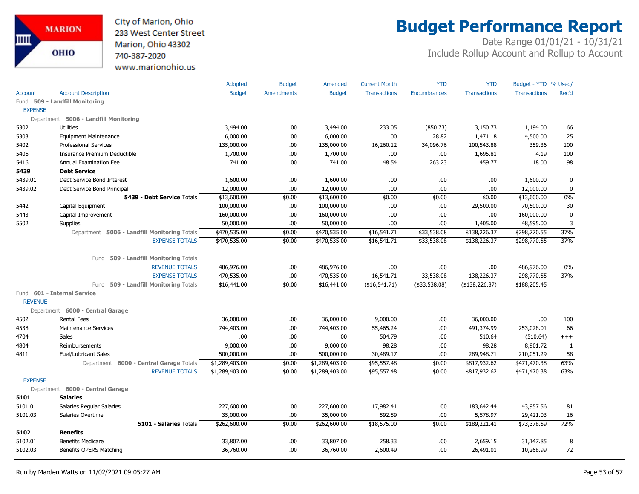City of Marion, Ohio 233 West Center Street Marion, Ohio 43302 740-387-2020 www.marionohio.us

# **Budget Performance Report**

|                |                                              | Adopted        | <b>Budget</b>     | Amended        | <b>Current Month</b> | <b>YTD</b>          | <b>YTD</b>          | Budget - YTD % Used/ |             |
|----------------|----------------------------------------------|----------------|-------------------|----------------|----------------------|---------------------|---------------------|----------------------|-------------|
| Account        | <b>Account Description</b>                   | <b>Budget</b>  | <b>Amendments</b> | <b>Budget</b>  | <b>Transactions</b>  | <b>Encumbrances</b> | <b>Transactions</b> | <b>Transactions</b>  | Rec'd       |
| Fund           | 509 - Landfill Monitoring                    |                |                   |                |                      |                     |                     |                      |             |
| <b>EXPENSE</b> |                                              |                |                   |                |                      |                     |                     |                      |             |
|                | Department 5006 - Landfill Monitoring        |                |                   |                |                      |                     |                     |                      |             |
| 5302           | <b>Utilities</b>                             | 3,494.00       | .00               | 3,494.00       | 233.05               | (850.73)            | 3,150.73            | 1,194.00             | 66          |
| 5303           | <b>Equipment Maintenance</b>                 | 6,000.00       | .00               | 6,000.00       | .00                  | 28.82               | 1,471.18            | 4,500.00             | 25          |
| 5402           | <b>Professional Services</b>                 | 135,000.00     | .00               | 135,000.00     | 16,260.12            | 34,096.76           | 100,543.88          | 359.36               | 100         |
| 5406           | Insurance Premium Deductible                 | 1,700.00       | .00.              | 1,700.00       | .00                  | .00                 | 1,695.81            | 4.19                 | 100         |
| 5416           | <b>Annual Examination Fee</b>                | 741.00         | .00               | 741.00         | 48.54                | 263.23              | 459.77              | 18.00                | 98          |
| 5439           | <b>Debt Service</b>                          |                |                   |                |                      |                     |                     |                      |             |
| 5439.01        | Debt Service Bond Interest                   | 1,600.00       | .00               | 1,600.00       | .00                  | .00                 | .00                 | 1,600.00             | 0           |
| 5439.02        | Debt Service Bond Principal                  | 12,000.00      | .00.              | 12,000.00      | .00                  | .00.                | .00                 | 12,000.00            | $\mathbf 0$ |
|                | 5439 - Debt Service Totals                   | \$13,600.00    | \$0.00            | \$13,600.00    | \$0.00               | \$0.00              | \$0.00              | \$13,600.00          | 0%          |
| 5442           | Capital Equipment                            | 100,000.00     | .00.              | 100,000.00     | .00.                 | .00                 | 29,500.00           | 70,500.00            | 30          |
| 5443           | Capital Improvement                          | 160,000.00     | .00               | 160,000.00     | .00                  | .00                 | .00                 | 160,000.00           | $\mathbf 0$ |
| 5502           | Supplies                                     | 50,000.00      | .00               | 50,000.00      | .00                  | .00                 | 1,405.00            | 48,595.00            | 3           |
|                | Department 5006 - Landfill Monitoring Totals | \$470,535.00   | \$0.00            | \$470,535.00   | \$16,541.71          | \$33,538.08         | \$138,226.37        | \$298,770.55         | 37%         |
|                | <b>EXPENSE TOTALS</b>                        | \$470,535.00   | \$0.00            | \$470,535.00   | \$16,541.71          | \$33,538.08         | \$138,226.37        | \$298,770.55         | 37%         |
|                | 509 - Landfill Monitoring Totals<br>Fund     |                |                   |                |                      |                     |                     |                      |             |
|                | <b>REVENUE TOTALS</b>                        | 486,976.00     | .00.              | 486,976.00     | .00.                 | .00                 | .00.                | 486,976.00           | $0\%$       |
|                | <b>EXPENSE TOTALS</b>                        | 470,535.00     | .00               | 470,535.00     | 16,541.71            | 33,538.08           | 138,226.37          | 298,770.55           | 37%         |
|                | Fund 509 - Landfill Monitoring Totals        | \$16,441.00    | \$0.00            | \$16,441.00    | ( \$16,541.71)       | ( \$33,538.08)      | (\$138, 226.37)     | \$188,205.45         |             |
|                | Fund 601 - Internal Service                  |                |                   |                |                      |                     |                     |                      |             |
| <b>REVENUE</b> |                                              |                |                   |                |                      |                     |                     |                      |             |
|                | Department 6000 - Central Garage             |                |                   |                |                      |                     |                     |                      |             |
| 4502           | <b>Rental Fees</b>                           | 36,000.00      | .00               | 36,000.00      | 9,000.00             | .00                 | 36,000.00           | .00                  | 100         |
| 4538           | <b>Maintenance Services</b>                  | 744,403.00     | .00               | 744,403.00     | 55,465.24            | .00                 | 491,374.99          | 253,028.01           | 66          |
| 4704           | Sales                                        | .00.           | .00               | .00            | 504.79               | .00                 | 510.64              | (510.64)             | $^{+++}$    |
| 4804           | Reimbursements                               | 9,000.00       | .00               | 9,000.00       | 98.28                | .00                 | 98.28               | 8,901.72             | 1           |
| 4811           | <b>Fuel/Lubricant Sales</b>                  | 500,000.00     | .00.              | 500,000.00     | 30,489.17            | .00                 | 289,948.71          | 210,051.29           | 58          |
|                | Department 6000 - Central Garage Totals      | \$1,289,403.00 | \$0.00            | \$1,289,403.00 | \$95,557.48          | \$0.00              | \$817,932.62        | \$471,470.38         | 63%         |
|                | <b>REVENUE TOTALS</b>                        | \$1,289,403.00 | \$0.00            | \$1,289,403.00 | \$95,557.48          | \$0.00              | \$817,932.62        | \$471,470.38         | 63%         |
| <b>EXPENSE</b> |                                              |                |                   |                |                      |                     |                     |                      |             |
|                | Department 6000 - Central Garage             |                |                   |                |                      |                     |                     |                      |             |
| 5101           | <b>Salaries</b>                              |                |                   |                |                      |                     |                     |                      |             |
| 5101.01        | Salaries Regular Salaries                    | 227,600.00     | .00.              | 227,600.00     | 17,982.41            | .00                 | 183,642.44          | 43,957.56            | 81          |
| 5101.03        | Salaries Overtime                            | 35,000.00      | .00.              | 35,000.00      | 592.59               | .00                 | 5,578.97            | 29,421.03            | 16          |
|                | 5101 - Salaries Totals                       | \$262,600.00   | \$0.00            | \$262,600.00   | \$18,575.00          | \$0.00              | \$189,221.41        | $\sqrt{$73,378.59}$  | 72%         |
| 5102           | <b>Benefits</b>                              |                |                   |                |                      |                     |                     |                      |             |
| 5102.01        | <b>Benefits Medicare</b>                     | 33,807.00      | .00               | 33,807.00      | 258.33               | .00                 | 2,659.15            | 31,147.85            | 8           |
| 5102.03        | Benefits OPERS Matching                      | 36,760.00      | .00               | 36,760.00      | 2,600.49             | .00                 | 26,491.01           | 10,268.99            | 72          |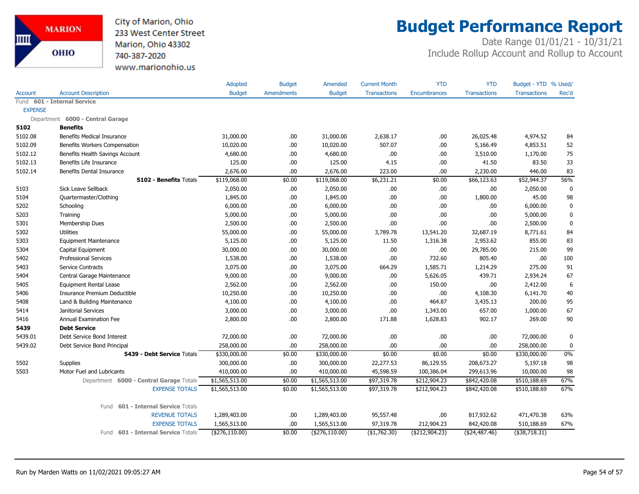City of Marion, Ohio 233 West Center Street Marion, Ohio 43302 740-387-2020 www.marionohio.us

# **Budget Performance Report**

|                |                                              | Adopted         | <b>Budget</b>     | Amended         | <b>Current Month</b> | <b>YTD</b>          | <b>YTD</b>          | Budget - YTD % Used/ |             |
|----------------|----------------------------------------------|-----------------|-------------------|-----------------|----------------------|---------------------|---------------------|----------------------|-------------|
| <b>Account</b> | <b>Account Description</b>                   | <b>Budget</b>   | <b>Amendments</b> | <b>Budget</b>   | <b>Transactions</b>  | <b>Encumbrances</b> | <b>Transactions</b> | <b>Transactions</b>  | Rec'd       |
| Fund           | 601 - Internal Service                       |                 |                   |                 |                      |                     |                     |                      |             |
| <b>EXPENSE</b> |                                              |                 |                   |                 |                      |                     |                     |                      |             |
|                | Department 6000 - Central Garage             |                 |                   |                 |                      |                     |                     |                      |             |
| 5102           | <b>Benefits</b>                              |                 |                   |                 |                      |                     |                     |                      |             |
| 5102.08        | <b>Benefits Medical Insurance</b>            | 31,000.00       | .00.              | 31,000.00       | 2,638.17             | .00                 | 26,025.48           | 4,974.52             | 84          |
| 5102.09        | Benefits Workers Compensation                | 10,020.00       | .00.              | 10,020.00       | 507.07               | .00                 | 5,166.49            | 4,853.51             | 52          |
| 5102.12        | Benefits Health Savings Account              | 4,680.00        | .00.              | 4,680.00        | .00                  | .00                 | 3,510.00            | 1,170.00             | 75          |
| 5102.13        | Benefits Life Insurance                      | 125.00          | .00.              | 125.00          | 4.15                 | .00                 | 41.50               | 83.50                | 33          |
| 5102.14        | <b>Benefits Dental Insurance</b>             | 2,676.00        | .00.              | 2,676.00        | 223.00               | .00                 | 2,230.00            | 446.00               | 83          |
|                | 5102 - Benefits Totals                       | \$119,068.00    | \$0.00            | \$119,068.00    | \$6,231.21           | \$0.00              | \$66,123.63         | \$52,944.37          | 56%         |
| 5103           | Sick Leave Sellback                          | 2,050.00        | .00.              | 2,050.00        | .00                  | .00                 | .00                 | 2,050.00             | $\mathbf 0$ |
| 5104           | Quartermaster/Clothing                       | 1,845.00        | .00.              | 1,845.00        | .00.                 | .00                 | 1,800.00            | 45.00                | 98          |
| 5202           | Schooling                                    | 6,000.00        | .00               | 6,000.00        | .00.                 | .00                 | .00                 | 6,000.00             | $\pmb{0}$   |
| 5203           | Training                                     | 5,000.00        | .00.              | 5,000.00        | .00.                 | .00                 | .00.                | 5,000.00             | $\mathbf 0$ |
| 5301           | Membership Dues                              | 2,500.00        | .00               | 2,500.00        | .00.                 | .00                 | .00                 | 2,500.00             | $\mathbf 0$ |
| 5302           | <b>Utilities</b>                             | 55,000.00       | .00               | 55,000.00       | 3,789.78             | 13,541.20           | 32,687.19           | 8,771.61             | 84          |
| 5303           | Equipment Maintenance                        | 5,125.00        | .00.              | 5,125.00        | 11.50                | 1,316.38            | 2,953.62            | 855.00               | 83          |
| 5304           | Capital Equipment                            | 30,000.00       | .00.              | 30,000.00       | .00.                 | .00.                | 29,785.00           | 215.00               | 99          |
| 5402           | <b>Professional Services</b>                 | 1,538.00        | .00.              | 1,538.00        | .00.                 | 732.60              | 805.40              | .00                  | 100         |
| 5403           | <b>Service Contracts</b>                     | 3,075.00        | .00.              | 3,075.00        | 664.29               | 1,585.71            | 1,214.29            | 275.00               | 91          |
| 5404           | Central Garage Maintenance                   | 9,000.00        | .00               | 9,000.00        | .00                  | 5,626.05            | 439.71              | 2,934.24             | 67          |
| 5405           | <b>Equipment Rental Lease</b>                | 2,562.00        | .00.              | 2,562.00        | .00.                 | 150.00              | .00                 | 2,412.00             | 6           |
| 5406           | Insurance Premium Deductible                 | 10,250.00       | .00.              | 10,250.00       | .00.                 | .00                 | 4,108.30            | 6,141.70             | 40          |
| 5408           | Land & Building Maintenance                  | 4,100.00        | .00.              | 4,100.00        | .00.                 | 464.87              | 3,435.13            | 200.00               | 95          |
| 5414           | Janitorial Services                          | 3,000.00        | .00               | 3,000.00        | .00                  | 1,343.00            | 657.00              | 1,000.00             | 67          |
| 5416           | Annual Examination Fee                       | 2,800.00        | .00.              | 2,800.00        | 171.88               | 1,628.83            | 902.17              | 269.00               | 90          |
| 5439           | <b>Debt Service</b>                          |                 |                   |                 |                      |                     |                     |                      |             |
| 5439.01        | Debt Service Bond Interest                   | 72,000.00       | .00.              | 72,000.00       | .00.                 | .00                 | .00                 | 72,000.00            | 0           |
| 5439.02        | Debt Service Bond Principal                  | 258,000.00      | .00.              | 258,000.00      | .00                  | .00                 | .00                 | 258,000.00           | 0           |
|                | 5439 - Debt Service Totals                   | \$330,000.00    | \$0.00            | \$330,000.00    | \$0.00               | \$0.00              | \$0.00              | \$330,000.00         | 0%          |
| 5502           | <b>Supplies</b>                              | 300,000.00      | .00.              | 300,000.00      | 22,277.53            | 86,129.55           | 208,673.27          | 5,197.18             | 98          |
| 5503           | Motor Fuel and Lubricants                    | 410,000.00      | .00.              | 410,000.00      | 45,598.59            | 100,386.04          | 299,613.96          | 10,000.00            | 98          |
|                | Department 6000 - Central Garage Totals      | \$1,565,513.00  | \$0.00            | \$1,565,513.00  | \$97,319.78          | \$212,904.23        | \$842,420.08        | \$510,188.69         | 67%         |
|                | <b>EXPENSE TOTALS</b>                        | \$1,565,513.00  | \$0.00            | \$1,565,513.00  | \$97,319.78          | \$212,904.23        | \$842,420.08        | \$510,188.69         | 67%         |
|                | <b>601 - Internal Service Totals</b><br>Fund |                 |                   |                 |                      |                     |                     |                      |             |
|                | <b>REVENUE TOTALS</b>                        | 1,289,403.00    | .00.              | 1,289,403.00    | 95,557.48            | .00                 | 817,932.62          | 471,470.38           | 63%         |
|                | <b>EXPENSE TOTALS</b>                        | 1,565,513.00    | .00               | 1,565,513.00    | 97,319.78            | 212,904.23          | 842,420.08          | 510,188.69           | 67%         |
|                | Fund 601 - Internal Service Totals           | $(*276,110.00)$ | \$0.00            | $(*276,110.00)$ | (\$1,762.30)         | ( \$212,904.23)     | (\$24,487.46)       | $(*38,718.31)$       |             |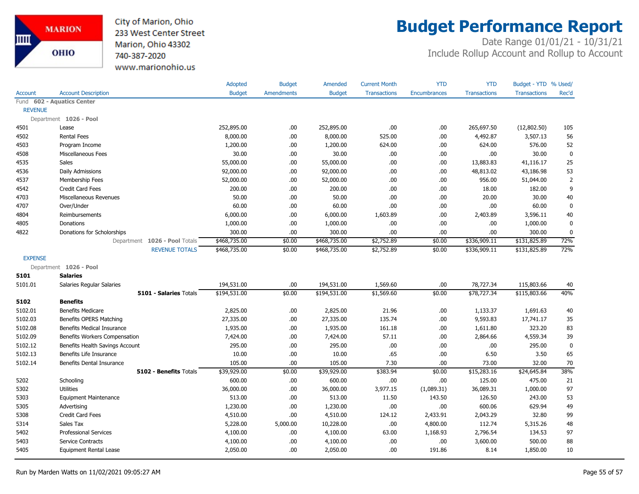

# **Budget Performance Report**

|                |                                   | Adopted       | <b>Budget</b>     | Amended       | <b>Current Month</b> | <b>YTD</b>          | <b>YTD</b>          | Budget - YTD % Used/ |                |
|----------------|-----------------------------------|---------------|-------------------|---------------|----------------------|---------------------|---------------------|----------------------|----------------|
| Account        | <b>Account Description</b>        | <b>Budget</b> | <b>Amendments</b> | <b>Budget</b> | <b>Transactions</b>  | <b>Encumbrances</b> | <b>Transactions</b> | <b>Transactions</b>  | Rec'd          |
|                | Fund 602 - Aquatics Center        |               |                   |               |                      |                     |                     |                      |                |
| <b>REVENUE</b> |                                   |               |                   |               |                      |                     |                     |                      |                |
|                | Department 1026 - Pool            |               |                   |               |                      |                     |                     |                      |                |
| 4501           | Lease                             | 252,895.00    | .00               | 252,895.00    | .00                  | .00.                | 265,697.50          | (12,802.50)          | 105            |
| 4502           | <b>Rental Fees</b>                | 8,000.00      | .00               | 8,000.00      | 525.00               | .00                 | 4,492.87            | 3,507.13             | 56             |
| 4503           | Program Income                    | 1,200.00      | .00               | 1,200.00      | 624.00               | .00                 | 624.00              | 576.00               | 52             |
| 4508           | Miscellaneous Fees                | 30.00         | .00               | 30.00         | .00                  | .00                 | .00                 | 30.00                | $\mathbf 0$    |
| 4535           | Sales                             | 55,000.00     | .00               | 55,000.00     | .00                  | .00                 | 13,883.83           | 41,116.17            | 25             |
| 4536           | Daily Admissions                  | 92,000.00     | .00               | 92,000.00     | .00                  | .00                 | 48,813.02           | 43,186.98            | 53             |
| 4537           | Membership Fees                   | 52,000.00     | .00               | 52,000.00     | .00                  | .00.                | 956.00              | 51,044.00            | $\overline{2}$ |
| 4542           | <b>Credit Card Fees</b>           | 200.00        | .00               | 200.00        | .00                  | .00                 | 18.00               | 182.00               | 9              |
| 4703           | Miscellaneous Revenues            | 50.00         | .00               | 50.00         | .00                  | .00                 | 20.00               | 30.00                | 40             |
| 4707           | Over/Under                        | 60.00         | .00.              | 60.00         | .00                  | .00                 | .00                 | 60.00                | $\mathbf 0$    |
| 4804           | Reimbursements                    | 6,000.00      | .00               | 6,000.00      | 1,603.89             | .00                 | 2,403.89            | 3,596.11             | 40             |
| 4805           | Donations                         | 1,000.00      | .00               | 1,000.00      | .00                  | .00                 | .00.                | 1,000.00             | $\mathbf{0}$   |
| 4822           | Donations for Scholorships        | 300.00        | .00               | 300.00        | .00                  | .00                 | .00                 | 300.00               | $\bf{0}$       |
|                | Department 1026 - Pool Totals     | \$468,735.00  | \$0.00            | \$468,735.00  | \$2,752.89           | \$0.00              | \$336,909.11        | \$131,825.89         | 72%            |
|                | <b>REVENUE TOTALS</b>             | \$468,735.00  | \$0.00            | \$468,735.00  | \$2,752.89           | \$0.00              | \$336,909.11        | \$131,825.89         | 72%            |
| <b>EXPENSE</b> |                                   |               |                   |               |                      |                     |                     |                      |                |
|                | Department 1026 - Pool            |               |                   |               |                      |                     |                     |                      |                |
| 5101           | <b>Salaries</b>                   |               |                   |               |                      |                     |                     |                      |                |
| 5101.01        | Salaries Regular Salaries         | 194,531.00    | .00               | 194,531.00    | 1,569.60             | .00                 | 78,727.34           | 115,803.66           | 40             |
|                | 5101 - Salaries Totals            | \$194,531.00  | \$0.00            | \$194,531.00  | \$1,569.60           | \$0.00              | \$78,727.34         | \$115,803.66         | 40%            |
| 5102           | <b>Benefits</b>                   |               |                   |               |                      |                     |                     |                      |                |
| 5102.01        | <b>Benefits Medicare</b>          | 2,825.00      | .00               | 2,825.00      | 21.96                | .00.                | 1,133.37            | 1,691.63             | 40             |
| 5102.03        | Benefits OPERS Matching           | 27,335.00     | .00               | 27,335.00     | 135.74               | .00                 | 9,593.83            | 17,741.17            | 35             |
| 5102.08        | <b>Benefits Medical Insurance</b> | 1,935.00      | .00               | 1,935.00      | 161.18               | .00                 | 1,611.80            | 323.20               | 83             |
| 5102.09        | Benefits Workers Compensation     | 7,424.00      | .00               | 7,424.00      | 57.11                | .00                 | 2,864.66            | 4,559.34             | 39             |
| 5102.12        | Benefits Health Savings Account   | 295.00        | .00               | 295.00        | .00                  | .00                 | .00.                | 295.00               | $\mathbf 0$    |
| 5102.13        | Benefits Life Insurance           | 10.00         | .00               | 10.00         | .65                  | .00                 | 6.50                | 3.50                 | 65             |
| 5102.14        | Benefits Dental Insurance         | 105.00        | .00               | 105.00        | 7.30                 | .00                 | 73.00               | 32.00                | 70             |
|                | 5102 - Benefits Totals            | \$39,929.00   | \$0.00            | \$39,929.00   | \$383.94             | \$0.00              | \$15,283.16         | \$24,645.84          | 38%            |
| 5202           | Schooling                         | 600.00        | .00               | 600.00        | .00                  | .00                 | 125.00              | 475.00               | 21             |
| 5302           | <b>Utilities</b>                  | 36,000.00     | .00               | 36,000.00     | 3,977.15             | (1,089.31)          | 36,089.31           | 1,000.00             | 97             |
| 5303           | <b>Equipment Maintenance</b>      | 513.00        | .00               | 513.00        | 11.50                | 143.50              | 126.50              | 243.00               | 53             |
| 5305           | Advertising                       | 1,230.00      | .00               | 1,230.00      | .00                  | .00.                | 600.06              | 629.94               | 49             |
| 5308           | <b>Credit Card Fees</b>           | 4,510.00      | .00               | 4,510.00      | 124.12               | 2,433.91            | 2,043.29            | 32.80                | 99             |
| 5314           | Sales Tax                         | 5,228.00      | 5,000.00          | 10,228.00     | .00                  | 4,800.00            | 112.74              | 5,315.26             | 48             |
| 5402           | Professional Services             | 4,100.00      | .00.              | 4,100.00      | 63.00                | 1,168.93            | 2,796.54            | 134.53               | 97             |
| 5403           | Service Contracts                 | 4,100.00      | .00               | 4,100.00      | .00                  | .00                 | 3,600.00            | 500.00               | 88             |
| 5405           | <b>Equipment Rental Lease</b>     | 2,050.00      | .00               | 2,050.00      | .00                  | 191.86              | 8.14                | 1,850.00             | 10             |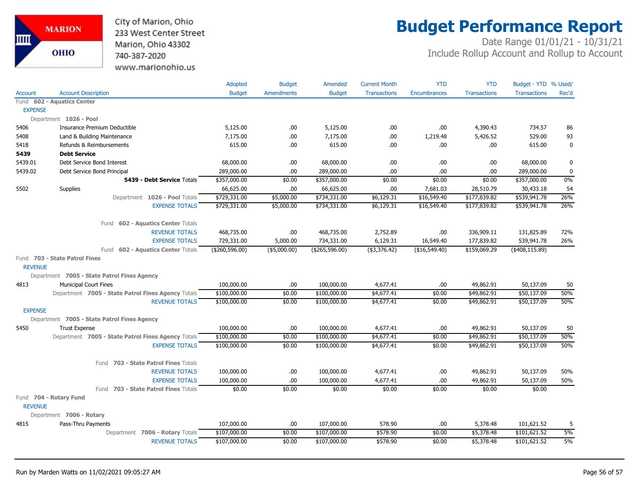City of Marion, Ohio 233 West Center Street Marion, Ohio 43302 740-387-2020 www.marionohio.us

# **Budget Performance Report**

|                |                                                    | <b>Adopted</b> | <b>Budget</b>     | Amended        | <b>Current Month</b>   | <b>YTD</b>    | <b>YTD</b>          | Budget - YTD % Used/ |             |
|----------------|----------------------------------------------------|----------------|-------------------|----------------|------------------------|---------------|---------------------|----------------------|-------------|
| Account        | <b>Account Description</b>                         | <b>Budget</b>  | <b>Amendments</b> | <b>Budget</b>  | <b>Transactions</b>    | Encumbrances  | <b>Transactions</b> | <b>Transactions</b>  | Rec'd       |
|                | Fund 602 - Aquatics Center                         |                |                   |                |                        |               |                     |                      |             |
| <b>EXPENSE</b> |                                                    |                |                   |                |                        |               |                     |                      |             |
|                | Department 1026 - Pool                             |                |                   |                |                        |               |                     |                      |             |
| 5406           | Insurance Premium Deductible                       | 5,125.00       | .00.              | 5,125.00       | .00                    | .00.          | 4,390.43            | 734.57               | 86          |
| 5408           | Land & Building Maintenance                        | 7,175.00       | .00.              | 7,175.00       | .00                    | 1,219.48      | 5,426.52            | 529.00               | 93          |
| 5418           | Refunds & Reimbursements                           | 615.00         | .00               | 615.00         | .00                    | .00           | .00                 | 615.00               | $\mathbf 0$ |
| 5439           | <b>Debt Service</b>                                |                |                   |                |                        |               |                     |                      |             |
| 5439.01        | Debt Service Bond Interest                         | 68,000.00      | .00.              | 68,000.00      | .00                    | .00           | .00                 | 68,000.00            | 0           |
| 5439.02        | Debt Service Bond Principal                        | 289,000.00     | .00               | 289,000.00     | .00                    | .00           | .00                 | 289,000.00           | 0           |
|                | 5439 - Debt Service Totals                         | \$357,000.00   | \$0.00            | \$357,000.00   | \$0.00                 | \$0.00        | \$0.00              | \$357,000.00         | 0%          |
| 5502           | Supplies                                           | 66,625.00      | .00               | 66,625.00      | .00                    | 7,681.03      | 28,510.79           | 30,433.18            | 54          |
|                | Department 1026 - Pool Totals                      | \$729,331.00   | \$5,000.00        | \$734,331.00   | \$6,129.31             | \$16,549.40   | \$177,839.82        | \$539,941.78         | 26%         |
|                | <b>EXPENSE TOTALS</b>                              | \$729,331.00   | \$5,000.00        | \$734,331.00   | \$6,129.31             | \$16,549.40   | \$177,839.82        | \$539,941.78         | 26%         |
|                | Fund 602 - Aquatics Center Totals                  |                |                   |                |                        |               |                     |                      |             |
|                | <b>REVENUE TOTALS</b>                              | 468,735.00     | .00.              | 468,735.00     | 2,752.89               | .00.          | 336,909.11          | 131,825.89           | 72%         |
|                | <b>EXPENSE TOTALS</b>                              | 729,331.00     | 5,000.00          | 734,331.00     | 6,129.31               | 16,549.40     | 177,839.82          | 539,941.78           | 26%         |
|                | Fund 602 - Aquatics Center Totals                  | (\$260,596.00) | $($ \$5,000.00)   | (\$265,596.00) | $($ \$3,376.42)        | (\$16,549.40) | \$159,069.29        | (\$408, 115.89)      |             |
|                | Fund 703 - State Patrol Fines                      |                |                   |                |                        |               |                     |                      |             |
| <b>REVENUE</b> |                                                    |                |                   |                |                        |               |                     |                      |             |
|                | Department 7005 - State Patrol Fines Agency        |                |                   |                |                        |               |                     |                      |             |
| 4813           | <b>Municipal Court Fines</b>                       | 100,000.00     | .00               | 100,000.00     | 4,677.41               | .00           | 49,862.91           | 50,137.09            | 50          |
|                | Department 7005 - State Patrol Fines Agency Totals | \$100,000.00   | \$0.00            | \$100,000.00   | \$4,677.41             | \$0.00        | \$49,862.91         | \$50,137.09          | 50%         |
|                | <b>REVENUE TOTALS</b>                              | \$100,000.00   | \$0.00            | \$100,000.00   | \$4,677.41             | \$0.00        | \$49,862.91         | \$50,137.09          | 50%         |
| <b>EXPENSE</b> |                                                    |                |                   |                |                        |               |                     |                      |             |
|                | Department 7005 - State Patrol Fines Agency        |                |                   |                |                        |               |                     |                      |             |
| 5450           | <b>Trust Expense</b>                               | 100,000.00     | .00.              | 100,000.00     | 4,677.41               | .00           | 49,862.91           | 50,137.09            | 50          |
|                | Department 7005 - State Patrol Fines Agency Totals | \$100,000.00   | \$0.00            | \$100,000.00   | \$4,677.41             | \$0.00        | \$49,862.91         | \$50,137.09          | 50%         |
|                | <b>EXPENSE TOTALS</b>                              | \$100,000.00   | \$0.00            | \$100,000.00   | $$4,677.\overline{41}$ | \$0.00        | \$49,862.91         | \$50,137.09          | 50%         |
|                | Fund 703 - State Patrol Fines Totals               |                |                   |                |                        |               |                     |                      |             |
|                | <b>REVENUE TOTALS</b>                              | 100,000.00     | .00.              | 100,000.00     | 4,677.41               | .00           | 49,862.91           | 50,137.09            | 50%         |
|                | <b>EXPENSE TOTALS</b>                              | 100,000.00     | .00               | 100,000.00     | 4,677.41               | .00           | 49,862.91           | 50,137.09            | 50%         |
|                | Fund 703 - State Patrol Fines Totals               | \$0.00         | \$0.00            | \$0.00         | \$0.00                 | \$0.00        | \$0.00              | \$0.00               |             |
|                | Fund 704 - Rotary Fund                             |                |                   |                |                        |               |                     |                      |             |
| <b>REVENUE</b> |                                                    |                |                   |                |                        |               |                     |                      |             |
|                | Department 7006 - Rotary                           |                |                   |                |                        |               |                     |                      |             |
| 4815           | Pass-Thru Payments                                 | 107,000.00     | .00               | 107,000.00     | 578.90                 | .00.          | 5,378.48            | 101,621.52           | 5           |
|                | Department 7006 - Rotary Totals                    | \$107,000.00   | \$0.00            | \$107,000.00   | \$578.90               | \$0.00        | \$5,378.48          | \$101,621.52         | 5%          |
|                | <b>REVENUE TOTALS</b>                              | \$107,000.00   | \$0.00            | \$107,000.00   | \$578.90               | \$0.00        | \$5,378.48          | \$101,621.52         | 5%          |